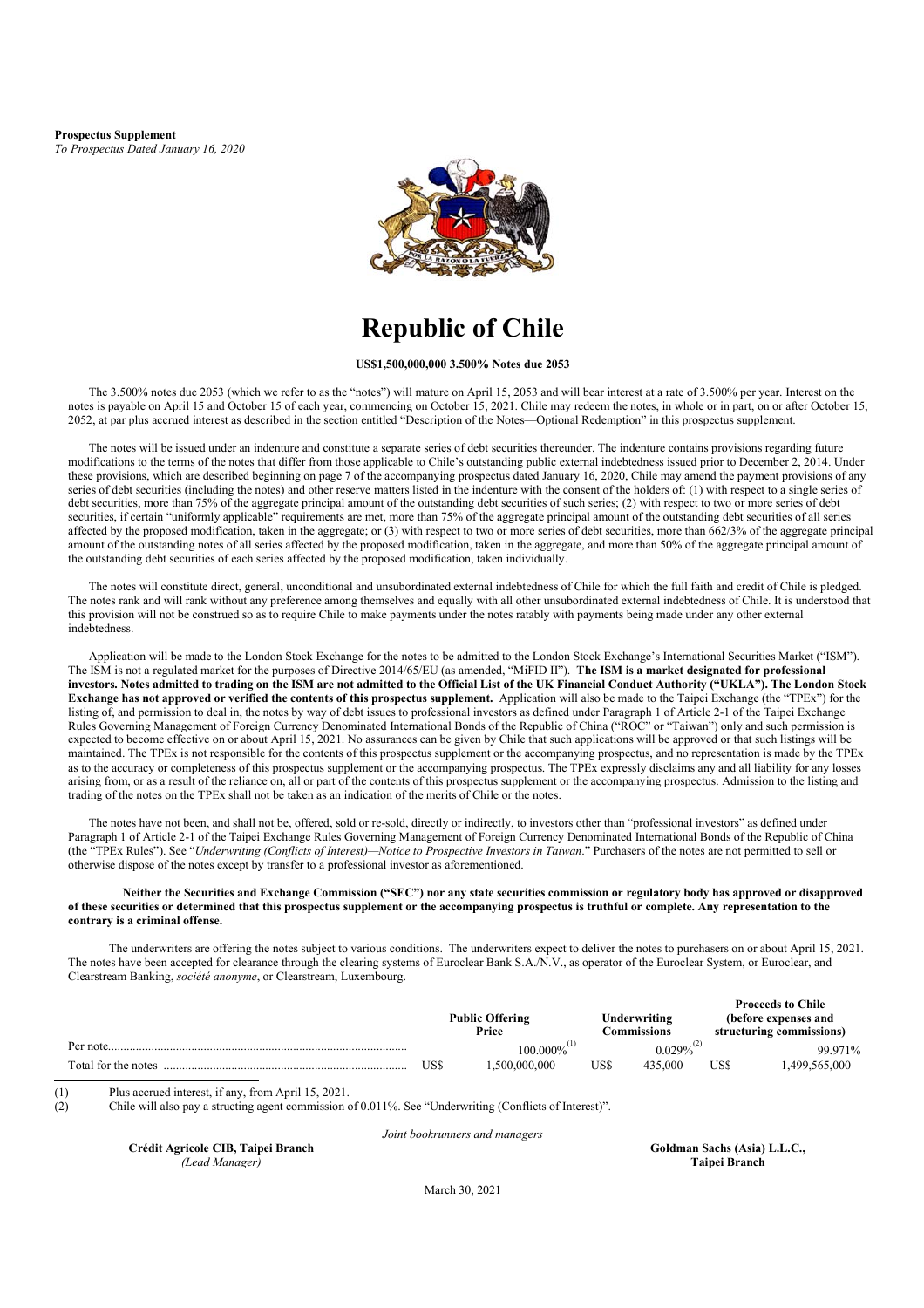**Prospectus Supplement** *To Prospectus Dated January 16, 2020*



# **Republic of Chile**

**US\$1,500,000,000 3.500% Notes due 2053** 

The 3.500% notes due 2053 (which we refer to as the "notes") will mature on April 15, 2053 and will bear interest at a rate of 3.500% per year. Interest on the notes is payable on April 15 and October 15 of each year, commencing on October 15, 2021. Chile may redeem the notes, in whole or in part, on or after October 15, 2052, at par plus accrued interest as described in the section entitled "Description of the Notes—Optional Redemption" in this prospectus supplement.

The notes will be issued under an indenture and constitute a separate series of debt securities thereunder. The indenture contains provisions regarding future modifications to the terms of the notes that differ from those applicable to Chile's outstanding public external indebtedness issued prior to December 2, 2014. Under these provisions, which are described beginning on page 7 of the accompanying prospectus dated January 16, 2020, Chile may amend the payment provisions of any series of debt securities (including the notes) and other reserve matters listed in the indenture with the consent of the holders of: (1) with respect to a single series of debt securities, more than 75% of the aggregate principal amount of the outstanding debt securities of such series; (2) with respect to two or more series of debt securities, if certain "uniformly applicable" requirements are met, more than 75% of the aggregate principal amount of the outstanding debt securities of all series affected by the proposed modification, taken in the aggregate; or (3) with respect to two or more series of debt securities, more than 662/3% of the aggregate principal amount of the outstanding notes of all series affected by the proposed modification, taken in the aggregate, and more than 50% of the aggregate principal amount of the outstanding debt securities of each series affected by the proposed modification, taken individually.

The notes will constitute direct, general, unconditional and unsubordinated external indebtedness of Chile for which the full faith and credit of Chile is pledged. The notes rank and will rank without any preference among themselves and equally with all other unsubordinated external indebtedness of Chile. It is understood that this provision will not be construed so as to require Chile to make payments under the notes ratably with payments being made under any other external indebtedness.

Application will be made to the London Stock Exchange for the notes to be admitted to the London Stock Exchange's International Securities Market ("ISM"). The ISM is not a regulated market for the purposes of Directive 2014/65/EU (as amended, "MiFID II"). **The ISM is a market designated for professional investors. Notes admitted to trading on the ISM are not admitted to the Official List of the UK Financial Conduct Authority ("UKLA"). The London Stock Exchange has not approved or verified the contents of this prospectus supplement.** Application will also be made to the Taipei Exchange (the "TPEx") for the listing of, and permission to deal in, the notes by way of debt issues to professional investors as defined under Paragraph 1 of Article 2-1 of the Taipei Exchange Rules Governing Management of Foreign Currency Denominated International Bonds of the Republic of China ("ROC" or "Taiwan") only and such permission is expected to become effective on or about April 15, 2021. No assurances can be given by Chile that such applications will be approved or that such listings will be maintained. The TPEx is not responsible for the contents of this prospectus supplement or the accompanying prospectus, and no representation is made by the TPEx as to the accuracy or completeness of this prospectus supplement or the accompanying prospectus. The TPEx expressly disclaims any and all liability for any losses arising from, or as a result of the reliance on, all or part of the contents of this prospectus supplement or the accompanying prospectus. Admission to the listing and trading of the notes on the TPEx shall not be taken as an indication of the merits of Chile or the notes.

The notes have not been, and shall not be, offered, sold or re-sold, directly or indirectly, to investors other than "professional investors" as defined under Paragraph 1 of Article 2-1 of the Taipei Exchange Rules Governing Management of Foreign Currency Denominated International Bonds of the Republic of China (the "TPEx Rules"). See "*Underwriting (Conflicts of Interest)—Notice to Prospective Investors in Taiwan*." Purchasers of the notes are not permitted to sell or otherwise dispose of the notes except by transfer to a professional investor as aforementioned.

#### **Neither the Securities and Exchange Commission ("SEC") nor any state securities commission or regulatory body has approved or disapproved of these securities or determined that this prospectus supplement or the accompanying prospectus is truthful or complete. Any representation to the contrary is a criminal offense.**

The underwriters are offering the notes subject to various conditions. The underwriters expect to deliver the notes to purchasers on or about April 15, 2021. The notes have been accepted for clearance through the clearing systems of Euroclear Bank S.A./N.V., as operator of the Euroclear System, or Euroclear, and Clearstream Banking, *société anonyme*, or Clearstream, Luxembourg.

|                     |     |                        |     |              |      | <b>Proceeds to Chile</b> |
|---------------------|-----|------------------------|-----|--------------|------|--------------------------|
|                     |     | <b>Public Offering</b> |     | Underwriting |      | (before expenses and     |
|                     |     | Price                  |     | :\ommissions |      | structuring commissions) |
| Per note.           |     | 100.000%               |     | $0.029\%$    |      | 99.971%                  |
| Total for the notes | USS | .500.000.000           | USS | 435,000      | US\$ | .499.565.000             |

(1) Plus accrued interest, if any, from April 15, 2021.

(2) Chile will also pay a structing agent commission of 0.011%. See "Underwriting (Conflicts of Interest)".

**Crédit Agricole CIB, Taipei Branch** *(Lead Manager)*

*Joint bookrunners and managers*

 **Goldman Sachs (Asia) L.L.C., Taipei Branch** 

March 30, 2021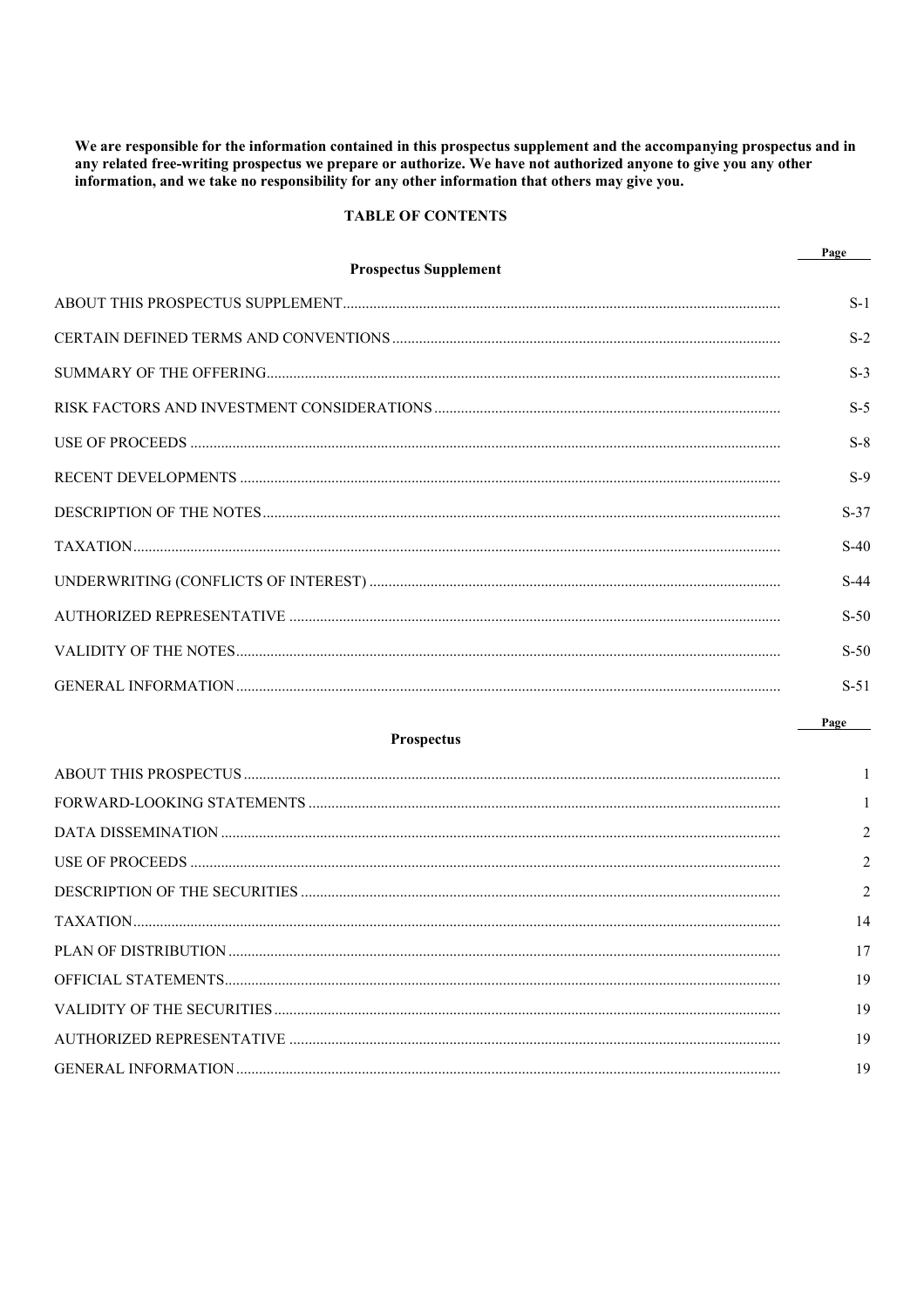We are responsible for the information contained in this prospectus supplement and the accompanying prospectus and in any related free-writing prospectus we prepare or authorize. We have not authorized anyone to give you any other information, and we take no responsibility for any other information that others may give you.

## **TABLE OF CONTENTS**

**Prospectus Supplement** 

| $\mathbf{a}$<br>- 21<br>ч |  |
|---------------------------|--|
|                           |  |

| $S-1$  |
|--------|
| $S-2$  |
| $S-3$  |
| $S-5$  |
| $S-8$  |
| $S-9$  |
| $S-37$ |
| $S-40$ |
| $S-44$ |
| $S-50$ |
| $S-50$ |
| $S-51$ |

## **Prospectus**

Page

| $\overline{1}$ |
|----------------|
| $\mathbf{1}$   |
|                |
| $\overline{2}$ |
| $\overline{c}$ |
| 14             |
| 17             |
| 19             |
| 19             |
| 19             |
| 19             |
|                |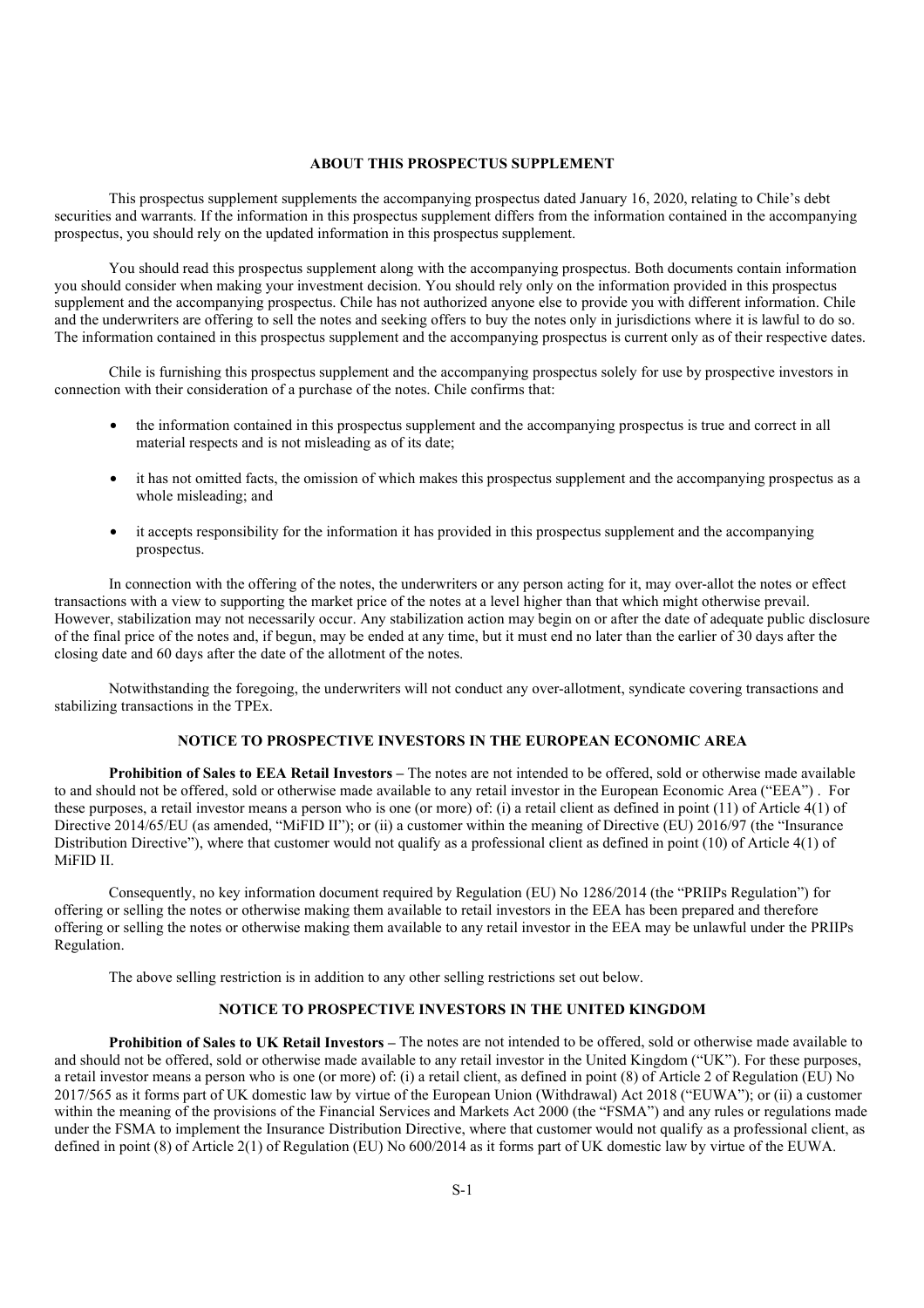## **ABOUT THIS PROSPECTUS SUPPLEMENT**

This prospectus supplement supplements the accompanying prospectus dated January 16, 2020, relating to Chile's debt securities and warrants. If the information in this prospectus supplement differs from the information contained in the accompanying prospectus, you should rely on the updated information in this prospectus supplement.

You should read this prospectus supplement along with the accompanying prospectus. Both documents contain information you should consider when making your investment decision. You should rely only on the information provided in this prospectus supplement and the accompanying prospectus. Chile has not authorized anyone else to provide you with different information. Chile and the underwriters are offering to sell the notes and seeking offers to buy the notes only in jurisdictions where it is lawful to do so. The information contained in this prospectus supplement and the accompanying prospectus is current only as of their respective dates.

Chile is furnishing this prospectus supplement and the accompanying prospectus solely for use by prospective investors in connection with their consideration of a purchase of the notes. Chile confirms that:

- the information contained in this prospectus supplement and the accompanying prospectus is true and correct in all material respects and is not misleading as of its date;
- it has not omitted facts, the omission of which makes this prospectus supplement and the accompanying prospectus as a whole misleading; and
- it accepts responsibility for the information it has provided in this prospectus supplement and the accompanying prospectus.

In connection with the offering of the notes, the underwriters or any person acting for it, may over-allot the notes or effect transactions with a view to supporting the market price of the notes at a level higher than that which might otherwise prevail. However, stabilization may not necessarily occur. Any stabilization action may begin on or after the date of adequate public disclosure of the final price of the notes and, if begun, may be ended at any time, but it must end no later than the earlier of 30 days after the closing date and 60 days after the date of the allotment of the notes.

Notwithstanding the foregoing, the underwriters will not conduct any over-allotment, syndicate covering transactions and stabilizing transactions in the TPEx.

## **NOTICE TO PROSPECTIVE INVESTORS IN THE EUROPEAN ECONOMIC AREA**

**Prohibition of Sales to EEA Retail Investors –** The notes are not intended to be offered, sold or otherwise made available to and should not be offered, sold or otherwise made available to any retail investor in the European Economic Area ("EEA") . For these purposes, a retail investor means a person who is one (or more) of: (i) a retail client as defined in point (11) of Article 4(1) of Directive 2014/65/EU (as amended, "MiFID II"); or (ii) a customer within the meaning of Directive (EU) 2016/97 (the "Insurance Distribution Directive"), where that customer would not qualify as a professional client as defined in point (10) of Article 4(1) of MiFID II.

Consequently, no key information document required by Regulation (EU) No 1286/2014 (the "PRIIPs Regulation") for offering or selling the notes or otherwise making them available to retail investors in the EEA has been prepared and therefore offering or selling the notes or otherwise making them available to any retail investor in the EEA may be unlawful under the PRIIPs Regulation.

The above selling restriction is in addition to any other selling restrictions set out below.

## **NOTICE TO PROSPECTIVE INVESTORS IN THE UNITED KINGDOM**

**Prohibition of Sales to UK Retail Investors –** The notes are not intended to be offered, sold or otherwise made available to and should not be offered, sold or otherwise made available to any retail investor in the United Kingdom ("UK"). For these purposes, a retail investor means a person who is one (or more) of: (i) a retail client, as defined in point (8) of Article 2 of Regulation (EU) No 2017/565 as it forms part of UK domestic law by virtue of the European Union (Withdrawal) Act 2018 ("EUWA"); or (ii) a customer within the meaning of the provisions of the Financial Services and Markets Act 2000 (the "FSMA") and any rules or regulations made under the FSMA to implement the Insurance Distribution Directive, where that customer would not qualify as a professional client, as defined in point (8) of Article 2(1) of Regulation (EU) No 600/2014 as it forms part of UK domestic law by virtue of the EUWA.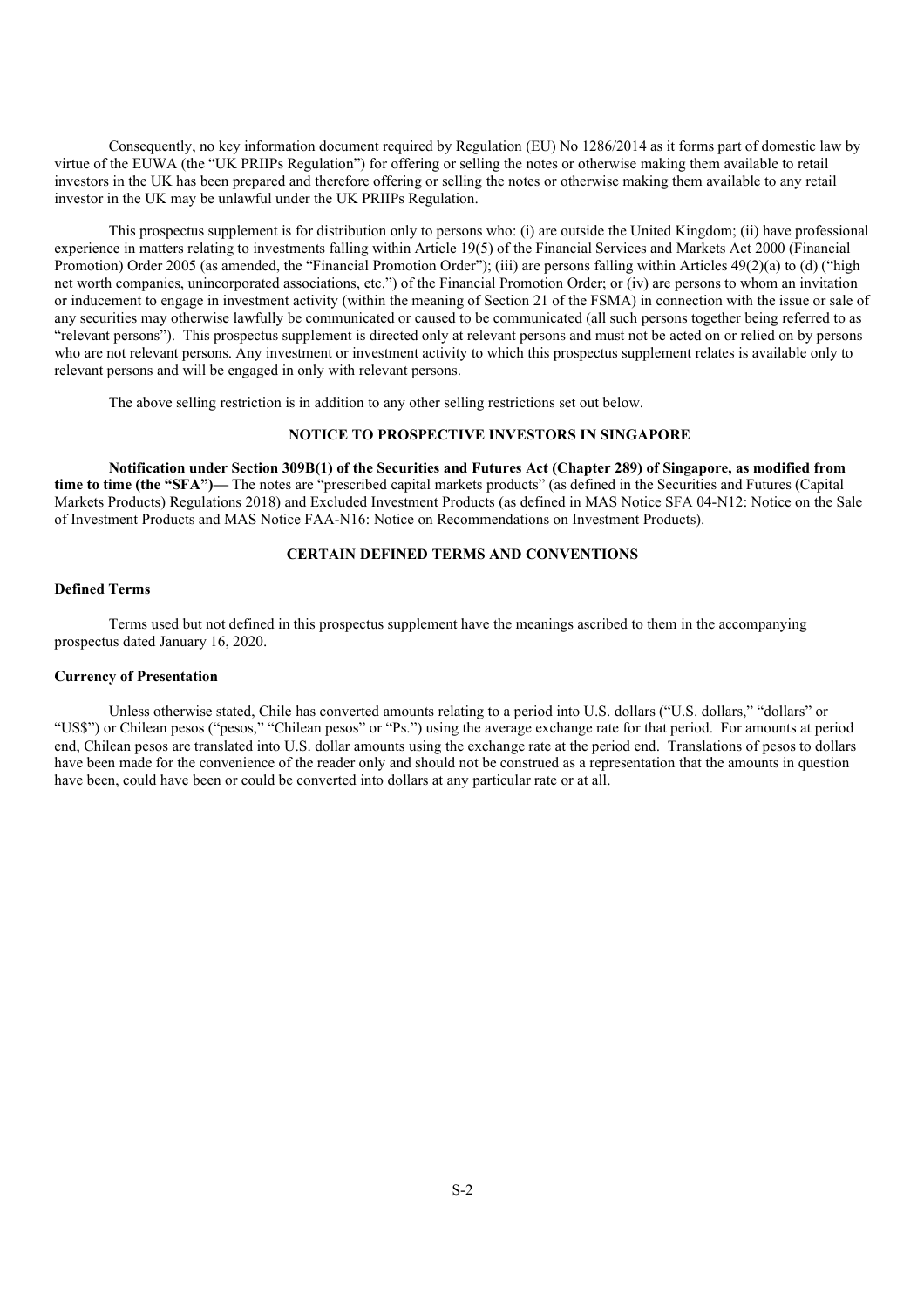Consequently, no key information document required by Regulation (EU) No 1286/2014 as it forms part of domestic law by virtue of the EUWA (the "UK PRIIPs Regulation") for offering or selling the notes or otherwise making them available to retail investors in the UK has been prepared and therefore offering or selling the notes or otherwise making them available to any retail investor in the UK may be unlawful under the UK PRIIPs Regulation.

This prospectus supplement is for distribution only to persons who: (i) are outside the United Kingdom; (ii) have professional experience in matters relating to investments falling within Article 19(5) of the Financial Services and Markets Act 2000 (Financial Promotion) Order 2005 (as amended, the "Financial Promotion Order"); (iii) are persons falling within Articles 49(2)(a) to (d) ("high net worth companies, unincorporated associations, etc.") of the Financial Promotion Order; or (iv) are persons to whom an invitation or inducement to engage in investment activity (within the meaning of Section 21 of the FSMA) in connection with the issue or sale of any securities may otherwise lawfully be communicated or caused to be communicated (all such persons together being referred to as "relevant persons"). This prospectus supplement is directed only at relevant persons and must not be acted on or relied on by persons who are not relevant persons. Any investment or investment activity to which this prospectus supplement relates is available only to relevant persons and will be engaged in only with relevant persons.

The above selling restriction is in addition to any other selling restrictions set out below.

### **NOTICE TO PROSPECTIVE INVESTORS IN SINGAPORE**

**Notification under Section 309B(1) of the Securities and Futures Act (Chapter 289) of Singapore, as modified from time to time (the "SFA")⸺** The notes are "prescribed capital markets products" (as defined in the Securities and Futures (Capital Markets Products) Regulations 2018) and Excluded Investment Products (as defined in MAS Notice SFA 04-N12: Notice on the Sale of Investment Products and MAS Notice FAA-N16: Notice on Recommendations on Investment Products).

### **CERTAIN DEFINED TERMS AND CONVENTIONS**

### **Defined Terms**

Terms used but not defined in this prospectus supplement have the meanings ascribed to them in the accompanying prospectus dated January 16, 2020.

#### **Currency of Presentation**

Unless otherwise stated, Chile has converted amounts relating to a period into U.S. dollars ("U.S. dollars," "dollars" or "US\$") or Chilean pesos ("pesos," "Chilean pesos" or "Ps.") using the average exchange rate for that period. For amounts at period end, Chilean pesos are translated into U.S. dollar amounts using the exchange rate at the period end. Translations of pesos to dollars have been made for the convenience of the reader only and should not be construed as a representation that the amounts in question have been, could have been or could be converted into dollars at any particular rate or at all.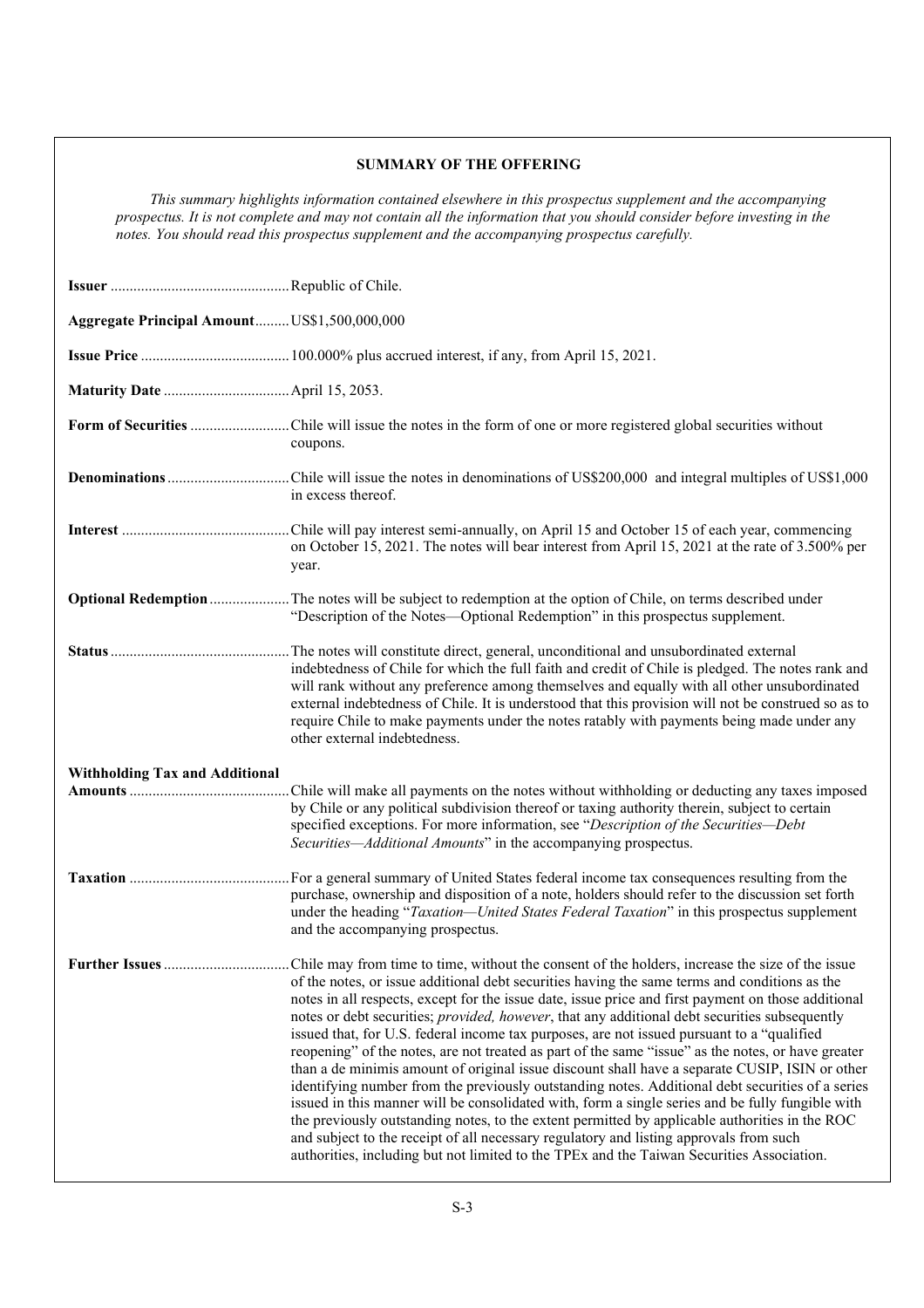## **SUMMARY OF THE OFFERING**

*This summary highlights information contained elsewhere in this prospectus supplement and the accompanying prospectus. It is not complete and may not contain all the information that you should consider before investing in the notes. You should read this prospectus supplement and the accompanying prospectus carefully.* 

| Aggregate Principal AmountUS\$1,500,000,000 |                                                                                                                                                                                                                                                                                                                                                                                                                                                                                                                                                                                                                                                                                                                                                                                                                                                                                                                                                                                                                                                                                                               |
|---------------------------------------------|---------------------------------------------------------------------------------------------------------------------------------------------------------------------------------------------------------------------------------------------------------------------------------------------------------------------------------------------------------------------------------------------------------------------------------------------------------------------------------------------------------------------------------------------------------------------------------------------------------------------------------------------------------------------------------------------------------------------------------------------------------------------------------------------------------------------------------------------------------------------------------------------------------------------------------------------------------------------------------------------------------------------------------------------------------------------------------------------------------------|
|                                             |                                                                                                                                                                                                                                                                                                                                                                                                                                                                                                                                                                                                                                                                                                                                                                                                                                                                                                                                                                                                                                                                                                               |
|                                             |                                                                                                                                                                                                                                                                                                                                                                                                                                                                                                                                                                                                                                                                                                                                                                                                                                                                                                                                                                                                                                                                                                               |
|                                             | coupons.                                                                                                                                                                                                                                                                                                                                                                                                                                                                                                                                                                                                                                                                                                                                                                                                                                                                                                                                                                                                                                                                                                      |
|                                             | in excess thereof.                                                                                                                                                                                                                                                                                                                                                                                                                                                                                                                                                                                                                                                                                                                                                                                                                                                                                                                                                                                                                                                                                            |
|                                             | on October 15, 2021. The notes will bear interest from April 15, 2021 at the rate of 3.500% per<br>year.                                                                                                                                                                                                                                                                                                                                                                                                                                                                                                                                                                                                                                                                                                                                                                                                                                                                                                                                                                                                      |
|                                             | Optional Redemption The notes will be subject to redemption at the option of Chile, on terms described under<br>"Description of the Notes—Optional Redemption" in this prospectus supplement.                                                                                                                                                                                                                                                                                                                                                                                                                                                                                                                                                                                                                                                                                                                                                                                                                                                                                                                 |
|                                             | The notes will constitute direct, general, unconditional and unsubordinated external<br>indebtedness of Chile for which the full faith and credit of Chile is pledged. The notes rank and<br>will rank without any preference among themselves and equally with all other unsubordinated<br>external indebtedness of Chile. It is understood that this provision will not be construed so as to<br>require Chile to make payments under the notes ratably with payments being made under any<br>other external indebtedness.                                                                                                                                                                                                                                                                                                                                                                                                                                                                                                                                                                                  |
| <b>Withholding Tax and Additional</b>       | Chile will make all payments on the notes without withholding or deducting any taxes imposed<br>by Chile or any political subdivision thereof or taxing authority therein, subject to certain<br>specified exceptions. For more information, see "Description of the Securities-Debt<br>Securities—Additional Amounts" in the accompanying prospectus.                                                                                                                                                                                                                                                                                                                                                                                                                                                                                                                                                                                                                                                                                                                                                        |
|                                             | . For a general summary of United States federal income tax consequences resulting from the<br>purchase, ownership and disposition of a note, holders should refer to the discussion set forth<br>under the heading "Taxation-United States Federal Taxation" in this prospectus supplement<br>and the accompanying prospectus.                                                                                                                                                                                                                                                                                                                                                                                                                                                                                                                                                                                                                                                                                                                                                                               |
|                                             | of the notes, or issue additional debt securities having the same terms and conditions as the<br>notes in all respects, except for the issue date, issue price and first payment on those additional<br>notes or debt securities; provided, however, that any additional debt securities subsequently<br>issued that, for U.S. federal income tax purposes, are not issued pursuant to a "qualified"<br>reopening" of the notes, are not treated as part of the same "issue" as the notes, or have greater<br>than a de minimis amount of original issue discount shall have a separate CUSIP, ISIN or other<br>identifying number from the previously outstanding notes. Additional debt securities of a series<br>issued in this manner will be consolidated with, form a single series and be fully fungible with<br>the previously outstanding notes, to the extent permitted by applicable authorities in the ROC<br>and subject to the receipt of all necessary regulatory and listing approvals from such<br>authorities, including but not limited to the TPEx and the Taiwan Securities Association. |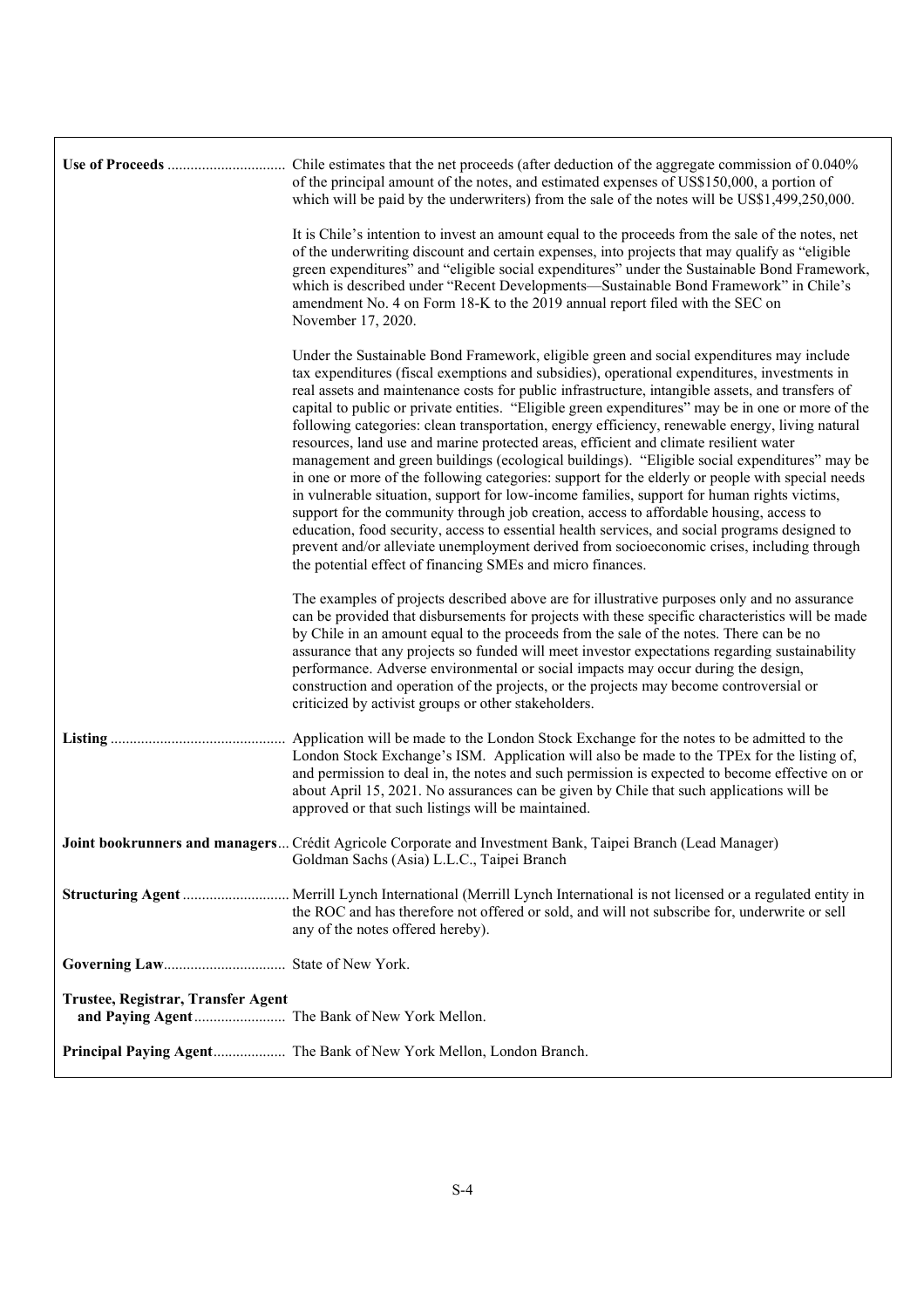|                                    | Chile estimates that the net proceeds (after deduction of the aggregate commission of 0.040%<br>of the principal amount of the notes, and estimated expenses of US\$150,000, a portion of<br>which will be paid by the underwriters) from the sale of the notes will be US\$1,499,250,000.                                                                                                                                                                                                                                                                                                                                                                                                                                                                                                                                                                                                                                                                                                                                                                                                                                                                                                                                                                |
|------------------------------------|-----------------------------------------------------------------------------------------------------------------------------------------------------------------------------------------------------------------------------------------------------------------------------------------------------------------------------------------------------------------------------------------------------------------------------------------------------------------------------------------------------------------------------------------------------------------------------------------------------------------------------------------------------------------------------------------------------------------------------------------------------------------------------------------------------------------------------------------------------------------------------------------------------------------------------------------------------------------------------------------------------------------------------------------------------------------------------------------------------------------------------------------------------------------------------------------------------------------------------------------------------------|
|                                    | It is Chile's intention to invest an amount equal to the proceeds from the sale of the notes, net<br>of the underwriting discount and certain expenses, into projects that may qualify as "eligible<br>green expenditures" and "eligible social expenditures" under the Sustainable Bond Framework,<br>which is described under "Recent Developments-Sustainable Bond Framework" in Chile's<br>amendment No. 4 on Form 18-K to the 2019 annual report filed with the SEC on<br>November 17, 2020.                                                                                                                                                                                                                                                                                                                                                                                                                                                                                                                                                                                                                                                                                                                                                         |
|                                    | Under the Sustainable Bond Framework, eligible green and social expenditures may include<br>tax expenditures (fiscal exemptions and subsidies), operational expenditures, investments in<br>real assets and maintenance costs for public infrastructure, intangible assets, and transfers of<br>capital to public or private entities. "Eligible green expenditures" may be in one or more of the<br>following categories: clean transportation, energy efficiency, renewable energy, living natural<br>resources, land use and marine protected areas, efficient and climate resilient water<br>management and green buildings (ecological buildings). "Eligible social expenditures" may be<br>in one or more of the following categories: support for the elderly or people with special needs<br>in vulnerable situation, support for low-income families, support for human rights victims,<br>support for the community through job creation, access to affordable housing, access to<br>education, food security, access to essential health services, and social programs designed to<br>prevent and/or alleviate unemployment derived from socioeconomic crises, including through<br>the potential effect of financing SMEs and micro finances. |
|                                    | The examples of projects described above are for illustrative purposes only and no assurance<br>can be provided that disbursements for projects with these specific characteristics will be made<br>by Chile in an amount equal to the proceeds from the sale of the notes. There can be no<br>assurance that any projects so funded will meet investor expectations regarding sustainability<br>performance. Adverse environmental or social impacts may occur during the design,<br>construction and operation of the projects, or the projects may become controversial or<br>criticized by activist groups or other stakeholders.                                                                                                                                                                                                                                                                                                                                                                                                                                                                                                                                                                                                                     |
| Listing                            | Application will be made to the London Stock Exchange for the notes to be admitted to the<br>London Stock Exchange's ISM. Application will also be made to the TPEx for the listing of,<br>and permission to deal in, the notes and such permission is expected to become effective on or<br>about April 15, 2021. No assurances can be given by Chile that such applications will be<br>approved or that such listings will be maintained.                                                                                                                                                                                                                                                                                                                                                                                                                                                                                                                                                                                                                                                                                                                                                                                                               |
|                                    | Joint bookrunners and managers Crédit Agricole Corporate and Investment Bank, Taipei Branch (Lead Manager)<br>Goldman Sachs (Asia) L.L.C., Taipei Branch                                                                                                                                                                                                                                                                                                                                                                                                                                                                                                                                                                                                                                                                                                                                                                                                                                                                                                                                                                                                                                                                                                  |
|                                    | the ROC and has therefore not offered or sold, and will not subscribe for, underwrite or sell<br>any of the notes offered hereby).                                                                                                                                                                                                                                                                                                                                                                                                                                                                                                                                                                                                                                                                                                                                                                                                                                                                                                                                                                                                                                                                                                                        |
|                                    |                                                                                                                                                                                                                                                                                                                                                                                                                                                                                                                                                                                                                                                                                                                                                                                                                                                                                                                                                                                                                                                                                                                                                                                                                                                           |
| Trustee, Registrar, Transfer Agent |                                                                                                                                                                                                                                                                                                                                                                                                                                                                                                                                                                                                                                                                                                                                                                                                                                                                                                                                                                                                                                                                                                                                                                                                                                                           |
|                                    | Principal Paying Agent The Bank of New York Mellon, London Branch.                                                                                                                                                                                                                                                                                                                                                                                                                                                                                                                                                                                                                                                                                                                                                                                                                                                                                                                                                                                                                                                                                                                                                                                        |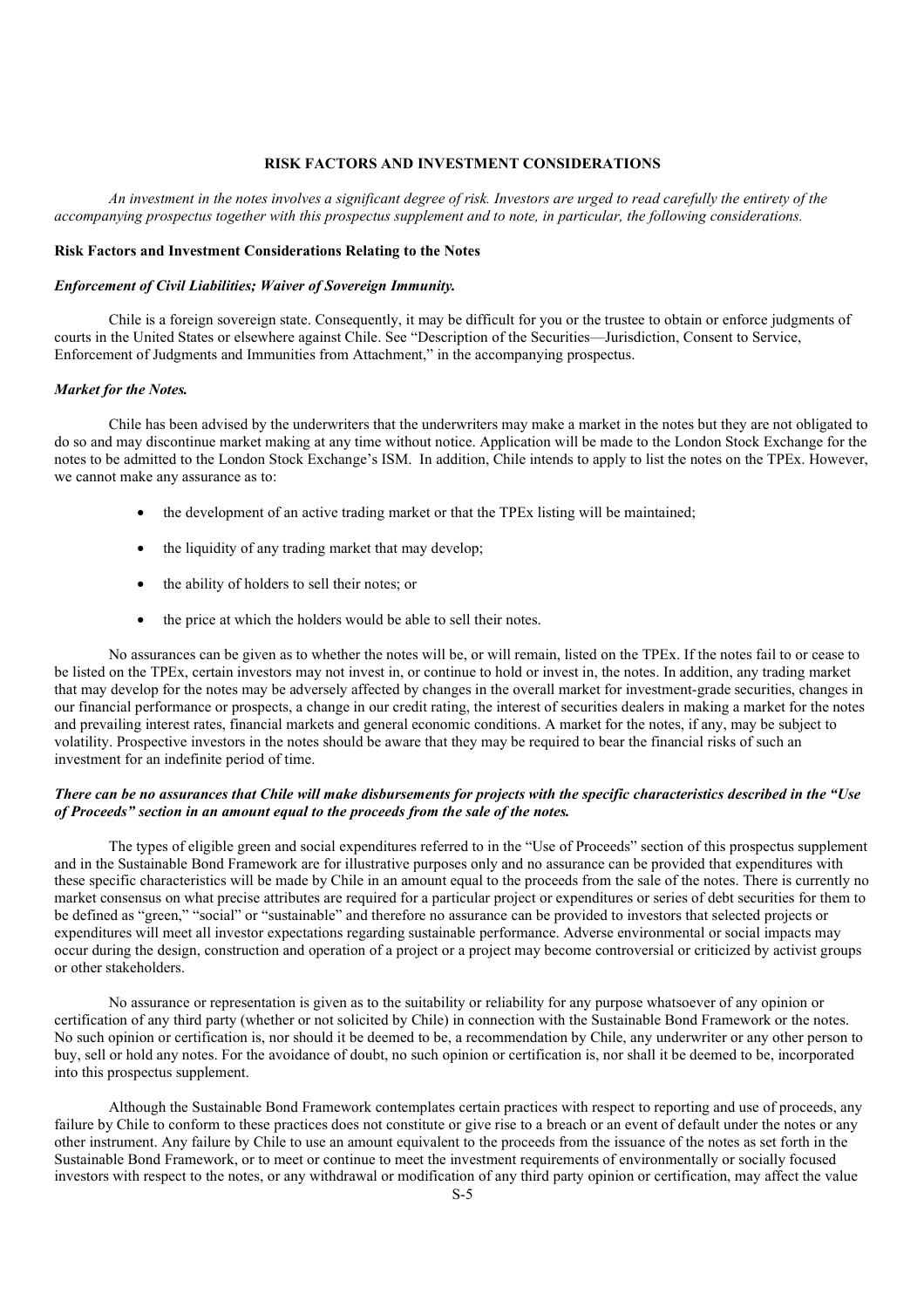## **RISK FACTORS AND INVESTMENT CONSIDERATIONS**

*An investment in the notes involves a significant degree of risk. Investors are urged to read carefully the entirety of the accompanying prospectus together with this prospectus supplement and to note, in particular, the following considerations.* 

#### **Risk Factors and Investment Considerations Relating to the Notes**

#### *Enforcement of Civil Liabilities; Waiver of Sovereign Immunity.*

Chile is a foreign sovereign state. Consequently, it may be difficult for you or the trustee to obtain or enforce judgments of courts in the United States or elsewhere against Chile. See "Description of the Securities—Jurisdiction, Consent to Service, Enforcement of Judgments and Immunities from Attachment," in the accompanying prospectus.

#### *Market for the Notes.*

Chile has been advised by the underwriters that the underwriters may make a market in the notes but they are not obligated to do so and may discontinue market making at any time without notice. Application will be made to the London Stock Exchange for the notes to be admitted to the London Stock Exchange's ISM. In addition, Chile intends to apply to list the notes on the TPEx. However, we cannot make any assurance as to:

- the development of an active trading market or that the TPEx listing will be maintained;
- the liquidity of any trading market that may develop;
- the ability of holders to sell their notes; or
- the price at which the holders would be able to sell their notes.

No assurances can be given as to whether the notes will be, or will remain, listed on the TPEx. If the notes fail to or cease to be listed on the TPEx, certain investors may not invest in, or continue to hold or invest in, the notes. In addition, any trading market that may develop for the notes may be adversely affected by changes in the overall market for investment-grade securities, changes in our financial performance or prospects, a change in our credit rating, the interest of securities dealers in making a market for the notes and prevailing interest rates, financial markets and general economic conditions. A market for the notes, if any, may be subject to volatility. Prospective investors in the notes should be aware that they may be required to bear the financial risks of such an investment for an indefinite period of time.

### *There can be no assurances that Chile will make disbursements for projects with the specific characteristics described in the "Use of Proceeds" section in an amount equal to the proceeds from the sale of the notes.*

The types of eligible green and social expenditures referred to in the "Use of Proceeds" section of this prospectus supplement and in the Sustainable Bond Framework are for illustrative purposes only and no assurance can be provided that expenditures with these specific characteristics will be made by Chile in an amount equal to the proceeds from the sale of the notes. There is currently no market consensus on what precise attributes are required for a particular project or expenditures or series of debt securities for them to be defined as "green," "social" or "sustainable" and therefore no assurance can be provided to investors that selected projects or expenditures will meet all investor expectations regarding sustainable performance. Adverse environmental or social impacts may occur during the design, construction and operation of a project or a project may become controversial or criticized by activist groups or other stakeholders.

No assurance or representation is given as to the suitability or reliability for any purpose whatsoever of any opinion or certification of any third party (whether or not solicited by Chile) in connection with the Sustainable Bond Framework or the notes. No such opinion or certification is, nor should it be deemed to be, a recommendation by Chile, any underwriter or any other person to buy, sell or hold any notes. For the avoidance of doubt, no such opinion or certification is, nor shall it be deemed to be, incorporated into this prospectus supplement.

Although the Sustainable Bond Framework contemplates certain practices with respect to reporting and use of proceeds, any failure by Chile to conform to these practices does not constitute or give rise to a breach or an event of default under the notes or any other instrument. Any failure by Chile to use an amount equivalent to the proceeds from the issuance of the notes as set forth in the Sustainable Bond Framework, or to meet or continue to meet the investment requirements of environmentally or socially focused investors with respect to the notes, or any withdrawal or modification of any third party opinion or certification, may affect the value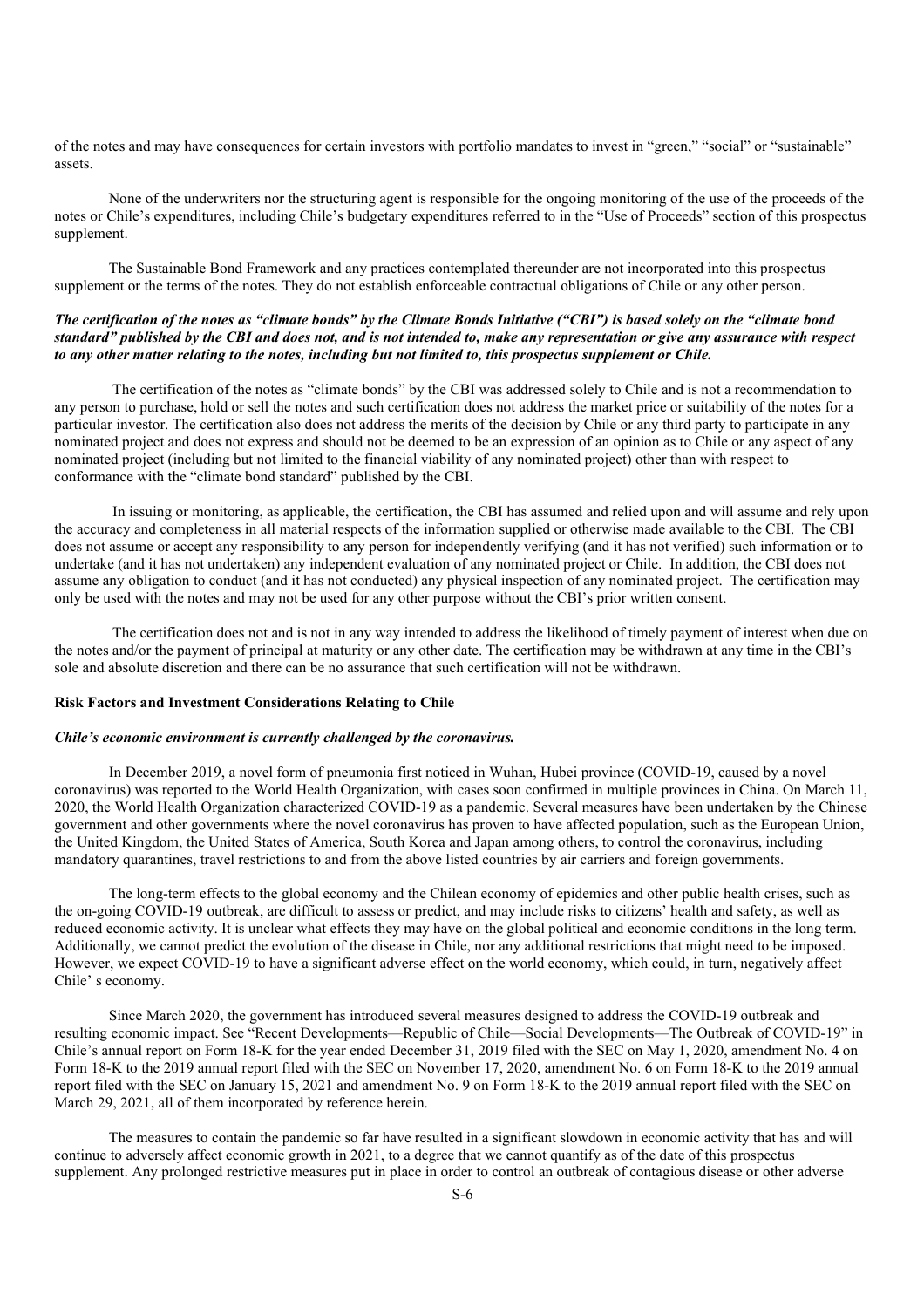of the notes and may have consequences for certain investors with portfolio mandates to invest in "green," "social" or "sustainable" assets.

None of the underwriters nor the structuring agent is responsible for the ongoing monitoring of the use of the proceeds of the notes or Chile's expenditures, including Chile's budgetary expenditures referred to in the "Use of Proceeds" section of this prospectus supplement.

The Sustainable Bond Framework and any practices contemplated thereunder are not incorporated into this prospectus supplement or the terms of the notes. They do not establish enforceable contractual obligations of Chile or any other person.

## *The certification of the notes as "climate bonds" by the Climate Bonds Initiative ("CBI") is based solely on the "climate bond standard" published by the CBI and does not, and is not intended to, make any representation or give any assurance with respect to any other matter relating to the notes, including but not limited to, this prospectus supplement or Chile.*

 The certification of the notes as "climate bonds" by the CBI was addressed solely to Chile and is not a recommendation to any person to purchase, hold or sell the notes and such certification does not address the market price or suitability of the notes for a particular investor. The certification also does not address the merits of the decision by Chile or any third party to participate in any nominated project and does not express and should not be deemed to be an expression of an opinion as to Chile or any aspect of any nominated project (including but not limited to the financial viability of any nominated project) other than with respect to conformance with the "climate bond standard" published by the CBI.

 In issuing or monitoring, as applicable, the certification, the CBI has assumed and relied upon and will assume and rely upon the accuracy and completeness in all material respects of the information supplied or otherwise made available to the CBI. The CBI does not assume or accept any responsibility to any person for independently verifying (and it has not verified) such information or to undertake (and it has not undertaken) any independent evaluation of any nominated project or Chile. In addition, the CBI does not assume any obligation to conduct (and it has not conducted) any physical inspection of any nominated project. The certification may only be used with the notes and may not be used for any other purpose without the CBI's prior written consent.

 The certification does not and is not in any way intended to address the likelihood of timely payment of interest when due on the notes and/or the payment of principal at maturity or any other date. The certification may be withdrawn at any time in the CBI's sole and absolute discretion and there can be no assurance that such certification will not be withdrawn.

## **Risk Factors and Investment Considerations Relating to Chile**

#### *Chile's economic environment is currently challenged by the coronavirus.*

In December 2019, a novel form of pneumonia first noticed in Wuhan, Hubei province (COVID-19, caused by a novel coronavirus) was reported to the World Health Organization, with cases soon confirmed in multiple provinces in China. On March 11, 2020, the World Health Organization characterized COVID-19 as a pandemic. Several measures have been undertaken by the Chinese government and other governments where the novel coronavirus has proven to have affected population, such as the European Union, the United Kingdom, the United States of America, South Korea and Japan among others, to control the coronavirus, including mandatory quarantines, travel restrictions to and from the above listed countries by air carriers and foreign governments.

The long-term effects to the global economy and the Chilean economy of epidemics and other public health crises, such as the on-going COVID-19 outbreak, are difficult to assess or predict, and may include risks to citizens' health and safety, as well as reduced economic activity. It is unclear what effects they may have on the global political and economic conditions in the long term. Additionally, we cannot predict the evolution of the disease in Chile, nor any additional restrictions that might need to be imposed. However, we expect COVID-19 to have a significant adverse effect on the world economy, which could, in turn, negatively affect Chile' s economy.

Since March 2020, the government has introduced several measures designed to address the COVID-19 outbreak and resulting economic impact. See "Recent Developments—Republic of Chile—Social Developments—The Outbreak of COVID-19" in Chile's annual report on Form 18-K for the year ended December 31, 2019 filed with the SEC on May 1, 2020, amendment No. 4 on Form 18-K to the 2019 annual report filed with the SEC on November 17, 2020, amendment No. 6 on Form 18-K to the 2019 annual report filed with the SEC on January 15, 2021 and amendment No. 9 on Form 18-K to the 2019 annual report filed with the SEC on March 29, 2021, all of them incorporated by reference herein.

The measures to contain the pandemic so far have resulted in a significant slowdown in economic activity that has and will continue to adversely affect economic growth in 2021, to a degree that we cannot quantify as of the date of this prospectus supplement. Any prolonged restrictive measures put in place in order to control an outbreak of contagious disease or other adverse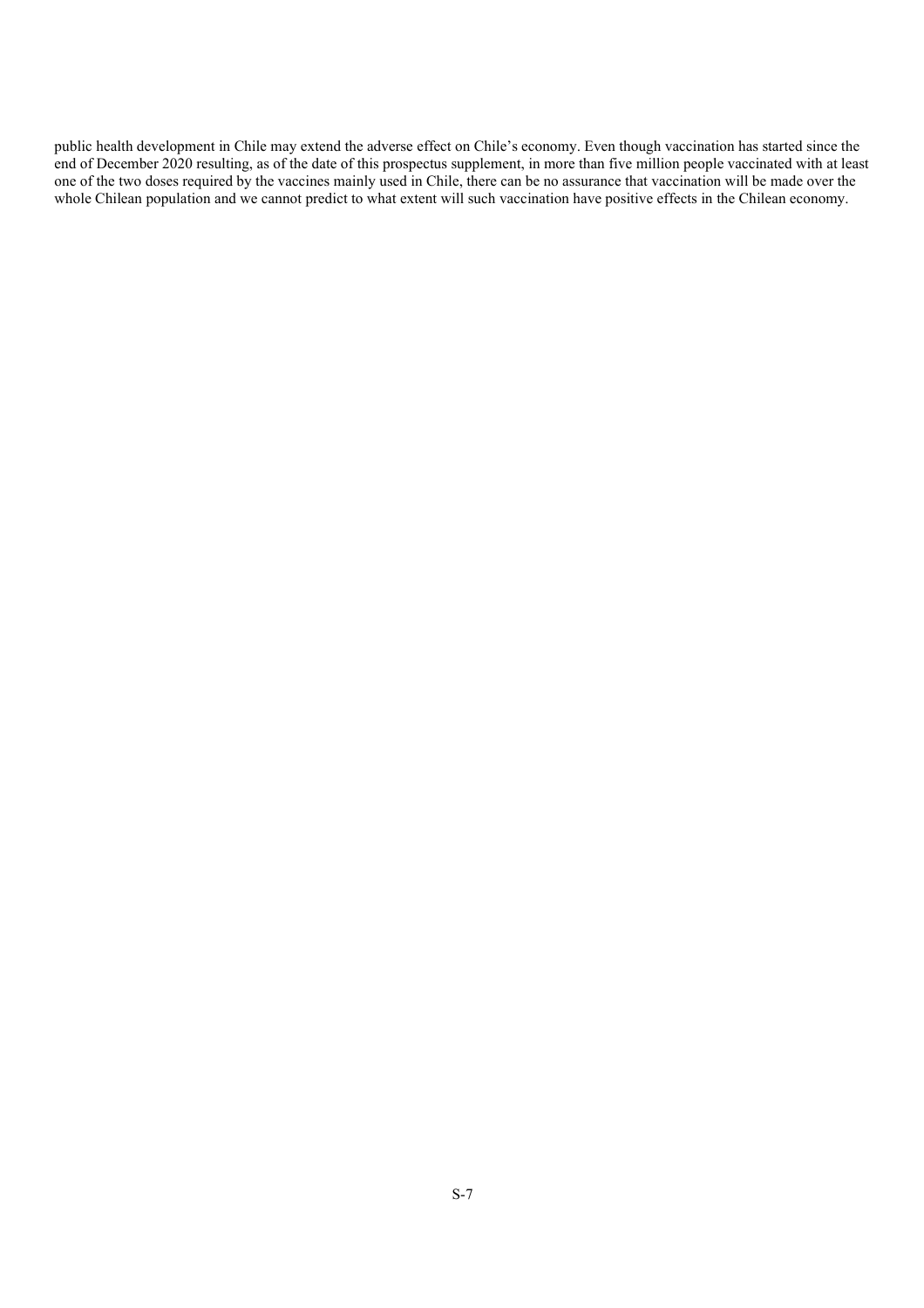public health development in Chile may extend the adverse effect on Chile's economy. Even though vaccination has started since the end of December 2020 resulting, as of the date of this prospectus supplement, in more than five million people vaccinated with at least one of the two doses required by the vaccines mainly used in Chile, there can be no assurance that vaccination will be made over the whole Chilean population and we cannot predict to what extent will such vaccination have positive effects in the Chilean economy.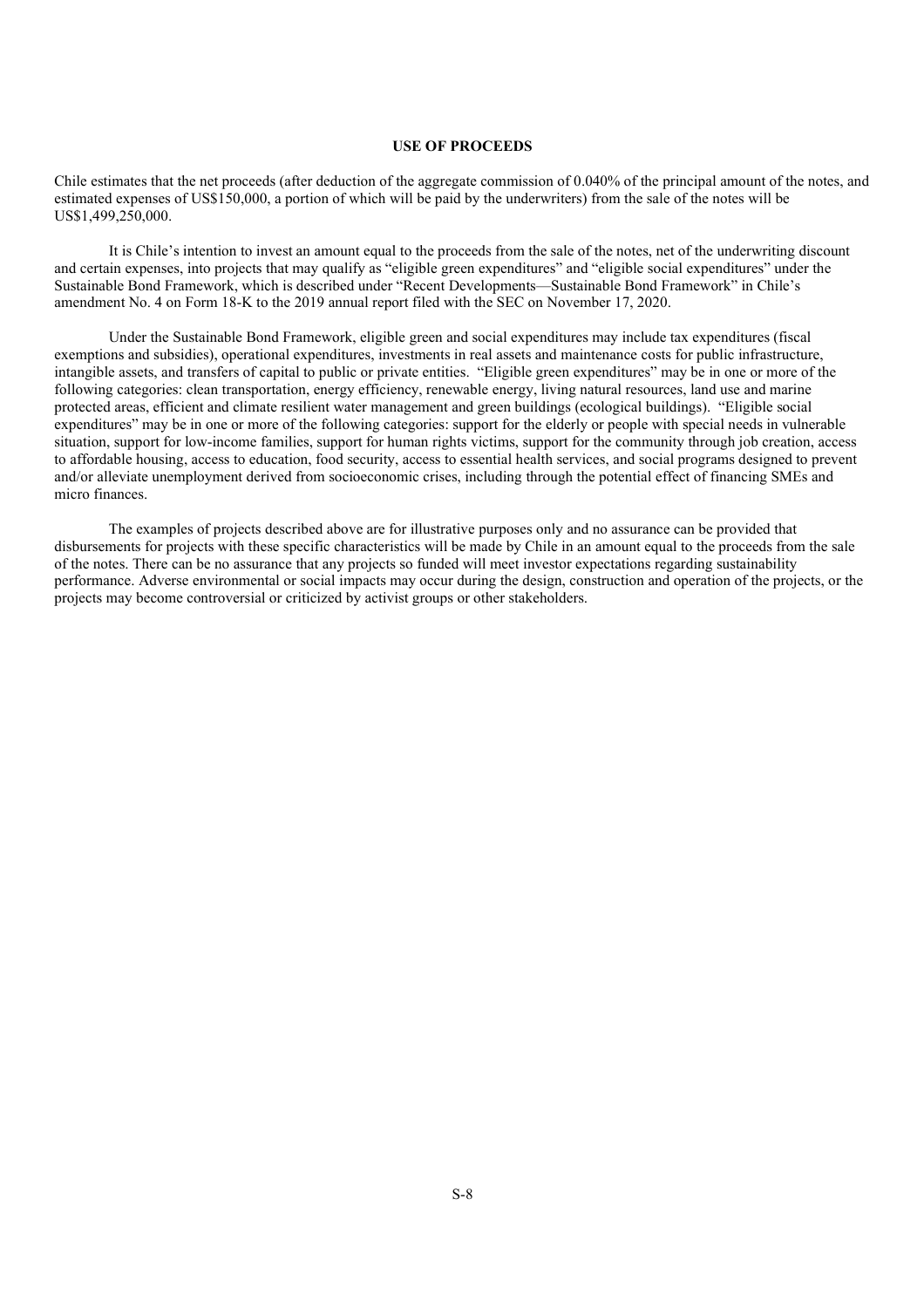## **USE OF PROCEEDS**

Chile estimates that the net proceeds (after deduction of the aggregate commission of 0.040% of the principal amount of the notes, and estimated expenses of US\$150,000, a portion of which will be paid by the underwriters) from the sale of the notes will be US\$1,499,250,000.

It is Chile's intention to invest an amount equal to the proceeds from the sale of the notes, net of the underwriting discount and certain expenses, into projects that may qualify as "eligible green expenditures" and "eligible social expenditures" under the Sustainable Bond Framework, which is described under "Recent Developments—Sustainable Bond Framework" in Chile's amendment No. 4 on Form 18-K to the 2019 annual report filed with the SEC on November 17, 2020.

Under the Sustainable Bond Framework, eligible green and social expenditures may include tax expenditures (fiscal exemptions and subsidies), operational expenditures, investments in real assets and maintenance costs for public infrastructure, intangible assets, and transfers of capital to public or private entities. "Eligible green expenditures" may be in one or more of the following categories: clean transportation, energy efficiency, renewable energy, living natural resources, land use and marine protected areas, efficient and climate resilient water management and green buildings (ecological buildings). "Eligible social expenditures" may be in one or more of the following categories: support for the elderly or people with special needs in vulnerable situation, support for low-income families, support for human rights victims, support for the community through job creation, access to affordable housing, access to education, food security, access to essential health services, and social programs designed to prevent and/or alleviate unemployment derived from socioeconomic crises, including through the potential effect of financing SMEs and micro finances.

The examples of projects described above are for illustrative purposes only and no assurance can be provided that disbursements for projects with these specific characteristics will be made by Chile in an amount equal to the proceeds from the sale of the notes. There can be no assurance that any projects so funded will meet investor expectations regarding sustainability performance. Adverse environmental or social impacts may occur during the design, construction and operation of the projects, or the projects may become controversial or criticized by activist groups or other stakeholders.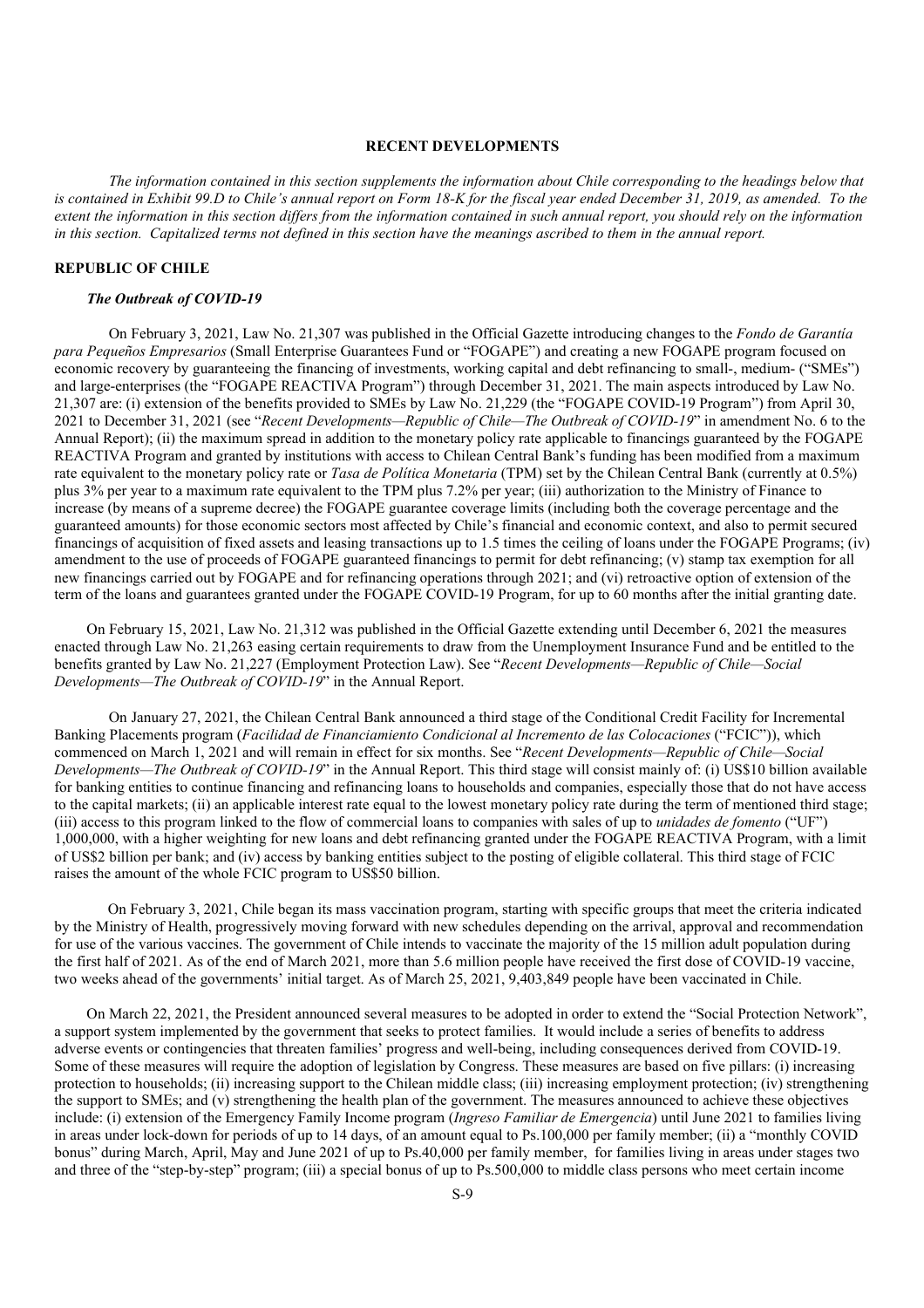#### **RECENT DEVELOPMENTS**

*The information contained in this section supplements the information about Chile corresponding to the headings below that*  is contained in Exhibit 99.D to Chile's annual report on Form 18-K for the fiscal year ended December 31, 2019, as amended. To the *extent the information in this section differs from the information contained in such annual report, you should rely on the information in this section. Capitalized terms not defined in this section have the meanings ascribed to them in the annual report.* 

### **REPUBLIC OF CHILE**

#### *The Outbreak of COVID-19*

On February 3, 2021, Law No. 21,307 was published in the Official Gazette introducing changes to the *Fondo de Garantía para Pequeños Empresarios* (Small Enterprise Guarantees Fund or "FOGAPE") and creating a new FOGAPE program focused on economic recovery by guaranteeing the financing of investments, working capital and debt refinancing to small-, medium- ("SMEs") and large-enterprises (the "FOGAPE REACTIVA Program") through December 31, 2021. The main aspects introduced by Law No. 21,307 are: (i) extension of the benefits provided to SMEs by Law No. 21,229 (the "FOGAPE COVID-19 Program") from April 30, 2021 to December 31, 2021 (see "*Recent Developments—Republic of Chile—The Outbreak of COVID-19*" in amendment No. 6 to the Annual Report); (ii) the maximum spread in addition to the monetary policy rate applicable to financings guaranteed by the FOGAPE REACTIVA Program and granted by institutions with access to Chilean Central Bank's funding has been modified from a maximum rate equivalent to the monetary policy rate or *Tasa de Política Monetaria* (TPM) set by the Chilean Central Bank (currently at 0.5%) plus 3% per year to a maximum rate equivalent to the TPM plus 7.2% per year; (iii) authorization to the Ministry of Finance to increase (by means of a supreme decree) the FOGAPE guarantee coverage limits (including both the coverage percentage and the guaranteed amounts) for those economic sectors most affected by Chile's financial and economic context, and also to permit secured financings of acquisition of fixed assets and leasing transactions up to 1.5 times the ceiling of loans under the FOGAPE Programs; (iv) amendment to the use of proceeds of FOGAPE guaranteed financings to permit for debt refinancing; (v) stamp tax exemption for all new financings carried out by FOGAPE and for refinancing operations through 2021; and (vi) retroactive option of extension of the term of the loans and guarantees granted under the FOGAPE COVID-19 Program, for up to 60 months after the initial granting date.

On February 15, 2021, Law No. 21,312 was published in the Official Gazette extending until December 6, 2021 the measures enacted through Law No. 21,263 easing certain requirements to draw from the Unemployment Insurance Fund and be entitled to the benefits granted by Law No. 21,227 (Employment Protection Law). See "*Recent Developments—Republic of Chile—Social Developments—The Outbreak of COVID-19*" in the Annual Report.

On January 27, 2021, the Chilean Central Bank announced a third stage of the Conditional Credit Facility for Incremental Banking Placements program (*Facilidad de Financiamiento Condicional al Incremento de las Colocaciones* ("FCIC")), which commenced on March 1, 2021 and will remain in effect for six months. See "*Recent Developments—Republic of Chile—Social Developments—The Outbreak of COVID-19*" in the Annual Report. This third stage will consist mainly of: (i) US\$10 billion available for banking entities to continue financing and refinancing loans to households and companies, especially those that do not have access to the capital markets; (ii) an applicable interest rate equal to the lowest monetary policy rate during the term of mentioned third stage; (iii) access to this program linked to the flow of commercial loans to companies with sales of up to *unidades de fomento* ("UF") 1,000,000, with a higher weighting for new loans and debt refinancing granted under the FOGAPE REACTIVA Program, with a limit of US\$2 billion per bank; and (iv) access by banking entities subject to the posting of eligible collateral. This third stage of FCIC raises the amount of the whole FCIC program to US\$50 billion.

On February 3, 2021, Chile began its mass vaccination program, starting with specific groups that meet the criteria indicated by the Ministry of Health, progressively moving forward with new schedules depending on the arrival, approval and recommendation for use of the various vaccines. The government of Chile intends to vaccinate the majority of the 15 million adult population during the first half of 2021. As of the end of March 2021, more than 5.6 million people have received the first dose of COVID-19 vaccine, two weeks ahead of the governments' initial target. As of March 25, 2021, 9,403,849 people have been vaccinated in Chile.

On March 22, 2021, the President announced several measures to be adopted in order to extend the "Social Protection Network", a support system implemented by the government that seeks to protect families. It would include a series of benefits to address adverse events or contingencies that threaten families' progress and well-being, including consequences derived from COVID-19. Some of these measures will require the adoption of legislation by Congress. These measures are based on five pillars: (i) increasing protection to households; (ii) increasing support to the Chilean middle class; (iii) increasing employment protection; (iv) strengthening the support to SMEs; and  $(v)$  strengthening the health plan of the government. The measures announced to achieve these objectives include: (i) extension of the Emergency Family Income program (*Ingreso Familiar de Emergencia*) until June 2021 to families living in areas under lock-down for periods of up to 14 days, of an amount equal to Ps.100,000 per family member; (ii) a "monthly COVID bonus" during March, April, May and June 2021 of up to Ps.40,000 per family member, for families living in areas under stages two and three of the "step-by-step" program; (iii) a special bonus of up to Ps.500,000 to middle class persons who meet certain income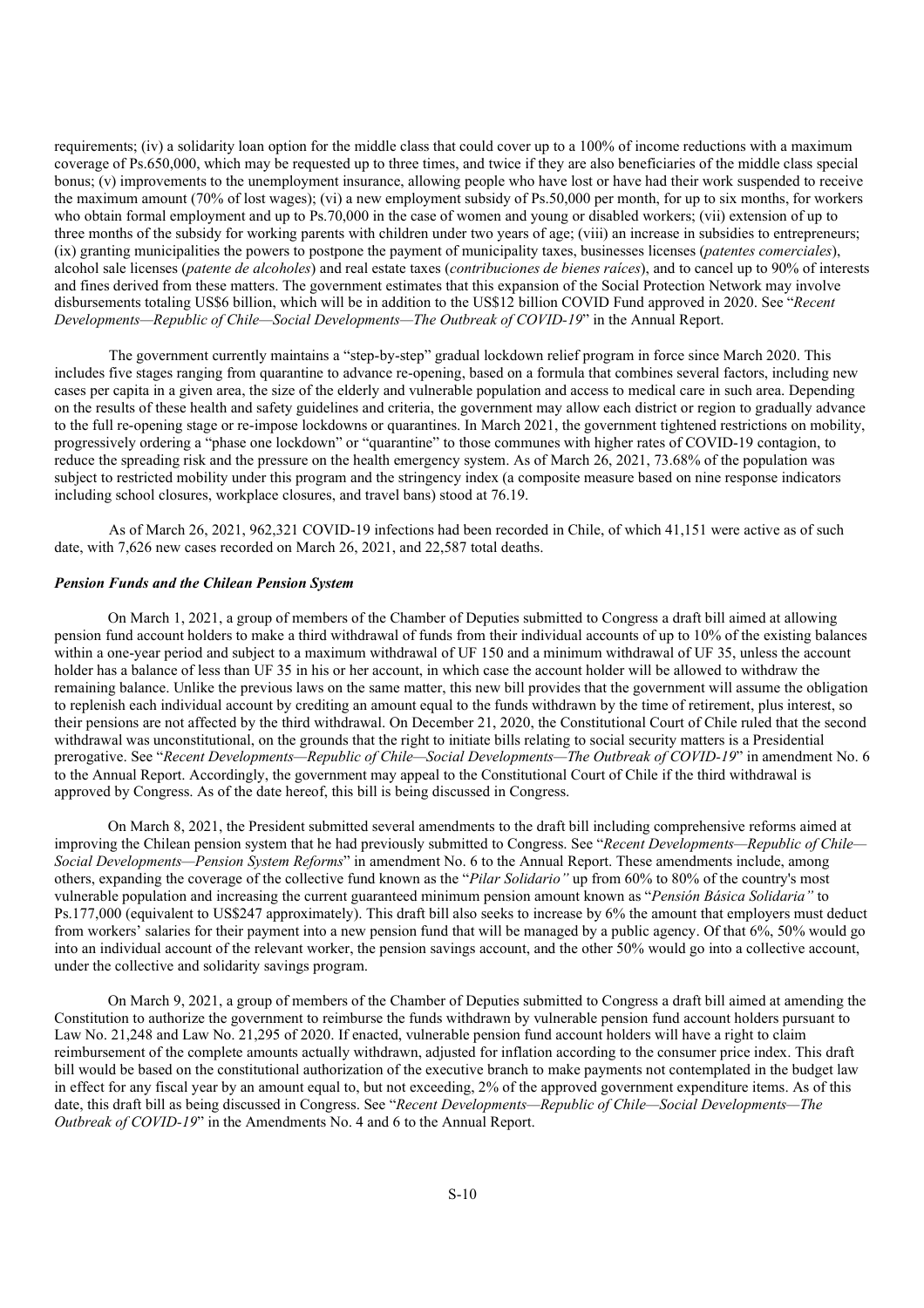requirements; (iv) a solidarity loan option for the middle class that could cover up to a 100% of income reductions with a maximum coverage of Ps.650,000, which may be requested up to three times, and twice if they are also beneficiaries of the middle class special bonus; (v) improvements to the unemployment insurance, allowing people who have lost or have had their work suspended to receive the maximum amount (70% of lost wages); (vi) a new employment subsidy of Ps.50,000 per month, for up to six months, for workers who obtain formal employment and up to Ps.70,000 in the case of women and young or disabled workers; (vii) extension of up to three months of the subsidy for working parents with children under two years of age; (viii) an increase in subsidies to entrepreneurs; (ix) granting municipalities the powers to postpone the payment of municipality taxes, businesses licenses (*patentes comerciales*), alcohol sale licenses (*patente de alcoholes*) and real estate taxes (*contribuciones de bienes raíces*), and to cancel up to 90% of interests and fines derived from these matters. The government estimates that this expansion of the Social Protection Network may involve disbursements totaling US\$6 billion, which will be in addition to the US\$12 billion COVID Fund approved in 2020. See "*Recent Developments—Republic of Chile—Social Developments—The Outbreak of COVID-19*" in the Annual Report.

The government currently maintains a "step-by-step" gradual lockdown relief program in force since March 2020. This includes five stages ranging from quarantine to advance re-opening, based on a formula that combines several factors, including new cases per capita in a given area, the size of the elderly and vulnerable population and access to medical care in such area. Depending on the results of these health and safety guidelines and criteria, the government may allow each district or region to gradually advance to the full re-opening stage or re-impose lockdowns or quarantines. In March 2021, the government tightened restrictions on mobility, progressively ordering a "phase one lockdown" or "quarantine" to those communes with higher rates of COVID-19 contagion, to reduce the spreading risk and the pressure on the health emergency system. As of March 26, 2021, 73.68% of the population was subject to restricted mobility under this program and the stringency index (a composite measure based on nine response indicators including school closures, workplace closures, and travel bans) stood at 76.19.

As of March 26, 2021, 962,321 COVID-19 infections had been recorded in Chile, of which 41,151 were active as of such date, with 7,626 new cases recorded on March 26, 2021, and 22,587 total deaths.

#### *Pension Funds and the Chilean Pension System*

On March 1, 2021, a group of members of the Chamber of Deputies submitted to Congress a draft bill aimed at allowing pension fund account holders to make a third withdrawal of funds from their individual accounts of up to 10% of the existing balances within a one-year period and subject to a maximum withdrawal of UF 150 and a minimum withdrawal of UF 35, unless the account holder has a balance of less than UF 35 in his or her account, in which case the account holder will be allowed to withdraw the remaining balance. Unlike the previous laws on the same matter, this new bill provides that the government will assume the obligation to replenish each individual account by crediting an amount equal to the funds withdrawn by the time of retirement, plus interest, so their pensions are not affected by the third withdrawal. On December 21, 2020, the Constitutional Court of Chile ruled that the second withdrawal was unconstitutional, on the grounds that the right to initiate bills relating to social security matters is a Presidential prerogative. See "*Recent Developments—Republic of Chile—Social Developments—The Outbreak of COVID-19*" in amendment No. 6 to the Annual Report. Accordingly, the government may appeal to the Constitutional Court of Chile if the third withdrawal is approved by Congress. As of the date hereof, this bill is being discussed in Congress.

On March 8, 2021, the President submitted several amendments to the draft bill including comprehensive reforms aimed at improving the Chilean pension system that he had previously submitted to Congress. See "*Recent Developments—Republic of Chile— Social Developments—Pension System Reforms*" in amendment No. 6 to the Annual Report. These amendments include, among others, expanding the coverage of the collective fund known as the "*Pilar Solidario"* up from 60% to 80% of the country's most vulnerable population and increasing the current guaranteed minimum pension amount known as "*Pensión Básica Solidaria"* to Ps.177,000 (equivalent to US\$247 approximately). This draft bill also seeks to increase by 6% the amount that employers must deduct from workers' salaries for their payment into a new pension fund that will be managed by a public agency. Of that 6%, 50% would go into an individual account of the relevant worker, the pension savings account, and the other 50% would go into a collective account, under the collective and solidarity savings program.

On March 9, 2021, a group of members of the Chamber of Deputies submitted to Congress a draft bill aimed at amending the Constitution to authorize the government to reimburse the funds withdrawn by vulnerable pension fund account holders pursuant to Law No. 21,248 and Law No. 21,295 of 2020. If enacted, vulnerable pension fund account holders will have a right to claim reimbursement of the complete amounts actually withdrawn, adjusted for inflation according to the consumer price index. This draft bill would be based on the constitutional authorization of the executive branch to make payments not contemplated in the budget law in effect for any fiscal year by an amount equal to, but not exceeding, 2% of the approved government expenditure items. As of this date, this draft bill as being discussed in Congress. See "*Recent Developments—Republic of Chile—Social Developments—The Outbreak of COVID-19*" in the Amendments No. 4 and 6 to the Annual Report.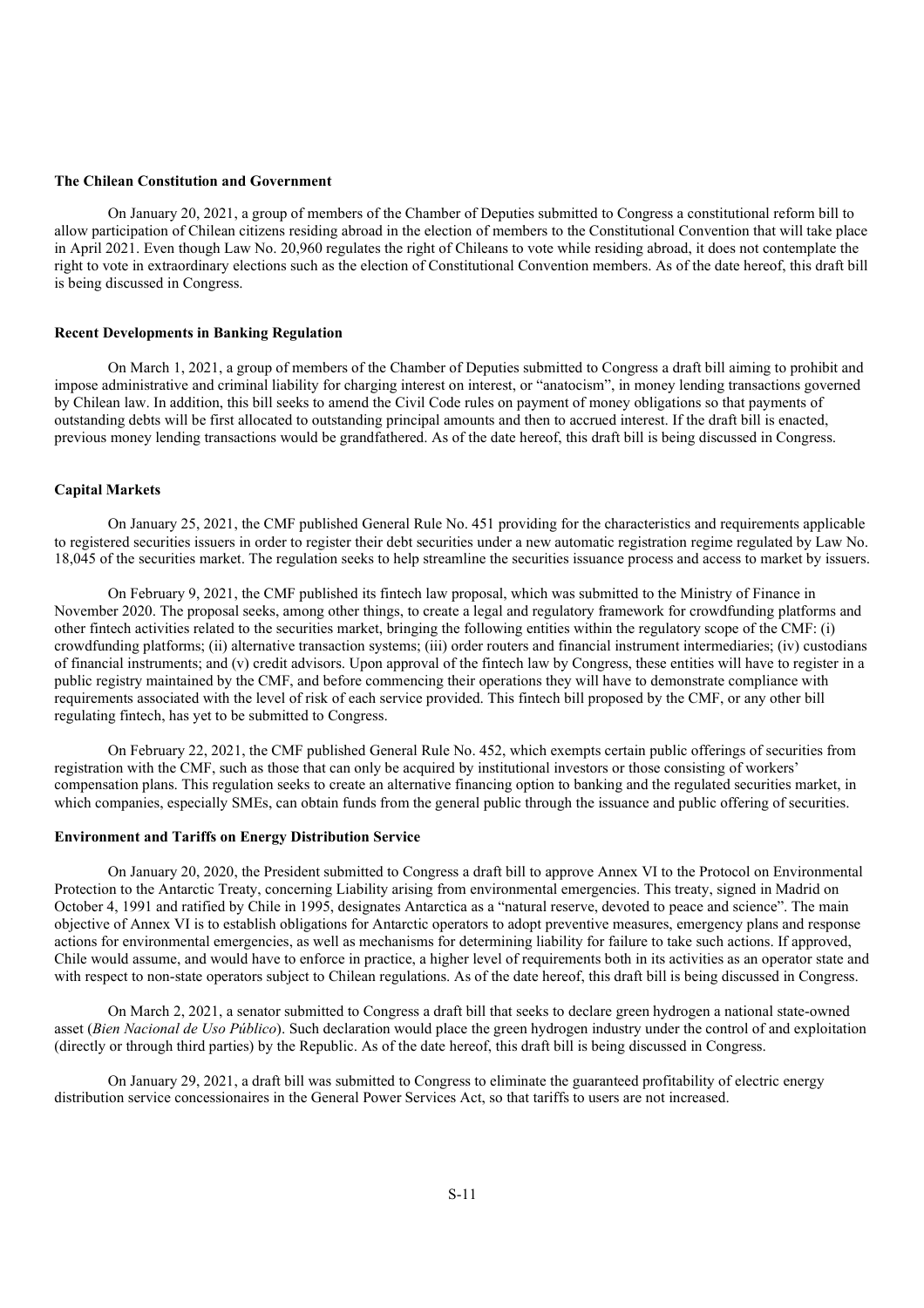#### **The Chilean Constitution and Government**

On January 20, 2021, a group of members of the Chamber of Deputies submitted to Congress a constitutional reform bill to allow participation of Chilean citizens residing abroad in the election of members to the Constitutional Convention that will take place in April 2021. Even though Law No. 20,960 regulates the right of Chileans to vote while residing abroad, it does not contemplate the right to vote in extraordinary elections such as the election of Constitutional Convention members. As of the date hereof, this draft bill is being discussed in Congress.

#### **Recent Developments in Banking Regulation**

On March 1, 2021, a group of members of the Chamber of Deputies submitted to Congress a draft bill aiming to prohibit and impose administrative and criminal liability for charging interest on interest, or "anatocism", in money lending transactions governed by Chilean law. In addition, this bill seeks to amend the Civil Code rules on payment of money obligations so that payments of outstanding debts will be first allocated to outstanding principal amounts and then to accrued interest. If the draft bill is enacted, previous money lending transactions would be grandfathered. As of the date hereof, this draft bill is being discussed in Congress.

#### **Capital Markets**

On January 25, 2021, the CMF published General Rule No. 451 providing for the characteristics and requirements applicable to registered securities issuers in order to register their debt securities under a new automatic registration regime regulated by Law No. 18,045 of the securities market. The regulation seeks to help streamline the securities issuance process and access to market by issuers.

On February 9, 2021, the CMF published its fintech law proposal, which was submitted to the Ministry of Finance in November 2020. The proposal seeks, among other things, to create a legal and regulatory framework for crowdfunding platforms and other fintech activities related to the securities market, bringing the following entities within the regulatory scope of the CMF: (i) crowdfunding platforms; (ii) alternative transaction systems; (iii) order routers and financial instrument intermediaries; (iv) custodians of financial instruments; and (v) credit advisors. Upon approval of the fintech law by Congress, these entities will have to register in a public registry maintained by the CMF, and before commencing their operations they will have to demonstrate compliance with requirements associated with the level of risk of each service provided. This fintech bill proposed by the CMF, or any other bill regulating fintech, has yet to be submitted to Congress.

On February 22, 2021, the CMF published General Rule No. 452, which exempts certain public offerings of securities from registration with the CMF, such as those that can only be acquired by institutional investors or those consisting of workers' compensation plans. This regulation seeks to create an alternative financing option to banking and the regulated securities market, in which companies, especially SMEs, can obtain funds from the general public through the issuance and public offering of securities.

#### **Environment and Tariffs on Energy Distribution Service**

On January 20, 2020, the President submitted to Congress a draft bill to approve Annex VI to the Protocol on Environmental Protection to the Antarctic Treaty, concerning Liability arising from environmental emergencies. This treaty, signed in Madrid on October 4, 1991 and ratified by Chile in 1995, designates Antarctica as a "natural reserve, devoted to peace and science". The main objective of Annex VI is to establish obligations for Antarctic operators to adopt preventive measures, emergency plans and response actions for environmental emergencies, as well as mechanisms for determining liability for failure to take such actions. If approved, Chile would assume, and would have to enforce in practice, a higher level of requirements both in its activities as an operator state and with respect to non-state operators subject to Chilean regulations. As of the date hereof, this draft bill is being discussed in Congress.

On March 2, 2021, a senator submitted to Congress a draft bill that seeks to declare green hydrogen a national state-owned asset (*Bien Nacional de Uso Público*). Such declaration would place the green hydrogen industry under the control of and exploitation (directly or through third parties) by the Republic. As of the date hereof, this draft bill is being discussed in Congress.

On January 29, 2021, a draft bill was submitted to Congress to eliminate the guaranteed profitability of electric energy distribution service concessionaires in the General Power Services Act, so that tariffs to users are not increased.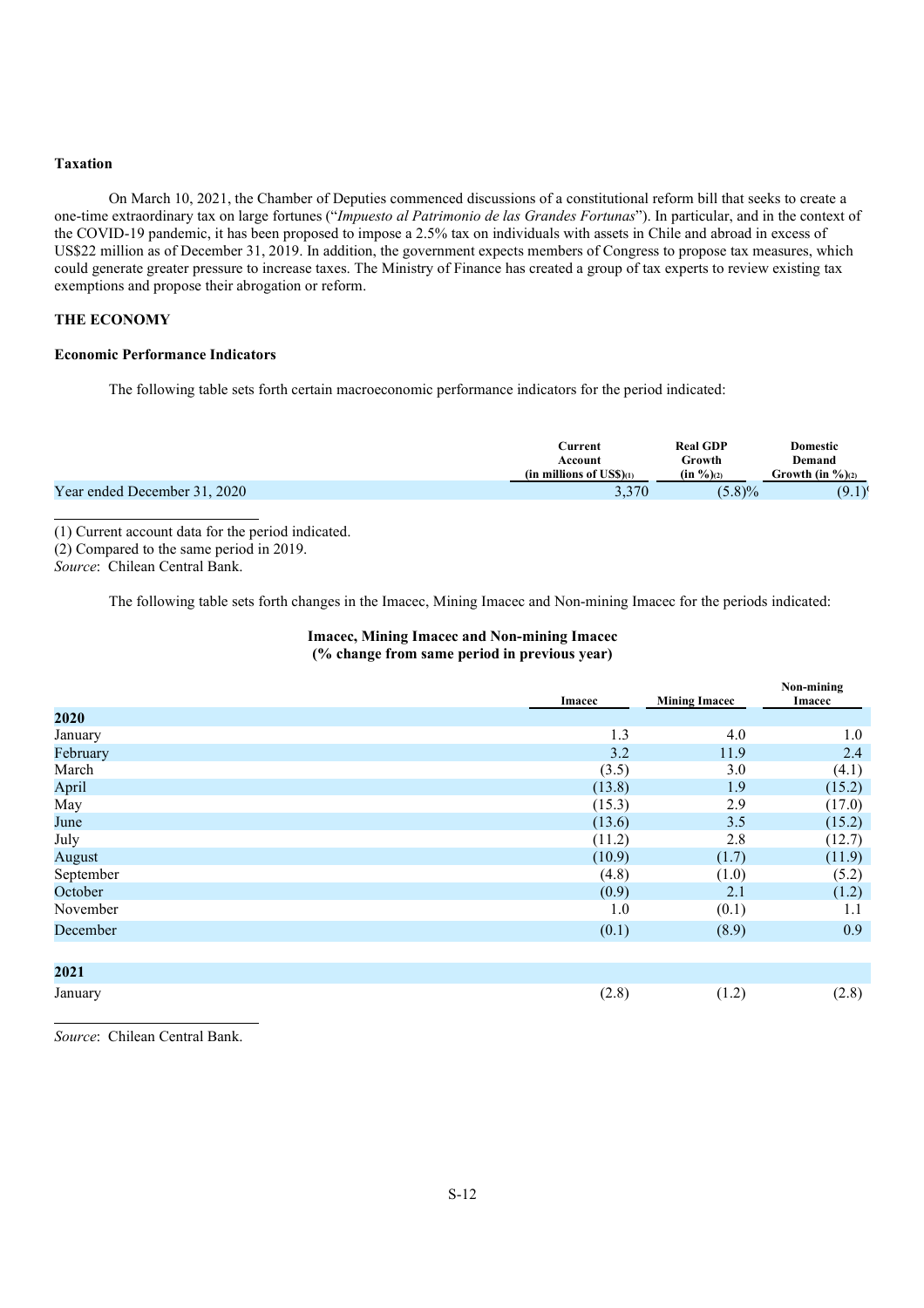#### **Taxation**

On March 10, 2021, the Chamber of Deputies commenced discussions of a constitutional reform bill that seeks to create a one-time extraordinary tax on large fortunes ("*Impuesto al Patrimonio de las Grandes Fortunas*"). In particular, and in the context of the COVID-19 pandemic, it has been proposed to impose a 2.5% tax on individuals with assets in Chile and abroad in excess of US\$22 million as of December 31, 2019. In addition, the government expects members of Congress to propose tax measures, which could generate greater pressure to increase taxes. The Ministry of Finance has created a group of tax experts to review existing tax exemptions and propose their abrogation or reform.

## **THE ECONOMY**

### **Economic Performance Indicators**

The following table sets forth certain macroeconomic performance indicators for the period indicated:

|                              | Current                         | <b>Real GDP</b>       | Domestic             |
|------------------------------|---------------------------------|-----------------------|----------------------|
|                              | Account                         | Growth                | Demand               |
|                              | (in millions of $\text{USS}(1)$ | $(in \frac{9}{6})(2)$ | Growth (in $\%$ )(2) |
| Year ended December 31, 2020 | 3,370                           | $5.8\%$               | (9.1)                |

(1) Current account data for the period indicated. (2) Compared to the same period in 2019.

*Source*: Chilean Central Bank.

The following table sets forth changes in the Imacec, Mining Imacec and Non-mining Imacec for the periods indicated:

## **Imacec, Mining Imacec and Non-mining Imacec (% change from same period in previous year)**

|           | <b>Imacec</b> | <b>Mining Imacec</b> | Non-mining<br>Imacec |
|-----------|---------------|----------------------|----------------------|
| 2020      |               |                      |                      |
| January   | 1.3           | 4.0                  | 1.0                  |
| February  | 3.2           | 11.9                 | 2.4                  |
| March     | (3.5)         | 3.0                  | (4.1)                |
| April     | (13.8)        | 1.9                  | (15.2)               |
| May       | (15.3)        | 2.9                  | (17.0)               |
| June      | (13.6)        | 3.5                  | (15.2)               |
| July      | (11.2)        | 2.8                  | (12.7)               |
| August    | (10.9)        | (1.7)                | (11.9)               |
| September | (4.8)         | (1.0)                | (5.2)                |
| October   | (0.9)         | 2.1                  | (1.2)                |
| November  | 1.0           | (0.1)                | 1.1                  |
| December  | (0.1)         | (8.9)                | 0.9                  |
|           |               |                      |                      |
| 2021      |               |                      |                      |
| January   | (2.8)         | (1.2)                | (2.8)                |

*Source*: Chilean Central Bank.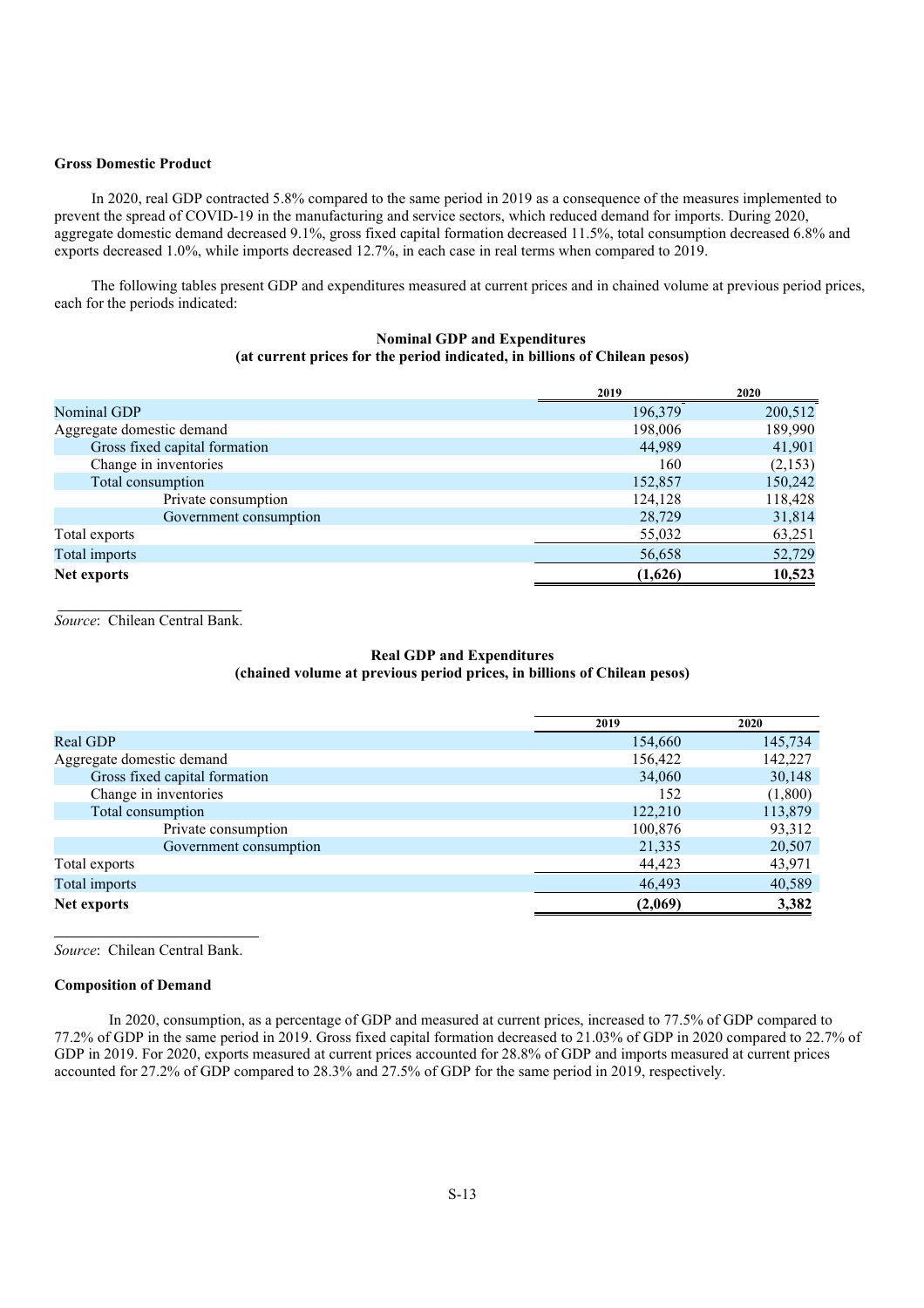#### **Gross Domestic Product**

In 2020, real GDP contracted 5.8% compared to the same period in 2019 as a consequence of the measures implemented to prevent the spread of COVID-19 in the manufacturing and service sectors, which reduced demand for imports. During 2020, aggregate domestic demand decreased 9.1%, gross fixed capital formation decreased 11.5%, total consumption decreased 6.8% and exports decreased 1.0%, while imports decreased 12.7%, in each case in real terms when compared to 2019.

The following tables present GDP and expenditures measured at current prices and in chained volume at previous period prices, each for the periods indicated:

## **Nominal GDP and Expenditures (at current prices for the period indicated, in billions of Chilean pesos)**

|                               | 2019    | 2020    |
|-------------------------------|---------|---------|
| Nominal GDP                   | 196,379 | 200,512 |
| Aggregate domestic demand     | 198,006 | 189,990 |
| Gross fixed capital formation | 44.989  | 41,901  |
| Change in inventories         | 160     | (2,153) |
| Total consumption             | 152,857 | 150,242 |
| Private consumption           | 124,128 | 118,428 |
| Government consumption        | 28,729  | 31,814  |
| Total exports                 | 55,032  | 63,251  |
| Total imports                 | 56,658  | 52,729  |
| Net exports                   | (1,626) | 10,523  |

 $\mathcal{L}_\text{max}$ *Source*: Chilean Central Bank.

## **Real GDP and Expenditures (chained volume at previous period prices, in billions of Chilean pesos)**

|                               | 2019    | 2020    |
|-------------------------------|---------|---------|
| Real GDP                      | 154,660 | 145,734 |
| Aggregate domestic demand     | 156,422 | 142,227 |
| Gross fixed capital formation | 34,060  | 30,148  |
| Change in inventories         | 152     | (1,800) |
| Total consumption             | 122,210 | 113,879 |
| Private consumption           | 100,876 | 93,312  |
| Government consumption        | 21,335  | 20,507  |
| Total exports                 | 44,423  | 43,971  |
| Total imports                 | 46,493  | 40,589  |
| Net exports                   | (2,069) | 3,382   |

*Source*: Chilean Central Bank.

#### **Composition of Demand**

In 2020, consumption, as a percentage of GDP and measured at current prices, increased to 77.5% of GDP compared to 77.2% of GDP in the same period in 2019. Gross fixed capital formation decreased to 21.03% of GDP in 2020 compared to 22.7% of GDP in 2019. For 2020, exports measured at current prices accounted for 28.8% of GDP and imports measured at current prices accounted for 27.2% of GDP compared to 28.3% and 27.5% of GDP for the same period in 2019, respectively.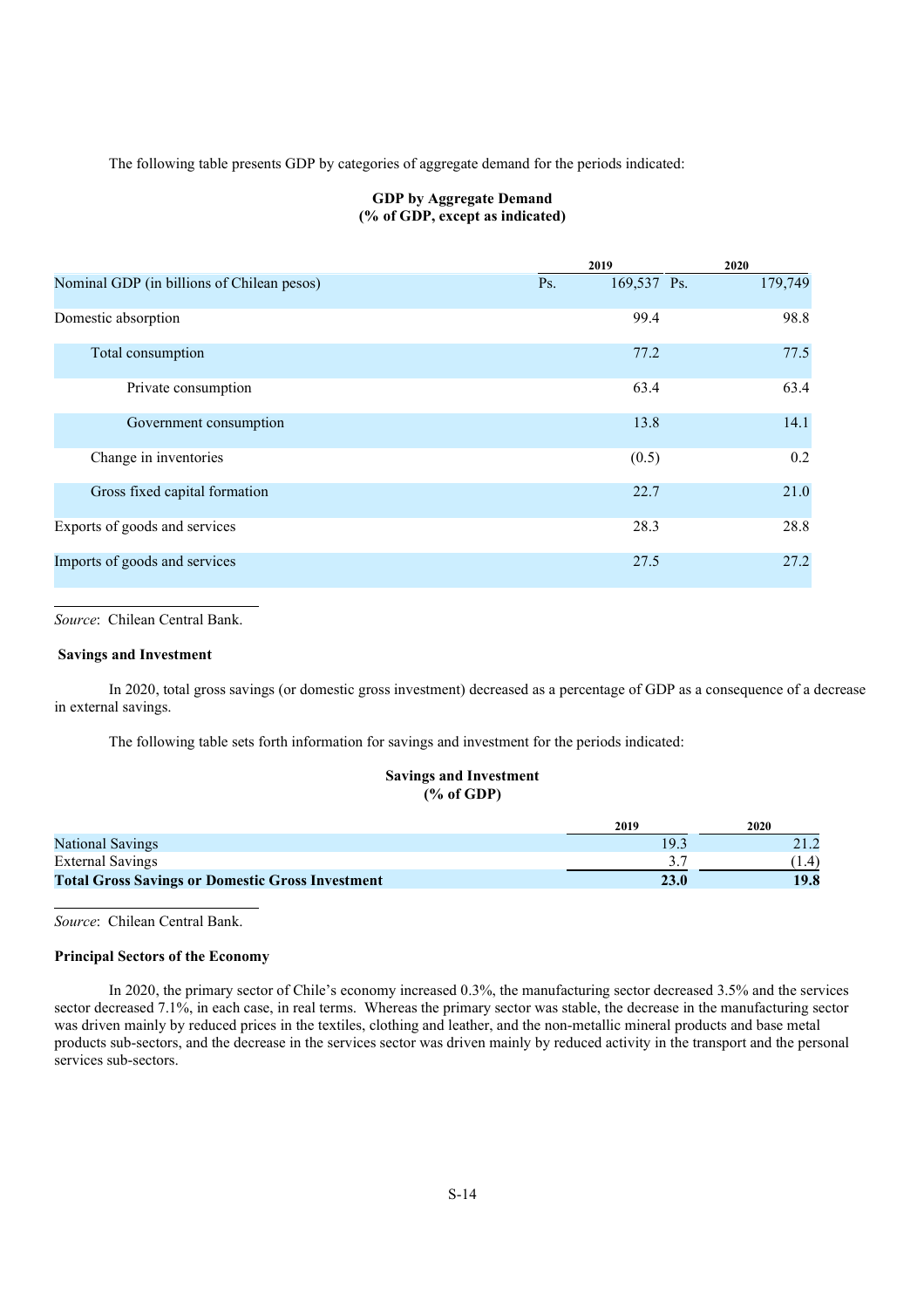The following table presents GDP by categories of aggregate demand for the periods indicated:

## **GDP by Aggregate Demand (% of GDP, except as indicated)**

|                                            |     | 2019        | 2020    |
|--------------------------------------------|-----|-------------|---------|
| Nominal GDP (in billions of Chilean pesos) | Ps. | 169,537 Ps. | 179,749 |
| Domestic absorption                        |     | 99.4        | 98.8    |
| Total consumption                          |     | 77.2        | 77.5    |
| Private consumption                        |     | 63.4        | 63.4    |
| Government consumption                     |     | 13.8        | 14.1    |
| Change in inventories                      |     | (0.5)       | 0.2     |
| Gross fixed capital formation              |     | 22.7        | 21.0    |
| Exports of goods and services              |     | 28.3        | 28.8    |
| Imports of goods and services              |     | 27.5        | 27.2    |

*Source*: Chilean Central Bank.

### **Savings and Investment**

In 2020, total gross savings (or domestic gross investment) decreased as a percentage of GDP as a consequence of a decrease in external savings.

The following table sets forth information for savings and investment for the periods indicated:

#### **Savings and Investment (% of GDP)**

|                                                         | 2019 | 2020  |
|---------------------------------------------------------|------|-------|
| <b>National Savings</b>                                 | 19.3 |       |
| External Savings                                        |      | (1.4) |
| <b>Total Gross Savings or Domestic Gross Investment</b> | 23.0 | 19.8  |

*Source*: Chilean Central Bank.

#### **Principal Sectors of the Economy**

In 2020, the primary sector of Chile's economy increased 0.3%, the manufacturing sector decreased 3.5% and the services sector decreased 7.1%, in each case, in real terms. Whereas the primary sector was stable, the decrease in the manufacturing sector was driven mainly by reduced prices in the textiles, clothing and leather, and the non-metallic mineral products and base metal products sub-sectors, and the decrease in the services sector was driven mainly by reduced activity in the transport and the personal services sub-sectors.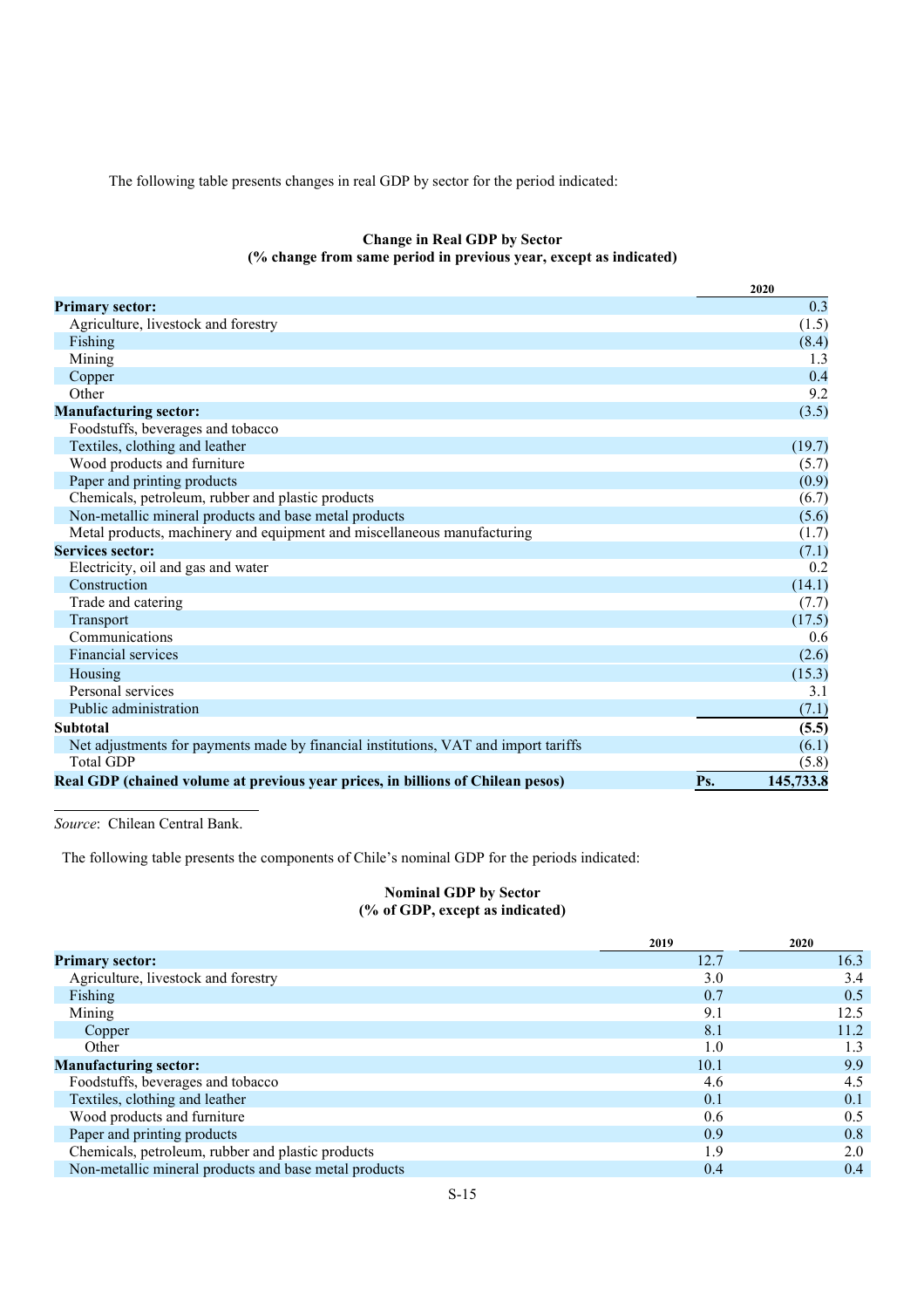The following table presents changes in real GDP by sector for the period indicated:

## **Change in Real GDP by Sector (% change from same period in previous year, except as indicated)**

|                                                                                     | 2020             |
|-------------------------------------------------------------------------------------|------------------|
| <b>Primary sector:</b>                                                              | 0.3              |
| Agriculture, livestock and forestry                                                 | (1.5)            |
| Fishing                                                                             | (8.4)            |
| Mining                                                                              | 1.3              |
| Copper                                                                              | 0.4              |
| Other                                                                               | 9.2              |
| <b>Manufacturing sector:</b>                                                        | (3.5)            |
| Foodstuffs, beverages and tobacco                                                   |                  |
| Textiles, clothing and leather                                                      | (19.7)           |
| Wood products and furniture                                                         | (5.7)            |
| Paper and printing products                                                         | (0.9)            |
| Chemicals, petroleum, rubber and plastic products                                   | (6.7)            |
| Non-metallic mineral products and base metal products                               | (5.6)            |
| Metal products, machinery and equipment and miscellaneous manufacturing             | (1.7)            |
| <b>Services sector:</b>                                                             | (7.1)            |
| Electricity, oil and gas and water                                                  | 0.2              |
| Construction                                                                        | (14.1)           |
| Trade and catering                                                                  | (7.7)            |
| Transport                                                                           | (17.5)           |
| Communications                                                                      | 0.6              |
| Financial services                                                                  | (2.6)            |
| Housing                                                                             | (15.3)           |
| Personal services                                                                   | 3.1              |
| Public administration                                                               | (7.1)            |
| <b>Subtotal</b>                                                                     | (5.5)            |
| Net adjustments for payments made by financial institutions, VAT and import tariffs | (6.1)            |
| <b>Total GDP</b>                                                                    | (5.8)            |
| Real GDP (chained volume at previous year prices, in billions of Chilean pesos)     | Ps.<br>145,733.8 |

*Source*: Chilean Central Bank.

The following table presents the components of Chile's nominal GDP for the periods indicated:

## **Nominal GDP by Sector (% of GDP, except as indicated)**

|                                                       | 2019 | 2020 |
|-------------------------------------------------------|------|------|
| <b>Primary sector:</b>                                | 12.7 | 16.3 |
| Agriculture, livestock and forestry                   | 3.0  | 3.4  |
| Fishing                                               | 0.7  | 0.5  |
| Mining                                                | 9.1  | 12.5 |
| Copper                                                | 8.1  | 11.2 |
| Other                                                 | 1.0  | 1.3  |
| <b>Manufacturing sector:</b>                          | 10.1 | 9.9  |
| Foodstuffs, beverages and tobacco                     | 4.6  | 4.5  |
| Textiles, clothing and leather                        | 0.1  | 0.1  |
| Wood products and furniture                           | 0.6  | 0.5  |
| Paper and printing products                           | 0.9  | 0.8  |
| Chemicals, petroleum, rubber and plastic products     | 1.9  | 2.0  |
| Non-metallic mineral products and base metal products | 0.4  | 0.4  |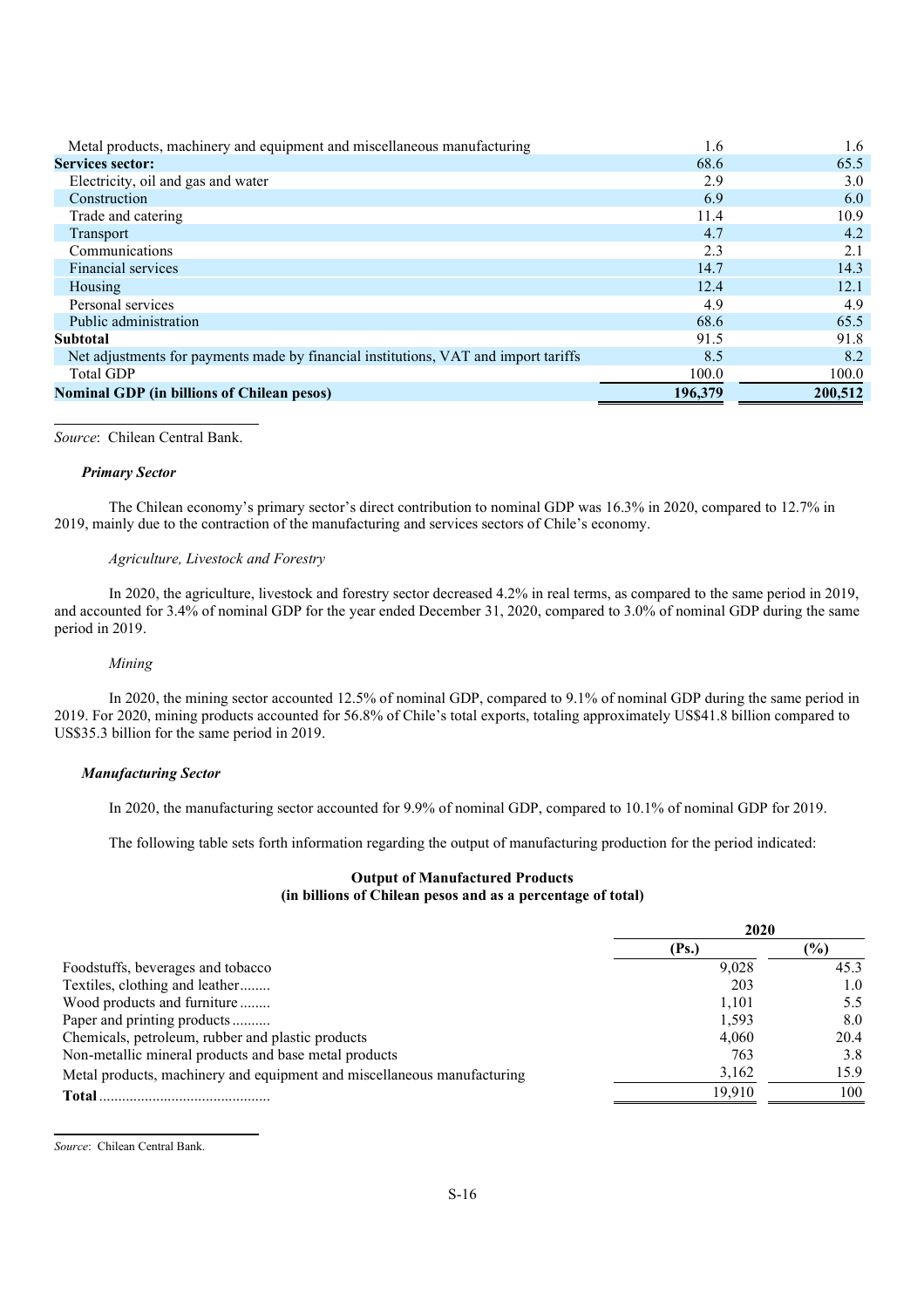| Metal products, machinery and equipment and miscellaneous manufacturing             | 1.6     | 1.6     |
|-------------------------------------------------------------------------------------|---------|---------|
| <b>Services sector:</b>                                                             | 68.6    | 65.5    |
| Electricity, oil and gas and water                                                  | 2.9     | 3.0     |
| Construction                                                                        | 6.9     | 6.0     |
| Trade and catering                                                                  | 11.4    | 10.9    |
| <b>Transport</b>                                                                    | 4.7     | 4.2     |
| Communications                                                                      | 2.3     | 2.1     |
| Financial services                                                                  | 14.7    | 14.3    |
| Housing                                                                             | 12.4    | 12.1    |
| Personal services                                                                   | 4.9     | 4.9     |
| Public administration                                                               | 68.6    | 65.5    |
| <b>Subtotal</b>                                                                     | 91.5    | 91.8    |
| Net adjustments for payments made by financial institutions, VAT and import tariffs | 8.5     | 8.2     |
| <b>Total GDP</b>                                                                    | 100.0   | 100.0   |
| <b>Nominal GDP (in billions of Chilean pesos)</b>                                   | 196,379 | 200,512 |

## *Source*: Chilean Central Bank.

#### *Primary Sector*

The Chilean economy's primary sector's direct contribution to nominal GDP was 16.3% in 2020, compared to 12.7% in 2019, mainly due to the contraction of the manufacturing and services sectors of Chile's economy.

### *Agriculture, Livestock and Forestry*

In 2020, the agriculture, livestock and forestry sector decreased 4.2% in real terms, as compared to the same period in 2019, and accounted for 3.4% of nominal GDP for the year ended December 31, 2020, compared to 3.0% of nominal GDP during the same period in 2019.

#### *Mining*

In 2020, the mining sector accounted 12.5% of nominal GDP, compared to 9.1% of nominal GDP during the same period in 2019. For 2020, mining products accounted for 56.8% of Chile's total exports, totaling approximately US\$41.8 billion compared to US\$35.3 billion for the same period in 2019.

#### *Manufacturing Sector*

In 2020, the manufacturing sector accounted for 9.9% of nominal GDP, compared to 10.1% of nominal GDP for 2019.

The following table sets forth information regarding the output of manufacturing production for the period indicated:

## **Output of Manufactured Products (in billions of Chilean pesos and as a percentage of total)**

|                                                                         | 2020   |               |
|-------------------------------------------------------------------------|--------|---------------|
|                                                                         | (Ps.)  | $\frac{9}{9}$ |
| Foodstuffs, beverages and tobacco                                       | 9.028  | 45.3          |
| Textiles, clothing and leather                                          | 203    | 1.0           |
| Wood products and furniture                                             | 1.101  | 5.5           |
| Paper and printing products                                             | 1.593  | 8.0           |
| Chemicals, petroleum, rubber and plastic products                       | 4.060  | 20.4          |
| Non-metallic mineral products and base metal products                   | 763    | 3.8           |
| Metal products, machinery and equipment and miscellaneous manufacturing | 3,162  | 15.9          |
| Total                                                                   | 19.910 | 100           |

*Source*: Chilean Central Bank.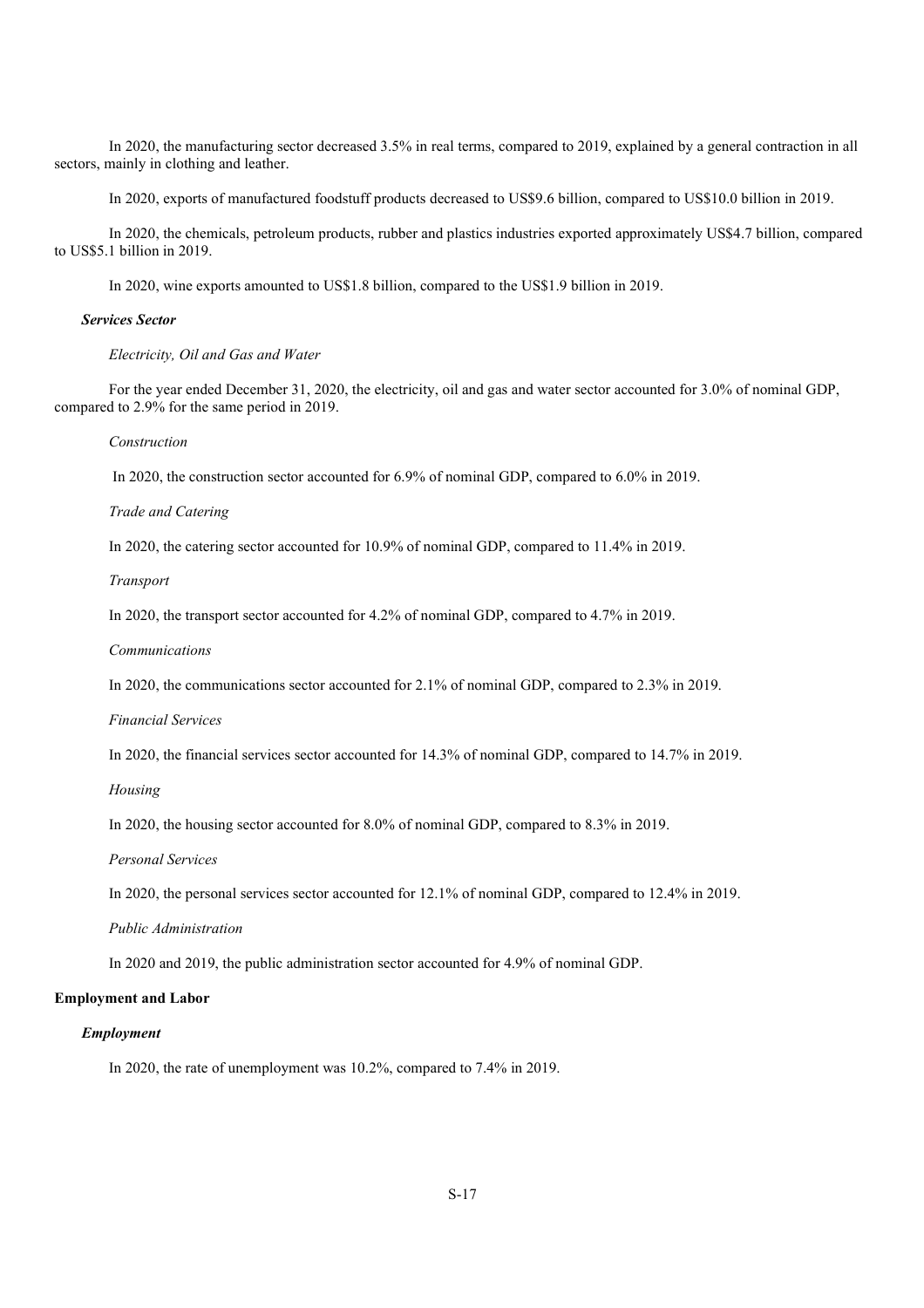In 2020, the manufacturing sector decreased 3.5% in real terms, compared to 2019, explained by a general contraction in all sectors, mainly in clothing and leather.

In 2020, exports of manufactured foodstuff products decreased to US\$9.6 billion, compared to US\$10.0 billion in 2019.

In 2020, the chemicals, petroleum products, rubber and plastics industries exported approximately US\$4.7 billion, compared to US\$5.1 billion in 2019.

In 2020, wine exports amounted to US\$1.8 billion, compared to the US\$1.9 billion in 2019.

#### *Services Sector*

*Electricity, Oil and Gas and Water*

For the year ended December 31, 2020, the electricity, oil and gas and water sector accounted for 3.0% of nominal GDP, compared to 2.9% for the same period in 2019.

*Construction*

In 2020, the construction sector accounted for 6.9% of nominal GDP, compared to 6.0% in 2019.

*Trade and Catering*

In 2020, the catering sector accounted for 10.9% of nominal GDP, compared to 11.4% in 2019.

*Transport*

In 2020, the transport sector accounted for 4.2% of nominal GDP, compared to 4.7% in 2019.

*Communications*

In 2020, the communications sector accounted for 2.1% of nominal GDP, compared to 2.3% in 2019.

*Financial Services*

In 2020, the financial services sector accounted for 14.3% of nominal GDP, compared to 14.7% in 2019.

*Housing*

In 2020, the housing sector accounted for 8.0% of nominal GDP, compared to 8.3% in 2019.

*Personal Services*

In 2020, the personal services sector accounted for 12.1% of nominal GDP, compared to 12.4% in 2019.

*Public Administration*

In 2020 and 2019, the public administration sector accounted for 4.9% of nominal GDP.

#### **Employment and Labor**

#### *Employment*

In 2020, the rate of unemployment was 10.2%, compared to 7.4% in 2019.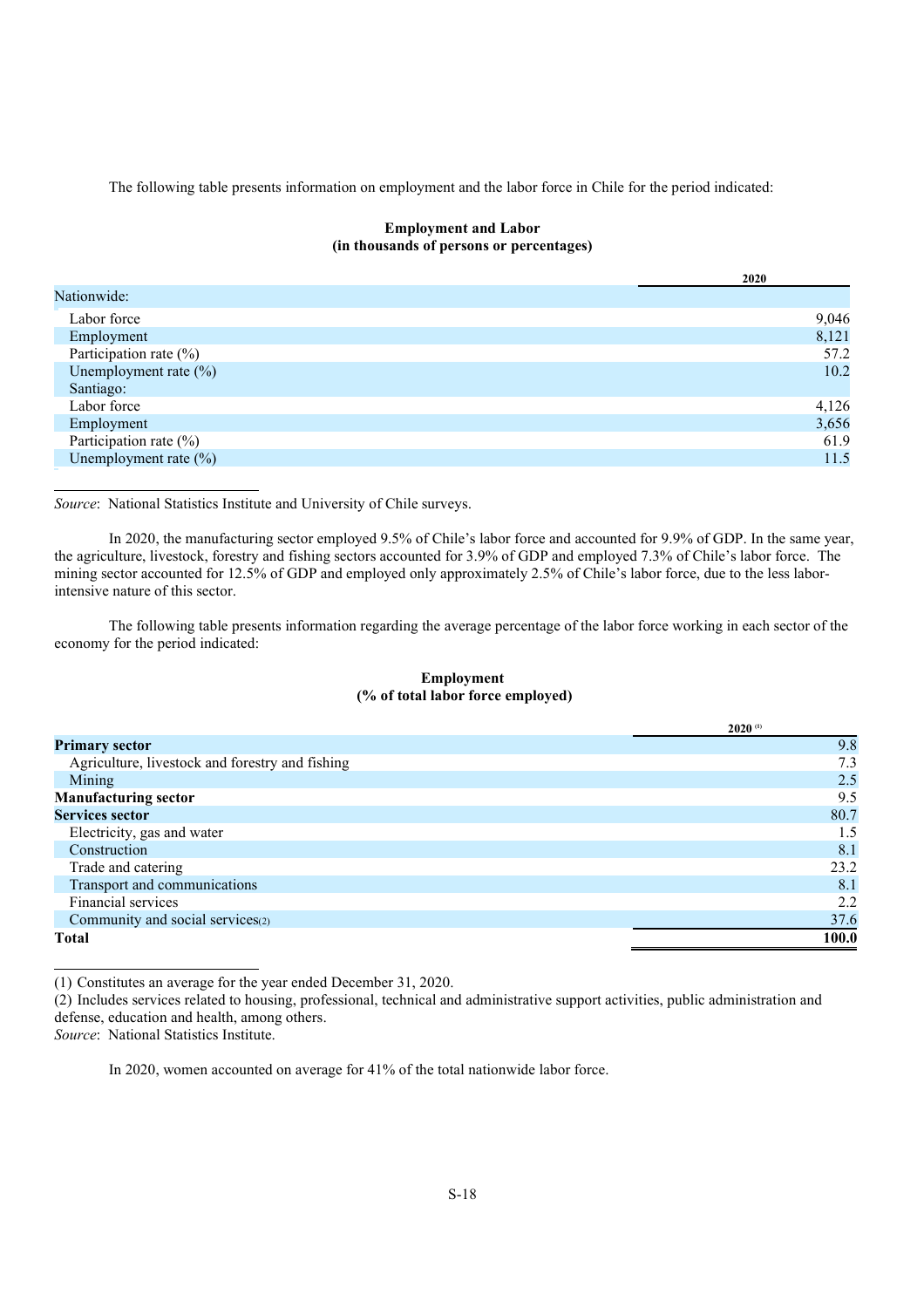The following table presents information on employment and the labor force in Chile for the period indicated:

## **Employment and Labor (in thousands of persons or percentages)**

|                           | 2020  |
|---------------------------|-------|
| Nationwide:               |       |
| Labor force               | 9,046 |
| Employment                | 8,121 |
| Participation rate $(\%)$ | 57.2  |
| Unemployment rate $(\%)$  | 10.2  |
| Santiago:                 |       |
| Labor force               | 4,126 |
| Employment                | 3,656 |
| Participation rate $(\%)$ | 61.9  |
| Unemployment rate (%)     | 11.5  |

*Source*: National Statistics Institute and University of Chile surveys.

In 2020, the manufacturing sector employed 9.5% of Chile's labor force and accounted for 9.9% of GDP. In the same year, the agriculture, livestock, forestry and fishing sectors accounted for 3.9% of GDP and employed 7.3% of Chile's labor force. The mining sector accounted for 12.5% of GDP and employed only approximately 2.5% of Chile's labor force, due to the less laborintensive nature of this sector.

The following table presents information regarding the average percentage of the labor force working in each sector of the economy for the period indicated:

## **Employment (% of total labor force employed)**

|                                                 | $2020^{(1)}$ |
|-------------------------------------------------|--------------|
| <b>Primary sector</b>                           | 9.8          |
| Agriculture, livestock and forestry and fishing | 7.3          |
| Mining                                          | 2.5          |
| <b>Manufacturing sector</b>                     | 9.5          |
| <b>Services sector</b>                          | 80.7         |
| Electricity, gas and water                      | 1.5          |
| Construction                                    | 8.1          |
| Trade and catering                              | 23.2         |
| Transport and communications                    | 8.1          |
| Financial services                              | 2.2          |
| Community and social services(2)                | 37.6         |
| <b>Total</b>                                    | 100.0        |

(1) Constitutes an average for the year ended December 31, 2020.

(2) Includes services related to housing, professional, technical and administrative support activities, public administration and defense, education and health, among others.

*Source*: National Statistics Institute.

In 2020, women accounted on average for 41% of the total nationwide labor force.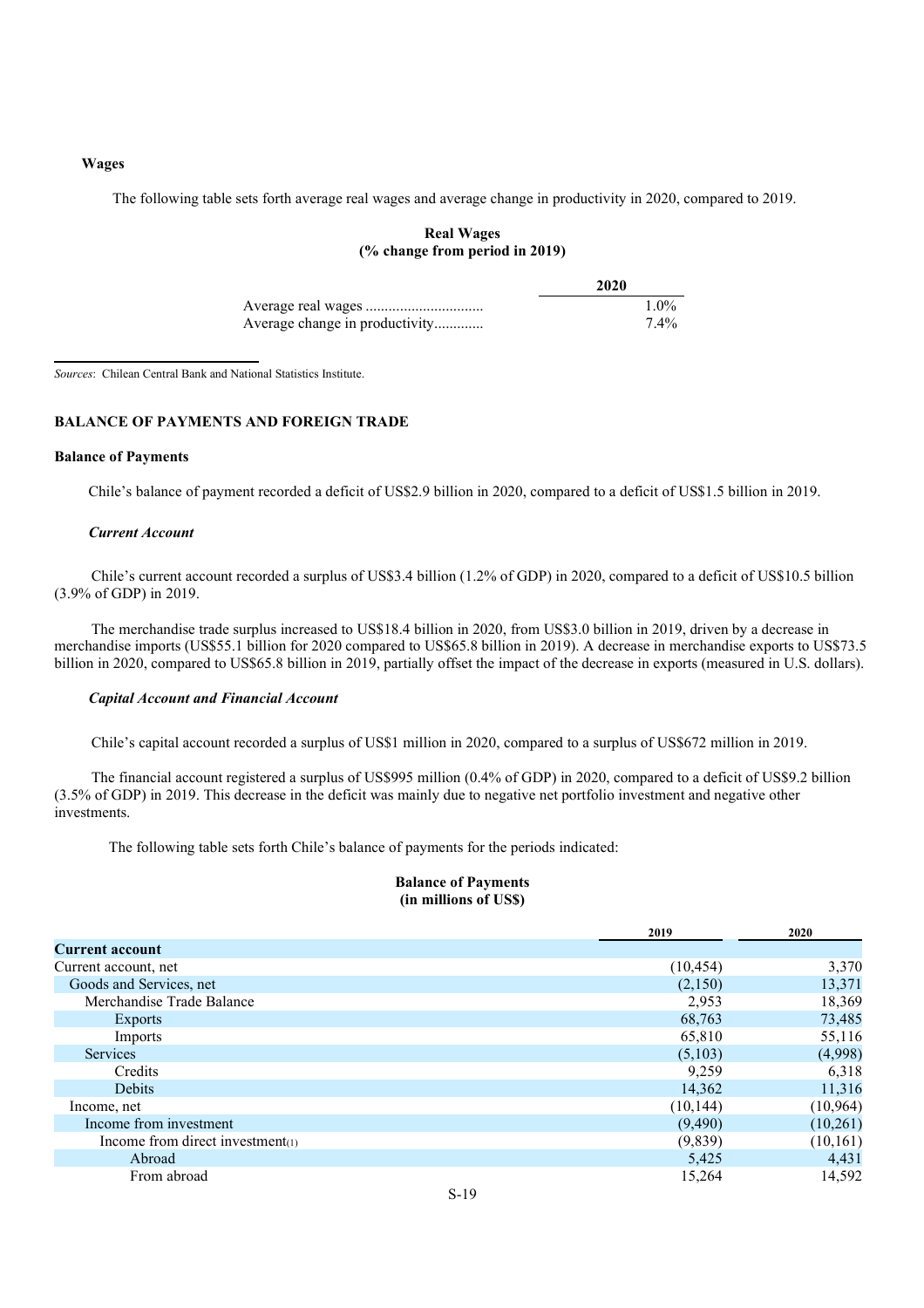#### **Wages**

The following table sets forth average real wages and average change in productivity in 2020, compared to 2019.

## **Real Wages (% change from period in 2019)**

|                                | 2020    |  |
|--------------------------------|---------|--|
|                                | $1.0\%$ |  |
| Average change in productivity | 7.4%    |  |

*Sources*: Chilean Central Bank and National Statistics Institute.

## **BALANCE OF PAYMENTS AND FOREIGN TRADE**

#### **Balance of Payments**

Chile's balance of payment recorded a deficit of US\$2.9 billion in 2020, compared to a deficit of US\$1.5 billion in 2019.

#### *Current Account*

Chile's current account recorded a surplus of US\$3.4 billion (1.2% of GDP) in 2020, compared to a deficit of US\$10.5 billion (3.9% of GDP) in 2019.

The merchandise trade surplus increased to US\$18.4 billion in 2020, from US\$3.0 billion in 2019, driven by a decrease in merchandise imports (US\$55.1 billion for 2020 compared to US\$65.8 billion in 2019). A decrease in merchandise exports to US\$73.5 billion in 2020, compared to US\$65.8 billion in 2019, partially offset the impact of the decrease in exports (measured in U.S. dollars).

#### *Capital Account and Financial Account*

Chile's capital account recorded a surplus of US\$1 million in 2020, compared to a surplus of US\$672 million in 2019.

The financial account registered a surplus of US\$995 million (0.4% of GDP) in 2020, compared to a deficit of US\$9.2 billion (3.5% of GDP) in 2019. This decrease in the deficit was mainly due to negative net portfolio investment and negative other investments.

The following table sets forth Chile's balance of payments for the periods indicated:

## **Balance of Payments (in millions of US\$)**

|                                     | 2019      | 2020      |
|-------------------------------------|-----------|-----------|
| <b>Current account</b>              |           |           |
| Current account, net                | (10, 454) | 3,370     |
| Goods and Services, net             | (2,150)   | 13,371    |
| Merchandise Trade Balance           | 2,953     | 18,369    |
| <b>Exports</b>                      | 68,763    | 73,485    |
| Imports                             | 65,810    | 55,116    |
| <b>Services</b>                     | (5,103)   | (4,998)   |
| Credits                             | 9,259     | 6,318     |
| <b>Debits</b>                       | 14,362    | 11,316    |
| Income, net                         | (10, 144) | (10, 964) |
| Income from investment              | (9,490)   | (10,261)  |
| Income from direct investment $(1)$ | (9,839)   | (10, 161) |
| Abroad                              | 5,425     | 4,431     |
| From abroad                         | 15,264    | 14,592    |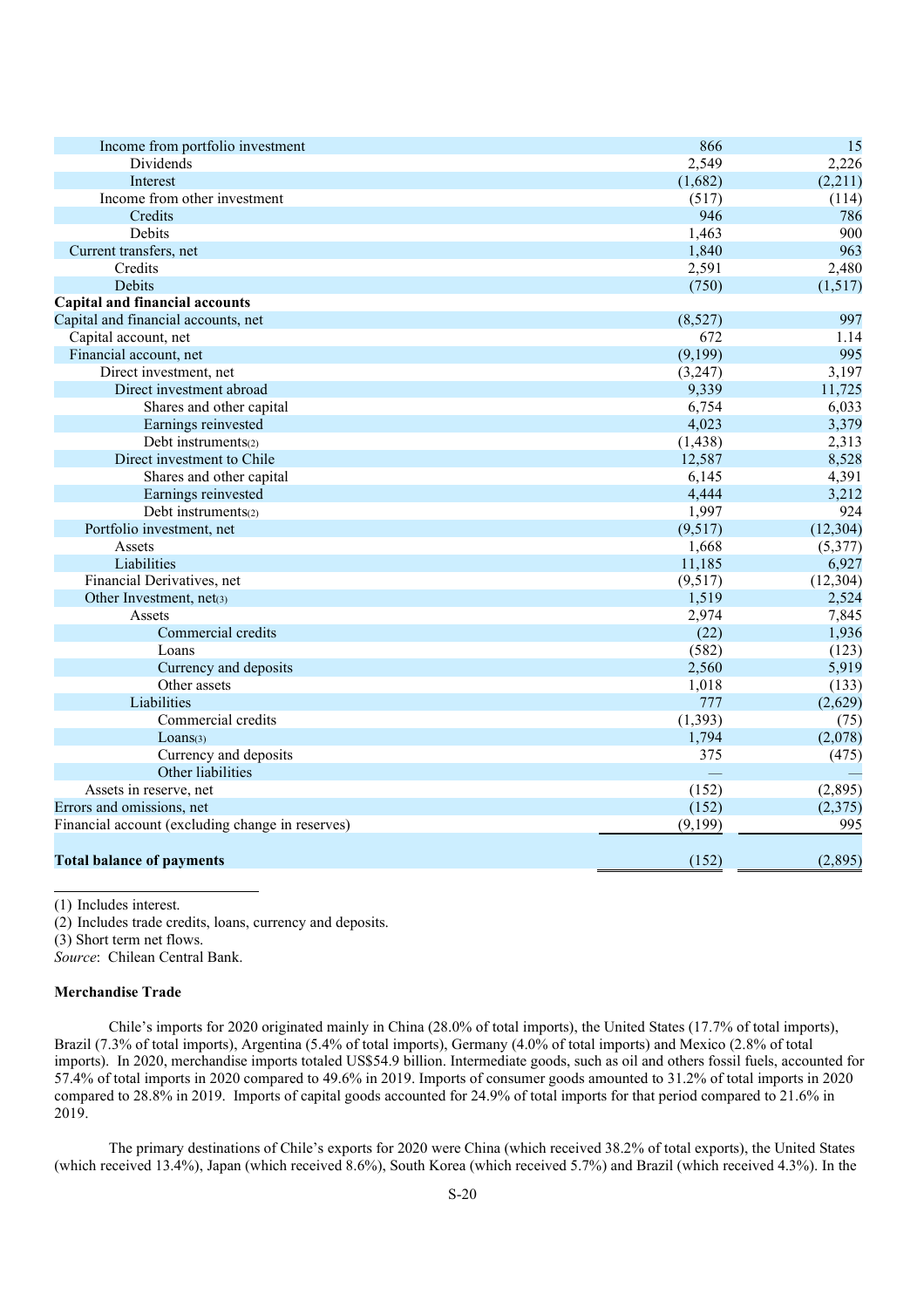| Income from portfolio investment                 | 866      | 15        |
|--------------------------------------------------|----------|-----------|
| Dividends                                        | 2,549    | 2,226     |
| Interest                                         | (1,682)  | (2,211)   |
| Income from other investment                     | (517)    | (114)     |
| Credits                                          | 946      | 786       |
| Debits                                           | 1,463    | 900       |
| Current transfers, net                           | 1,840    | 963       |
| Credits                                          | 2,591    | 2,480     |
| Debits                                           | (750)    | (1,517)   |
| <b>Capital and financial accounts</b>            |          |           |
| Capital and financial accounts, net              | (8,527)  | 997       |
| Capital account, net                             | 672      | 1.14      |
| Financial account, net                           | (9,199)  | 995       |
| Direct investment, net                           | (3,247)  | 3,197     |
| Direct investment abroad                         | 9,339    | 11,725    |
| Shares and other capital                         | 6,754    | 6,033     |
| Earnings reinvested                              | 4,023    | 3,379     |
| Debt instruments(2)                              | (1, 438) | 2,313     |
| Direct investment to Chile                       | 12,587   | 8,528     |
| Shares and other capital                         | 6,145    | 4,391     |
| Earnings reinvested                              | 4,444    | 3,212     |
| Debt instruments(2)                              | 1,997    | 924       |
| Portfolio investment, net                        | (9,517)  | (12, 304) |
| Assets                                           | 1,668    | (5,377)   |
| Liabilities                                      | 11,185   | 6,927     |
| Financial Derivatives, net                       | (9,517)  | (12, 304) |
| Other Investment, net(3)                         | 1,519    | 2,524     |
| Assets                                           | 2,974    | 7,845     |
| Commercial credits                               | (22)     | 1,936     |
| Loans                                            | (582)    | (123)     |
| Currency and deposits                            | 2,560    | 5,919     |
| Other assets                                     | 1,018    | (133)     |
| Liabilities                                      | 777      | (2,629)   |
| Commercial credits                               | (1, 393) | (75)      |
| Loans <sub>(3)</sub>                             | 1,794    | (2,078)   |
| Currency and deposits                            | 375      | (475)     |
| Other liabilities                                |          |           |
| Assets in reserve, net                           | (152)    | (2,895)   |
| Errors and omissions, net                        | (152)    | (2,375)   |
| Financial account (excluding change in reserves) | (9,199)  | 995       |
| <b>Total balance of payments</b>                 | (152)    | (2,895)   |
|                                                  |          |           |

(1) Includes interest.

(2) Includes trade credits, loans, currency and deposits.

(3) Short term net flows.

*Source*: Chilean Central Bank.

### **Merchandise Trade**

Chile's imports for 2020 originated mainly in China (28.0% of total imports), the United States (17.7% of total imports), Brazil (7.3% of total imports), Argentina (5.4% of total imports), Germany (4.0% of total imports) and Mexico (2.8% of total imports). In 2020, merchandise imports totaled US\$54.9 billion. Intermediate goods, such as oil and others fossil fuels, accounted for 57.4% of total imports in 2020 compared to 49.6% in 2019. Imports of consumer goods amounted to 31.2% of total imports in 2020 compared to 28.8% in 2019. Imports of capital goods accounted for 24.9% of total imports for that period compared to 21.6% in 2019.

The primary destinations of Chile's exports for 2020 were China (which received 38.2% of total exports), the United States (which received 13.4%), Japan (which received 8.6%), South Korea (which received 5.7%) and Brazil (which received 4.3%). In the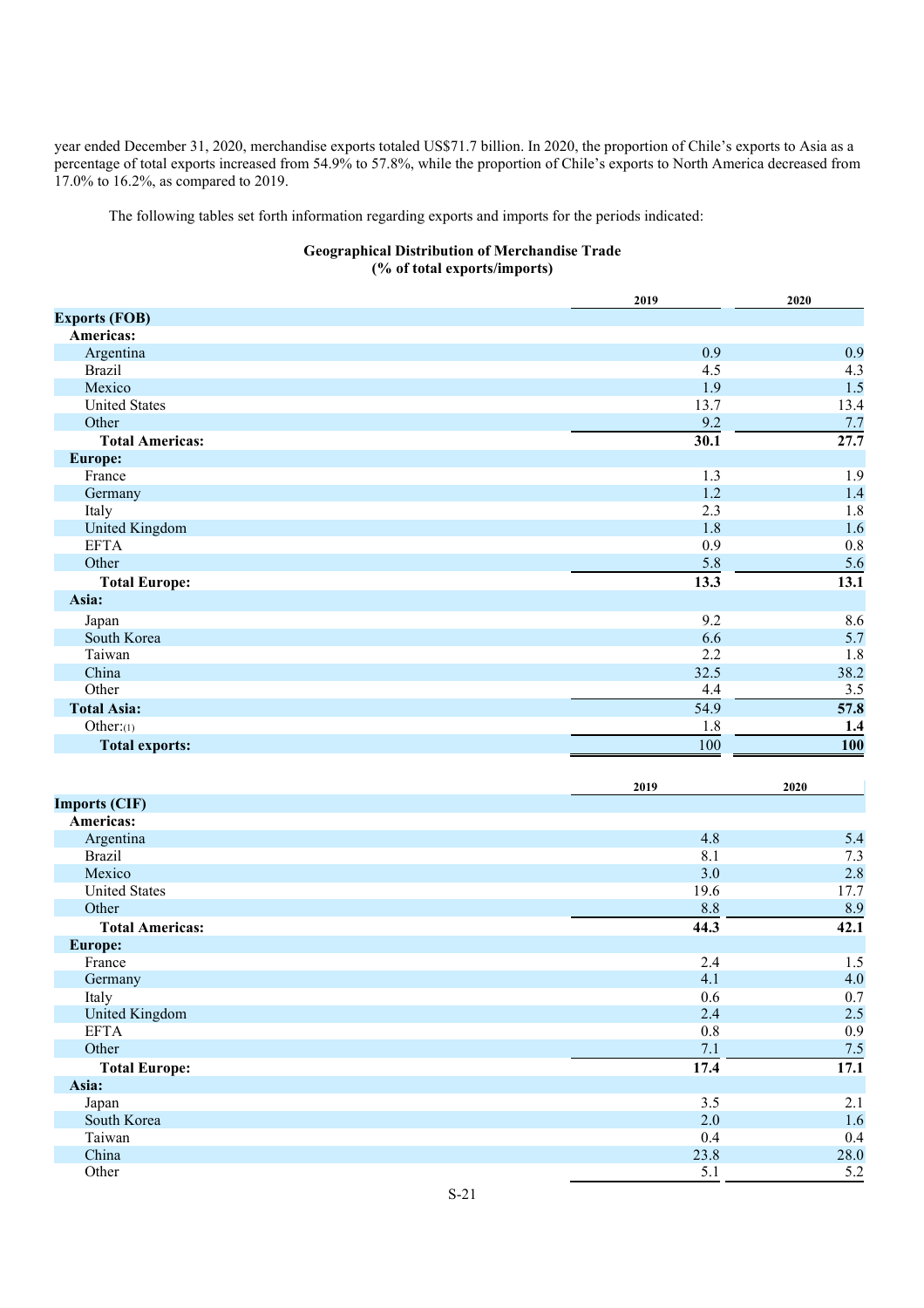year ended December 31, 2020, merchandise exports totaled US\$71.7 billion. In 2020, the proportion of Chile's exports to Asia as a percentage of total exports increased from 54.9% to 57.8%, while the proportion of Chile's exports to North America decreased from 17.0% to 16.2%, as compared to 2019.

The following tables set forth information regarding exports and imports for the periods indicated:

## **Geographical Distribution of Merchandise Trade (% of total exports/imports)**

|                                            | 2019 | 2020 |
|--------------------------------------------|------|------|
| <b>Exports (FOB)</b>                       |      |      |
| Americas:                                  |      |      |
| Argentina                                  | 0.9  | 0.9  |
| <b>Brazil</b>                              | 4.5  | 4.3  |
| Mexico                                     | 1.9  | 1.5  |
| <b>United States</b>                       | 13.7 | 13.4 |
| Other                                      | 9.2  | 7.7  |
| <b>Total Americas:</b>                     | 30.1 | 27.7 |
| <b>Europe:</b>                             |      |      |
| France                                     | 1.3  | 1.9  |
| Germany                                    | 1.2  | 1.4  |
| Italy                                      | 2.3  | 1.8  |
| United Kingdom                             | 1.8  | 1.6  |
| <b>EFTA</b>                                | 0.9  | 0.8  |
| Other                                      | 5.8  | 5.6  |
| <b>Total Europe:</b>                       | 13.3 | 13.1 |
| Asia:                                      |      |      |
| Japan                                      | 9.2  | 8.6  |
| South Korea                                | 6.6  | 5.7  |
| Taiwan                                     | 2.2  | 1.8  |
| China                                      | 32.5 | 38.2 |
| Other                                      | 4.4  | 3.5  |
| <b>Total Asia:</b>                         | 54.9 | 57.8 |
| Other: $(1)$                               | 1.8  | 1.4  |
| <b>Total exports:</b>                      | 100  | 100  |
|                                            | 2019 | 2020 |
| <b>Contract Contract Contract Contract</b> |      |      |

| <b>Imports (CIF)</b>   |      |      |
|------------------------|------|------|
| Americas:              |      |      |
| Argentina              | 4.8  | 5.4  |
| <b>Brazil</b>          | 8.1  | 7.3  |
| Mexico                 | 3.0  | 2.8  |
| <b>United States</b>   | 19.6 | 17.7 |
| Other                  | 8.8  | 8.9  |
| <b>Total Americas:</b> | 44.3 | 42.1 |
| <b>Europe:</b>         |      |      |
| France                 | 2.4  | 1.5  |
| Germany                | 4.1  | 4.0  |
| Italy                  | 0.6  | 0.7  |
| United Kingdom         | 2.4  | 2.5  |
| <b>EFTA</b>            | 0.8  | 0.9  |
| Other                  | 7.1  | 7.5  |
| <b>Total Europe:</b>   | 17.4 | 17.1 |
| Asia:                  |      |      |
| Japan                  | 3.5  | 2.1  |
| South Korea            | 2.0  | 1.6  |
| Taiwan                 | 0.4  | 0.4  |
| China                  | 23.8 | 28.0 |
| Other                  | 5.1  | 5.2  |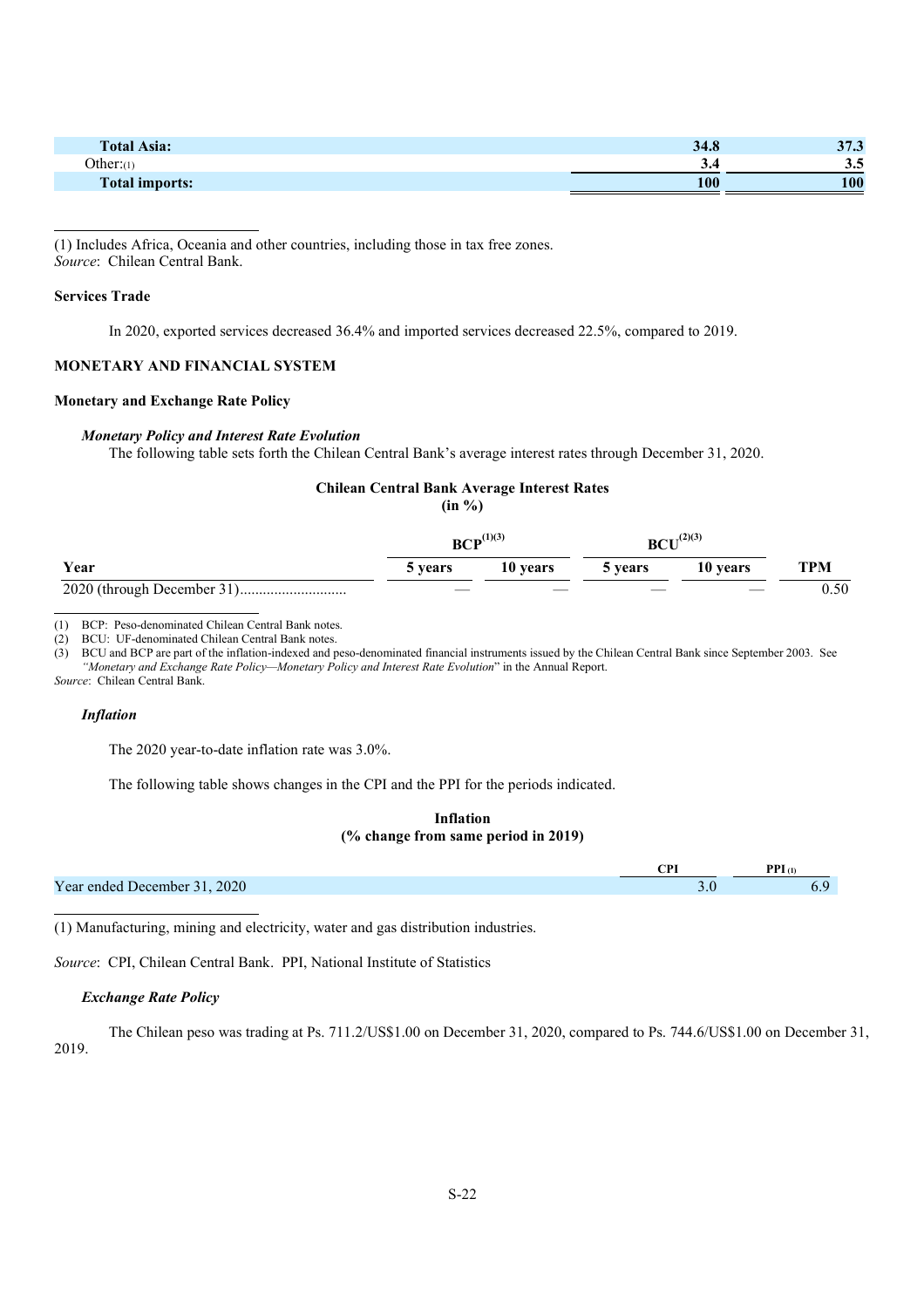| <b>Total Asia:</b>    | 34.8 | 2 <sub>H</sub><br>ن. ر ر |
|-----------------------|------|--------------------------|
| Other:(1)             | ر.ر  | J.J                      |
| <b>Total imports:</b> | 100  | 100                      |

(1) Includes Africa, Oceania and other countries, including those in tax free zones. *Source*: Chilean Central Bank.

### **Services Trade**

In 2020, exported services decreased 36.4% and imported services decreased 22.5%, compared to 2019.

## **MONETARY AND FINANCIAL SYSTEM**

#### **Monetary and Exchange Rate Policy**

#### *Monetary Policy and Interest Rate Evolution*

The following table sets forth the Chilean Central Bank's average interest rates through December 31, 2020.

## **Chilean Central Bank Average Interest Rates**

**(in %)**

|      | $BCP^{(1)(3)}$ |          | (2)(3)<br><b>BCU</b> |          |      |
|------|----------------|----------|----------------------|----------|------|
| Year | 5 years        | 10 years | 5 years              | 10 years | TPM  |
|      | $\sim$         | ___      | ____                 | ____     | 0.50 |

(1) BCP: Peso-denominated Chilean Central Bank notes.

(2) BCU: UF-denominated Chilean Central Bank notes.

(3) BCU and BCP are part of the inflation-indexed and peso-denominated financial instruments issued by the Chilean Central Bank since September 2003. See *"Monetary and Exchange Rate Policy—Monetary Policy and Interest Rate Evolution*" in the Annual Report. *Source*: Chilean Central Bank.

#### *Inflation*

The 2020 year-to-date inflation rate was 3.0%.

The following table shows changes in the CPI and the PPI for the periods indicated.

### **Inflation (% change from same period in 2019)**

|                              | $PPI_{(1)}$ |
|------------------------------|-------------|
| Year ended December 31, 2020 |             |
|                              |             |

(1) Manufacturing, mining and electricity, water and gas distribution industries.

*Source*: CPI, Chilean Central Bank. PPI, National Institute of Statistics

#### *Exchange Rate Policy*

The Chilean peso was trading at Ps. 711.2/US\$1.00 on December 31, 2020, compared to Ps. 744.6/US\$1.00 on December 31, 2019.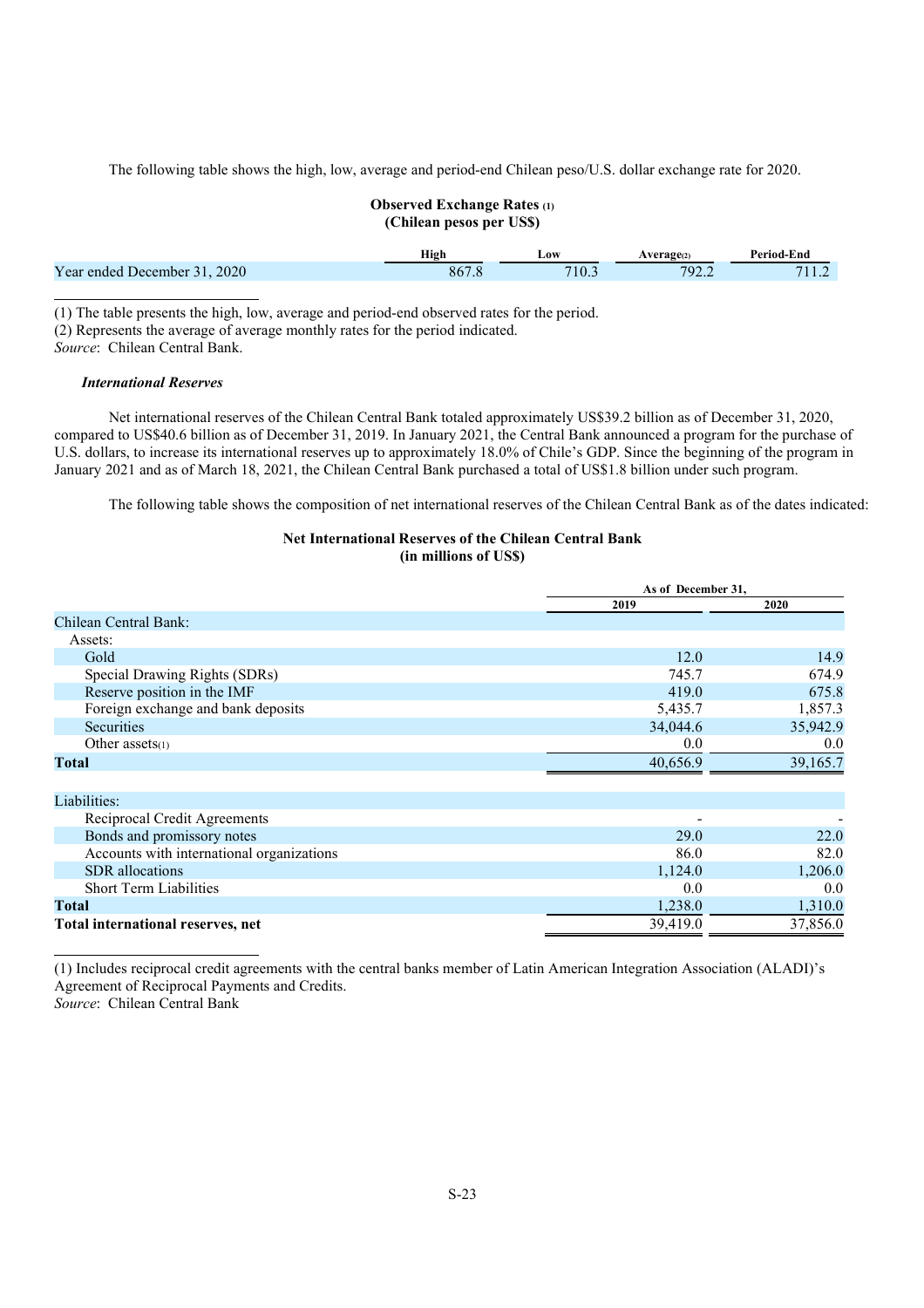The following table shows the high, low, average and period-end Chilean peso/U.S. dollar exchange rate for 2020.

## **Observed Exchange Rates (1) (Chilean pesos per US\$)**

|                                | High  | LOW   | <b>*age</b> | Period-End |
|--------------------------------|-------|-------|-------------|------------|
| 2020<br>Year ended December 31 | 867.8 | 710.5 | 792.2       | 11.2       |
|                                |       |       |             |            |

(1) The table presents the high, low, average and period-end observed rates for the period. (2) Represents the average of average monthly rates for the period indicated. *Source*: Chilean Central Bank.

#### *International Reserves*

Net international reserves of the Chilean Central Bank totaled approximately US\$39.2 billion as of December 31, 2020, compared to US\$40.6 billion as of December 31, 2019. In January 2021, the Central Bank announced a program for the purchase of U.S. dollars, to increase its international reserves up to approximately 18.0% of Chile's GDP. Since the beginning of the program in January 2021 and as of March 18, 2021, the Chilean Central Bank purchased a total of US\$1.8 billion under such program.

The following table shows the composition of net international reserves of the Chilean Central Bank as of the dates indicated:

# **Net International Reserves of the Chilean Central Bank**

**(in millions of US\$)**

|                                           | As of December 31, |          |  |
|-------------------------------------------|--------------------|----------|--|
|                                           | 2019               | 2020     |  |
| Chilean Central Bank:                     |                    |          |  |
| Assets:                                   |                    |          |  |
| Gold                                      | 12.0               | 14.9     |  |
| Special Drawing Rights (SDRs)             | 745.7              | 674.9    |  |
| Reserve position in the IMF               | 419.0              | 675.8    |  |
| Foreign exchange and bank deposits        | 5,435.7            | 1,857.3  |  |
| <b>Securities</b>                         | 34,044.6           | 35,942.9 |  |
| Other $asserts(1)$                        | 0.0                | 0.0      |  |
| <b>Total</b>                              | 40,656.9           | 39,165.7 |  |
|                                           |                    |          |  |
| Liabilities:                              |                    |          |  |
| Reciprocal Credit Agreements              |                    |          |  |
| Bonds and promissory notes                | 29.0               | 22.0     |  |
| Accounts with international organizations | 86.0               | 82.0     |  |
| <b>SDR</b> allocations                    | 1,124.0            | 1,206.0  |  |
| <b>Short Term Liabilities</b>             | 0.0                | 0.0      |  |
| Total                                     | 1,238.0            | 1,310.0  |  |
| Total international reserves, net         | 39,419.0           | 37,856.0 |  |

(1) Includes reciprocal credit agreements with the central banks member of Latin American Integration Association (ALADI)'s Agreement of Reciprocal Payments and Credits.

*Source*: Chilean Central Bank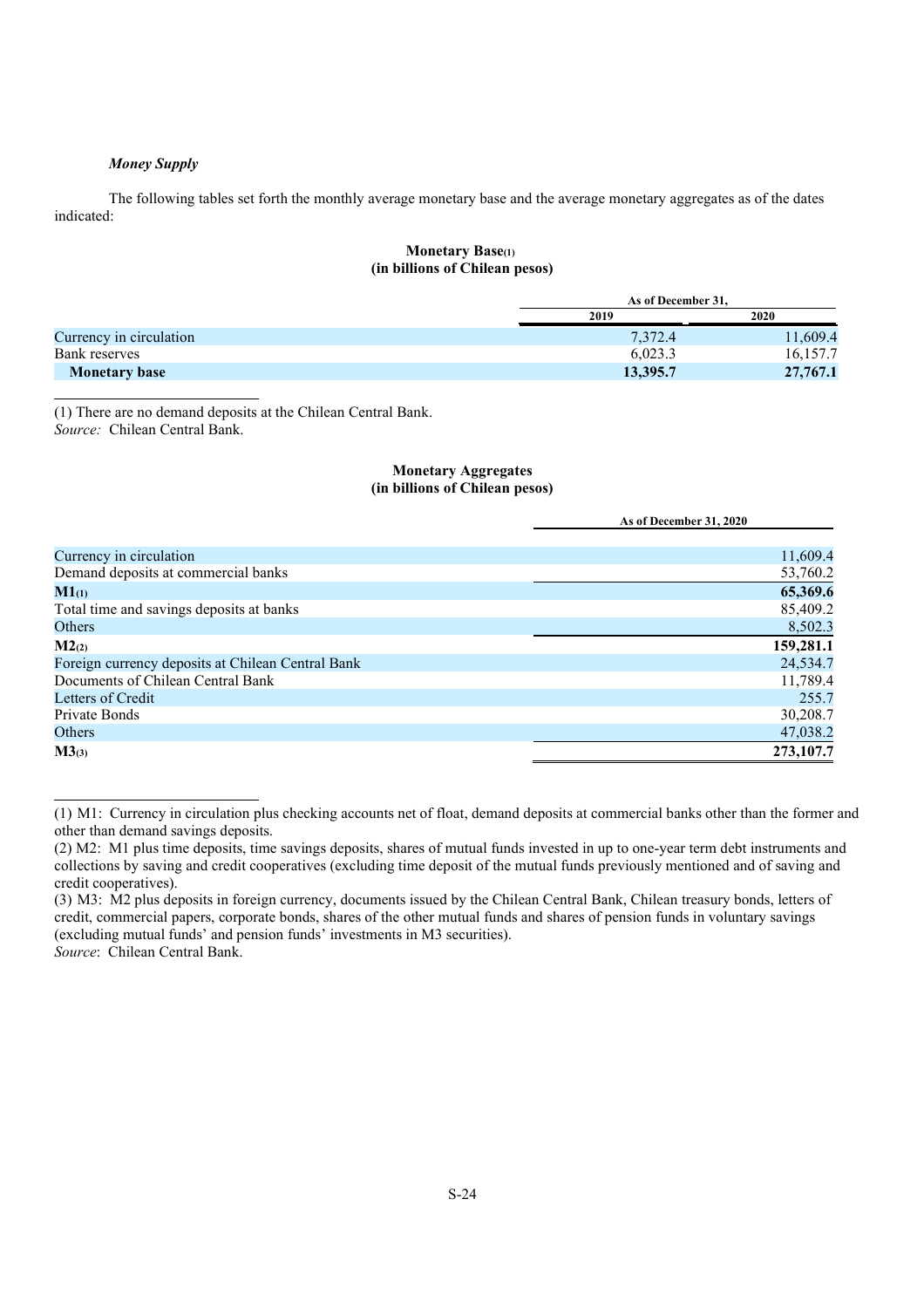#### *Money Supply*

The following tables set forth the monthly average monetary base and the average monetary aggregates as of the dates indicated:

#### **Monetary Base(1) (in billions of Chilean pesos)**

|                         |          | As of December 31. |  |  |
|-------------------------|----------|--------------------|--|--|
| Currency in circulation | 2019     | 2020               |  |  |
|                         | 7,372.4  | 11,609.4           |  |  |
| Bank reserves           | 6.023.3  | 16,157.7           |  |  |
| <b>Monetary base</b>    | 13,395.7 | 27,767.1           |  |  |

(1) There are no demand deposits at the Chilean Central Bank. *Source:* Chilean Central Bank.

#### **Monetary Aggregates (in billions of Chilean pesos)**

|                                                   | As of December 31, 2020 |
|---------------------------------------------------|-------------------------|
|                                                   |                         |
| Currency in circulation                           | 11,609.4                |
| Demand deposits at commercial banks               | 53,760.2                |
| $M1_{(1)}$                                        | 65,369.6                |
| Total time and savings deposits at banks          | 85,409.2                |
| Others                                            | 8,502.3                 |
| M2 <sub>(2)</sub>                                 | 159,281.1               |
| Foreign currency deposits at Chilean Central Bank | 24,534.7                |
| Documents of Chilean Central Bank                 | 11,789.4                |
| Letters of Credit                                 | 255.7                   |
| Private Bonds                                     | 30,208.7                |
| Others                                            | 47,038.2                |
| $M3_{(3)}$                                        | 273,107.7               |

<sup>(1)</sup> M1: Currency in circulation plus checking accounts net of float, demand deposits at commercial banks other than the former and other than demand savings deposits.

<sup>(2)</sup> M2: M1 plus time deposits, time savings deposits, shares of mutual funds invested in up to one-year term debt instruments and collections by saving and credit cooperatives (excluding time deposit of the mutual funds previously mentioned and of saving and credit cooperatives).

<sup>(3)</sup> M3: M2 plus deposits in foreign currency, documents issued by the Chilean Central Bank, Chilean treasury bonds, letters of credit, commercial papers, corporate bonds, shares of the other mutual funds and shares of pension funds in voluntary savings (excluding mutual funds' and pension funds' investments in M3 securities). *Source*: Chilean Central Bank.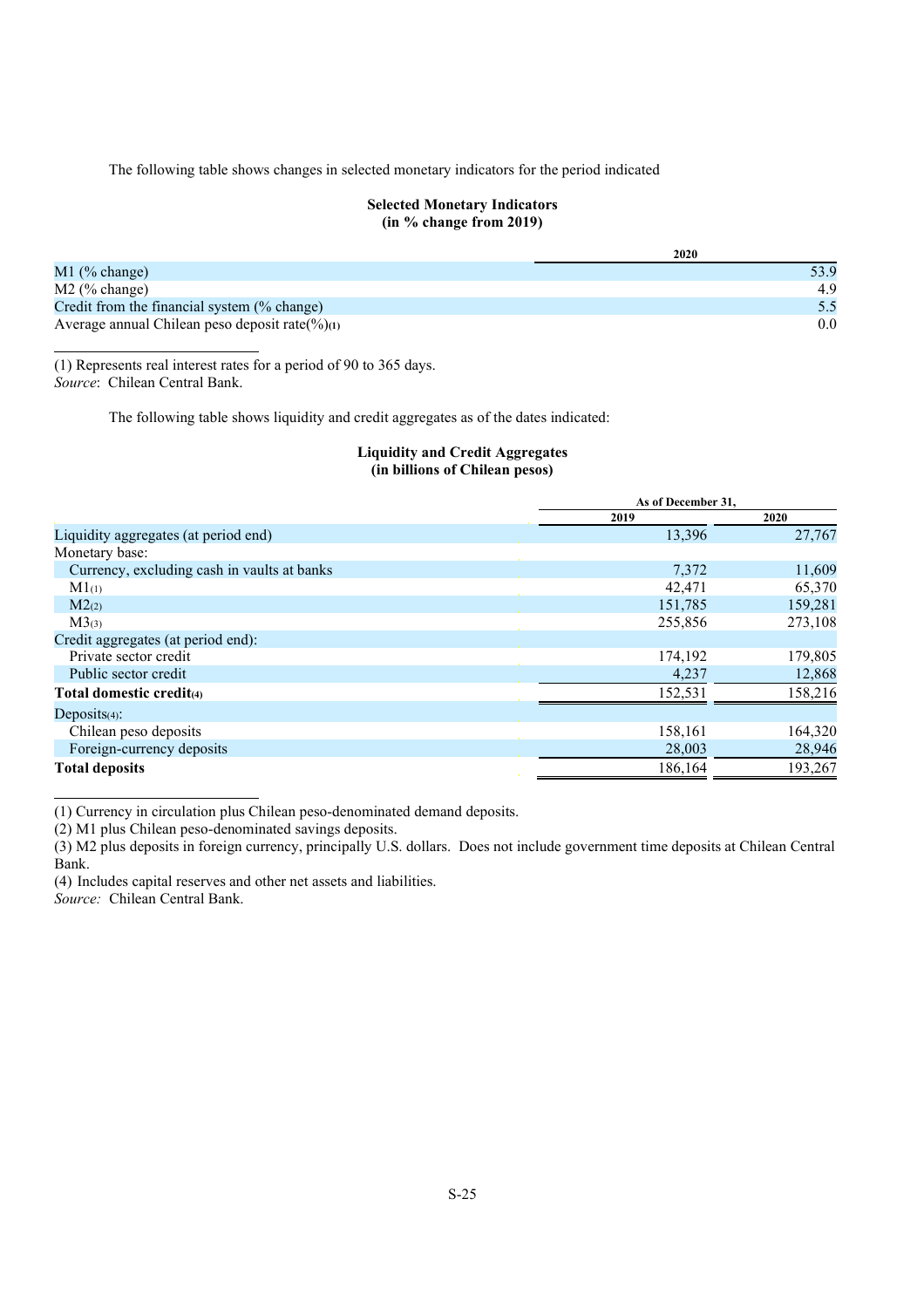The following table shows changes in selected monetary indicators for the period indicated

#### **Selected Monetary Indicators (in % change from 2019)**

|                                                     | 2020 |
|-----------------------------------------------------|------|
| $M1$ (% change)                                     | 53.9 |
| $M2$ (% change)                                     | 4.9  |
| Credit from the financial system (% change)         | 5.5  |
| Average annual Chilean peso deposit rate( $\%$ )(1) | 0.0  |

(1) Represents real interest rates for a period of 90 to 365 days. *Source*: Chilean Central Bank.

The following table shows liquidity and credit aggregates as of the dates indicated:

## **Liquidity and Credit Aggregates (in billions of Chilean pesos)**

| 2019<br>2020<br>13,396<br>Liquidity aggregates (at period end) | 27,767  |
|----------------------------------------------------------------|---------|
|                                                                |         |
|                                                                |         |
| Monetary base:                                                 |         |
| Currency, excluding cash in vaults at banks<br>7,372           | 11,609  |
| 42,471<br>$M1_{(1)}$                                           | 65,370  |
| 151,785<br>M2 <sub>(2)</sub>                                   | 159,281 |
| 255,856<br>$M3_{(3)}$                                          | 273,108 |
| Credit aggregates (at period end):                             |         |
| Private sector credit<br>174,192                               | 179,805 |
| Public sector credit<br>4,237                                  | 12,868  |
| 152,531<br>Total domestic credit(4)                            | 158,216 |
| Deposits $(4)$ :                                               |         |
| 158,161<br>Chilean peso deposits                               | 164,320 |
| Foreign-currency deposits<br>28,003                            | 28,946  |
| 186,164<br><b>Total deposits</b>                               | 193,267 |

(1) Currency in circulation plus Chilean peso-denominated demand deposits.

(2) M1 plus Chilean peso-denominated savings deposits.

(3) M2 plus deposits in foreign currency, principally U.S. dollars. Does not include government time deposits at Chilean Central Bank.

(4) Includes capital reserves and other net assets and liabilities.

*Source:* Chilean Central Bank.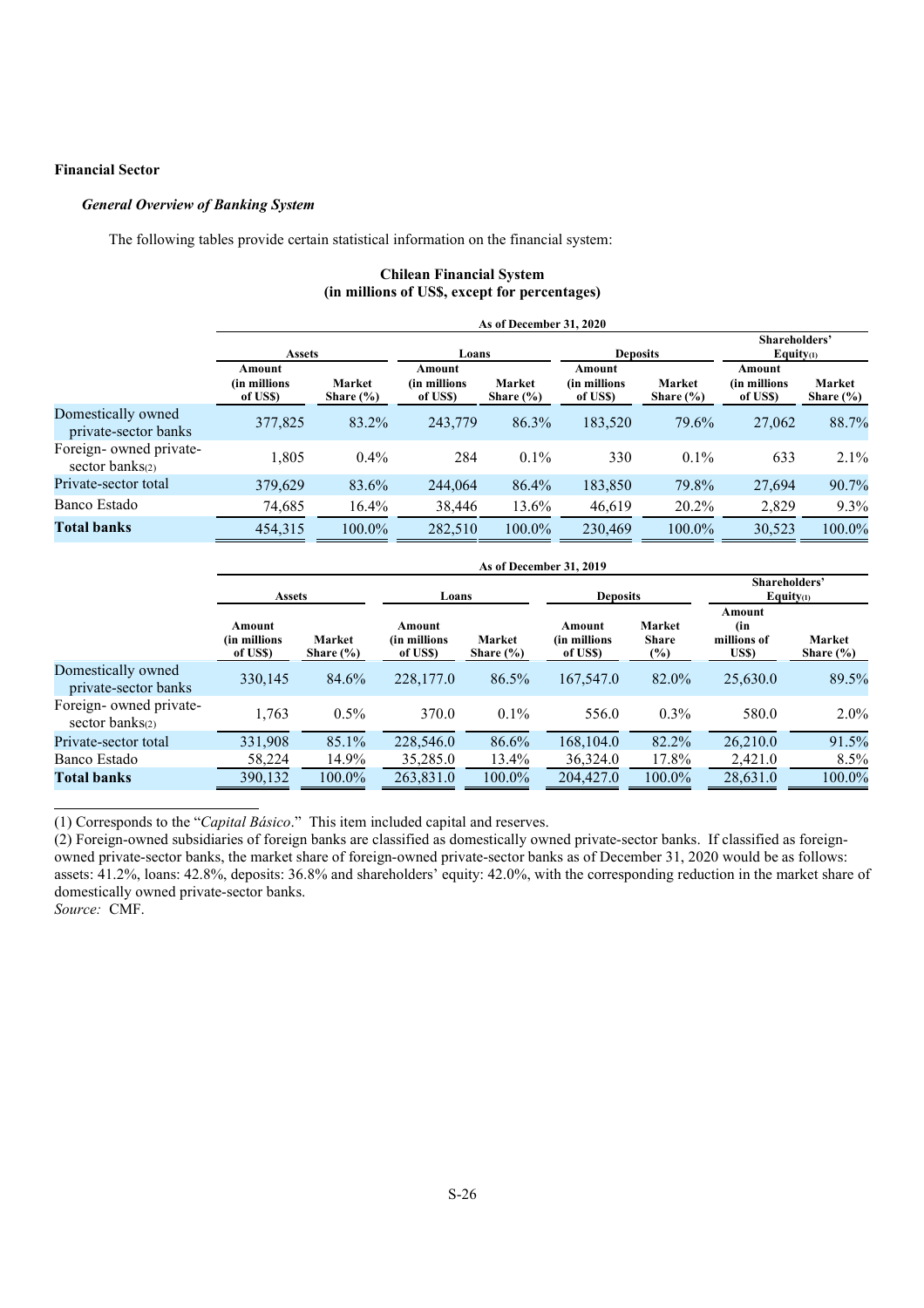## **Financial Sector**

## *General Overview of Banking System*

The following tables provide certain statistical information on the financial system:

## **Chilean Financial System (in millions of US\$, except for percentages)**

|                                               | As of December 31, 2020            |                         |                                    |                         |                                    |                         |                                     |                         |
|-----------------------------------------------|------------------------------------|-------------------------|------------------------------------|-------------------------|------------------------------------|-------------------------|-------------------------------------|-------------------------|
|                                               | <b>Assets</b>                      |                         | Loans                              |                         | <b>Deposits</b>                    |                         | Shareholders'<br>Equity $(1)$       |                         |
|                                               | Amount<br>(in millions<br>of US\$) | Market<br>Share $(\% )$ | Amount<br>(in millions<br>of US\$) | Market<br>Share $(\% )$ | Amount<br>(in millions<br>of US\$) | Market<br>Share $(\% )$ | Amount<br>(in millions)<br>of US\$) | Market<br>Share $(\% )$ |
| Domestically owned<br>private-sector banks    | 377,825                            | 83.2%                   | 243,779                            | 86.3%                   | 183,520                            | 79.6%                   | 27,062                              | 88.7%                   |
| Foreign- owned private-<br>sector banks $(2)$ | 1,805                              | $0.4\%$                 | 284                                | $0.1\%$                 | 330                                | $0.1\%$                 | 633                                 | $2.1\%$                 |
| Private-sector total                          | 379,629                            | 83.6%                   | 244,064                            | 86.4%                   | 183,850                            | 79.8%                   | 27,694                              | 90.7%                   |
| Banco Estado                                  | 74,685                             | 16.4%                   | 38,446                             | 13.6%                   | 46,619                             | 20.2%                   | 2,829                               | 9.3%                    |
| <b>Total banks</b>                            | 454,315                            | 100.0%                  | 282,510                            | 100.0%                  | 230,469                            | 100.0%                  | 30,523                              | 100.0%                  |

|                                               | As of December 31, 2019             |                         |                                     |                         |                                     |                                        |                                       |                         |  |
|-----------------------------------------------|-------------------------------------|-------------------------|-------------------------------------|-------------------------|-------------------------------------|----------------------------------------|---------------------------------------|-------------------------|--|
|                                               | <b>Assets</b>                       |                         | <b>Deposits</b><br>Loans            |                         |                                     | Shareholders'<br>Equity <sub>(1)</sub> |                                       |                         |  |
|                                               | Amount<br>(in millions)<br>of US\$) | Market<br>Share $(\% )$ | Amount<br>(in millions)<br>of US\$) | Market<br>Share $(\% )$ | Amount<br>(in millions)<br>of US\$) | Market<br><b>Share</b><br>(%)          | Amount<br>(in<br>millions of<br>US\$) | Market<br>Share $(\% )$ |  |
| Domestically owned<br>private-sector banks    | 330,145                             | 84.6%                   | 228,177.0                           | 86.5%                   | 167,547.0                           | 82.0%                                  | 25,630.0                              | 89.5%                   |  |
| Foreign- owned private-<br>sector banks $(2)$ | 1.763                               | $0.5\%$                 | 370.0                               | $0.1\%$                 | 556.0                               | $0.3\%$                                | 580.0                                 | 2.0%                    |  |
| Private-sector total                          | 331,908                             | 85.1%                   | 228,546.0                           | 86.6%                   | 168,104.0                           | 82.2%                                  | 26,210.0                              | 91.5%                   |  |
| Banco Estado                                  | 58,224                              | 14.9%                   | 35,285.0                            | 13.4%                   | 36,324.0                            | 17.8%                                  | 2,421.0                               | $8.5\%$                 |  |
| <b>Total banks</b>                            | 390,132                             | 100.0%                  | 263,831.0                           | 100.0%                  | 204,427.0                           | 100.0%                                 | 28,631.0                              | 100.0%                  |  |

(1) Corresponds to the "*Capital Básico*." This item included capital and reserves.

(2) Foreign-owned subsidiaries of foreign banks are classified as domestically owned private-sector banks. If classified as foreignowned private-sector banks, the market share of foreign-owned private-sector banks as of December 31, 2020 would be as follows: assets: 41.2%, loans: 42.8%, deposits: 36.8% and shareholders' equity: 42.0%, with the corresponding reduction in the market share of domestically owned private-sector banks.

*Source:* CMF.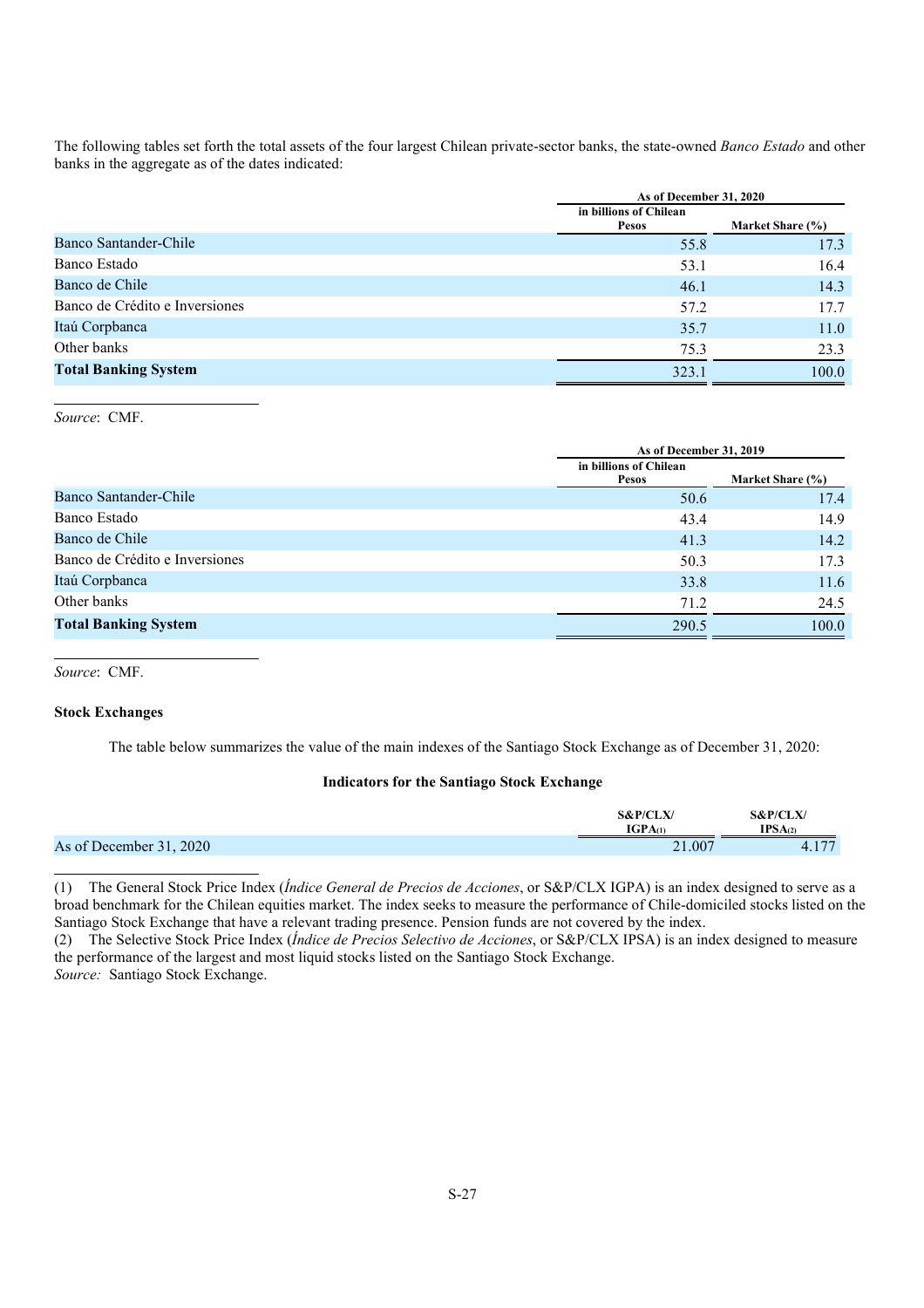The following tables set forth the total assets of the four largest Chilean private-sector banks, the state-owned *Banco Estado* and other banks in the aggregate as of the dates indicated:

|                                |                                 | As of December 31, 2020 |  |  |
|--------------------------------|---------------------------------|-------------------------|--|--|
|                                | in billions of Chilean<br>Pesos | Market Share (%)        |  |  |
| Banco Santander-Chile          | 55.8                            | 17.3                    |  |  |
| Banco Estado                   | 53.1                            | 16.4                    |  |  |
| Banco de Chile                 | 46.1                            | 14.3                    |  |  |
| Banco de Crédito e Inversiones | 57.2                            | 17.7                    |  |  |
| Itaú Corpbanca                 | 35.7                            | 11.0                    |  |  |
| Other banks                    | 75.3                            | 23.3                    |  |  |
| <b>Total Banking System</b>    | 323.1                           | 100.0                   |  |  |

*Source*: CMF.

|                                | As of December 31, 2019                |                  |  |
|--------------------------------|----------------------------------------|------------------|--|
|                                | in billions of Chilean<br><b>Pesos</b> | Market Share (%) |  |
| Banco Santander-Chile          | 50.6                                   | 17.4             |  |
| Banco Estado                   | 43.4                                   | 14.9             |  |
| Banco de Chile                 | 41.3                                   | 14.2             |  |
| Banco de Crédito e Inversiones | 50.3                                   | 17.3             |  |
| Itaú Corpbanca                 | 33.8                                   | 11.6             |  |
| Other banks                    | 71.2                                   | 24.5             |  |
| <b>Total Banking System</b>    | 290.5                                  | 100.0            |  |

*Source*: CMF.

## **Stock Exchanges**

The table below summarizes the value of the main indexes of the Santiago Stock Exchange as of December 31, 2020:

## **Indicators for the Santiago Stock Exchange**

|                         | <b>S&amp;P/CLX/</b><br><b>IGPA</b> (1) | <b>S&amp;P/CLX</b><br>IPSA(2) |
|-------------------------|----------------------------------------|-------------------------------|
| As of December 31, 2020 | 21.007                                 | 177<br>$-4.11$                |

(1) The General Stock Price Index (*Índice General de Precios de Acciones*, or S&P/CLX IGPA) is an index designed to serve as a broad benchmark for the Chilean equities market. The index seeks to measure the performance of Chile-domiciled stocks listed on the Santiago Stock Exchange that have a relevant trading presence. Pension funds are not covered by the index.

(2) The Selective Stock Price Index (*Índice de Precios Selectivo de Acciones*, or S&P/CLX IPSA) is an index designed to measure the performance of the largest and most liquid stocks listed on the Santiago Stock Exchange. *Source:* Santiago Stock Exchange.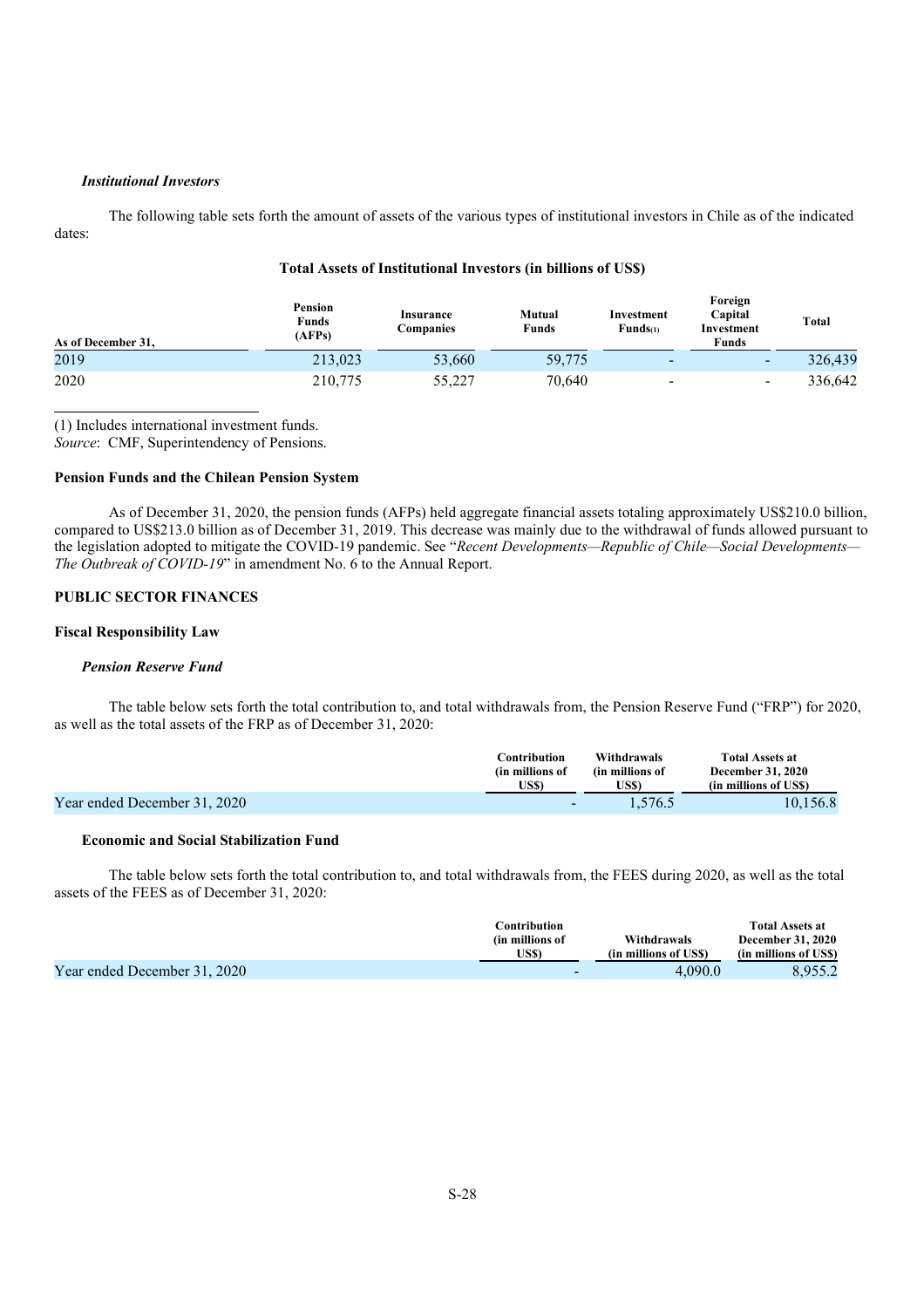### *Institutional Investors*

The following table sets forth the amount of assets of the various types of institutional investors in Chile as of the indicated dates:

| As of December 31. | Pension<br>Funds<br>(AFPs) | <b>Insurance</b><br>Companies | Mutual<br>Funds | Investment<br>Funds <sub>(1)</sub> | Foreign<br>Capital<br>Investment<br>Funds | <b>Total</b> |
|--------------------|----------------------------|-------------------------------|-----------------|------------------------------------|-------------------------------------------|--------------|
| 2019               | 213,023                    | 53,660                        | 59,775          | $\,$ $\,$                          | $\overline{\phantom{a}}$                  | 326,439      |
| 2020               | 210,775                    | 55,227                        | 70,640          | -                                  | $\overline{\phantom{0}}$                  | 336,642      |

## **Total Assets of Institutional Investors (in billions of US\$)**

(1) Includes international investment funds.

*Source*: CMF, Superintendency of Pensions.

#### **Pension Funds and the Chilean Pension System**

As of December 31, 2020, the pension funds (AFPs) held aggregate financial assets totaling approximately US\$210.0 billion, compared to US\$213.0 billion as of December 31, 2019. This decrease was mainly due to the withdrawal of funds allowed pursuant to the legislation adopted to mitigate the COVID-19 pandemic. See "*Recent Developments—Republic of Chile—Social Developments— The Outbreak of COVID-19*" in amendment No. 6 to the Annual Report.

#### **PUBLIC SECTOR FINANCES**

#### **Fiscal Responsibility Law**

#### *Pension Reserve Fund*

The table below sets forth the total contribution to, and total withdrawals from, the Pension Reserve Fund ("FRP") for 2020, as well as the total assets of the FRP as of December 31, 2020:

|                              | Contribution<br>(in millions of | Withdrawals<br>(in millions of | <b>Total Assets at</b><br><b>December 31, 2020</b> |
|------------------------------|---------------------------------|--------------------------------|----------------------------------------------------|
|                              | US\$)                           | US\$)                          | (in millions of USS)                               |
| Year ended December 31, 2020 | $\,$ $\,$                       | 1.576.5                        | 10.156.8                                           |

#### **Economic and Social Stabilization Fund**

The table below sets forth the total contribution to, and total withdrawals from, the FEES during 2020, as well as the total assets of the FEES as of December 31, 2020:

|                              | Contribution    |                      | <b>Total Assets at</b>   |
|------------------------------|-----------------|----------------------|--------------------------|
|                              | (in millions of | Withdrawals          | <b>December 31, 2020</b> |
|                              | US\$)           | (in millions of USS) | (in millions of USS)     |
| Year ended December 31, 2020 |                 | 4.090.0              | 8,955.2                  |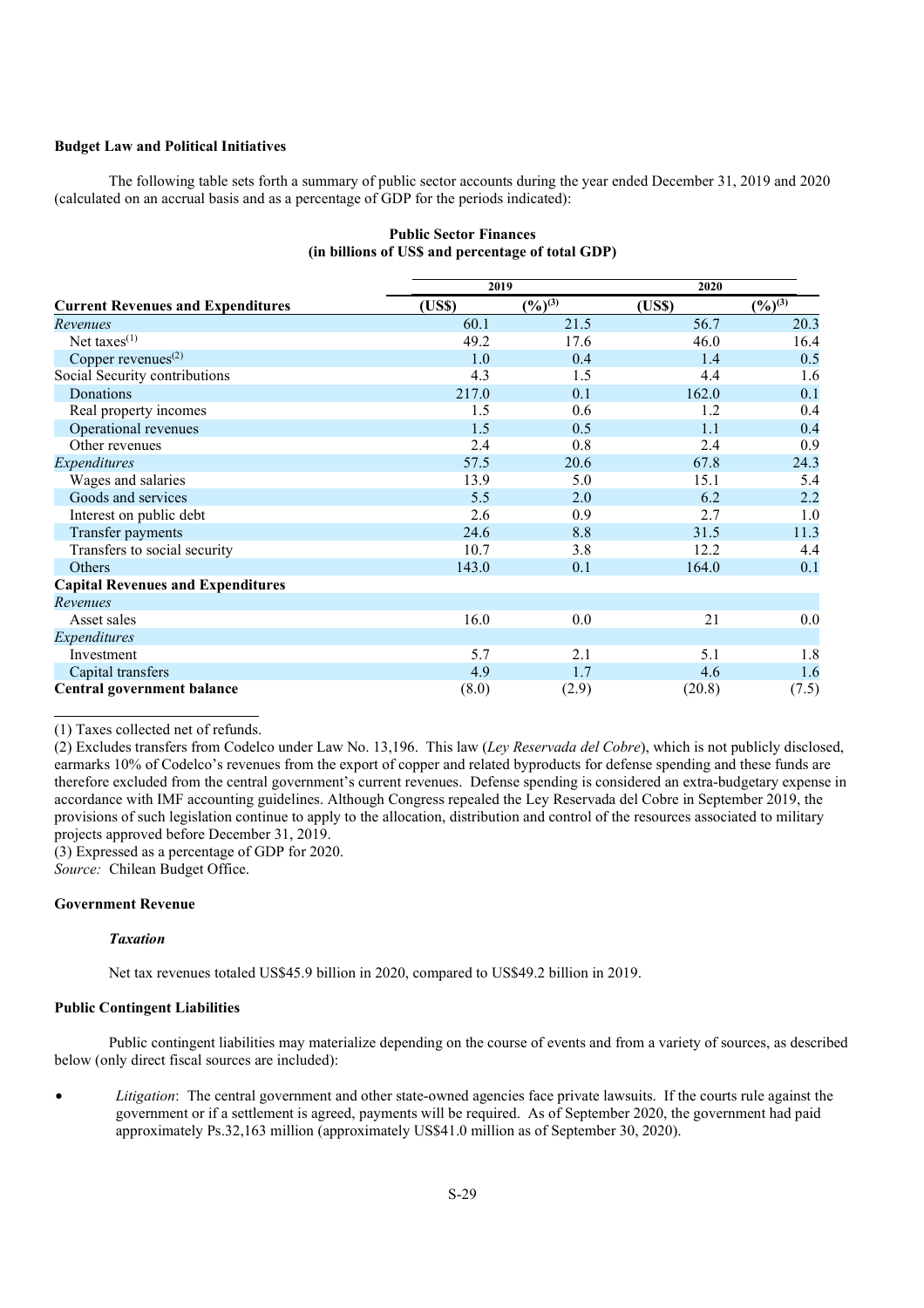## **Budget Law and Political Initiatives**

The following table sets forth a summary of public sector accounts during the year ended December 31, 2019 and 2020 (calculated on an accrual basis and as a percentage of GDP for the periods indicated):

|                                          |       | 2019                  | 2020   |                       |  |
|------------------------------------------|-------|-----------------------|--------|-----------------------|--|
| <b>Current Revenues and Expenditures</b> | (USS) | $(\frac{9}{6})^{(3)}$ | (USS)  | $(\frac{9}{6})^{(3)}$ |  |
| Revenues                                 | 60.1  | 21.5                  | 56.7   | 20.3                  |  |
| Net taxes <sup>(1)</sup>                 | 49.2  | 17.6                  | 46.0   | 16.4                  |  |
| Copper revenues $(2)$                    | 1.0   | 0.4                   | 1.4    | 0.5                   |  |
| Social Security contributions            | 4.3   | 1.5                   | 4.4    | 1.6                   |  |
| Donations                                | 217.0 | 0.1                   | 162.0  | 0.1                   |  |
| Real property incomes                    | 1.5   | 0.6                   | 1.2    | 0.4                   |  |
| Operational revenues                     | 1.5   | 0.5                   | 1.1    | 0.4                   |  |
| Other revenues                           | 2.4   | 0.8                   | 2.4    | 0.9                   |  |
| Expenditures                             | 57.5  | 20.6                  | 67.8   | 24.3                  |  |
| Wages and salaries                       | 13.9  | 5.0                   | 15.1   | 5.4                   |  |
| Goods and services                       | 5.5   | 2.0                   | 6.2    | 2.2                   |  |
| Interest on public debt                  | 2.6   | 0.9                   | 2.7    | 1.0                   |  |
| Transfer payments                        | 24.6  | 8.8                   | 31.5   | 11.3                  |  |
| Transfers to social security             | 10.7  | 3.8                   | 12.2   | 4.4                   |  |
| Others                                   | 143.0 | 0.1                   | 164.0  | 0.1                   |  |
| <b>Capital Revenues and Expenditures</b> |       |                       |        |                       |  |
| Revenues                                 |       |                       |        |                       |  |
| Asset sales                              | 16.0  | 0.0                   | 21     | 0.0                   |  |
| Expenditures                             |       |                       |        |                       |  |
| Investment                               | 5.7   | 2.1                   | 5.1    | 1.8                   |  |
| Capital transfers                        | 4.9   | 1.7                   | 4.6    | 1.6                   |  |
| Central government balance               | (8.0) | (2.9)                 | (20.8) | (7.5)                 |  |

### **Public Sector Finances (in billions of US\$ and percentage of total GDP)**

(1) Taxes collected net of refunds.

(2) Excludes transfers from Codelco under Law No. 13,196. This law (*Ley Reservada del Cobre*), which is not publicly disclosed, earmarks 10% of Codelco's revenues from the export of copper and related byproducts for defense spending and these funds are therefore excluded from the central government's current revenues. Defense spending is considered an extra-budgetary expense in accordance with IMF accounting guidelines. Although Congress repealed the Ley Reservada del Cobre in September 2019, the provisions of such legislation continue to apply to the allocation, distribution and control of the resources associated to military projects approved before December 31, 2019.

(3) Expressed as a percentage of GDP for 2020.

*Source:* Chilean Budget Office.

#### **Government Revenue**

#### *Taxation*

Net tax revenues totaled US\$45.9 billion in 2020, compared to US\$49.2 billion in 2019.

#### **Public Contingent Liabilities**

Public contingent liabilities may materialize depending on the course of events and from a variety of sources, as described below (only direct fiscal sources are included):

• *Litigation*: The central government and other state-owned agencies face private lawsuits. If the courts rule against the government or if a settlement is agreed, payments will be required. As of September 2020, the government had paid approximately Ps.32,163 million (approximately US\$41.0 million as of September 30, 2020).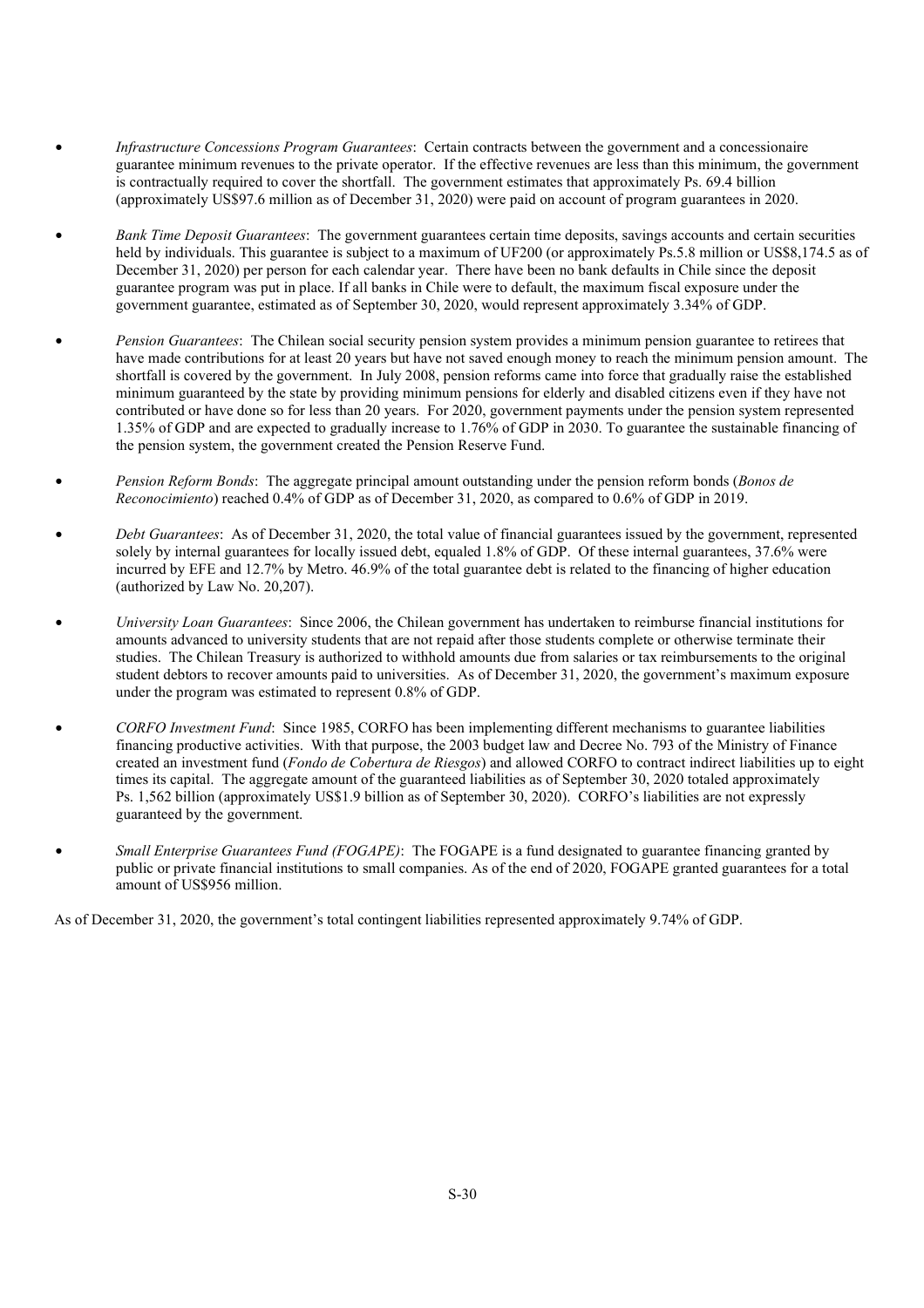- *Infrastructure Concessions Program Guarantees*: Certain contracts between the government and a concessionaire guarantee minimum revenues to the private operator. If the effective revenues are less than this minimum, the government is contractually required to cover the shortfall. The government estimates that approximately Ps. 69.4 billion (approximately US\$97.6 million as of December 31, 2020) were paid on account of program guarantees in 2020.
- *Bank Time Deposit Guarantees*: The government guarantees certain time deposits, savings accounts and certain securities held by individuals. This guarantee is subject to a maximum of UF200 (or approximately Ps.5.8 million or US\$8,174.5 as of December 31, 2020) per person for each calendar year. There have been no bank defaults in Chile since the deposit guarantee program was put in place. If all banks in Chile were to default, the maximum fiscal exposure under the government guarantee, estimated as of September 30, 2020, would represent approximately 3.34% of GDP.
- *Pension Guarantees*: The Chilean social security pension system provides a minimum pension guarantee to retirees that have made contributions for at least 20 years but have not saved enough money to reach the minimum pension amount. The shortfall is covered by the government. In July 2008, pension reforms came into force that gradually raise the established minimum guaranteed by the state by providing minimum pensions for elderly and disabled citizens even if they have not contributed or have done so for less than 20 years. For 2020, government payments under the pension system represented 1.35% of GDP and are expected to gradually increase to 1.76% of GDP in 2030. To guarantee the sustainable financing of the pension system, the government created the Pension Reserve Fund.
- *Pension Reform Bonds*: The aggregate principal amount outstanding under the pension reform bonds (*Bonos de Reconocimiento*) reached 0.4% of GDP as of December 31, 2020, as compared to 0.6% of GDP in 2019.
- *Debt Guarantees*: As of December 31, 2020, the total value of financial guarantees issued by the government, represented solely by internal guarantees for locally issued debt, equaled 1.8% of GDP. Of these internal guarantees, 37.6% were incurred by EFE and 12.7% by Metro. 46.9% of the total guarantee debt is related to the financing of higher education (authorized by Law No. 20,207).
- *University Loan Guarantees*: Since 2006, the Chilean government has undertaken to reimburse financial institutions for amounts advanced to university students that are not repaid after those students complete or otherwise terminate their studies. The Chilean Treasury is authorized to withhold amounts due from salaries or tax reimbursements to the original student debtors to recover amounts paid to universities. As of December 31, 2020, the government's maximum exposure under the program was estimated to represent 0.8% of GDP.
- *CORFO Investment Fund*: Since 1985, CORFO has been implementing different mechanisms to guarantee liabilities financing productive activities. With that purpose, the 2003 budget law and Decree No. 793 of the Ministry of Finance created an investment fund (*Fondo de Cobertura de Riesgos*) and allowed CORFO to contract indirect liabilities up to eight times its capital. The aggregate amount of the guaranteed liabilities as of September 30, 2020 totaled approximately Ps. 1,562 billion (approximately US\$1.9 billion as of September 30, 2020). CORFO's liabilities are not expressly guaranteed by the government.
- *Small Enterprise Guarantees Fund (FOGAPE)*: The FOGAPE is a fund designated to guarantee financing granted by public or private financial institutions to small companies. As of the end of 2020, FOGAPE granted guarantees for a total amount of US\$956 million.

As of December 31, 2020, the government's total contingent liabilities represented approximately 9.74% of GDP.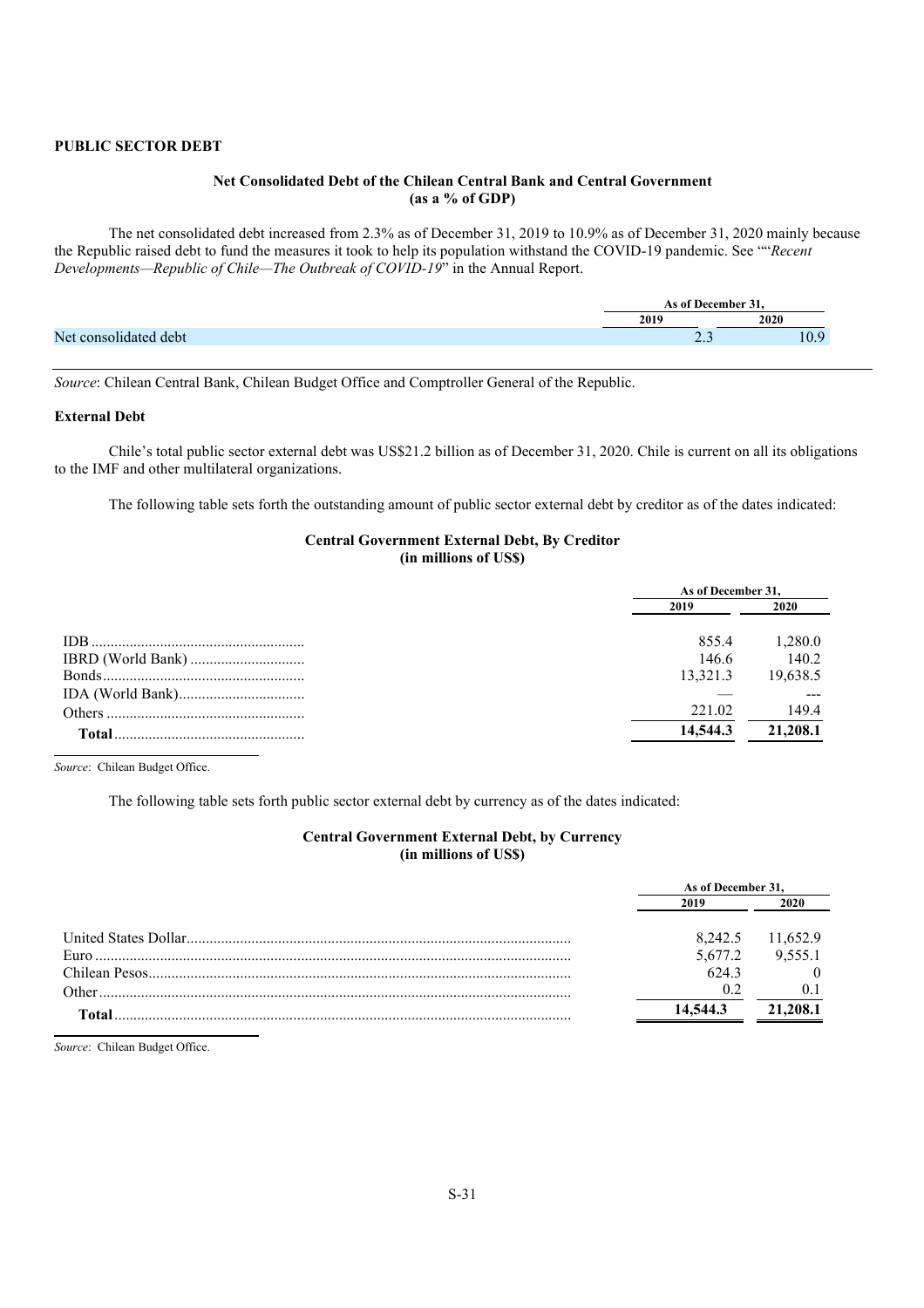## **PUBLIC SECTOR DEBT**

## **Net Consolidated Debt of the Chilean Central Bank and Central Government (as a % of GDP)**

The net consolidated debt increased from 2.3% as of December 31, 2019 to 10.9% as of December 31, 2020 mainly because the Republic raised debt to fund the measures it took to help its population withstand the COVID-19 pandemic. See ""*Recent Developments—Republic of Chile—The Outbreak of COVID-19*" in the Annual Report.

|     |       | $\sim$<br>December 1 |  |
|-----|-------|----------------------|--|
|     | 2019  | 2020                 |  |
| Nei | ر . ب |                      |  |
|     |       |                      |  |

*Source*: Chilean Central Bank, Chilean Budget Office and Comptroller General of the Republic.

### **External Debt**

Chile's total public sector external debt was US\$21.2 billion as of December 31, 2020. Chile is current on all its obligations to the IMF and other multilateral organizations.

The following table sets forth the outstanding amount of public sector external debt by creditor as of the dates indicated:

#### **Central Government External Debt, By Creditor (in millions of US\$)**

|        | As of December 31, |          |  |
|--------|--------------------|----------|--|
|        | 2019               | 2020     |  |
| IDB.   | 855.4              | 1,280.0  |  |
|        | 146.6              | 140.2    |  |
|        | 13,321.3           | 19,638.5 |  |
|        |                    |          |  |
|        | 221.02             | 149.4    |  |
| Total. | 14,544.3           | 21,208.1 |  |

*Source*: Chilean Budget Office.

The following table sets forth public sector external debt by currency as of the dates indicated:

#### **Central Government External Debt, by Currency (in millions of US\$)**

|       | As of December 31, |          |
|-------|--------------------|----------|
|       | 2019               | 2020     |
|       | 8.242.5            | 11,652.9 |
|       | 5,677.2            | 9.555.1  |
|       | 6243               |          |
| Other | 02                 |          |
| Total | 14,544.3           | 21,208.1 |

*Source*: Chilean Budget Office.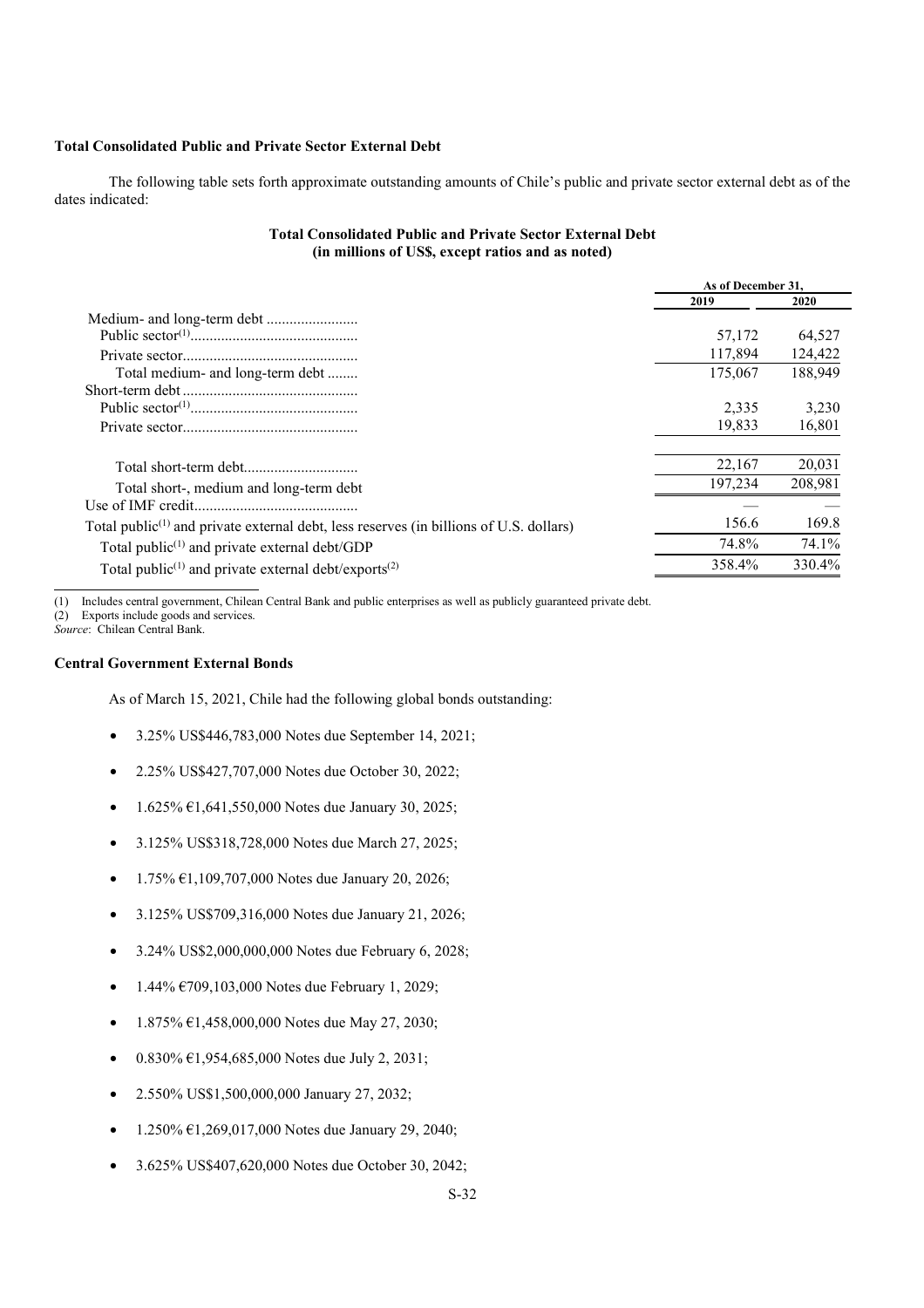## **Total Consolidated Public and Private Sector External Debt**

The following table sets forth approximate outstanding amounts of Chile's public and private sector external debt as of the dates indicated:

## **Total Consolidated Public and Private Sector External Debt (in millions of US\$, except ratios and as noted)**

|                                                                                                                 | As of December 31. |         |
|-----------------------------------------------------------------------------------------------------------------|--------------------|---------|
|                                                                                                                 | 2019               | 2020    |
|                                                                                                                 |                    |         |
|                                                                                                                 | 57,172             | 64.527  |
|                                                                                                                 | 117,894            | 124,422 |
| Total medium- and long-term debt                                                                                | 175,067            | 188,949 |
|                                                                                                                 |                    |         |
|                                                                                                                 | 2.335              | 3,230   |
|                                                                                                                 | 19.833             | 16,801  |
|                                                                                                                 | 22,167             | 20,031  |
| Total short-, medium and long-term debt                                                                         | 197,234            | 208,981 |
|                                                                                                                 |                    |         |
| Total public <sup><math>(1)</math></sup> and private external debt, less reserves (in billions of U.S. dollars) | 156.6              | 169.8   |
| Total public <sup><math>(1)</math></sup> and private external debt/GDP                                          | 74.8%              | 74.1%   |
| Total public <sup>(1)</sup> and private external debt/exports <sup>(2)</sup>                                    | 358.4%             | 330.4%  |

(1) Includes central government, Chilean Central Bank and public enterprises as well as publicly guaranteed private debt.

(2) Exports include goods and services.

*Source*: Chilean Central Bank.

### **Central Government External Bonds**

As of March 15, 2021, Chile had the following global bonds outstanding:

- 3.25% US\$446,783,000 Notes due September 14, 2021;
- 2.25% US\$427,707,000 Notes due October 30, 2022;
- 1.625% €1,641,550,000 Notes due January 30, 2025;
- 3.125% US\$318,728,000 Notes due March 27, 2025;
- $1.75\% \text{ } \in 1,109,707,000 \text{ Notes due January } 20,2026;$
- 3.125% US\$709,316,000 Notes due January 21, 2026;
- 3.24% US\$2,000,000,000 Notes due February 6, 2028;
- $1.44\% \, \text{E}709,103,000 \text{ Notes due February } 1,2029;$
- $1.875\% \text{ } \in 1,458,000,000 \text{ Notes due May } 27,2030;$
- 0.830% €1,954,685,000 Notes due July 2, 2031;
- 2.550% US\$1,500,000,000 January 27, 2032;
- 1.250% €1,269,017,000 Notes due January 29, 2040;
- 3.625% US\$407,620,000 Notes due October 30, 2042;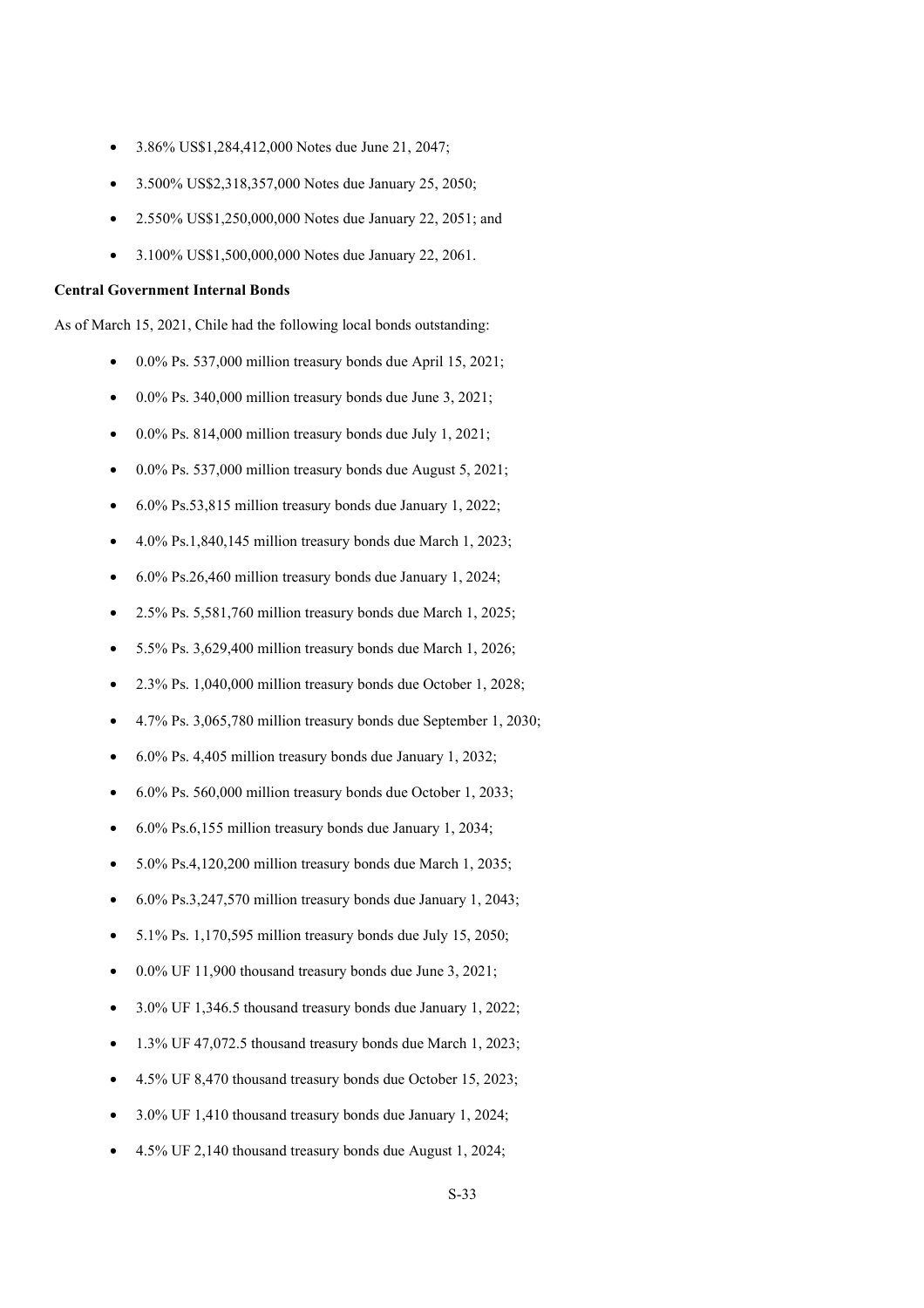- 3.86% US\$1,284,412,000 Notes due June 21, 2047;
- 3.500% US\$2,318,357,000 Notes due January 25, 2050;
- 2.550% US\$1,250,000,000 Notes due January 22, 2051; and
- 3.100% US\$1,500,000,000 Notes due January 22, 2061.

#### **Central Government Internal Bonds**

As of March 15, 2021, Chile had the following local bonds outstanding:

- 0.0% Ps. 537,000 million treasury bonds due April 15, 2021;
- 0.0% Ps. 340,000 million treasury bonds due June 3, 2021;
- 0.0% Ps. 814,000 million treasury bonds due July 1, 2021;
- 0.0% Ps. 537,000 million treasury bonds due August 5, 2021;
- 6.0% Ps.53,815 million treasury bonds due January 1, 2022;
- 4.0% Ps.1,840,145 million treasury bonds due March 1, 2023;
- 6.0% Ps.26,460 million treasury bonds due January 1, 2024;
- 2.5% Ps. 5,581,760 million treasury bonds due March 1, 2025;
- 5.5% Ps. 3,629,400 million treasury bonds due March 1, 2026;
- 2.3% Ps. 1,040,000 million treasury bonds due October 1, 2028;
- 4.7% Ps. 3,065,780 million treasury bonds due September 1, 2030;
- 6.0% Ps. 4,405 million treasury bonds due January 1, 2032;
- 6.0% Ps. 560,000 million treasury bonds due October 1, 2033;
- 6.0% Ps.6,155 million treasury bonds due January 1, 2034;
- 5.0% Ps.4,120,200 million treasury bonds due March 1, 2035;
- 6.0% Ps.3,247,570 million treasury bonds due January 1, 2043;
- 5.1% Ps. 1,170,595 million treasury bonds due July 15, 2050;
- 0.0% UF 11,900 thousand treasury bonds due June 3, 2021;
- 3.0% UF 1,346.5 thousand treasury bonds due January 1, 2022;
- 1.3% UF 47,072.5 thousand treasury bonds due March 1, 2023;
- 4.5% UF 8,470 thousand treasury bonds due October 15, 2023;
- 3.0% UF 1,410 thousand treasury bonds due January 1, 2024;
- 4.5% UF 2,140 thousand treasury bonds due August 1, 2024;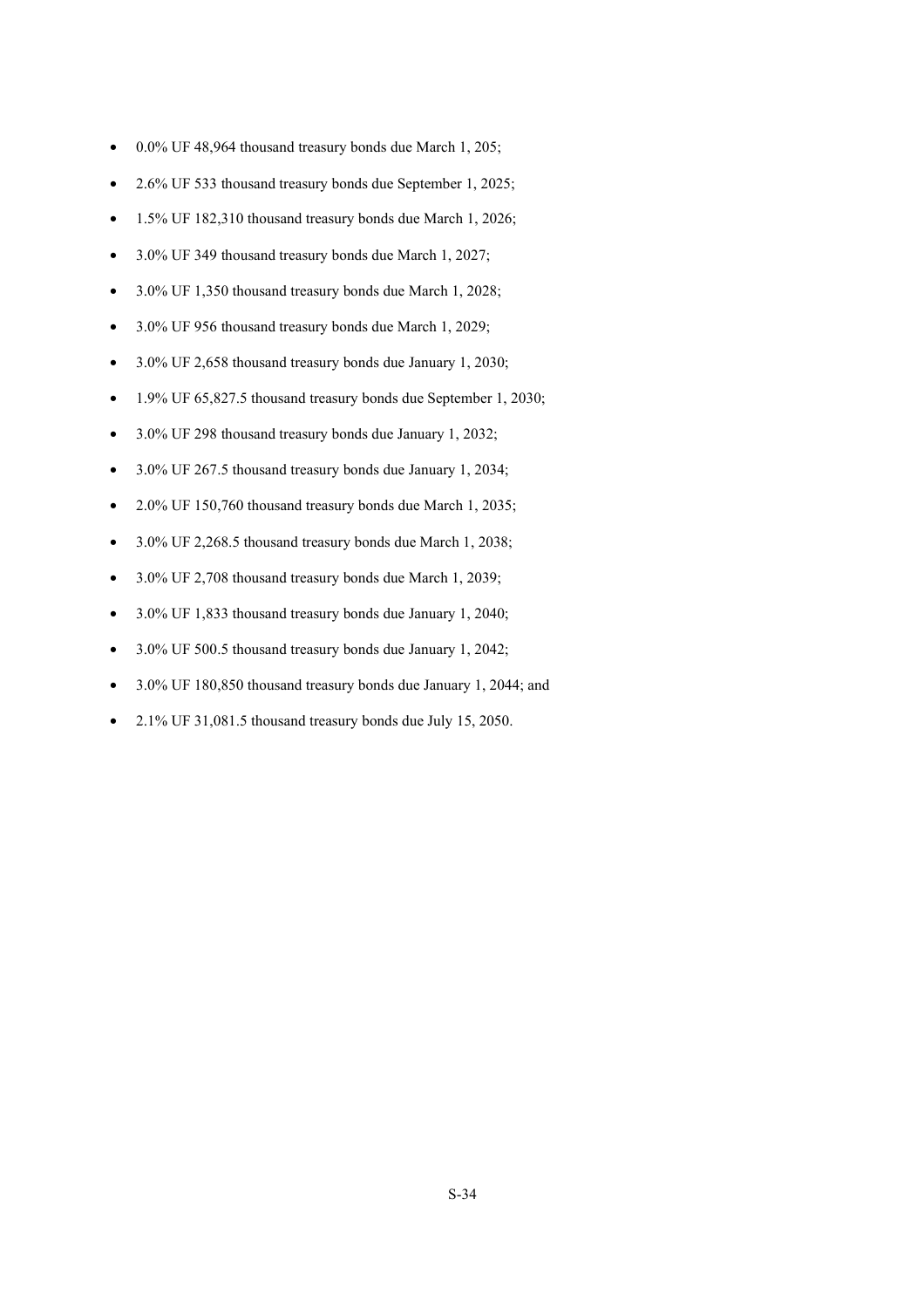- 0.0% UF 48,964 thousand treasury bonds due March 1, 205;
- 2.6% UF 533 thousand treasury bonds due September 1, 2025;
- 1.5% UF 182,310 thousand treasury bonds due March 1, 2026;
- 3.0% UF 349 thousand treasury bonds due March 1, 2027;
- 3.0% UF 1,350 thousand treasury bonds due March 1, 2028;
- 3.0% UF 956 thousand treasury bonds due March 1, 2029;
- 3.0% UF 2,658 thousand treasury bonds due January 1, 2030;
- 1.9% UF 65,827.5 thousand treasury bonds due September 1, 2030;
- 3.0% UF 298 thousand treasury bonds due January 1, 2032;
- 3.0% UF 267.5 thousand treasury bonds due January 1, 2034;
- 2.0% UF 150,760 thousand treasury bonds due March 1, 2035;
- 3.0% UF 2,268.5 thousand treasury bonds due March 1, 2038;
- 3.0% UF 2,708 thousand treasury bonds due March 1, 2039;
- 3.0% UF 1,833 thousand treasury bonds due January 1, 2040;
- 3.0% UF 500.5 thousand treasury bonds due January 1, 2042;
- 3.0% UF 180,850 thousand treasury bonds due January 1, 2044; and
- 2.1% UF 31,081.5 thousand treasury bonds due July 15, 2050.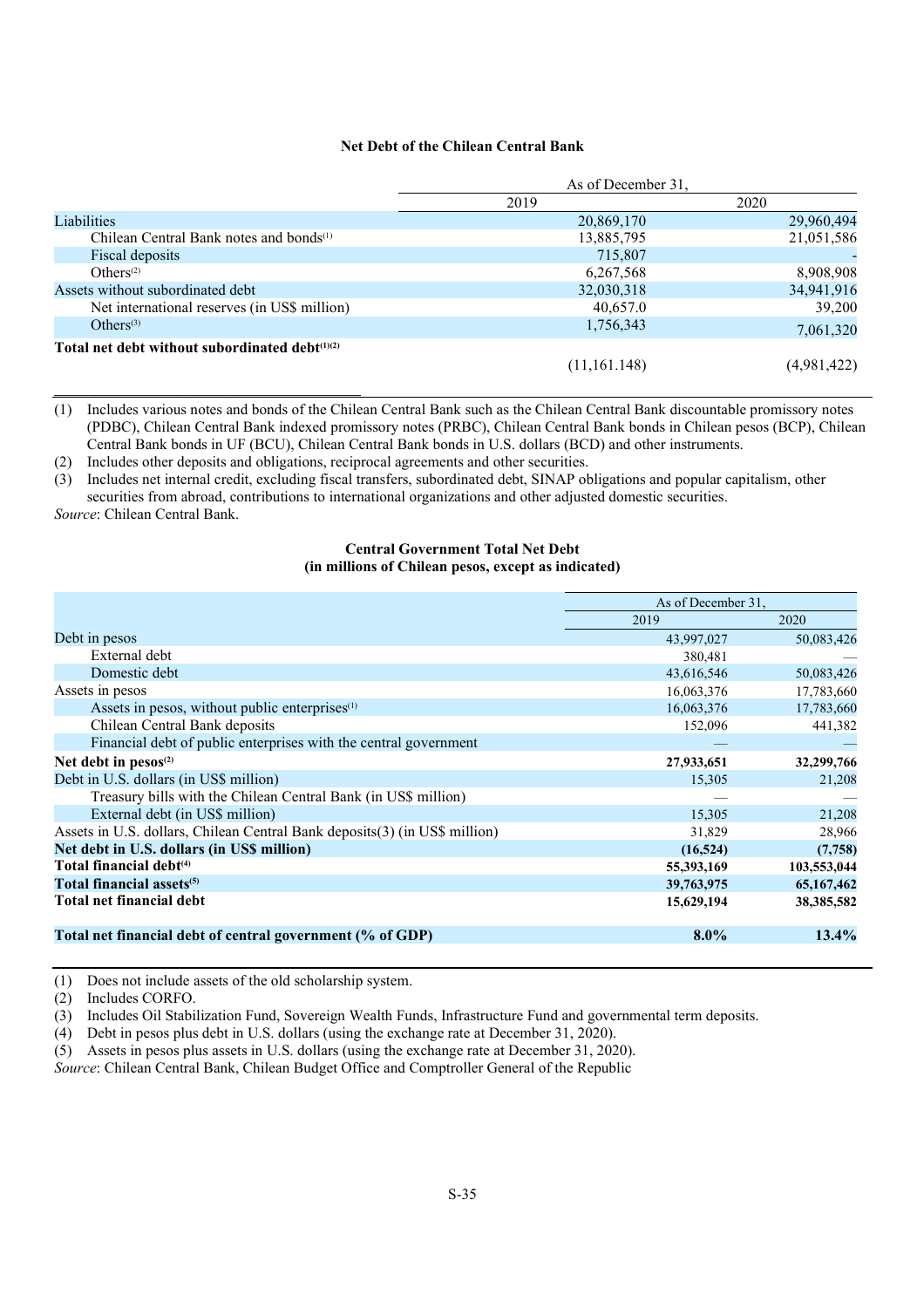# **Net Debt of the Chilean Central Bank**

|                                                     | As of December 31, |             |  |
|-----------------------------------------------------|--------------------|-------------|--|
|                                                     | 2019               | 2020        |  |
| <b>Liabilities</b>                                  | 20,869,170         | 29,960,494  |  |
| Chilean Central Bank notes and bonds <sup>(1)</sup> | 13,885,795         | 21,051,586  |  |
| Fiscal deposits                                     | 715,807            |             |  |
| Others <sup>(2)</sup>                               | 6,267,568          | 8,908,908   |  |
| Assets without subordinated debt                    | 32,030,318         | 34,941,916  |  |
| Net international reserves (in US\$ million)        | 40,657.0           | 39,200      |  |
| Others <sup>(3)</sup>                               | 1,756,343          | 7,061,320   |  |
| Total net debt without subordinated debt(1)(2)      |                    |             |  |
|                                                     | (11,161.148)       | (4,981,422) |  |

(1) Includes various notes and bonds of the Chilean Central Bank such as the Chilean Central Bank discountable promissory notes (PDBC), Chilean Central Bank indexed promissory notes (PRBC), Chilean Central Bank bonds in Chilean pesos (BCP), Chilean Central Bank bonds in UF (BCU), Chilean Central Bank bonds in U.S. dollars (BCD) and other instruments.

(2) Includes other deposits and obligations, reciprocal agreements and other securities.

(3) Includes net internal credit, excluding fiscal transfers, subordinated debt, SINAP obligations and popular capitalism, other securities from abroad, contributions to international organizations and other adjusted domestic securities.

*Source*: Chilean Central Bank.

# **Central Government Total Net Debt (in millions of Chilean pesos, except as indicated)**

|                                                                            | As of December 31, |             |
|----------------------------------------------------------------------------|--------------------|-------------|
|                                                                            | 2019               | 2020        |
| Debt in pesos                                                              | 43,997,027         | 50,083,426  |
| External debt                                                              | 380,481            |             |
| Domestic debt                                                              | 43,616,546         | 50,083,426  |
| Assets in pesos                                                            | 16,063,376         | 17,783,660  |
| Assets in pesos, without public enterprises <sup>(1)</sup>                 | 16,063,376         | 17,783,660  |
| Chilean Central Bank deposits                                              | 152,096            | 441,382     |
| Financial debt of public enterprises with the central government           |                    |             |
| Net debt in $pesos(2)$                                                     | 27,933,651         | 32,299,766  |
| Debt in U.S. dollars (in US\$ million)                                     | 15,305             | 21,208      |
| Treasury bills with the Chilean Central Bank (in US\$ million)             |                    |             |
| External debt (in US\$ million)                                            | 15,305             | 21,208      |
| Assets in U.S. dollars, Chilean Central Bank deposits(3) (in US\$ million) | 31,829             | 28,966      |
| Net debt in U.S. dollars (in US\$ million)                                 | (16, 524)          | (7,758)     |
| Total financial debt <sup>(4)</sup>                                        | 55,393,169         | 103,553,044 |
| Total financial assets <sup>(5)</sup>                                      | 39,763,975         | 65,167,462  |
| Total net financial debt                                                   | 15,629,194         | 38,385,582  |
|                                                                            |                    |             |
| Total net financial debt of central government (% of GDP)                  | $8.0\%$            | 13.4%       |

(1) Does not include assets of the old scholarship system.

(2) Includes CORFO.

(3) Includes Oil Stabilization Fund, Sovereign Wealth Funds, Infrastructure Fund and governmental term deposits.

(4) Debt in pesos plus debt in U.S. dollars (using the exchange rate at December 31, 2020).

(5) Assets in pesos plus assets in U.S. dollars (using the exchange rate at December 31, 2020).

*Source*: Chilean Central Bank, Chilean Budget Office and Comptroller General of the Republic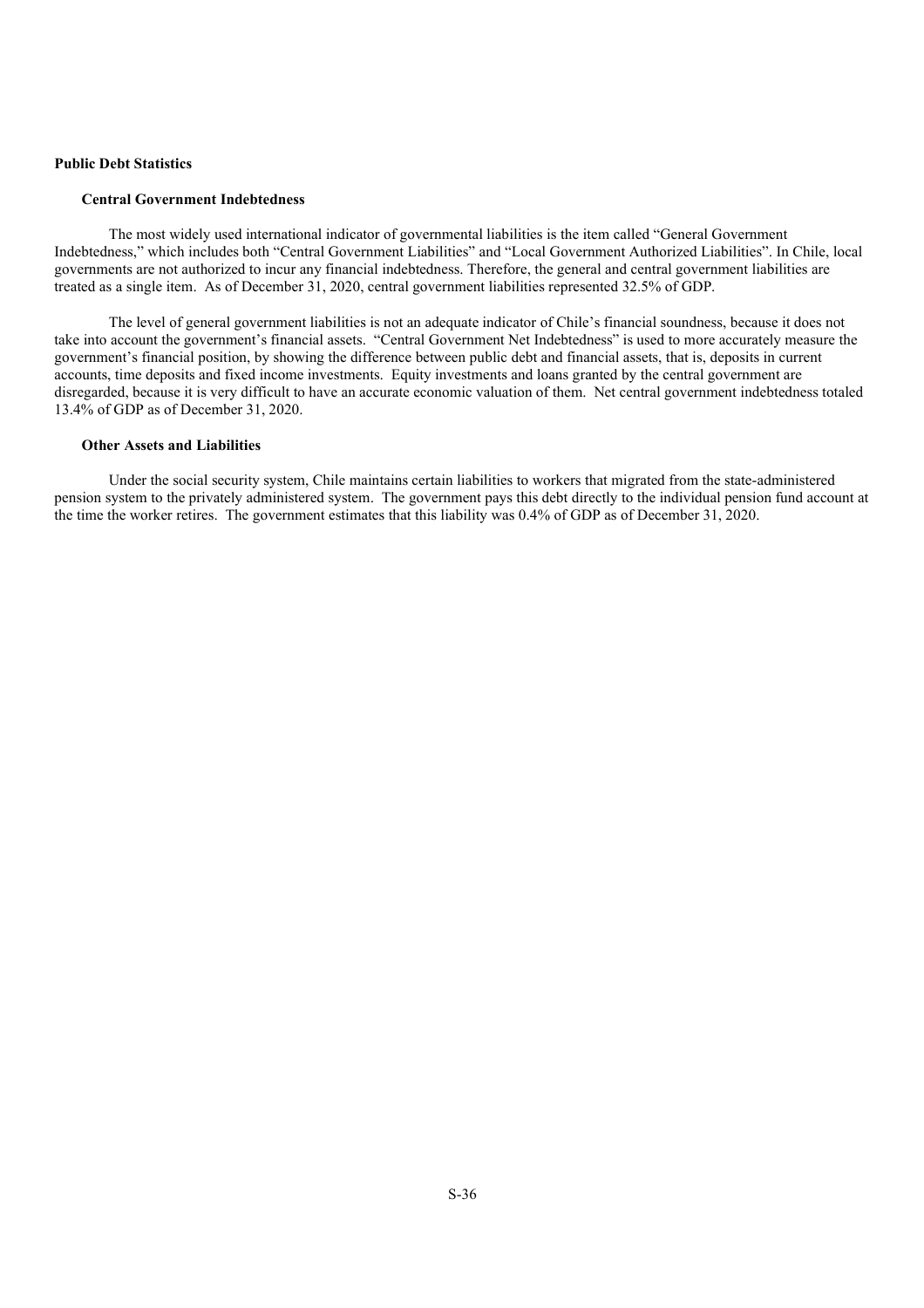# **Public Debt Statistics**

#### **Central Government Indebtedness**

The most widely used international indicator of governmental liabilities is the item called "General Government Indebtedness," which includes both "Central Government Liabilities" and "Local Government Authorized Liabilities". In Chile, local governments are not authorized to incur any financial indebtedness. Therefore, the general and central government liabilities are treated as a single item. As of December 31, 2020, central government liabilities represented 32.5% of GDP.

The level of general government liabilities is not an adequate indicator of Chile's financial soundness, because it does not take into account the government's financial assets. "Central Government Net Indebtedness" is used to more accurately measure the government's financial position, by showing the difference between public debt and financial assets, that is, deposits in current accounts, time deposits and fixed income investments. Equity investments and loans granted by the central government are disregarded, because it is very difficult to have an accurate economic valuation of them. Net central government indebtedness totaled 13.4% of GDP as of December 31, 2020.

#### **Other Assets and Liabilities**

Under the social security system, Chile maintains certain liabilities to workers that migrated from the state-administered pension system to the privately administered system. The government pays this debt directly to the individual pension fund account at the time the worker retires. The government estimates that this liability was 0.4% of GDP as of December 31, 2020.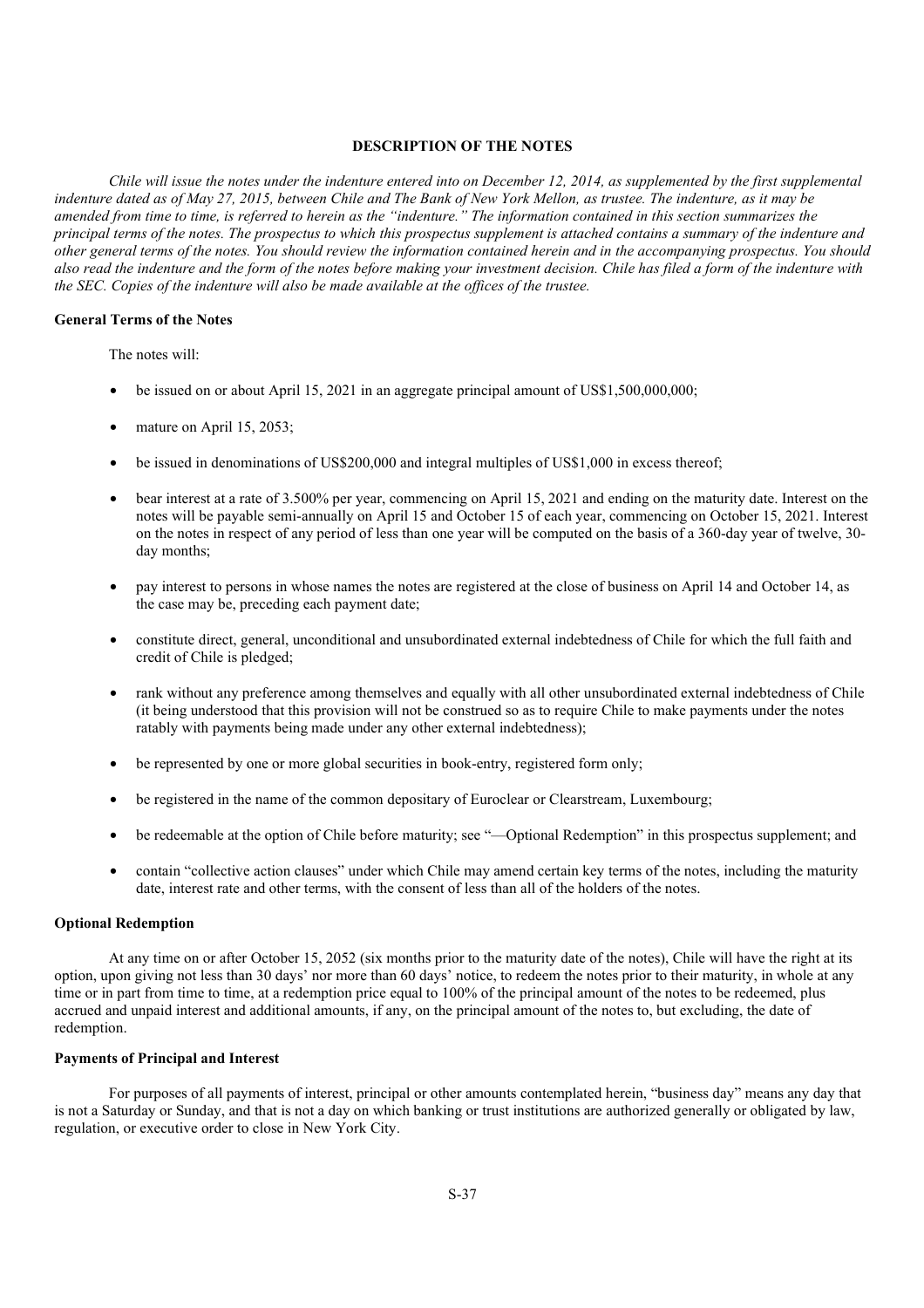# **DESCRIPTION OF THE NOTES**

*Chile will issue the notes under the indenture entered into on December 12, 2014, as supplemented by the first supplemental indenture dated as of May 27, 2015, between Chile and The Bank of New York Mellon, as trustee. The indenture, as it may be amended from time to time, is referred to herein as the "indenture." The information contained in this section summarizes the principal terms of the notes. The prospectus to which this prospectus supplement is attached contains a summary of the indenture and other general terms of the notes. You should review the information contained herein and in the accompanying prospectus. You should also read the indenture and the form of the notes before making your investment decision. Chile has filed a form of the indenture with the SEC. Copies of the indenture will also be made available at the offices of the trustee.*

# **General Terms of the Notes**

The notes will:

- be issued on or about April 15, 2021 in an aggregate principal amount of US\$1,500,000,000;
- mature on April 15, 2053;
- be issued in denominations of US\$200,000 and integral multiples of US\$1,000 in excess thereof;
- bear interest at a rate of 3.500% per year, commencing on April 15, 2021 and ending on the maturity date. Interest on the notes will be payable semi-annually on April 15 and October 15 of each year, commencing on October 15, 2021. Interest on the notes in respect of any period of less than one year will be computed on the basis of a 360-day year of twelve, 30 day months;
- pay interest to persons in whose names the notes are registered at the close of business on April 14 and October 14, as the case may be, preceding each payment date;
- constitute direct, general, unconditional and unsubordinated external indebtedness of Chile for which the full faith and credit of Chile is pledged;
- rank without any preference among themselves and equally with all other unsubordinated external indebtedness of Chile (it being understood that this provision will not be construed so as to require Chile to make payments under the notes ratably with payments being made under any other external indebtedness);
- be represented by one or more global securities in book-entry, registered form only;
- be registered in the name of the common depositary of Euroclear or Clearstream, Luxembourg;
- be redeemable at the option of Chile before maturity; see "—Optional Redemption" in this prospectus supplement; and
- contain "collective action clauses" under which Chile may amend certain key terms of the notes, including the maturity date, interest rate and other terms, with the consent of less than all of the holders of the notes.

#### **Optional Redemption**

At any time on or after October 15, 2052 (six months prior to the maturity date of the notes), Chile will have the right at its option, upon giving not less than 30 days' nor more than 60 days' notice, to redeem the notes prior to their maturity, in whole at any time or in part from time to time, at a redemption price equal to 100% of the principal amount of the notes to be redeemed, plus accrued and unpaid interest and additional amounts, if any, on the principal amount of the notes to, but excluding, the date of redemption.

#### **Payments of Principal and Interest**

For purposes of all payments of interest, principal or other amounts contemplated herein, "business day" means any day that is not a Saturday or Sunday, and that is not a day on which banking or trust institutions are authorized generally or obligated by law, regulation, or executive order to close in New York City.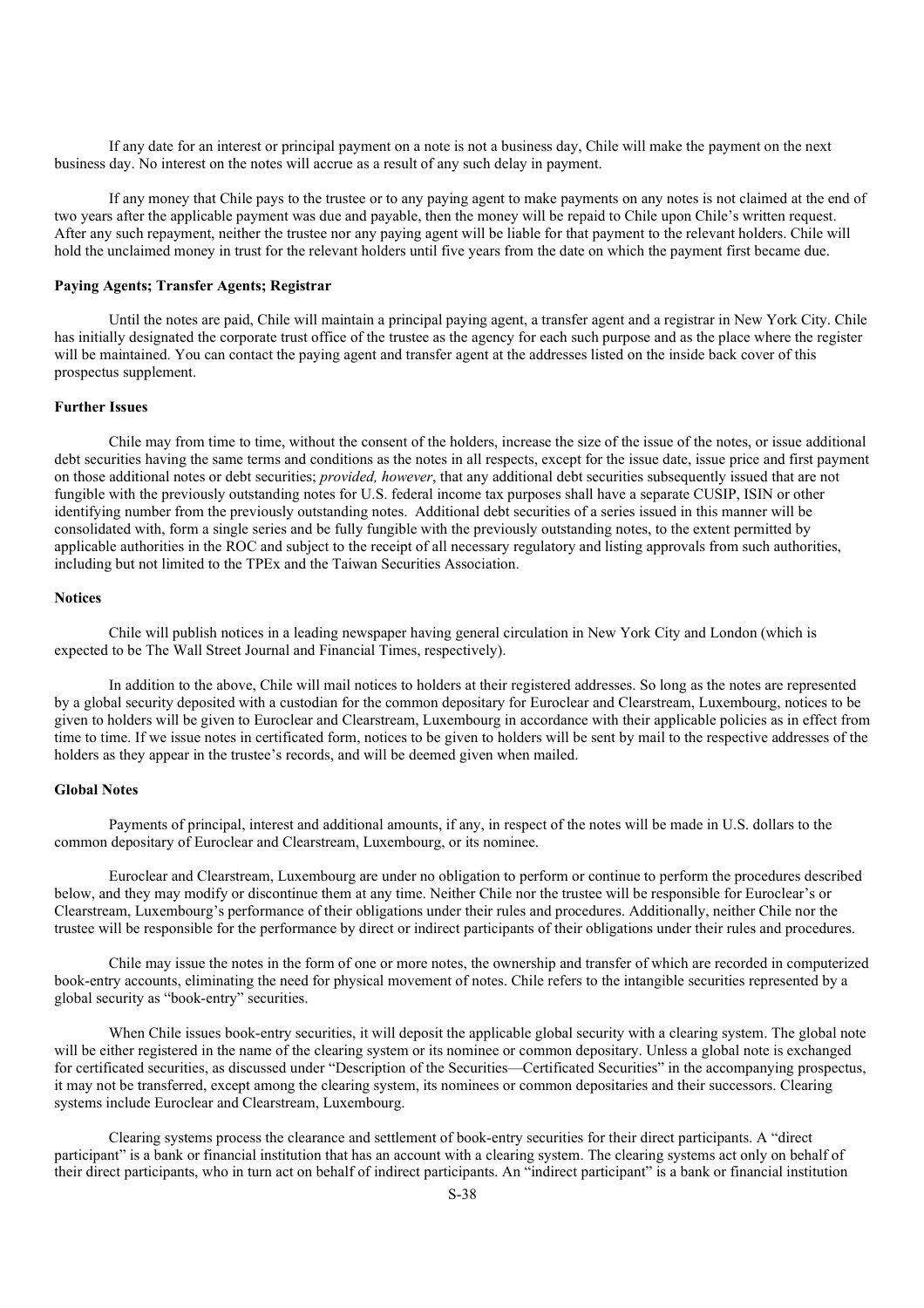If any date for an interest or principal payment on a note is not a business day, Chile will make the payment on the next business day. No interest on the notes will accrue as a result of any such delay in payment.

If any money that Chile pays to the trustee or to any paying agent to make payments on any notes is not claimed at the end of two years after the applicable payment was due and payable, then the money will be repaid to Chile upon Chile's written request. After any such repayment, neither the trustee nor any paying agent will be liable for that payment to the relevant holders. Chile will hold the unclaimed money in trust for the relevant holders until five years from the date on which the payment first became due.

## **Paying Agents; Transfer Agents; Registrar**

Until the notes are paid, Chile will maintain a principal paying agent, a transfer agent and a registrar in New York City. Chile has initially designated the corporate trust office of the trustee as the agency for each such purpose and as the place where the register will be maintained. You can contact the paying agent and transfer agent at the addresses listed on the inside back cover of this prospectus supplement.

### **Further Issues**

Chile may from time to time, without the consent of the holders, increase the size of the issue of the notes, or issue additional debt securities having the same terms and conditions as the notes in all respects, except for the issue date, issue price and first payment on those additional notes or debt securities; *provided, however*, that any additional debt securities subsequently issued that are not fungible with the previously outstanding notes for U.S. federal income tax purposes shall have a separate CUSIP, ISIN or other identifying number from the previously outstanding notes. Additional debt securities of a series issued in this manner will be consolidated with, form a single series and be fully fungible with the previously outstanding notes, to the extent permitted by applicable authorities in the ROC and subject to the receipt of all necessary regulatory and listing approvals from such authorities, including but not limited to the TPEx and the Taiwan Securities Association.

#### **Notices**

Chile will publish notices in a leading newspaper having general circulation in New York City and London (which is expected to be The Wall Street Journal and Financial Times, respectively).

In addition to the above, Chile will mail notices to holders at their registered addresses. So long as the notes are represented by a global security deposited with a custodian for the common depositary for Euroclear and Clearstream, Luxembourg, notices to be given to holders will be given to Euroclear and Clearstream, Luxembourg in accordance with their applicable policies as in effect from time to time. If we issue notes in certificated form, notices to be given to holders will be sent by mail to the respective addresses of the holders as they appear in the trustee's records, and will be deemed given when mailed.

### **Global Notes**

Payments of principal, interest and additional amounts, if any, in respect of the notes will be made in U.S. dollars to the common depositary of Euroclear and Clearstream, Luxembourg, or its nominee.

Euroclear and Clearstream, Luxembourg are under no obligation to perform or continue to perform the procedures described below, and they may modify or discontinue them at any time. Neither Chile nor the trustee will be responsible for Euroclear's or Clearstream, Luxembourg's performance of their obligations under their rules and procedures. Additionally, neither Chile nor the trustee will be responsible for the performance by direct or indirect participants of their obligations under their rules and procedures.

Chile may issue the notes in the form of one or more notes, the ownership and transfer of which are recorded in computerized book-entry accounts, eliminating the need for physical movement of notes. Chile refers to the intangible securities represented by a global security as "book-entry" securities.

When Chile issues book-entry securities, it will deposit the applicable global security with a clearing system. The global note will be either registered in the name of the clearing system or its nominee or common depositary. Unless a global note is exchanged for certificated securities, as discussed under "Description of the Securities—Certificated Securities" in the accompanying prospectus, it may not be transferred, except among the clearing system, its nominees or common depositaries and their successors. Clearing systems include Euroclear and Clearstream, Luxembourg.

Clearing systems process the clearance and settlement of book-entry securities for their direct participants. A "direct participant" is a bank or financial institution that has an account with a clearing system. The clearing systems act only on behalf of their direct participants, who in turn act on behalf of indirect participants. An "indirect participant" is a bank or financial institution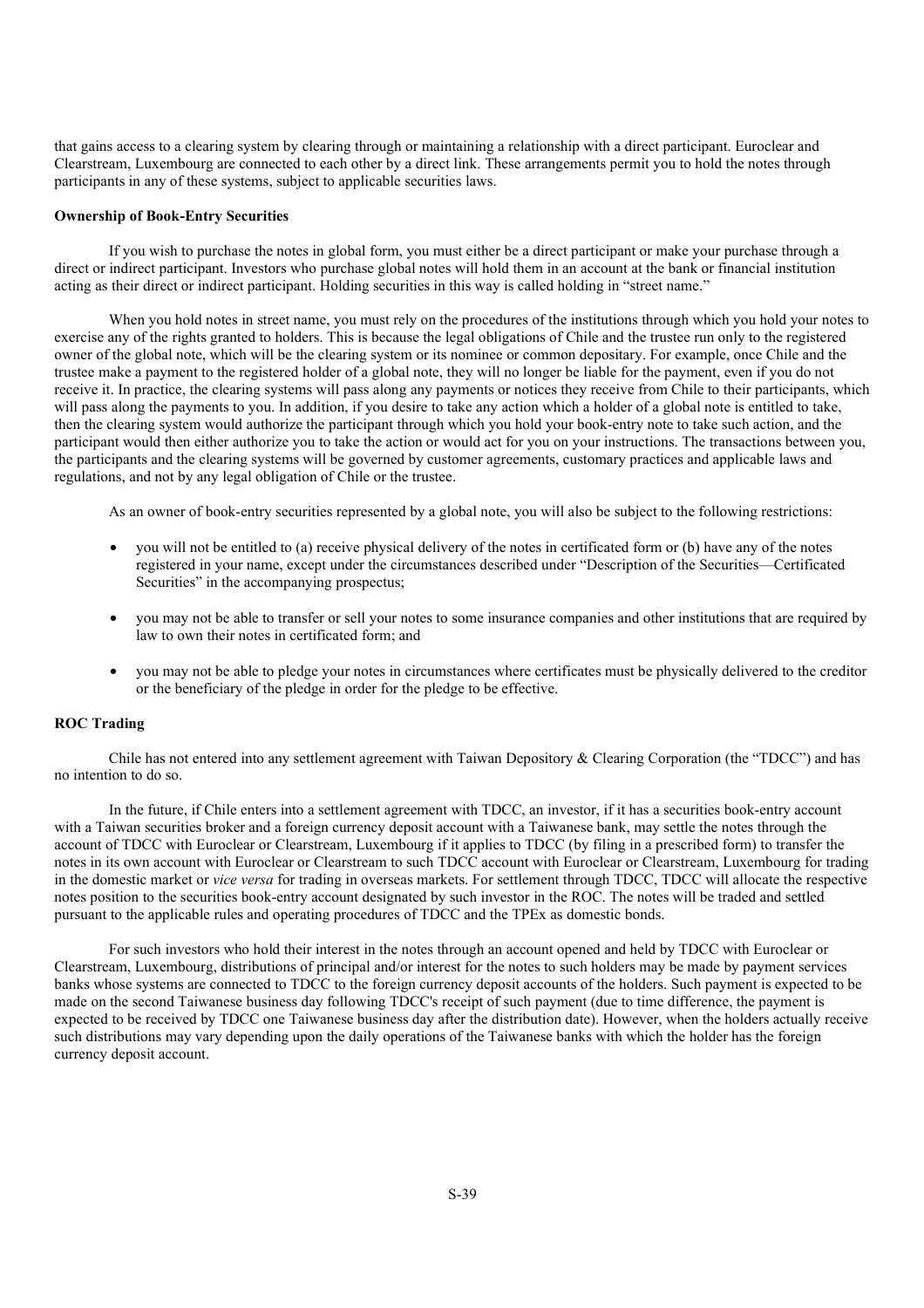that gains access to a clearing system by clearing through or maintaining a relationship with a direct participant. Euroclear and Clearstream, Luxembourg are connected to each other by a direct link. These arrangements permit you to hold the notes through participants in any of these systems, subject to applicable securities laws.

#### **Ownership of Book-Entry Securities**

If you wish to purchase the notes in global form, you must either be a direct participant or make your purchase through a direct or indirect participant. Investors who purchase global notes will hold them in an account at the bank or financial institution acting as their direct or indirect participant. Holding securities in this way is called holding in "street name."

When you hold notes in street name, you must rely on the procedures of the institutions through which you hold your notes to exercise any of the rights granted to holders. This is because the legal obligations of Chile and the trustee run only to the registered owner of the global note, which will be the clearing system or its nominee or common depositary. For example, once Chile and the trustee make a payment to the registered holder of a global note, they will no longer be liable for the payment, even if you do not receive it. In practice, the clearing systems will pass along any payments or notices they receive from Chile to their participants, which will pass along the payments to you. In addition, if you desire to take any action which a holder of a global note is entitled to take, then the clearing system would authorize the participant through which you hold your book-entry note to take such action, and the participant would then either authorize you to take the action or would act for you on your instructions. The transactions between you, the participants and the clearing systems will be governed by customer agreements, customary practices and applicable laws and regulations, and not by any legal obligation of Chile or the trustee.

As an owner of book-entry securities represented by a global note, you will also be subject to the following restrictions:

- you will not be entitled to (a) receive physical delivery of the notes in certificated form or (b) have any of the notes registered in your name, except under the circumstances described under "Description of the Securities—Certificated Securities" in the accompanying prospectus;
- you may not be able to transfer or sell your notes to some insurance companies and other institutions that are required by law to own their notes in certificated form; and
- you may not be able to pledge your notes in circumstances where certificates must be physically delivered to the creditor or the beneficiary of the pledge in order for the pledge to be effective.

# **ROC Trading**

Chile has not entered into any settlement agreement with Taiwan Depository & Clearing Corporation (the "TDCC") and has no intention to do so.

In the future, if Chile enters into a settlement agreement with TDCC, an investor, if it has a securities book-entry account with a Taiwan securities broker and a foreign currency deposit account with a Taiwanese bank, may settle the notes through the account of TDCC with Euroclear or Clearstream, Luxembourg if it applies to TDCC (by filing in a prescribed form) to transfer the notes in its own account with Euroclear or Clearstream to such TDCC account with Euroclear or Clearstream, Luxembourg for trading in the domestic market or *vice versa* for trading in overseas markets. For settlement through TDCC, TDCC will allocate the respective notes position to the securities book-entry account designated by such investor in the ROC. The notes will be traded and settled pursuant to the applicable rules and operating procedures of TDCC and the TPEx as domestic bonds.

For such investors who hold their interest in the notes through an account opened and held by TDCC with Euroclear or Clearstream, Luxembourg, distributions of principal and/or interest for the notes to such holders may be made by payment services banks whose systems are connected to TDCC to the foreign currency deposit accounts of the holders. Such payment is expected to be made on the second Taiwanese business day following TDCC's receipt of such payment (due to time difference, the payment is expected to be received by TDCC one Taiwanese business day after the distribution date). However, when the holders actually receive such distributions may vary depending upon the daily operations of the Taiwanese banks with which the holder has the foreign currency deposit account.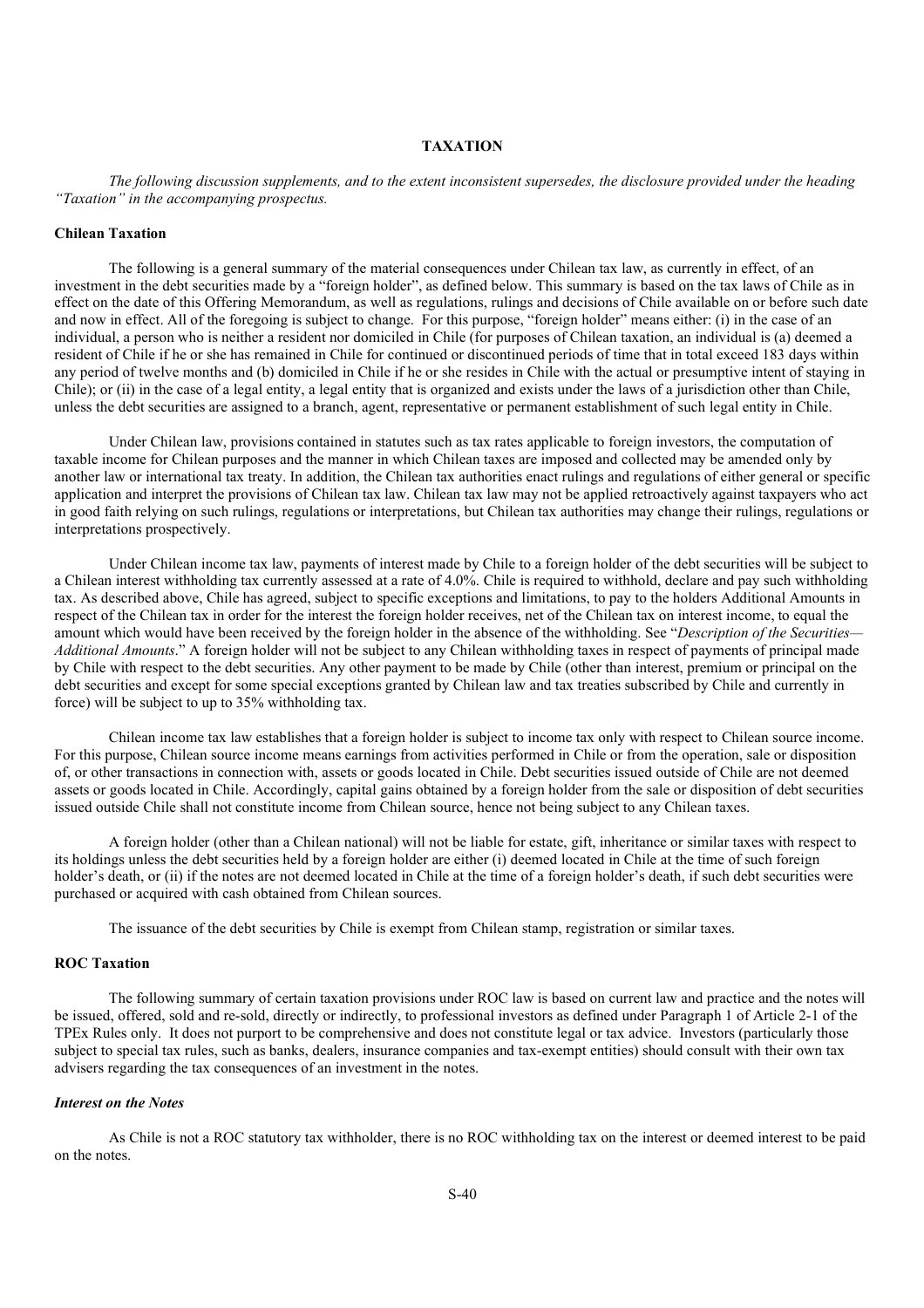# **TAXATION**

*The following discussion supplements, and to the extent inconsistent supersedes, the disclosure provided under the heading "Taxation" in the accompanying prospectus.*

## **Chilean Taxation**

The following is a general summary of the material consequences under Chilean tax law, as currently in effect, of an investment in the debt securities made by a "foreign holder", as defined below. This summary is based on the tax laws of Chile as in effect on the date of this Offering Memorandum, as well as regulations, rulings and decisions of Chile available on or before such date and now in effect. All of the foregoing is subject to change. For this purpose, "foreign holder" means either: (i) in the case of an individual, a person who is neither a resident nor domiciled in Chile (for purposes of Chilean taxation, an individual is (a) deemed a resident of Chile if he or she has remained in Chile for continued or discontinued periods of time that in total exceed 183 days within any period of twelve months and (b) domiciled in Chile if he or she resides in Chile with the actual or presumptive intent of staying in Chile); or (ii) in the case of a legal entity, a legal entity that is organized and exists under the laws of a jurisdiction other than Chile, unless the debt securities are assigned to a branch, agent, representative or permanent establishment of such legal entity in Chile.

Under Chilean law, provisions contained in statutes such as tax rates applicable to foreign investors, the computation of taxable income for Chilean purposes and the manner in which Chilean taxes are imposed and collected may be amended only by another law or international tax treaty. In addition, the Chilean tax authorities enact rulings and regulations of either general or specific application and interpret the provisions of Chilean tax law. Chilean tax law may not be applied retroactively against taxpayers who act in good faith relying on such rulings, regulations or interpretations, but Chilean tax authorities may change their rulings, regulations or interpretations prospectively.

Under Chilean income tax law, payments of interest made by Chile to a foreign holder of the debt securities will be subject to a Chilean interest withholding tax currently assessed at a rate of 4.0%. Chile is required to withhold, declare and pay such withholding tax. As described above, Chile has agreed, subject to specific exceptions and limitations, to pay to the holders Additional Amounts in respect of the Chilean tax in order for the interest the foreign holder receives, net of the Chilean tax on interest income, to equal the amount which would have been received by the foreign holder in the absence of the withholding. See "*Description of the Securities— Additional Amounts*." A foreign holder will not be subject to any Chilean withholding taxes in respect of payments of principal made by Chile with respect to the debt securities. Any other payment to be made by Chile (other than interest, premium or principal on the debt securities and except for some special exceptions granted by Chilean law and tax treaties subscribed by Chile and currently in force) will be subject to up to 35% withholding tax.

Chilean income tax law establishes that a foreign holder is subject to income tax only with respect to Chilean source income. For this purpose, Chilean source income means earnings from activities performed in Chile or from the operation, sale or disposition of, or other transactions in connection with, assets or goods located in Chile. Debt securities issued outside of Chile are not deemed assets or goods located in Chile. Accordingly, capital gains obtained by a foreign holder from the sale or disposition of debt securities issued outside Chile shall not constitute income from Chilean source, hence not being subject to any Chilean taxes.

A foreign holder (other than a Chilean national) will not be liable for estate, gift, inheritance or similar taxes with respect to its holdings unless the debt securities held by a foreign holder are either (i) deemed located in Chile at the time of such foreign holder's death, or (ii) if the notes are not deemed located in Chile at the time of a foreign holder's death, if such debt securities were purchased or acquired with cash obtained from Chilean sources.

The issuance of the debt securities by Chile is exempt from Chilean stamp, registration or similar taxes.

# **ROC Taxation**

The following summary of certain taxation provisions under ROC law is based on current law and practice and the notes will be issued, offered, sold and re-sold, directly or indirectly, to professional investors as defined under Paragraph 1 of Article 2-1 of the TPEx Rules only. It does not purport to be comprehensive and does not constitute legal or tax advice. Investors (particularly those subject to special tax rules, such as banks, dealers, insurance companies and tax-exempt entities) should consult with their own tax advisers regarding the tax consequences of an investment in the notes.

#### *Interest on the Notes*

As Chile is not a ROC statutory tax withholder, there is no ROC withholding tax on the interest or deemed interest to be paid on the notes.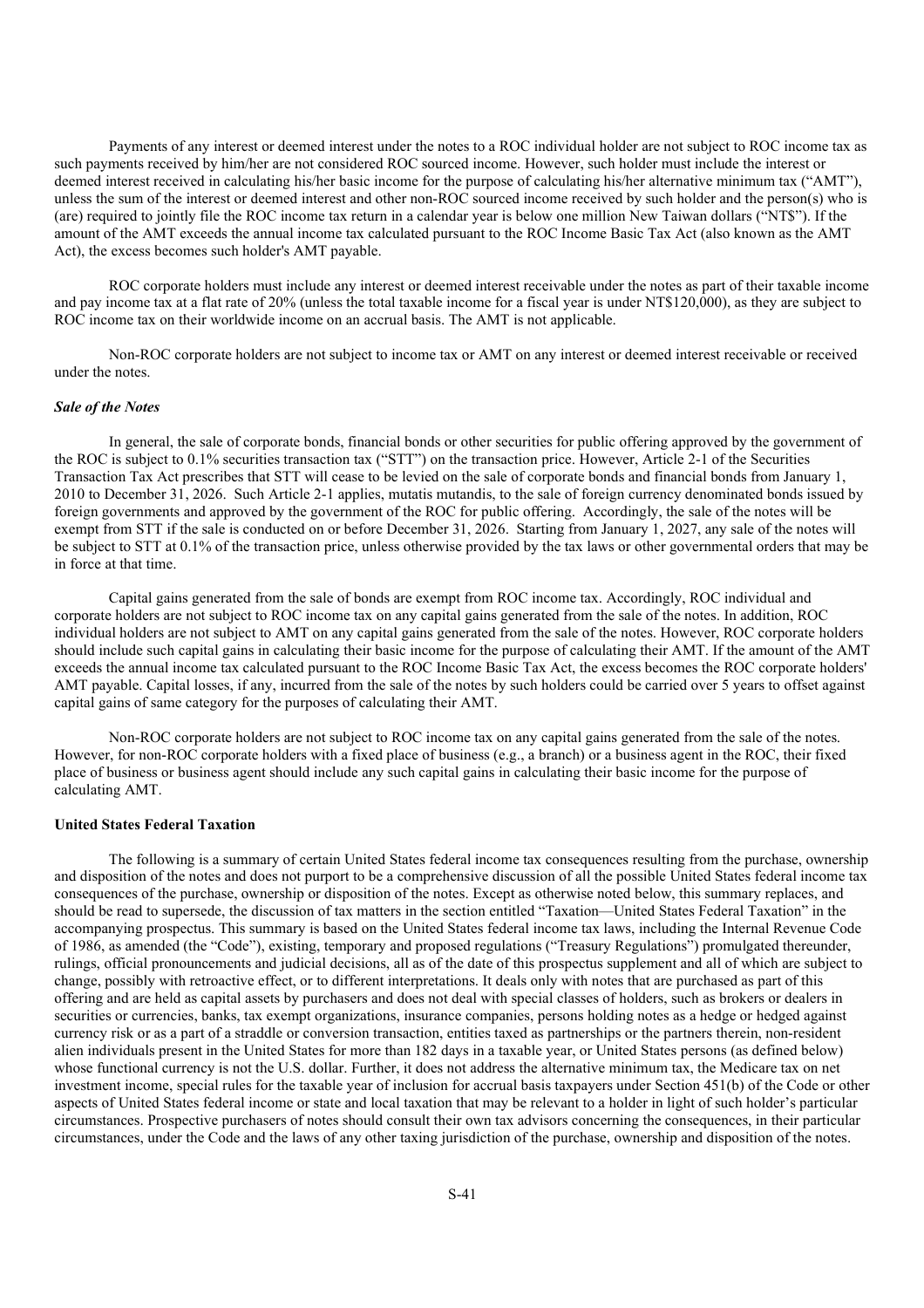Payments of any interest or deemed interest under the notes to a ROC individual holder are not subject to ROC income tax as such payments received by him/her are not considered ROC sourced income. However, such holder must include the interest or deemed interest received in calculating his/her basic income for the purpose of calculating his/her alternative minimum tax ("AMT"), unless the sum of the interest or deemed interest and other non-ROC sourced income received by such holder and the person(s) who is (are) required to jointly file the ROC income tax return in a calendar year is below one million New Taiwan dollars ("NT\$"). If the amount of the AMT exceeds the annual income tax calculated pursuant to the ROC Income Basic Tax Act (also known as the AMT Act), the excess becomes such holder's AMT payable.

ROC corporate holders must include any interest or deemed interest receivable under the notes as part of their taxable income and pay income tax at a flat rate of 20% (unless the total taxable income for a fiscal year is under NT\$120,000), as they are subject to ROC income tax on their worldwide income on an accrual basis. The AMT is not applicable.

Non-ROC corporate holders are not subject to income tax or AMT on any interest or deemed interest receivable or received under the notes.

### *Sale of the Notes*

In general, the sale of corporate bonds, financial bonds or other securities for public offering approved by the government of the ROC is subject to 0.1% securities transaction tax ("STT") on the transaction price. However, Article 2-1 of the Securities Transaction Tax Act prescribes that STT will cease to be levied on the sale of corporate bonds and financial bonds from January 1, 2010 to December 31, 2026. Such Article 2-1 applies, mutatis mutandis, to the sale of foreign currency denominated bonds issued by foreign governments and approved by the government of the ROC for public offering. Accordingly, the sale of the notes will be exempt from STT if the sale is conducted on or before December 31, 2026. Starting from January 1, 2027, any sale of the notes will be subject to STT at 0.1% of the transaction price, unless otherwise provided by the tax laws or other governmental orders that may be in force at that time.

Capital gains generated from the sale of bonds are exempt from ROC income tax. Accordingly, ROC individual and corporate holders are not subject to ROC income tax on any capital gains generated from the sale of the notes. In addition, ROC individual holders are not subject to AMT on any capital gains generated from the sale of the notes. However, ROC corporate holders should include such capital gains in calculating their basic income for the purpose of calculating their AMT. If the amount of the AMT exceeds the annual income tax calculated pursuant to the ROC Income Basic Tax Act, the excess becomes the ROC corporate holders' AMT payable. Capital losses, if any, incurred from the sale of the notes by such holders could be carried over 5 years to offset against capital gains of same category for the purposes of calculating their AMT.

Non-ROC corporate holders are not subject to ROC income tax on any capital gains generated from the sale of the notes. However, for non-ROC corporate holders with a fixed place of business (e.g., a branch) or a business agent in the ROC, their fixed place of business or business agent should include any such capital gains in calculating their basic income for the purpose of calculating AMT.

## **United States Federal Taxation**

The following is a summary of certain United States federal income tax consequences resulting from the purchase, ownership and disposition of the notes and does not purport to be a comprehensive discussion of all the possible United States federal income tax consequences of the purchase, ownership or disposition of the notes. Except as otherwise noted below, this summary replaces, and should be read to supersede, the discussion of tax matters in the section entitled "Taxation—United States Federal Taxation" in the accompanying prospectus. This summary is based on the United States federal income tax laws, including the Internal Revenue Code of 1986, as amended (the "Code"), existing, temporary and proposed regulations ("Treasury Regulations") promulgated thereunder, rulings, official pronouncements and judicial decisions, all as of the date of this prospectus supplement and all of which are subject to change, possibly with retroactive effect, or to different interpretations. It deals only with notes that are purchased as part of this offering and are held as capital assets by purchasers and does not deal with special classes of holders, such as brokers or dealers in securities or currencies, banks, tax exempt organizations, insurance companies, persons holding notes as a hedge or hedged against currency risk or as a part of a straddle or conversion transaction, entities taxed as partnerships or the partners therein, non-resident alien individuals present in the United States for more than 182 days in a taxable year, or United States persons (as defined below) whose functional currency is not the U.S. dollar. Further, it does not address the alternative minimum tax, the Medicare tax on net investment income, special rules for the taxable year of inclusion for accrual basis taxpayers under Section 451(b) of the Code or other aspects of United States federal income or state and local taxation that may be relevant to a holder in light of such holder's particular circumstances. Prospective purchasers of notes should consult their own tax advisors concerning the consequences, in their particular circumstances, under the Code and the laws of any other taxing jurisdiction of the purchase, ownership and disposition of the notes.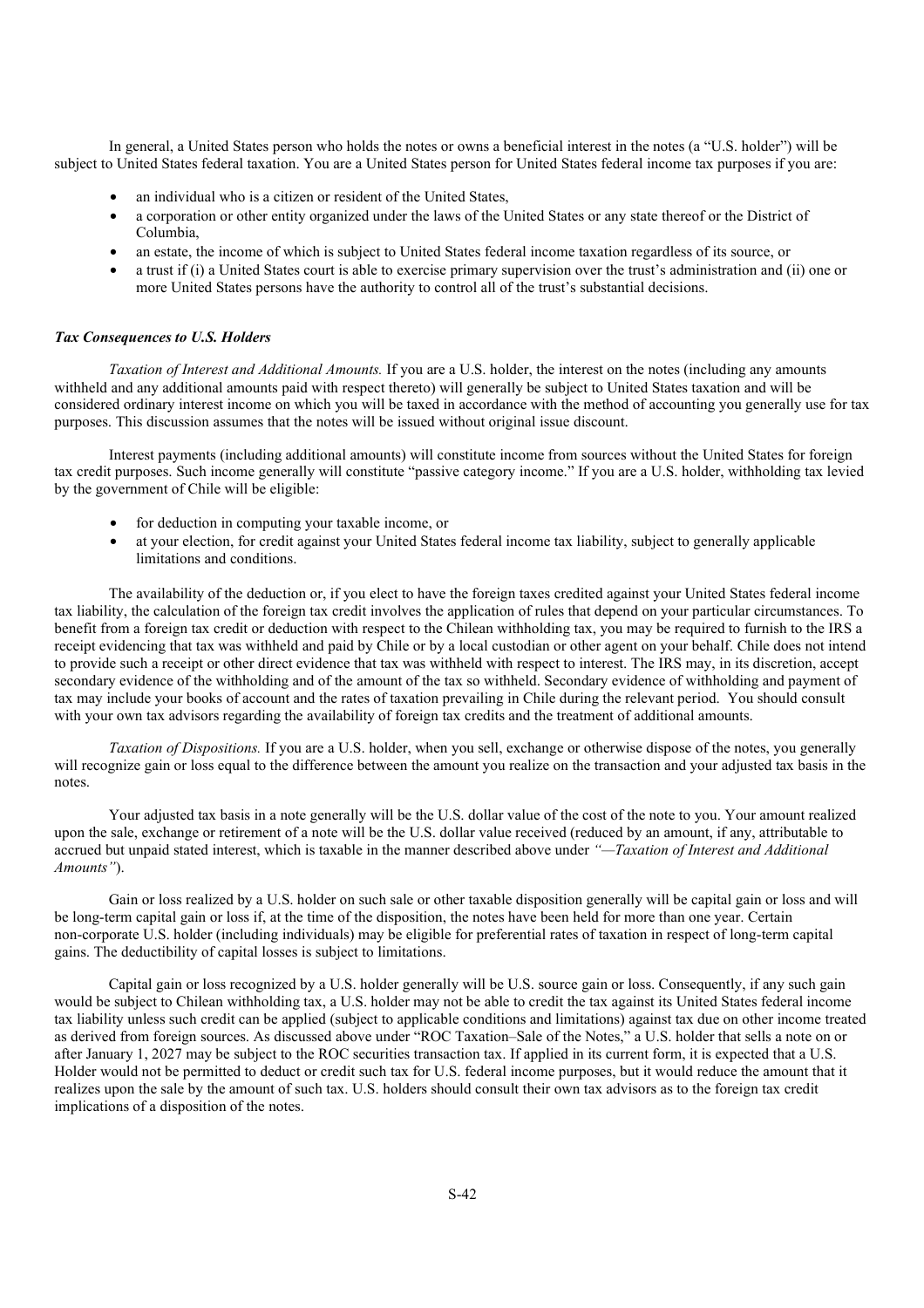In general, a United States person who holds the notes or owns a beneficial interest in the notes (a "U.S. holder") will be subject to United States federal taxation. You are a United States person for United States federal income tax purposes if you are:

- an individual who is a citizen or resident of the United States,
- a corporation or other entity organized under the laws of the United States or any state thereof or the District of Columbia,
- an estate, the income of which is subject to United States federal income taxation regardless of its source, or
- a trust if (i) a United States court is able to exercise primary supervision over the trust's administration and (ii) one or more United States persons have the authority to control all of the trust's substantial decisions.

## *Tax Consequences to U.S. Holders*

*Taxation of Interest and Additional Amounts.* If you are a U.S. holder, the interest on the notes (including any amounts withheld and any additional amounts paid with respect thereto) will generally be subject to United States taxation and will be considered ordinary interest income on which you will be taxed in accordance with the method of accounting you generally use for tax purposes. This discussion assumes that the notes will be issued without original issue discount.

Interest payments (including additional amounts) will constitute income from sources without the United States for foreign tax credit purposes. Such income generally will constitute "passive category income." If you are a U.S. holder, withholding tax levied by the government of Chile will be eligible:

- for deduction in computing your taxable income, or
- at your election, for credit against your United States federal income tax liability, subject to generally applicable limitations and conditions.

The availability of the deduction or, if you elect to have the foreign taxes credited against your United States federal income tax liability, the calculation of the foreign tax credit involves the application of rules that depend on your particular circumstances. To benefit from a foreign tax credit or deduction with respect to the Chilean withholding tax, you may be required to furnish to the IRS a receipt evidencing that tax was withheld and paid by Chile or by a local custodian or other agent on your behalf. Chile does not intend to provide such a receipt or other direct evidence that tax was withheld with respect to interest. The IRS may, in its discretion, accept secondary evidence of the withholding and of the amount of the tax so withheld. Secondary evidence of withholding and payment of tax may include your books of account and the rates of taxation prevailing in Chile during the relevant period. You should consult with your own tax advisors regarding the availability of foreign tax credits and the treatment of additional amounts.

*Taxation of Dispositions.* If you are a U.S. holder, when you sell, exchange or otherwise dispose of the notes, you generally will recognize gain or loss equal to the difference between the amount you realize on the transaction and your adjusted tax basis in the notes.

Your adjusted tax basis in a note generally will be the U.S. dollar value of the cost of the note to you. Your amount realized upon the sale, exchange or retirement of a note will be the U.S. dollar value received (reduced by an amount, if any, attributable to accrued but unpaid stated interest, which is taxable in the manner described above under *"—Taxation of Interest and Additional Amounts"*).

Gain or loss realized by a U.S. holder on such sale or other taxable disposition generally will be capital gain or loss and will be long-term capital gain or loss if, at the time of the disposition, the notes have been held for more than one year. Certain non-corporate U.S. holder (including individuals) may be eligible for preferential rates of taxation in respect of long-term capital gains. The deductibility of capital losses is subject to limitations.

Capital gain or loss recognized by a U.S. holder generally will be U.S. source gain or loss. Consequently, if any such gain would be subject to Chilean withholding tax, a U.S. holder may not be able to credit the tax against its United States federal income tax liability unless such credit can be applied (subject to applicable conditions and limitations) against tax due on other income treated as derived from foreign sources. As discussed above under "ROC Taxation–Sale of the Notes," a U.S. holder that sells a note on or after January 1, 2027 may be subject to the ROC securities transaction tax. If applied in its current form, it is expected that a U.S. Holder would not be permitted to deduct or credit such tax for U.S. federal income purposes, but it would reduce the amount that it realizes upon the sale by the amount of such tax. U.S. holders should consult their own tax advisors as to the foreign tax credit implications of a disposition of the notes.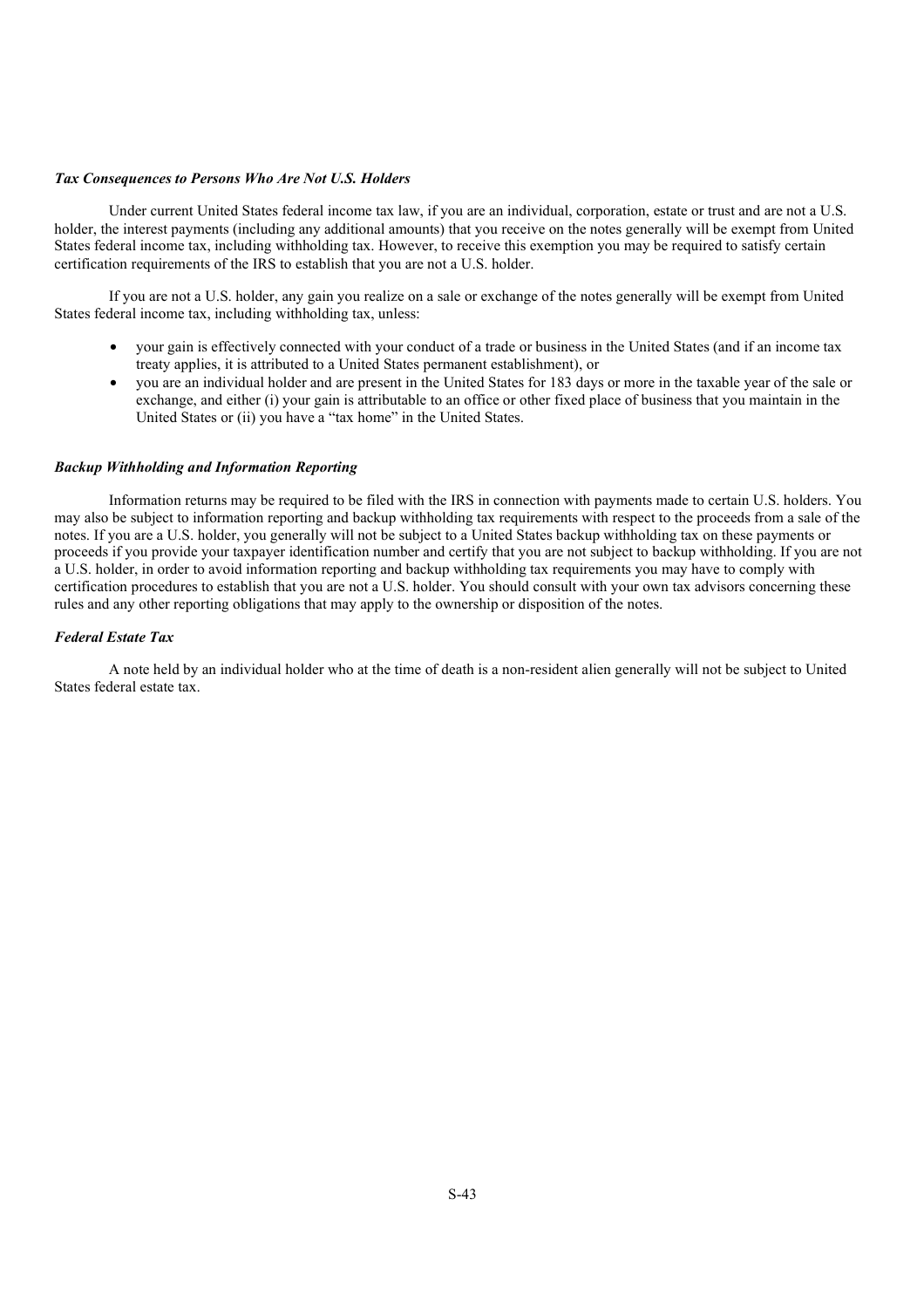# *Tax Consequences to Persons Who Are Not U.S. Holders*

Under current United States federal income tax law, if you are an individual, corporation, estate or trust and are not a U.S. holder, the interest payments (including any additional amounts) that you receive on the notes generally will be exempt from United States federal income tax, including withholding tax. However, to receive this exemption you may be required to satisfy certain certification requirements of the IRS to establish that you are not a U.S. holder.

If you are not a U.S. holder, any gain you realize on a sale or exchange of the notes generally will be exempt from United States federal income tax, including withholding tax, unless:

- your gain is effectively connected with your conduct of a trade or business in the United States (and if an income tax treaty applies, it is attributed to a United States permanent establishment), or
- you are an individual holder and are present in the United States for 183 days or more in the taxable year of the sale or exchange, and either (i) your gain is attributable to an office or other fixed place of business that you maintain in the United States or (ii) you have a "tax home" in the United States.

# *Backup Withholding and Information Reporting*

Information returns may be required to be filed with the IRS in connection with payments made to certain U.S. holders. You may also be subject to information reporting and backup withholding tax requirements with respect to the proceeds from a sale of the notes. If you are a U.S. holder, you generally will not be subject to a United States backup withholding tax on these payments or proceeds if you provide your taxpayer identification number and certify that you are not subject to backup withholding. If you are not a U.S. holder, in order to avoid information reporting and backup withholding tax requirements you may have to comply with certification procedures to establish that you are not a U.S. holder. You should consult with your own tax advisors concerning these rules and any other reporting obligations that may apply to the ownership or disposition of the notes.

# *Federal Estate Tax*

A note held by an individual holder who at the time of death is a non-resident alien generally will not be subject to United States federal estate tax.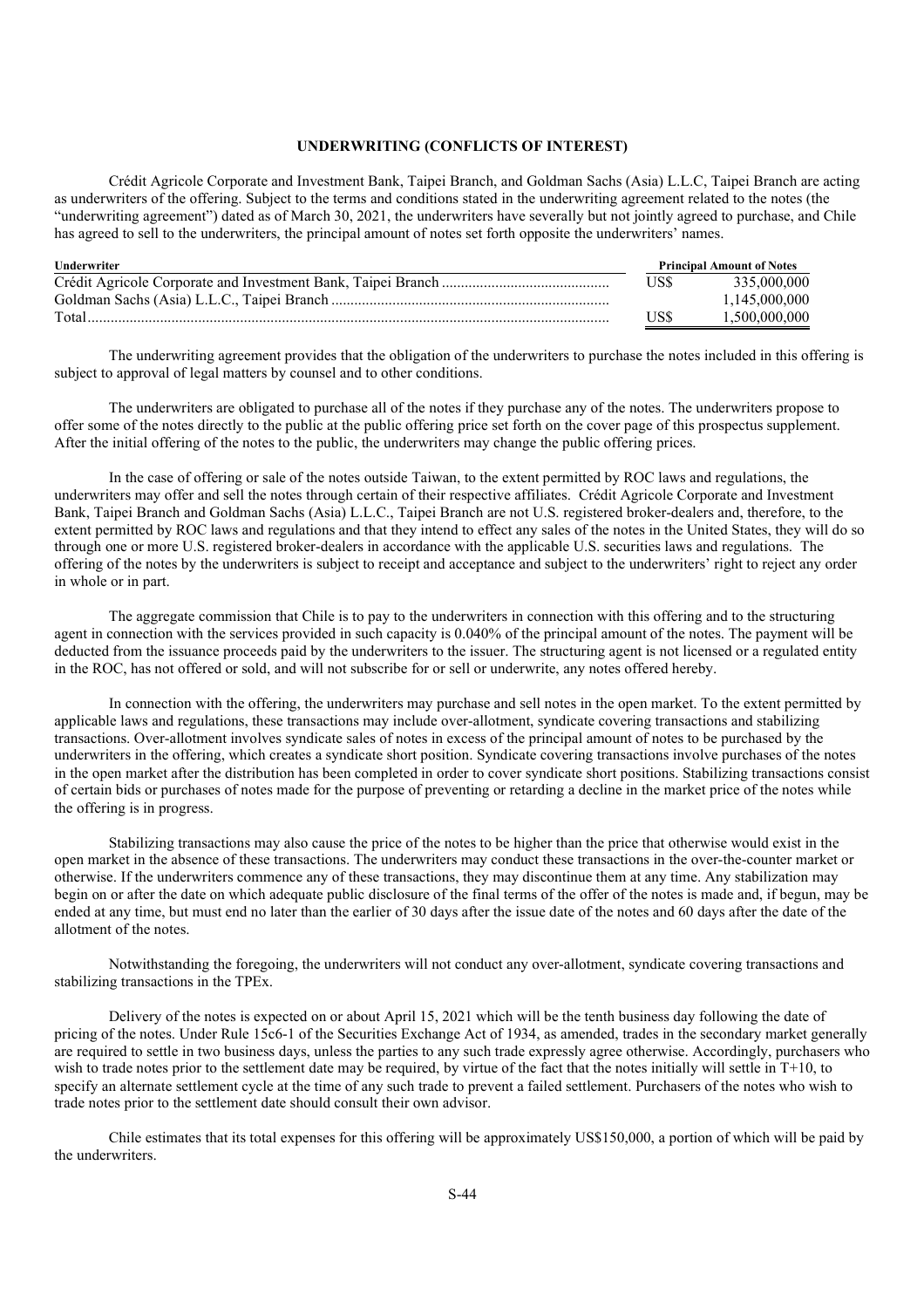# **UNDERWRITING (CONFLICTS OF INTEREST)**

Crédit Agricole Corporate and Investment Bank, Taipei Branch, and Goldman Sachs (Asia) L.L.C, Taipei Branch are acting as underwriters of the offering. Subject to the terms and conditions stated in the underwriting agreement related to the notes (the "underwriting agreement") dated as of March 30, 2021, the underwriters have severally but not jointly agreed to purchase, and Chile has agreed to sell to the underwriters, the principal amount of notes set forth opposite the underwriters' names.

| Underwriter | <b>Principal Amount of Notes</b> |               |
|-------------|----------------------------------|---------------|
|             | US\$                             | 335,000,000   |
|             |                                  | 1.145.000.000 |
| Total.      | USS                              | 1.500.000.000 |

The underwriting agreement provides that the obligation of the underwriters to purchase the notes included in this offering is subject to approval of legal matters by counsel and to other conditions.

The underwriters are obligated to purchase all of the notes if they purchase any of the notes. The underwriters propose to offer some of the notes directly to the public at the public offering price set forth on the cover page of this prospectus supplement. After the initial offering of the notes to the public, the underwriters may change the public offering prices.

In the case of offering or sale of the notes outside Taiwan, to the extent permitted by ROC laws and regulations, the underwriters may offer and sell the notes through certain of their respective affiliates. Crédit Agricole Corporate and Investment Bank, Taipei Branch and Goldman Sachs (Asia) L.L.C., Taipei Branch are not U.S. registered broker-dealers and, therefore, to the extent permitted by ROC laws and regulations and that they intend to effect any sales of the notes in the United States, they will do so through one or more U.S. registered broker-dealers in accordance with the applicable U.S. securities laws and regulations. The offering of the notes by the underwriters is subject to receipt and acceptance and subject to the underwriters' right to reject any order in whole or in part.

The aggregate commission that Chile is to pay to the underwriters in connection with this offering and to the structuring agent in connection with the services provided in such capacity is 0.040% of the principal amount of the notes. The payment will be deducted from the issuance proceeds paid by the underwriters to the issuer. The structuring agent is not licensed or a regulated entity in the ROC, has not offered or sold, and will not subscribe for or sell or underwrite, any notes offered hereby.

In connection with the offering, the underwriters may purchase and sell notes in the open market. To the extent permitted by applicable laws and regulations, these transactions may include over-allotment, syndicate covering transactions and stabilizing transactions. Over-allotment involves syndicate sales of notes in excess of the principal amount of notes to be purchased by the underwriters in the offering, which creates a syndicate short position. Syndicate covering transactions involve purchases of the notes in the open market after the distribution has been completed in order to cover syndicate short positions. Stabilizing transactions consist of certain bids or purchases of notes made for the purpose of preventing or retarding a decline in the market price of the notes while the offering is in progress.

Stabilizing transactions may also cause the price of the notes to be higher than the price that otherwise would exist in the open market in the absence of these transactions. The underwriters may conduct these transactions in the over-the-counter market or otherwise. If the underwriters commence any of these transactions, they may discontinue them at any time. Any stabilization may begin on or after the date on which adequate public disclosure of the final terms of the offer of the notes is made and, if begun, may be ended at any time, but must end no later than the earlier of 30 days after the issue date of the notes and 60 days after the date of the allotment of the notes.

Notwithstanding the foregoing, the underwriters will not conduct any over-allotment, syndicate covering transactions and stabilizing transactions in the TPEx.

Delivery of the notes is expected on or about April 15, 2021 which will be the tenth business day following the date of pricing of the notes. Under Rule 15c6-1 of the Securities Exchange Act of 1934, as amended, trades in the secondary market generally are required to settle in two business days, unless the parties to any such trade expressly agree otherwise. Accordingly, purchasers who wish to trade notes prior to the settlement date may be required, by virtue of the fact that the notes initially will settle in T+10, to specify an alternate settlement cycle at the time of any such trade to prevent a failed settlement. Purchasers of the notes who wish to trade notes prior to the settlement date should consult their own advisor.

Chile estimates that its total expenses for this offering will be approximately US\$150,000, a portion of which will be paid by the underwriters.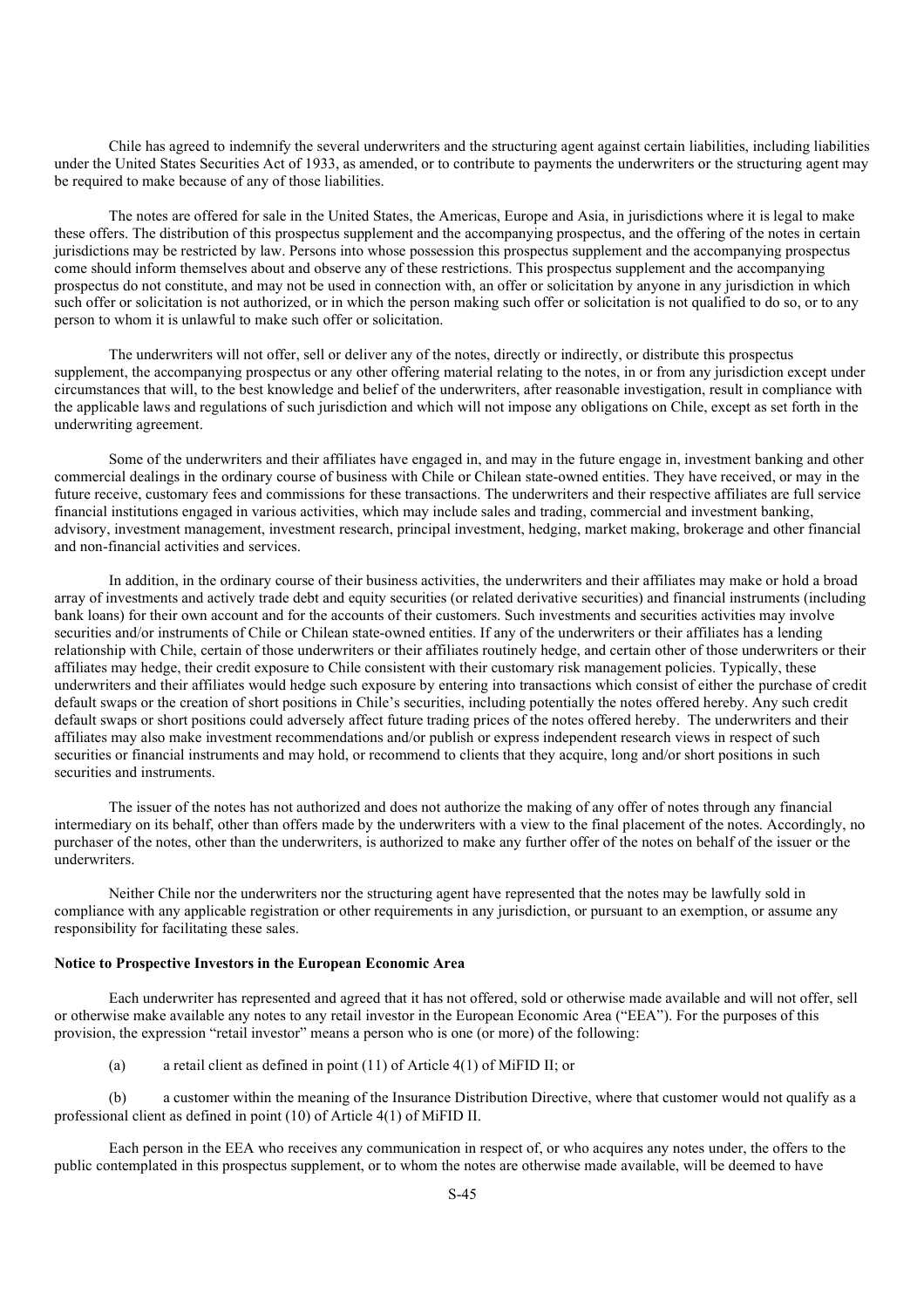Chile has agreed to indemnify the several underwriters and the structuring agent against certain liabilities, including liabilities under the United States Securities Act of 1933, as amended, or to contribute to payments the underwriters or the structuring agent may be required to make because of any of those liabilities.

The notes are offered for sale in the United States, the Americas, Europe and Asia, in jurisdictions where it is legal to make these offers. The distribution of this prospectus supplement and the accompanying prospectus, and the offering of the notes in certain jurisdictions may be restricted by law. Persons into whose possession this prospectus supplement and the accompanying prospectus come should inform themselves about and observe any of these restrictions. This prospectus supplement and the accompanying prospectus do not constitute, and may not be used in connection with, an offer or solicitation by anyone in any jurisdiction in which such offer or solicitation is not authorized, or in which the person making such offer or solicitation is not qualified to do so, or to any person to whom it is unlawful to make such offer or solicitation.

The underwriters will not offer, sell or deliver any of the notes, directly or indirectly, or distribute this prospectus supplement, the accompanying prospectus or any other offering material relating to the notes, in or from any jurisdiction except under circumstances that will, to the best knowledge and belief of the underwriters, after reasonable investigation, result in compliance with the applicable laws and regulations of such jurisdiction and which will not impose any obligations on Chile, except as set forth in the underwriting agreement.

Some of the underwriters and their affiliates have engaged in, and may in the future engage in, investment banking and other commercial dealings in the ordinary course of business with Chile or Chilean state-owned entities. They have received, or may in the future receive, customary fees and commissions for these transactions. The underwriters and their respective affiliates are full service financial institutions engaged in various activities, which may include sales and trading, commercial and investment banking, advisory, investment management, investment research, principal investment, hedging, market making, brokerage and other financial and non-financial activities and services.

In addition, in the ordinary course of their business activities, the underwriters and their affiliates may make or hold a broad array of investments and actively trade debt and equity securities (or related derivative securities) and financial instruments (including bank loans) for their own account and for the accounts of their customers. Such investments and securities activities may involve securities and/or instruments of Chile or Chilean state-owned entities. If any of the underwriters or their affiliates has a lending relationship with Chile, certain of those underwriters or their affiliates routinely hedge, and certain other of those underwriters or their affiliates may hedge, their credit exposure to Chile consistent with their customary risk management policies. Typically, these underwriters and their affiliates would hedge such exposure by entering into transactions which consist of either the purchase of credit default swaps or the creation of short positions in Chile's securities, including potentially the notes offered hereby. Any such credit default swaps or short positions could adversely affect future trading prices of the notes offered hereby. The underwriters and their affiliates may also make investment recommendations and/or publish or express independent research views in respect of such securities or financial instruments and may hold, or recommend to clients that they acquire, long and/or short positions in such securities and instruments.

The issuer of the notes has not authorized and does not authorize the making of any offer of notes through any financial intermediary on its behalf, other than offers made by the underwriters with a view to the final placement of the notes. Accordingly, no purchaser of the notes, other than the underwriters, is authorized to make any further offer of the notes on behalf of the issuer or the underwriters.

Neither Chile nor the underwriters nor the structuring agent have represented that the notes may be lawfully sold in compliance with any applicable registration or other requirements in any jurisdiction, or pursuant to an exemption, or assume any responsibility for facilitating these sales.

# **Notice to Prospective Investors in the European Economic Area**

Each underwriter has represented and agreed that it has not offered, sold or otherwise made available and will not offer, sell or otherwise make available any notes to any retail investor in the European Economic Area ("EEA"). For the purposes of this provision, the expression "retail investor" means a person who is one (or more) of the following:

(a) a retail client as defined in point (11) of Article 4(1) of MiFID II; or

(b) a customer within the meaning of the Insurance Distribution Directive, where that customer would not qualify as a professional client as defined in point (10) of Article 4(1) of MiFID II.

Each person in the EEA who receives any communication in respect of, or who acquires any notes under, the offers to the public contemplated in this prospectus supplement, or to whom the notes are otherwise made available, will be deemed to have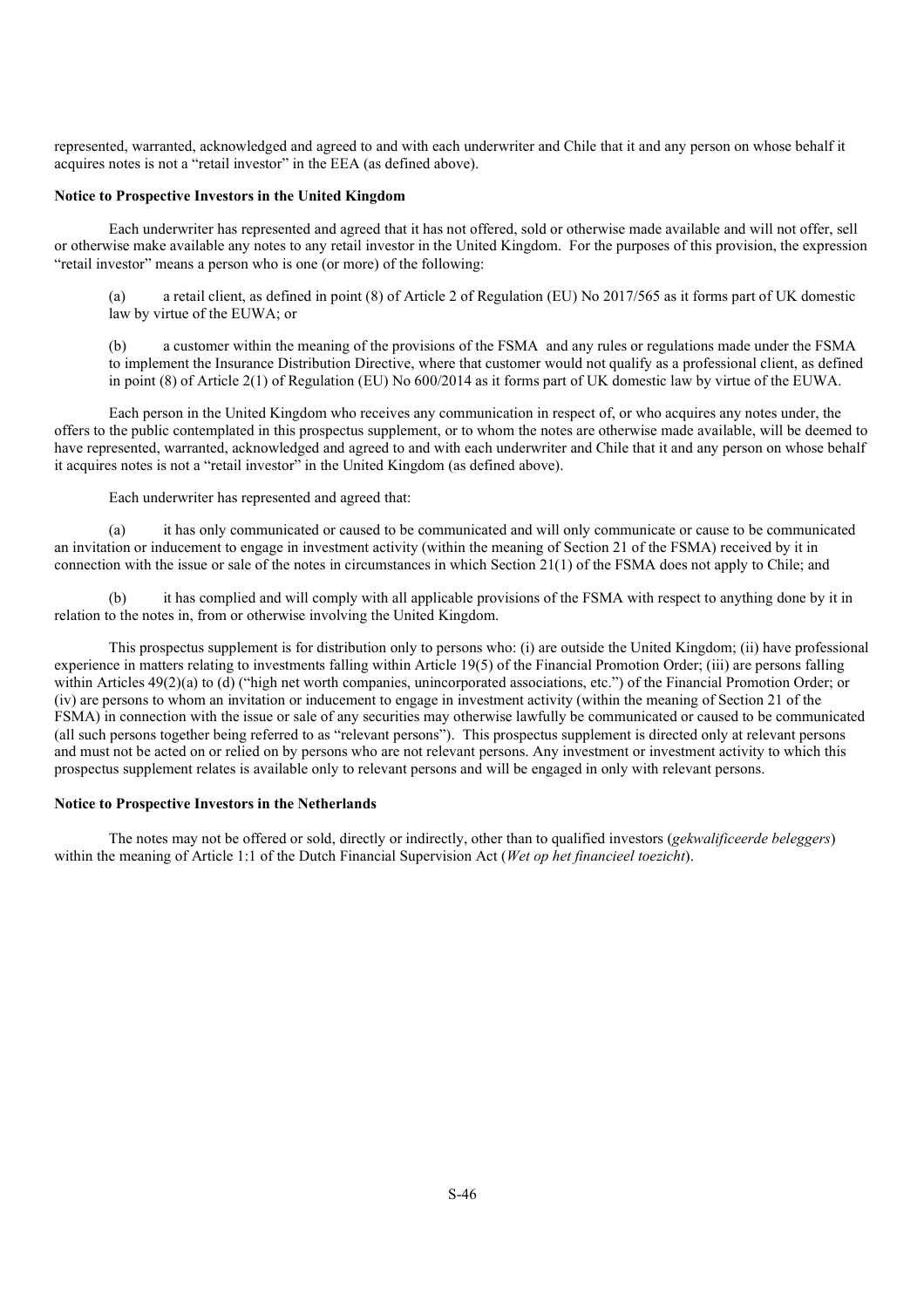represented, warranted, acknowledged and agreed to and with each underwriter and Chile that it and any person on whose behalf it acquires notes is not a "retail investor" in the EEA (as defined above).

# **Notice to Prospective Investors in the United Kingdom**

Each underwriter has represented and agreed that it has not offered, sold or otherwise made available and will not offer, sell or otherwise make available any notes to any retail investor in the United Kingdom. For the purposes of this provision, the expression "retail investor" means a person who is one (or more) of the following:

a retail client, as defined in point (8) of Article 2 of Regulation (EU) No 2017/565 as it forms part of UK domestic law by virtue of the EUWA; or

(b) a customer within the meaning of the provisions of the FSMA and any rules or regulations made under the FSMA to implement the Insurance Distribution Directive, where that customer would not qualify as a professional client, as defined in point (8) of Article 2(1) of Regulation (EU) No 600/2014 as it forms part of UK domestic law by virtue of the EUWA.

Each person in the United Kingdom who receives any communication in respect of, or who acquires any notes under, the offers to the public contemplated in this prospectus supplement, or to whom the notes are otherwise made available, will be deemed to have represented, warranted, acknowledged and agreed to and with each underwriter and Chile that it and any person on whose behalf it acquires notes is not a "retail investor" in the United Kingdom (as defined above).

Each underwriter has represented and agreed that:

(a) it has only communicated or caused to be communicated and will only communicate or cause to be communicated an invitation or inducement to engage in investment activity (within the meaning of Section 21 of the FSMA) received by it in connection with the issue or sale of the notes in circumstances in which Section 21(1) of the FSMA does not apply to Chile; and

(b) it has complied and will comply with all applicable provisions of the FSMA with respect to anything done by it in relation to the notes in, from or otherwise involving the United Kingdom.

This prospectus supplement is for distribution only to persons who: (i) are outside the United Kingdom; (ii) have professional experience in matters relating to investments falling within Article 19(5) of the Financial Promotion Order; (iii) are persons falling within Articles 49(2)(a) to (d) ("high net worth companies, unincorporated associations, etc.") of the Financial Promotion Order; or (iv) are persons to whom an invitation or inducement to engage in investment activity (within the meaning of Section 21 of the FSMA) in connection with the issue or sale of any securities may otherwise lawfully be communicated or caused to be communicated (all such persons together being referred to as "relevant persons"). This prospectus supplement is directed only at relevant persons and must not be acted on or relied on by persons who are not relevant persons. Any investment or investment activity to which this prospectus supplement relates is available only to relevant persons and will be engaged in only with relevant persons.

#### **Notice to Prospective Investors in the Netherlands**

The notes may not be offered or sold, directly or indirectly, other than to qualified investors (*gekwalificeerde beleggers*) within the meaning of Article 1:1 of the Dutch Financial Supervision Act (*Wet op het financieel toezicht*).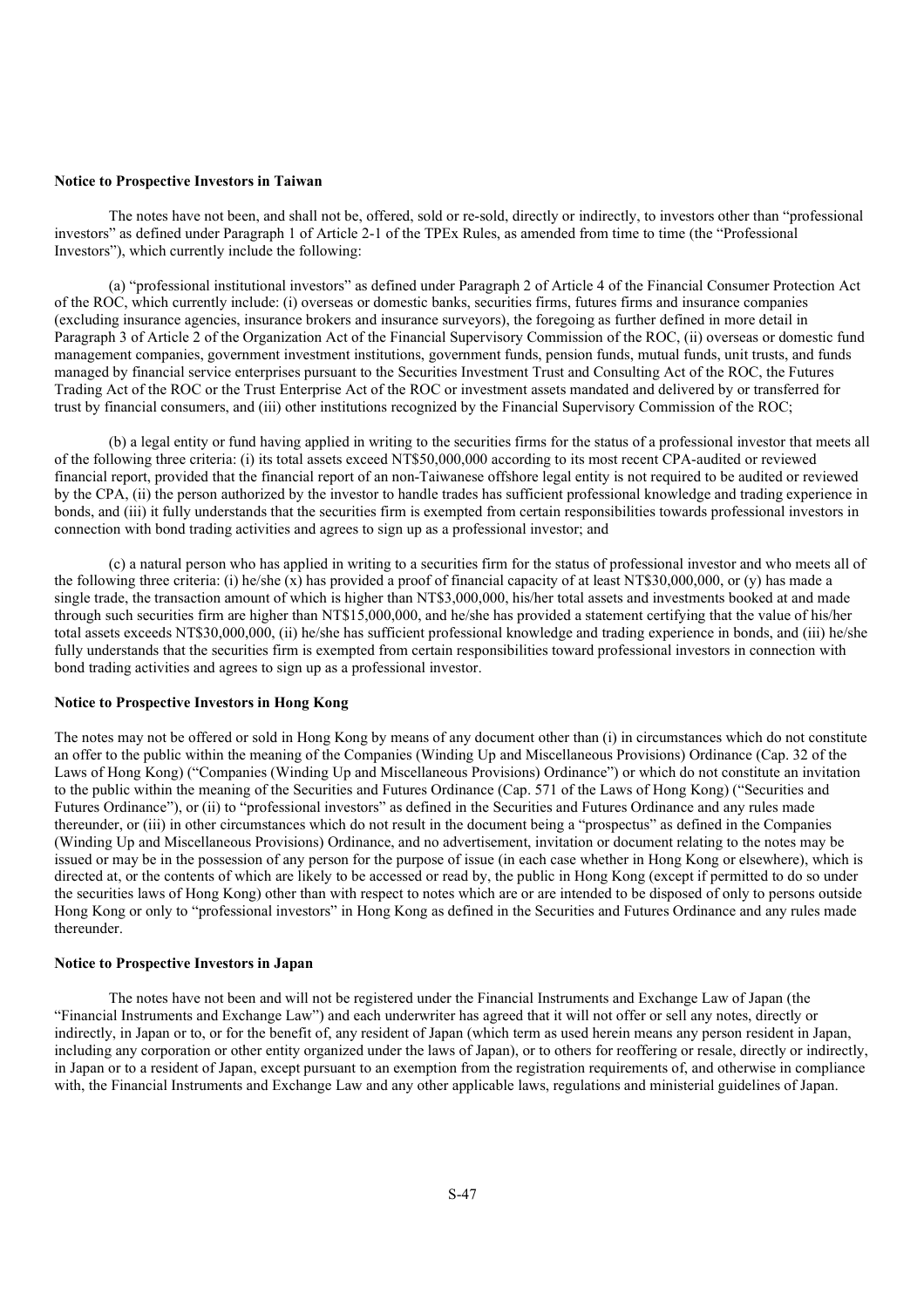#### **Notice to Prospective Investors in Taiwan**

The notes have not been, and shall not be, offered, sold or re-sold, directly or indirectly, to investors other than "professional investors" as defined under Paragraph 1 of Article 2-1 of the TPEx Rules, as amended from time to time (the "Professional Investors"), which currently include the following:

(a) "professional institutional investors" as defined under Paragraph 2 of Article 4 of the Financial Consumer Protection Act of the ROC, which currently include: (i) overseas or domestic banks, securities firms, futures firms and insurance companies (excluding insurance agencies, insurance brokers and insurance surveyors), the foregoing as further defined in more detail in Paragraph 3 of Article 2 of the Organization Act of the Financial Supervisory Commission of the ROC, (ii) overseas or domestic fund management companies, government investment institutions, government funds, pension funds, mutual funds, unit trusts, and funds managed by financial service enterprises pursuant to the Securities Investment Trust and Consulting Act of the ROC, the Futures Trading Act of the ROC or the Trust Enterprise Act of the ROC or investment assets mandated and delivered by or transferred for trust by financial consumers, and (iii) other institutions recognized by the Financial Supervisory Commission of the ROC;

(b) a legal entity or fund having applied in writing to the securities firms for the status of a professional investor that meets all of the following three criteria: (i) its total assets exceed NT\$50,000,000 according to its most recent CPA-audited or reviewed financial report, provided that the financial report of an non-Taiwanese offshore legal entity is not required to be audited or reviewed by the CPA, (ii) the person authorized by the investor to handle trades has sufficient professional knowledge and trading experience in bonds, and (iii) it fully understands that the securities firm is exempted from certain responsibilities towards professional investors in connection with bond trading activities and agrees to sign up as a professional investor; and

(c) a natural person who has applied in writing to a securities firm for the status of professional investor and who meets all of the following three criteria: (i) he/she  $(x)$  has provided a proof of financial capacity of at least NT\$30,000,000, or (y) has made a single trade, the transaction amount of which is higher than NT\$3,000,000, his/her total assets and investments booked at and made through such securities firm are higher than NT\$15,000,000, and he/she has provided a statement certifying that the value of his/her total assets exceeds NT\$30,000,000, (ii) he/she has sufficient professional knowledge and trading experience in bonds, and (iii) he/she fully understands that the securities firm is exempted from certain responsibilities toward professional investors in connection with bond trading activities and agrees to sign up as a professional investor.

# **Notice to Prospective Investors in Hong Kong**

The notes may not be offered or sold in Hong Kong by means of any document other than (i) in circumstances which do not constitute an offer to the public within the meaning of the Companies (Winding Up and Miscellaneous Provisions) Ordinance (Cap. 32 of the Laws of Hong Kong) ("Companies (Winding Up and Miscellaneous Provisions) Ordinance") or which do not constitute an invitation to the public within the meaning of the Securities and Futures Ordinance (Cap. 571 of the Laws of Hong Kong) ("Securities and Futures Ordinance"), or (ii) to "professional investors" as defined in the Securities and Futures Ordinance and any rules made thereunder, or (iii) in other circumstances which do not result in the document being a "prospectus" as defined in the Companies (Winding Up and Miscellaneous Provisions) Ordinance, and no advertisement, invitation or document relating to the notes may be issued or may be in the possession of any person for the purpose of issue (in each case whether in Hong Kong or elsewhere), which is directed at, or the contents of which are likely to be accessed or read by, the public in Hong Kong (except if permitted to do so under the securities laws of Hong Kong) other than with respect to notes which are or are intended to be disposed of only to persons outside Hong Kong or only to "professional investors" in Hong Kong as defined in the Securities and Futures Ordinance and any rules made thereunder.

### **Notice to Prospective Investors in Japan**

The notes have not been and will not be registered under the Financial Instruments and Exchange Law of Japan (the "Financial Instruments and Exchange Law") and each underwriter has agreed that it will not offer or sell any notes, directly or indirectly, in Japan or to, or for the benefit of, any resident of Japan (which term as used herein means any person resident in Japan, including any corporation or other entity organized under the laws of Japan), or to others for reoffering or resale, directly or indirectly, in Japan or to a resident of Japan, except pursuant to an exemption from the registration requirements of, and otherwise in compliance with, the Financial Instruments and Exchange Law and any other applicable laws, regulations and ministerial guidelines of Japan.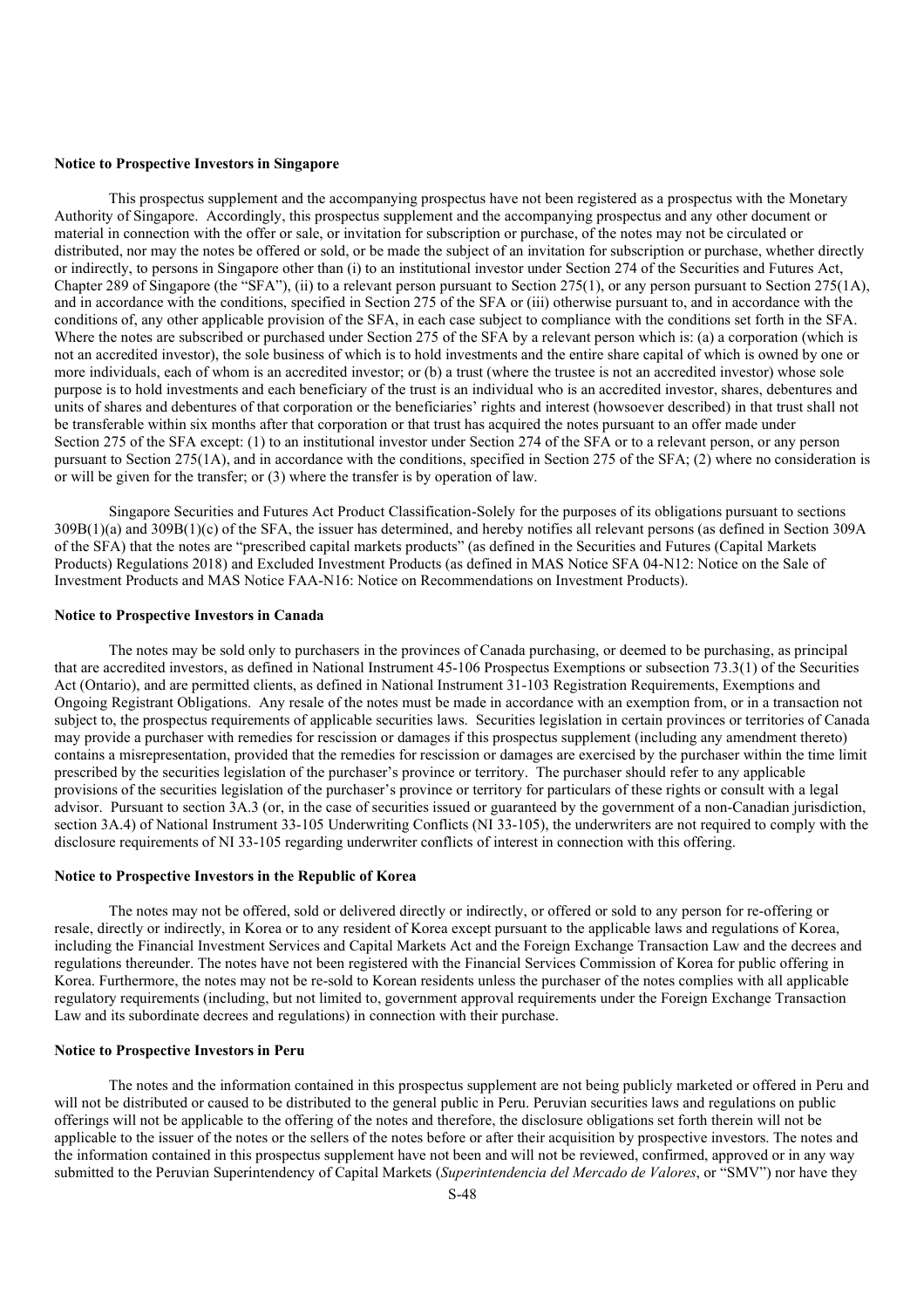#### **Notice to Prospective Investors in Singapore**

This prospectus supplement and the accompanying prospectus have not been registered as a prospectus with the Monetary Authority of Singapore. Accordingly, this prospectus supplement and the accompanying prospectus and any other document or material in connection with the offer or sale, or invitation for subscription or purchase, of the notes may not be circulated or distributed, nor may the notes be offered or sold, or be made the subject of an invitation for subscription or purchase, whether directly or indirectly, to persons in Singapore other than (i) to an institutional investor under Section 274 of the Securities and Futures Act, Chapter 289 of Singapore (the "SFA"), (ii) to a relevant person pursuant to Section 275(1), or any person pursuant to Section 275(1A), and in accordance with the conditions, specified in Section 275 of the SFA or (iii) otherwise pursuant to, and in accordance with the conditions of, any other applicable provision of the SFA, in each case subject to compliance with the conditions set forth in the SFA. Where the notes are subscribed or purchased under Section 275 of the SFA by a relevant person which is: (a) a corporation (which is not an accredited investor), the sole business of which is to hold investments and the entire share capital of which is owned by one or more individuals, each of whom is an accredited investor; or (b) a trust (where the trustee is not an accredited investor) whose sole purpose is to hold investments and each beneficiary of the trust is an individual who is an accredited investor, shares, debentures and units of shares and debentures of that corporation or the beneficiaries' rights and interest (howsoever described) in that trust shall not be transferable within six months after that corporation or that trust has acquired the notes pursuant to an offer made under Section 275 of the SFA except: (1) to an institutional investor under Section 274 of the SFA or to a relevant person, or any person pursuant to Section 275(1A), and in accordance with the conditions, specified in Section 275 of the SFA; (2) where no consideration is or will be given for the transfer; or (3) where the transfer is by operation of law.

Singapore Securities and Futures Act Product Classification-Solely for the purposes of its obligations pursuant to sections 309B(1)(a) and 309B(1)(c) of the SFA, the issuer has determined, and hereby notifies all relevant persons (as defined in Section 309A of the SFA) that the notes are "prescribed capital markets products" (as defined in the Securities and Futures (Capital Markets Products) Regulations 2018) and Excluded Investment Products (as defined in MAS Notice SFA 04-N12: Notice on the Sale of Investment Products and MAS Notice FAA-N16: Notice on Recommendations on Investment Products).

#### **Notice to Prospective Investors in Canada**

The notes may be sold only to purchasers in the provinces of Canada purchasing, or deemed to be purchasing, as principal that are accredited investors, as defined in National Instrument 45-106 Prospectus Exemptions or subsection 73.3(1) of the Securities Act (Ontario), and are permitted clients, as defined in National Instrument 31-103 Registration Requirements, Exemptions and Ongoing Registrant Obligations. Any resale of the notes must be made in accordance with an exemption from, or in a transaction not subject to, the prospectus requirements of applicable securities laws. Securities legislation in certain provinces or territories of Canada may provide a purchaser with remedies for rescission or damages if this prospectus supplement (including any amendment thereto) contains a misrepresentation, provided that the remedies for rescission or damages are exercised by the purchaser within the time limit prescribed by the securities legislation of the purchaser's province or territory. The purchaser should refer to any applicable provisions of the securities legislation of the purchaser's province or territory for particulars of these rights or consult with a legal advisor. Pursuant to section 3A.3 (or, in the case of securities issued or guaranteed by the government of a non-Canadian jurisdiction, section 3A.4) of National Instrument 33-105 Underwriting Conflicts (NI 33-105), the underwriters are not required to comply with the disclosure requirements of NI 33-105 regarding underwriter conflicts of interest in connection with this offering.

## **Notice to Prospective Investors in the Republic of Korea**

The notes may not be offered, sold or delivered directly or indirectly, or offered or sold to any person for re-offering or resale, directly or indirectly, in Korea or to any resident of Korea except pursuant to the applicable laws and regulations of Korea, including the Financial Investment Services and Capital Markets Act and the Foreign Exchange Transaction Law and the decrees and regulations thereunder. The notes have not been registered with the Financial Services Commission of Korea for public offering in Korea. Furthermore, the notes may not be re-sold to Korean residents unless the purchaser of the notes complies with all applicable regulatory requirements (including, but not limited to, government approval requirements under the Foreign Exchange Transaction Law and its subordinate decrees and regulations) in connection with their purchase.

### **Notice to Prospective Investors in Peru**

The notes and the information contained in this prospectus supplement are not being publicly marketed or offered in Peru and will not be distributed or caused to be distributed to the general public in Peru. Peruvian securities laws and regulations on public offerings will not be applicable to the offering of the notes and therefore, the disclosure obligations set forth therein will not be applicable to the issuer of the notes or the sellers of the notes before or after their acquisition by prospective investors. The notes and the information contained in this prospectus supplement have not been and will not be reviewed, confirmed, approved or in any way submitted to the Peruvian Superintendency of Capital Markets (*Superintendencia del Mercado de Valores*, or "SMV") nor have they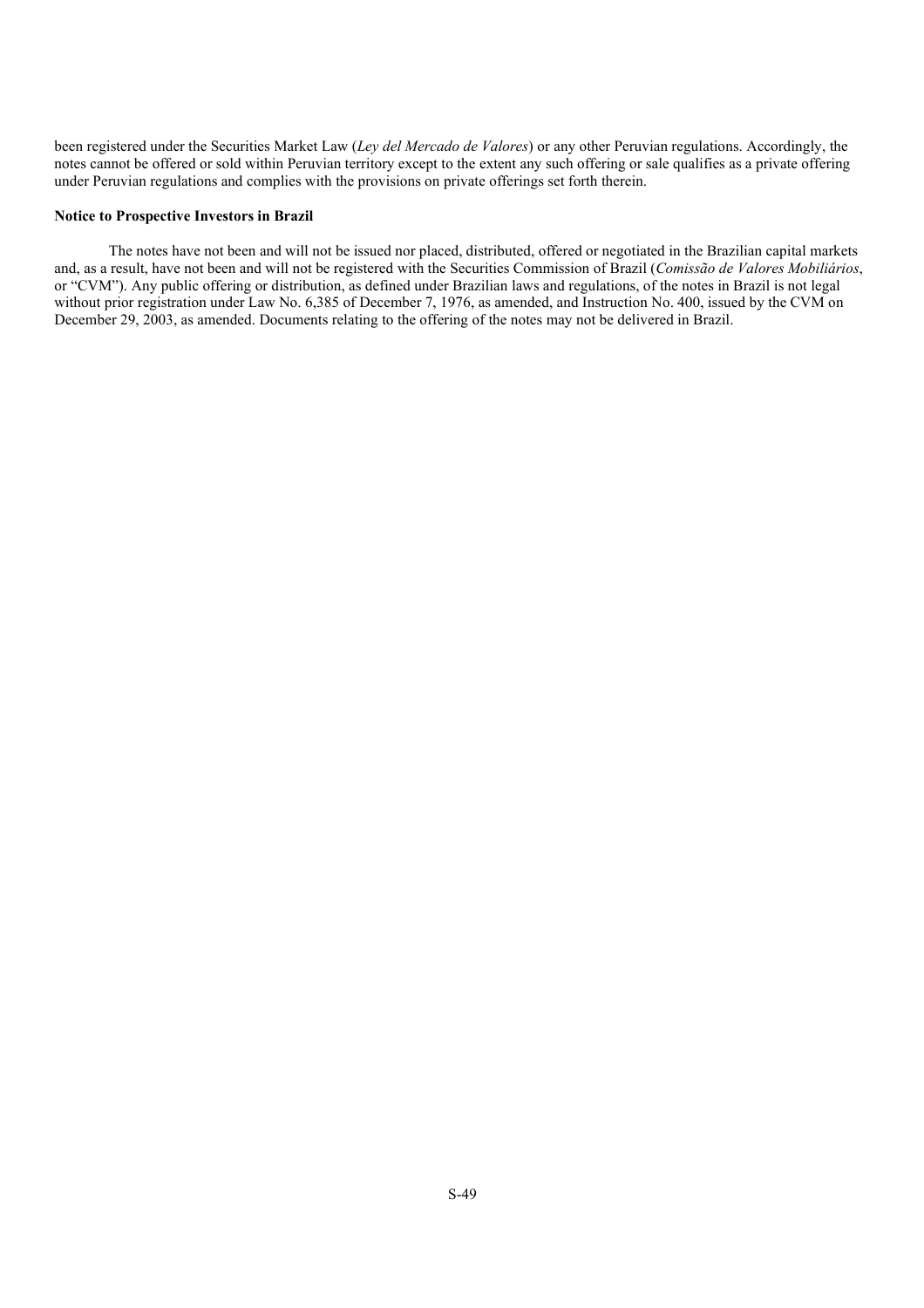been registered under the Securities Market Law (*Ley del Mercado de Valores*) or any other Peruvian regulations. Accordingly, the notes cannot be offered or sold within Peruvian territory except to the extent any such offering or sale qualifies as a private offering under Peruvian regulations and complies with the provisions on private offerings set forth therein.

### **Notice to Prospective Investors in Brazil**

The notes have not been and will not be issued nor placed, distributed, offered or negotiated in the Brazilian capital markets and, as a result, have not been and will not be registered with the Securities Commission of Brazil (*Comissão de Valores Mobiliários*, or "CVM"). Any public offering or distribution, as defined under Brazilian laws and regulations, of the notes in Brazil is not legal without prior registration under Law No. 6,385 of December 7, 1976, as amended, and Instruction No. 400, issued by the CVM on December 29, 2003, as amended. Documents relating to the offering of the notes may not be delivered in Brazil.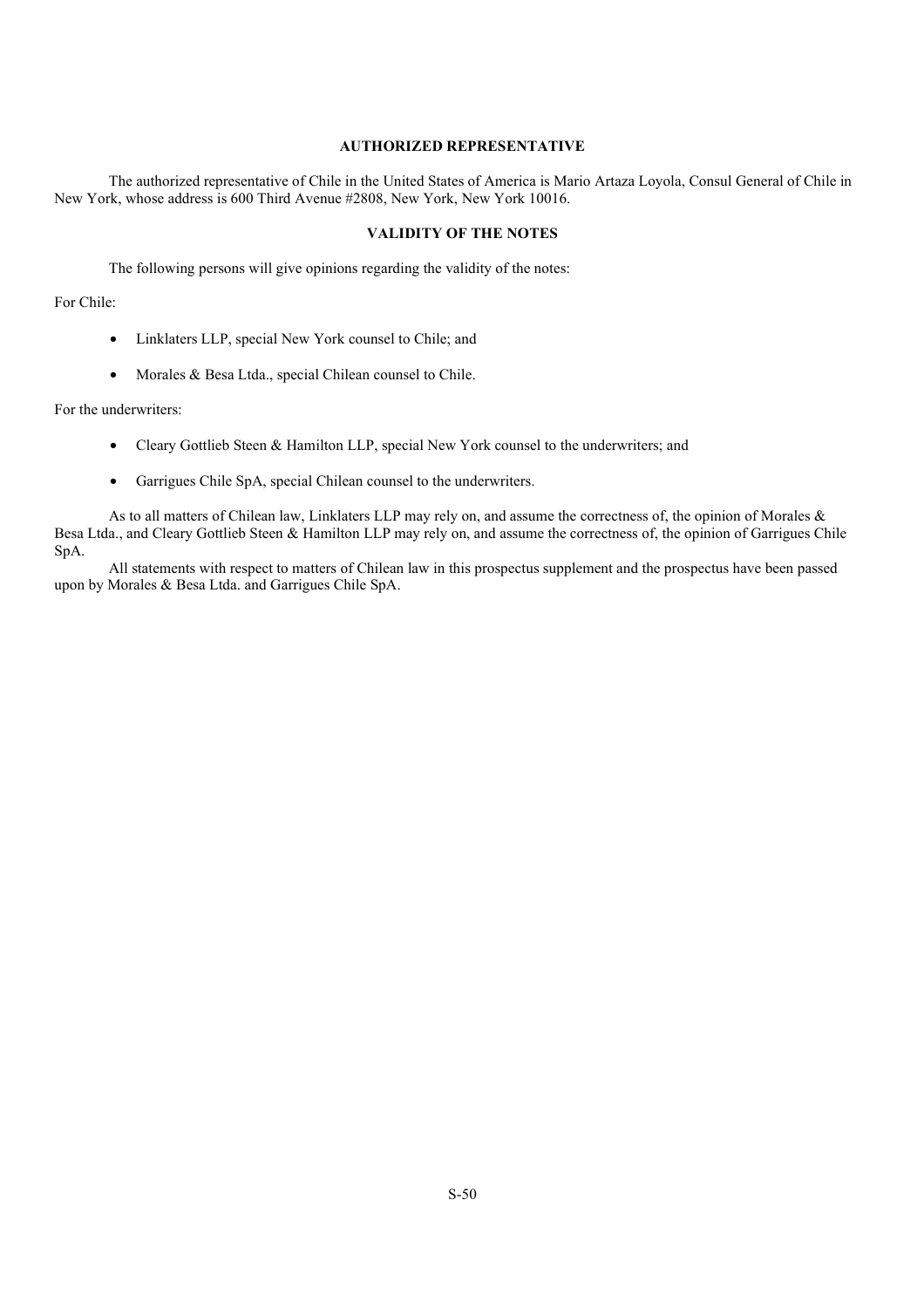# **AUTHORIZED REPRESENTATIVE**

The authorized representative of Chile in the United States of America is Mario Artaza Loyola, Consul General of Chile in New York, whose address is 600 Third Avenue #2808, New York, New York 10016.

# **VALIDITY OF THE NOTES**

The following persons will give opinions regarding the validity of the notes:

# For Chile:

- Linklaters LLP, special New York counsel to Chile; and
- Morales & Besa Ltda., special Chilean counsel to Chile.

For the underwriters:

- Cleary Gottlieb Steen & Hamilton LLP, special New York counsel to the underwriters; and
- Garrigues Chile SpA, special Chilean counsel to the underwriters.

As to all matters of Chilean law, Linklaters LLP may rely on, and assume the correctness of, the opinion of Morales & Besa Ltda., and Cleary Gottlieb Steen & Hamilton LLP may rely on, and assume the correctness of, the opinion of Garrigues Chile SpA.

All statements with respect to matters of Chilean law in this prospectus supplement and the prospectus have been passed upon by Morales & Besa Ltda. and Garrigues Chile SpA.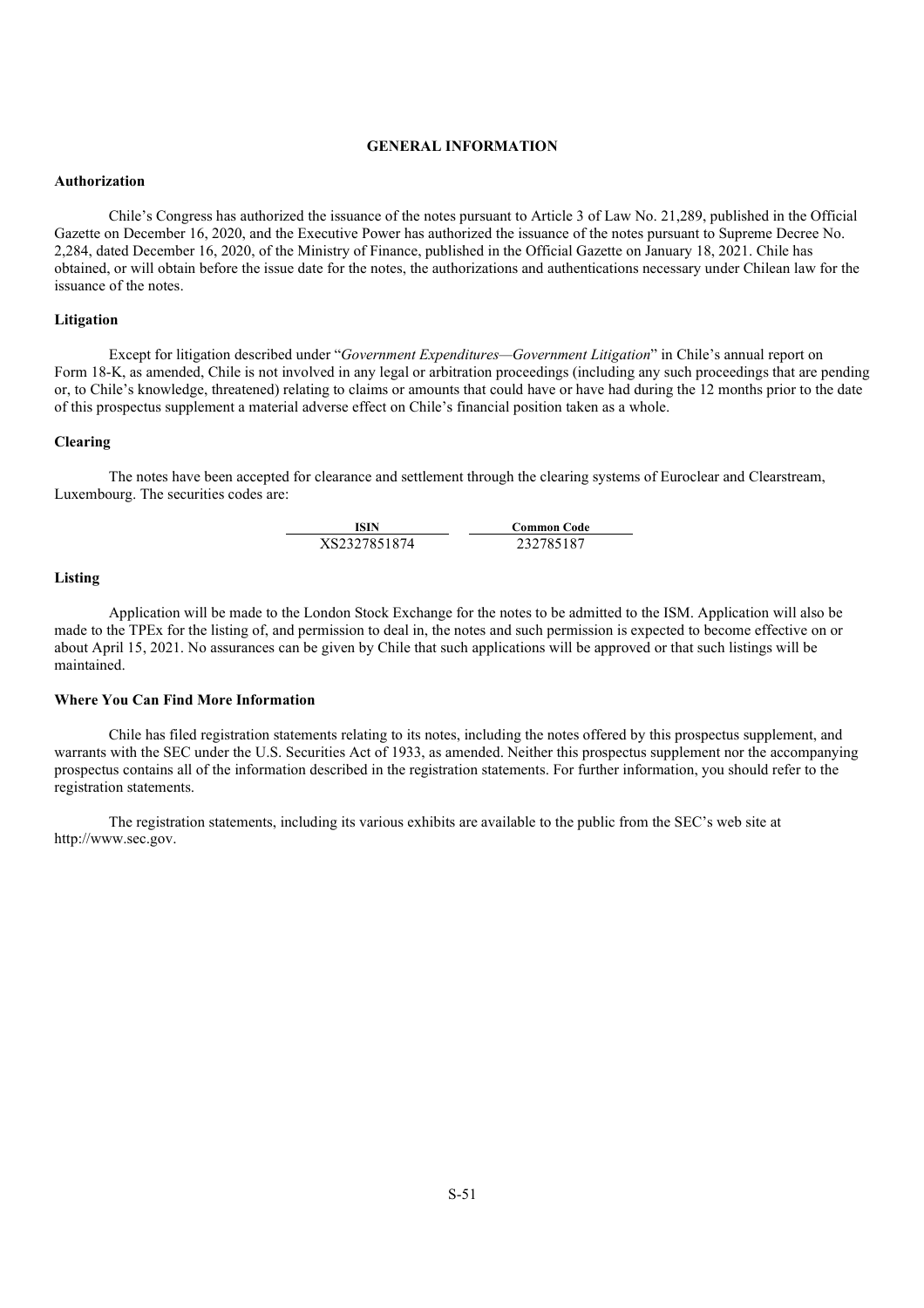# **GENERAL INFORMATION**

#### **Authorization**

Chile's Congress has authorized the issuance of the notes pursuant to Article 3 of Law No. 21,289, published in the Official Gazette on December 16, 2020, and the Executive Power has authorized the issuance of the notes pursuant to Supreme Decree No. 2,284, dated December 16, 2020, of the Ministry of Finance, published in the Official Gazette on January 18, 2021. Chile has obtained, or will obtain before the issue date for the notes, the authorizations and authentications necessary under Chilean law for the issuance of the notes.

# **Litigation**

Except for litigation described under "*Government Expenditures—Government Litigation*" in Chile's annual report on Form 18-K, as amended, Chile is not involved in any legal or arbitration proceedings (including any such proceedings that are pending or, to Chile's knowledge, threatened) relating to claims or amounts that could have or have had during the 12 months prior to the date of this prospectus supplement a material adverse effect on Chile's financial position taken as a whole.

### **Clearing**

The notes have been accepted for clearance and settlement through the clearing systems of Euroclear and Clearstream, Luxembourg. The securities codes are:

**ISIN Common Code**  XS2327851874 232785187

### **Listing**

Application will be made to the London Stock Exchange for the notes to be admitted to the ISM. Application will also be made to the TPEx for the listing of, and permission to deal in, the notes and such permission is expected to become effective on or about April 15, 2021. No assurances can be given by Chile that such applications will be approved or that such listings will be maintained.

## **Where You Can Find More Information**

Chile has filed registration statements relating to its notes, including the notes offered by this prospectus supplement, and warrants with the SEC under the U.S. Securities Act of 1933, as amended. Neither this prospectus supplement nor the accompanying prospectus contains all of the information described in the registration statements. For further information, you should refer to the registration statements.

The registration statements, including its various exhibits are available to the public from the SEC's web site at http://www.sec.gov.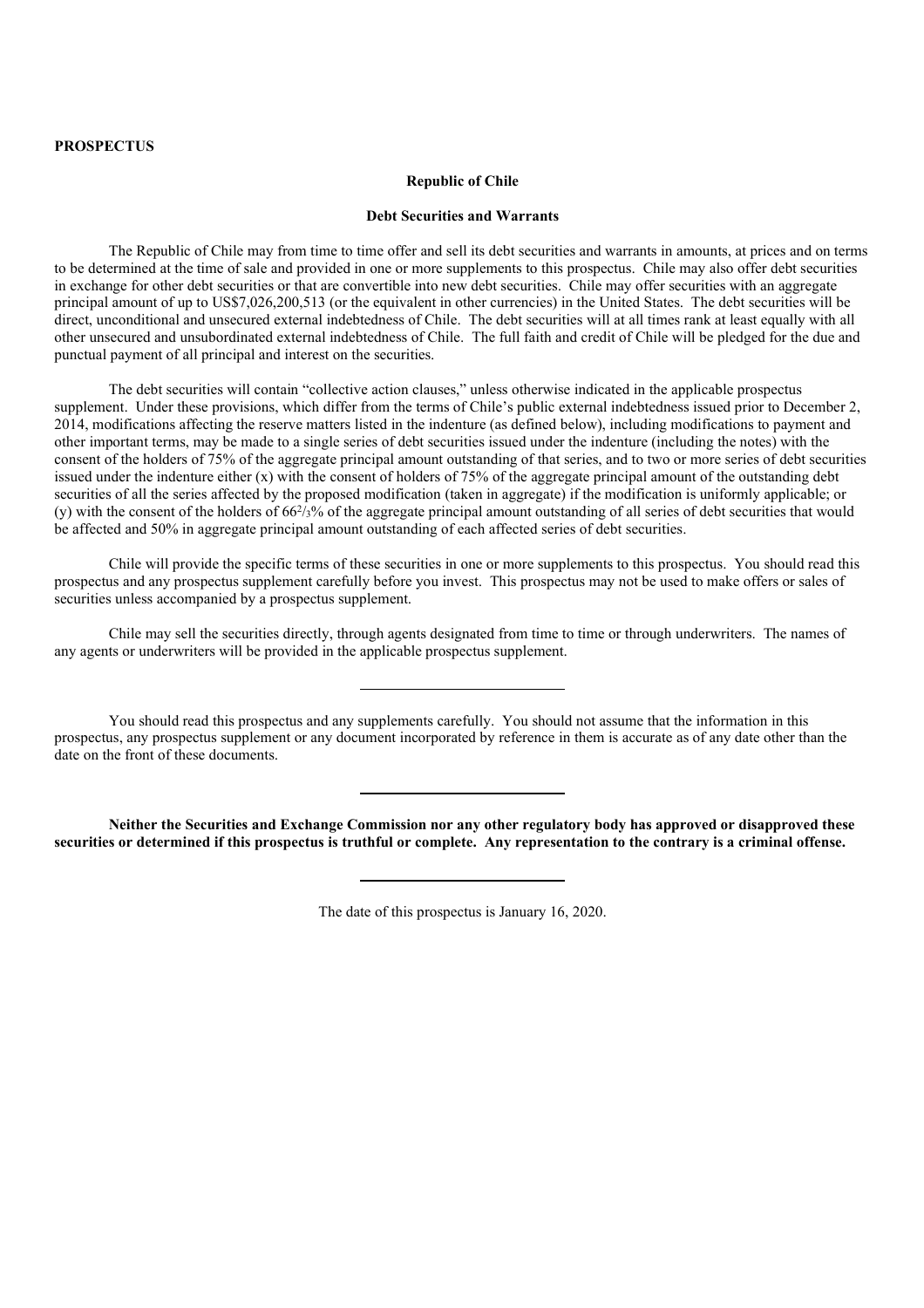## **Republic of Chile**

# **Debt Securities and Warrants**

The Republic of Chile may from time to time offer and sell its debt securities and warrants in amounts, at prices and on terms to be determined at the time of sale and provided in one or more supplements to this prospectus. Chile may also offer debt securities in exchange for other debt securities or that are convertible into new debt securities. Chile may offer securities with an aggregate principal amount of up to US\$7,026,200,513 (or the equivalent in other currencies) in the United States. The debt securities will be direct, unconditional and unsecured external indebtedness of Chile. The debt securities will at all times rank at least equally with all other unsecured and unsubordinated external indebtedness of Chile. The full faith and credit of Chile will be pledged for the due and punctual payment of all principal and interest on the securities.

The debt securities will contain "collective action clauses," unless otherwise indicated in the applicable prospectus supplement. Under these provisions, which differ from the terms of Chile's public external indebtedness issued prior to December 2, 2014, modifications affecting the reserve matters listed in the indenture (as defined below), including modifications to payment and other important terms, may be made to a single series of debt securities issued under the indenture (including the notes) with the consent of the holders of 75% of the aggregate principal amount outstanding of that series, and to two or more series of debt securities issued under the indenture either (x) with the consent of holders of 75% of the aggregate principal amount of the outstanding debt securities of all the series affected by the proposed modification (taken in aggregate) if the modification is uniformly applicable; or (y) with the consent of the holders of  $66\frac{2}{3}\%$  of the aggregate principal amount outstanding of all series of debt securities that would be affected and 50% in aggregate principal amount outstanding of each affected series of debt securities.

Chile will provide the specific terms of these securities in one or more supplements to this prospectus. You should read this prospectus and any prospectus supplement carefully before you invest. This prospectus may not be used to make offers or sales of securities unless accompanied by a prospectus supplement.

Chile may sell the securities directly, through agents designated from time to time or through underwriters. The names of any agents or underwriters will be provided in the applicable prospectus supplement.

You should read this prospectus and any supplements carefully. You should not assume that the information in this prospectus, any prospectus supplement or any document incorporated by reference in them is accurate as of any date other than the date on the front of these documents.

**Neither the Securities and Exchange Commission nor any other regulatory body has approved or disapproved these securities or determined if this prospectus is truthful or complete. Any representation to the contrary is a criminal offense.**

The date of this prospectus is January 16, 2020.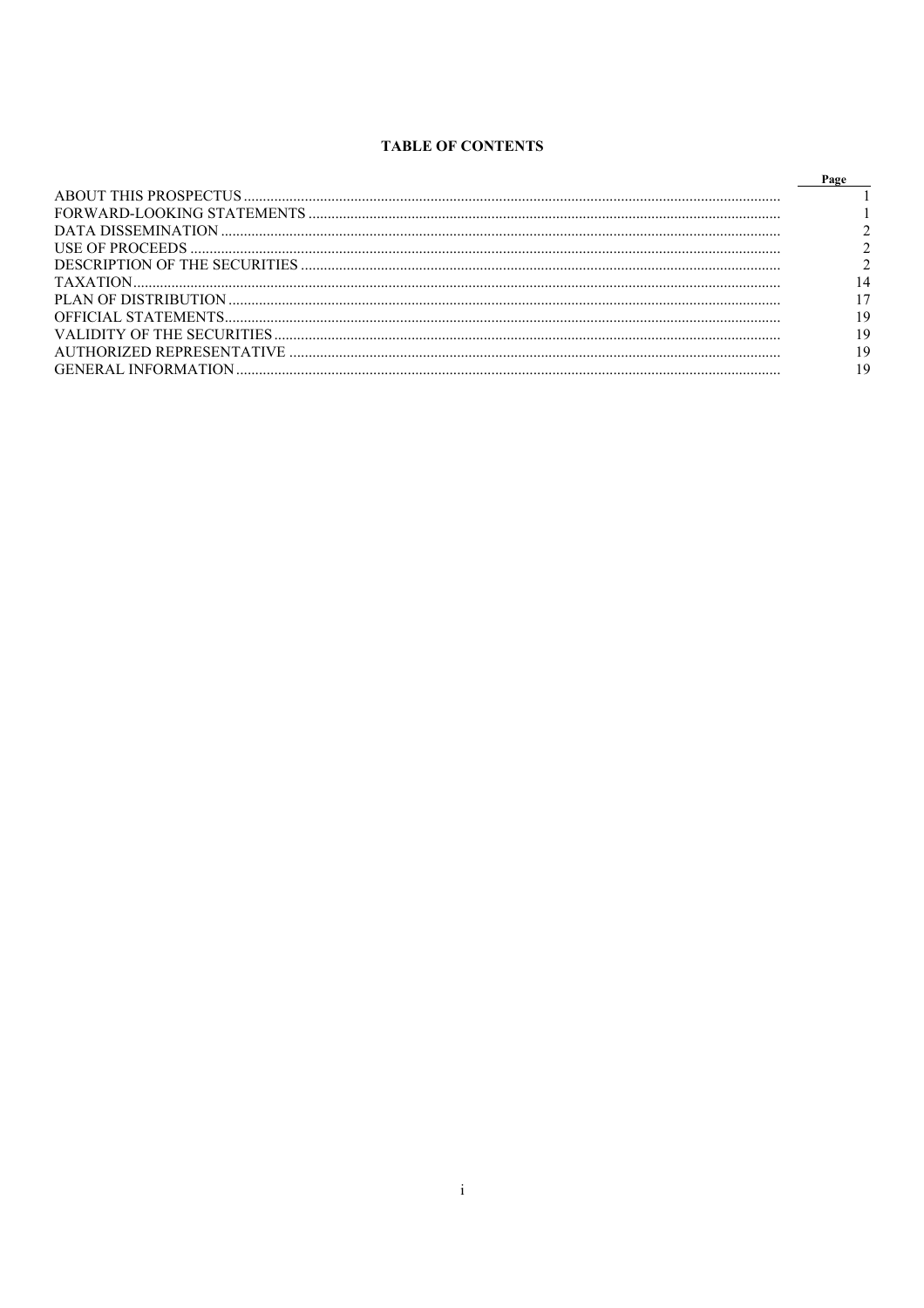# **TABLE OF CONTENTS**

| Page |
|------|
|      |
|      |
|      |
|      |
|      |
|      |
|      |
| 19   |
| 19   |
| 19   |
|      |
|      |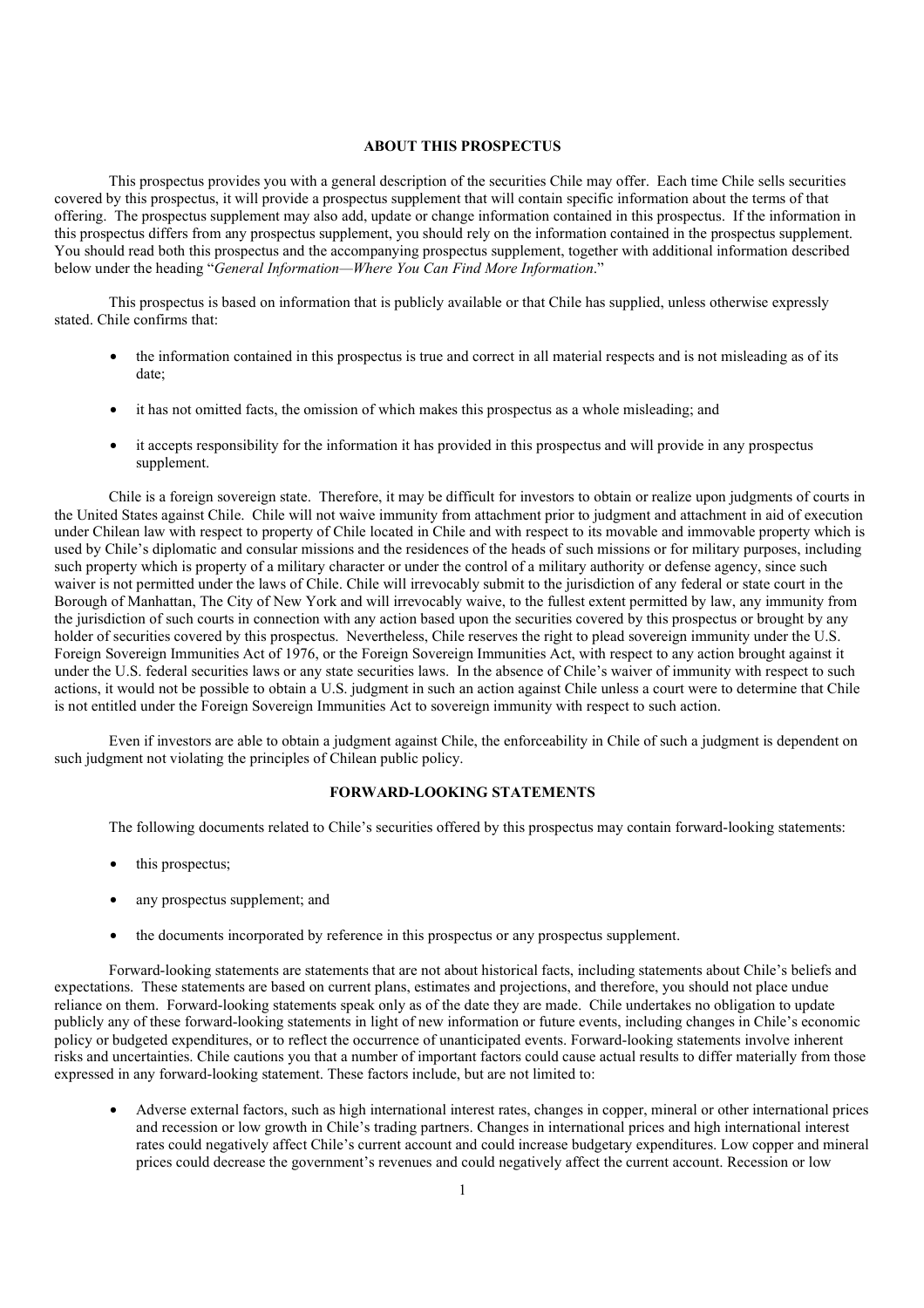# **ABOUT THIS PROSPECTUS**

This prospectus provides you with a general description of the securities Chile may offer. Each time Chile sells securities covered by this prospectus, it will provide a prospectus supplement that will contain specific information about the terms of that offering. The prospectus supplement may also add, update or change information contained in this prospectus. If the information in this prospectus differs from any prospectus supplement, you should rely on the information contained in the prospectus supplement. You should read both this prospectus and the accompanying prospectus supplement, together with additional information described below under the heading "*General Information—Where You Can Find More Information*."

This prospectus is based on information that is publicly available or that Chile has supplied, unless otherwise expressly stated. Chile confirms that:

- the information contained in this prospectus is true and correct in all material respects and is not misleading as of its date;
- it has not omitted facts, the omission of which makes this prospectus as a whole misleading; and
- it accepts responsibility for the information it has provided in this prospectus and will provide in any prospectus supplement.

Chile is a foreign sovereign state. Therefore, it may be difficult for investors to obtain or realize upon judgments of courts in the United States against Chile. Chile will not waive immunity from attachment prior to judgment and attachment in aid of execution under Chilean law with respect to property of Chile located in Chile and with respect to its movable and immovable property which is used by Chile's diplomatic and consular missions and the residences of the heads of such missions or for military purposes, including such property which is property of a military character or under the control of a military authority or defense agency, since such waiver is not permitted under the laws of Chile. Chile will irrevocably submit to the jurisdiction of any federal or state court in the Borough of Manhattan, The City of New York and will irrevocably waive, to the fullest extent permitted by law, any immunity from the jurisdiction of such courts in connection with any action based upon the securities covered by this prospectus or brought by any holder of securities covered by this prospectus. Nevertheless, Chile reserves the right to plead sovereign immunity under the U.S. Foreign Sovereign Immunities Act of 1976, or the Foreign Sovereign Immunities Act, with respect to any action brought against it under the U.S. federal securities laws or any state securities laws. In the absence of Chile's waiver of immunity with respect to such actions, it would not be possible to obtain a U.S. judgment in such an action against Chile unless a court were to determine that Chile is not entitled under the Foreign Sovereign Immunities Act to sovereign immunity with respect to such action.

Even if investors are able to obtain a judgment against Chile, the enforceability in Chile of such a judgment is dependent on such judgment not violating the principles of Chilean public policy.

# **FORWARD-LOOKING STATEMENTS**

The following documents related to Chile's securities offered by this prospectus may contain forward-looking statements:

- this prospectus;
- any prospectus supplement; and
- the documents incorporated by reference in this prospectus or any prospectus supplement.

Forward-looking statements are statements that are not about historical facts, including statements about Chile's beliefs and expectations. These statements are based on current plans, estimates and projections, and therefore, you should not place undue reliance on them. Forward-looking statements speak only as of the date they are made. Chile undertakes no obligation to update publicly any of these forward-looking statements in light of new information or future events, including changes in Chile's economic policy or budgeted expenditures, or to reflect the occurrence of unanticipated events. Forward-looking statements involve inherent risks and uncertainties. Chile cautions you that a number of important factors could cause actual results to differ materially from those expressed in any forward-looking statement. These factors include, but are not limited to:

• Adverse external factors, such as high international interest rates, changes in copper, mineral or other international prices and recession or low growth in Chile's trading partners. Changes in international prices and high international interest rates could negatively affect Chile's current account and could increase budgetary expenditures. Low copper and mineral prices could decrease the government's revenues and could negatively affect the current account. Recession or low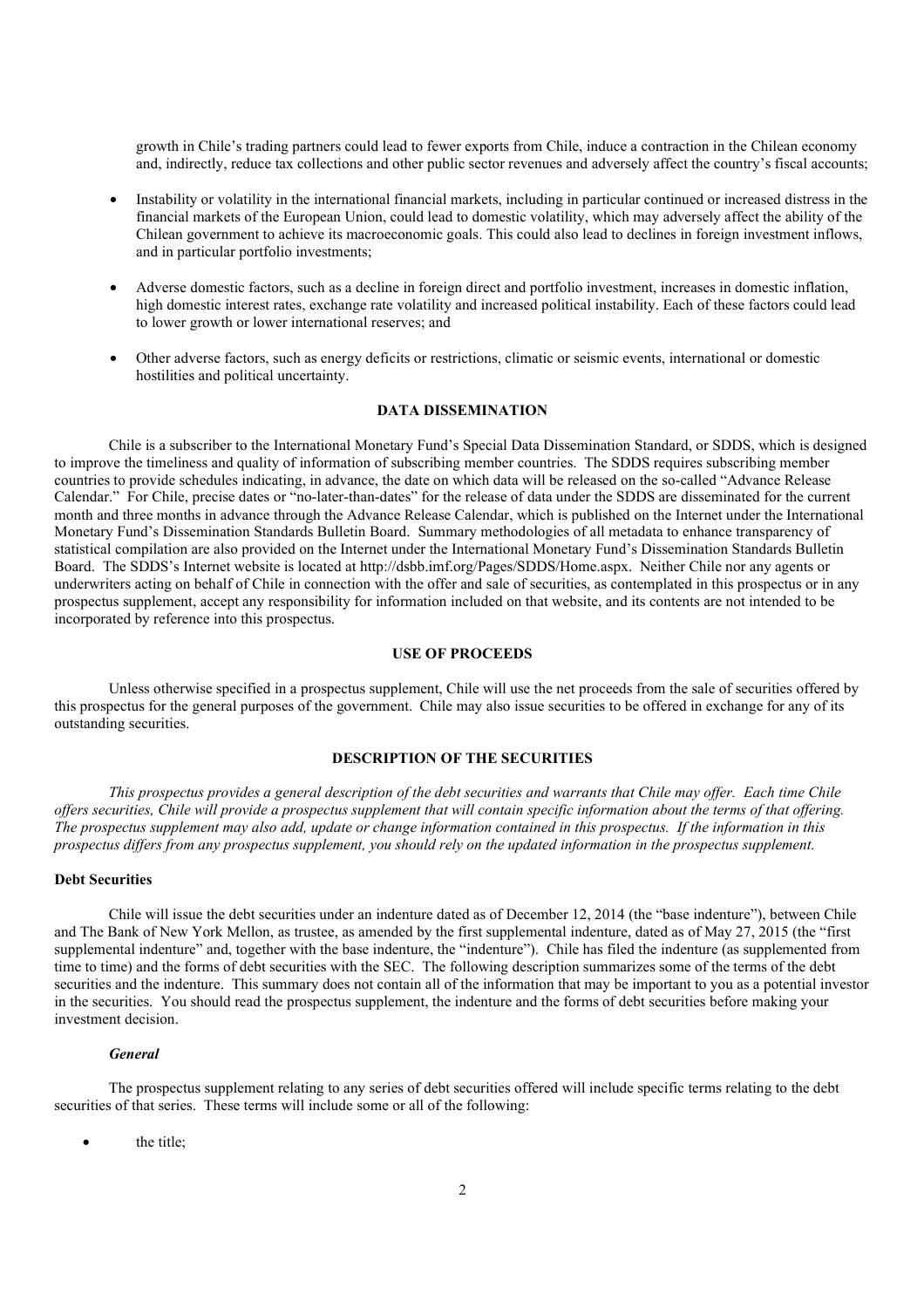growth in Chile's trading partners could lead to fewer exports from Chile, induce a contraction in the Chilean economy and, indirectly, reduce tax collections and other public sector revenues and adversely affect the country's fiscal accounts;

- Instability or volatility in the international financial markets, including in particular continued or increased distress in the financial markets of the European Union, could lead to domestic volatility, which may adversely affect the ability of the Chilean government to achieve its macroeconomic goals. This could also lead to declines in foreign investment inflows, and in particular portfolio investments;
- Adverse domestic factors, such as a decline in foreign direct and portfolio investment, increases in domestic inflation, high domestic interest rates, exchange rate volatility and increased political instability. Each of these factors could lead to lower growth or lower international reserves; and
- Other adverse factors, such as energy deficits or restrictions, climatic or seismic events, international or domestic hostilities and political uncertainty.

#### **DATA DISSEMINATION**

Chile is a subscriber to the International Monetary Fund's Special Data Dissemination Standard, or SDDS, which is designed to improve the timeliness and quality of information of subscribing member countries. The SDDS requires subscribing member countries to provide schedules indicating, in advance, the date on which data will be released on the so-called "Advance Release Calendar." For Chile, precise dates or "no-later-than-dates" for the release of data under the SDDS are disseminated for the current month and three months in advance through the Advance Release Calendar, which is published on the Internet under the International Monetary Fund's Dissemination Standards Bulletin Board. Summary methodologies of all metadata to enhance transparency of statistical compilation are also provided on the Internet under the International Monetary Fund's Dissemination Standards Bulletin Board. The SDDS's Internet website is located at http://dsbb.imf.org/Pages/SDDS/Home.aspx. Neither Chile nor any agents or underwriters acting on behalf of Chile in connection with the offer and sale of securities, as contemplated in this prospectus or in any prospectus supplement, accept any responsibility for information included on that website, and its contents are not intended to be incorporated by reference into this prospectus.

# **USE OF PROCEEDS**

Unless otherwise specified in a prospectus supplement, Chile will use the net proceeds from the sale of securities offered by this prospectus for the general purposes of the government. Chile may also issue securities to be offered in exchange for any of its outstanding securities.

# **DESCRIPTION OF THE SECURITIES**

*This prospectus provides a general description of the debt securities and warrants that Chile may offer. Each time Chile offers securities, Chile will provide a prospectus supplement that will contain specific information about the terms of that offering. The prospectus supplement may also add, update or change information contained in this prospectus. If the information in this prospectus differs from any prospectus supplement, you should rely on the updated information in the prospectus supplement.*

### **Debt Securities**

Chile will issue the debt securities under an indenture dated as of December 12, 2014 (the "base indenture"), between Chile and The Bank of New York Mellon, as trustee, as amended by the first supplemental indenture, dated as of May 27, 2015 (the "first supplemental indenture" and, together with the base indenture, the "indenture"). Chile has filed the indenture (as supplemented from time to time) and the forms of debt securities with the SEC. The following description summarizes some of the terms of the debt securities and the indenture. This summary does not contain all of the information that may be important to you as a potential investor in the securities. You should read the prospectus supplement, the indenture and the forms of debt securities before making your investment decision.

### *General*

The prospectus supplement relating to any series of debt securities offered will include specific terms relating to the debt securities of that series. These terms will include some or all of the following:

the title;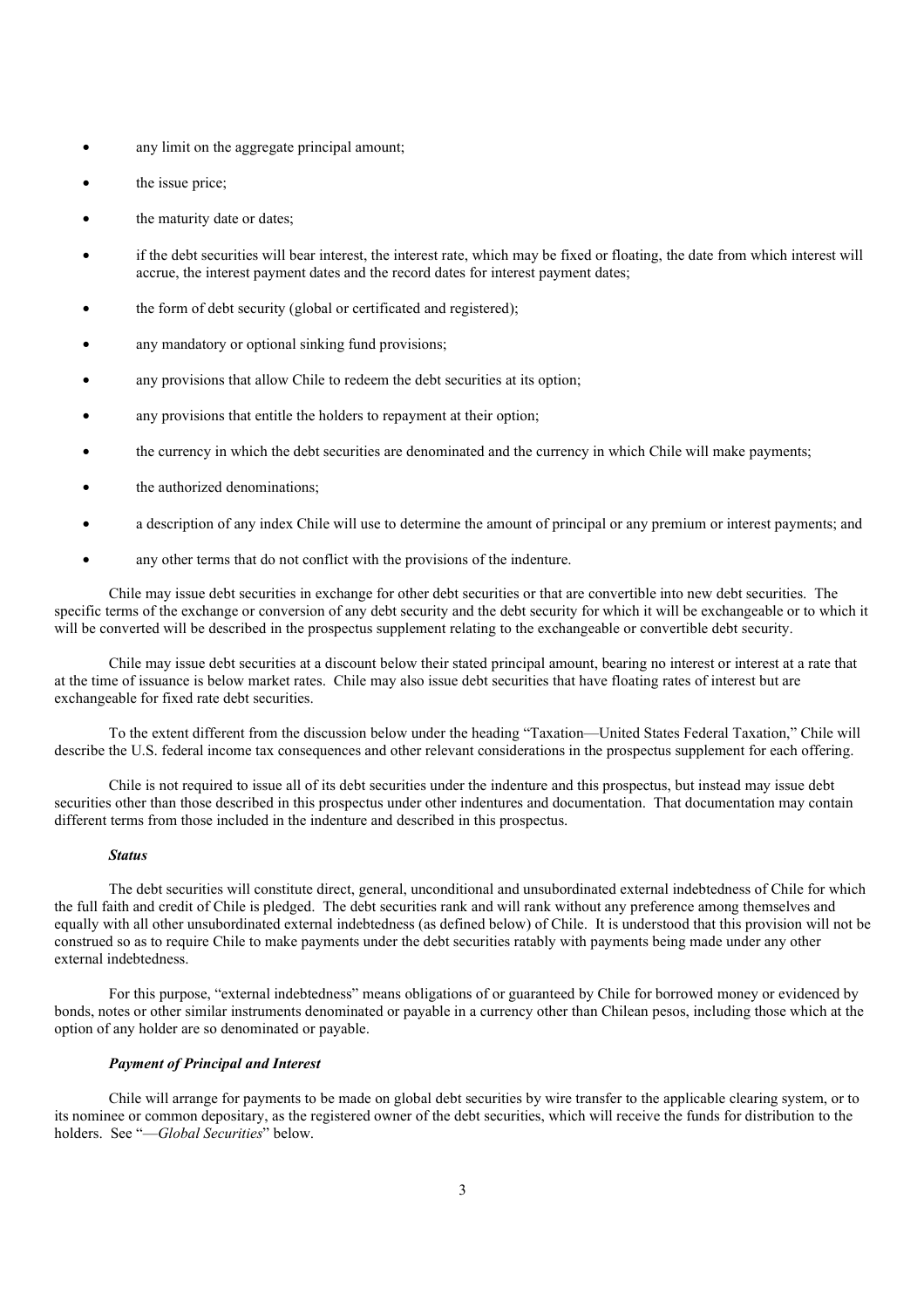- any limit on the aggregate principal amount;
- the issue price;
- the maturity date or dates;
- if the debt securities will bear interest, the interest rate, which may be fixed or floating, the date from which interest will accrue, the interest payment dates and the record dates for interest payment dates;
- the form of debt security (global or certificated and registered);
- any mandatory or optional sinking fund provisions;
- any provisions that allow Chile to redeem the debt securities at its option;
- any provisions that entitle the holders to repayment at their option;
- the currency in which the debt securities are denominated and the currency in which Chile will make payments;
- the authorized denominations;
- a description of any index Chile will use to determine the amount of principal or any premium or interest payments; and
- any other terms that do not conflict with the provisions of the indenture.

Chile may issue debt securities in exchange for other debt securities or that are convertible into new debt securities. The specific terms of the exchange or conversion of any debt security and the debt security for which it will be exchangeable or to which it will be converted will be described in the prospectus supplement relating to the exchangeable or convertible debt security.

Chile may issue debt securities at a discount below their stated principal amount, bearing no interest or interest at a rate that at the time of issuance is below market rates. Chile may also issue debt securities that have floating rates of interest but are exchangeable for fixed rate debt securities.

To the extent different from the discussion below under the heading "Taxation—United States Federal Taxation," Chile will describe the U.S. federal income tax consequences and other relevant considerations in the prospectus supplement for each offering.

Chile is not required to issue all of its debt securities under the indenture and this prospectus, but instead may issue debt securities other than those described in this prospectus under other indentures and documentation. That documentation may contain different terms from those included in the indenture and described in this prospectus.

#### *Status*

The debt securities will constitute direct, general, unconditional and unsubordinated external indebtedness of Chile for which the full faith and credit of Chile is pledged. The debt securities rank and will rank without any preference among themselves and equally with all other unsubordinated external indebtedness (as defined below) of Chile. It is understood that this provision will not be construed so as to require Chile to make payments under the debt securities ratably with payments being made under any other external indebtedness.

For this purpose, "external indebtedness" means obligations of or guaranteed by Chile for borrowed money or evidenced by bonds, notes or other similar instruments denominated or payable in a currency other than Chilean pesos, including those which at the option of any holder are so denominated or payable.

### *Payment of Principal and Interest*

Chile will arrange for payments to be made on global debt securities by wire transfer to the applicable clearing system, or to its nominee or common depositary, as the registered owner of the debt securities, which will receive the funds for distribution to the holders. See "—*Global Securities*" below.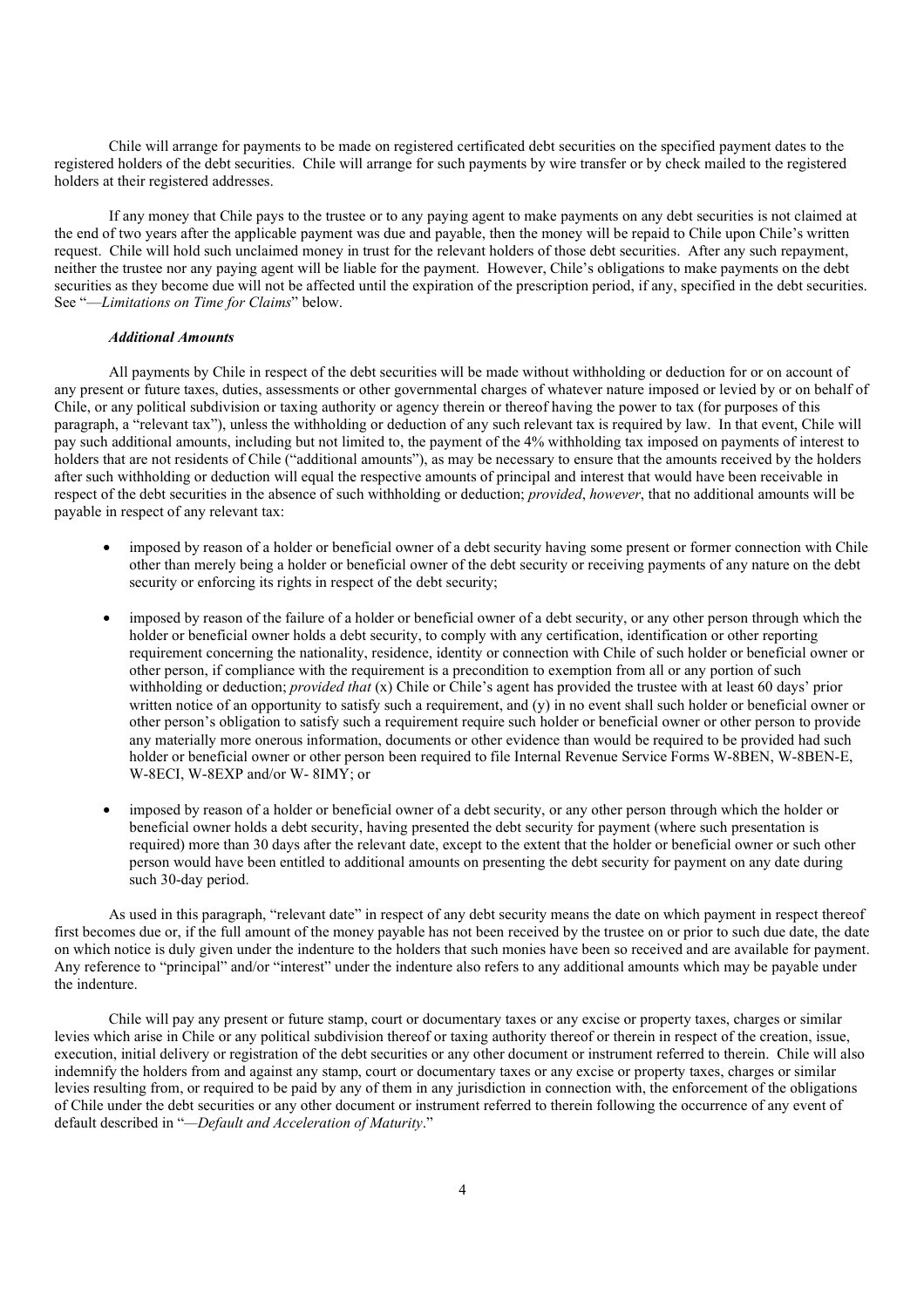Chile will arrange for payments to be made on registered certificated debt securities on the specified payment dates to the registered holders of the debt securities. Chile will arrange for such payments by wire transfer or by check mailed to the registered holders at their registered addresses.

If any money that Chile pays to the trustee or to any paying agent to make payments on any debt securities is not claimed at the end of two years after the applicable payment was due and payable, then the money will be repaid to Chile upon Chile's written request. Chile will hold such unclaimed money in trust for the relevant holders of those debt securities. After any such repayment, neither the trustee nor any paying agent will be liable for the payment. However, Chile's obligations to make payments on the debt securities as they become due will not be affected until the expiration of the prescription period, if any, specified in the debt securities. See "—*Limitations on Time for Claims*" below.

## *Additional Amounts*

All payments by Chile in respect of the debt securities will be made without withholding or deduction for or on account of any present or future taxes, duties, assessments or other governmental charges of whatever nature imposed or levied by or on behalf of Chile, or any political subdivision or taxing authority or agency therein or thereof having the power to tax (for purposes of this paragraph, a "relevant tax"), unless the withholding or deduction of any such relevant tax is required by law. In that event, Chile will pay such additional amounts, including but not limited to, the payment of the 4% withholding tax imposed on payments of interest to holders that are not residents of Chile ("additional amounts"), as may be necessary to ensure that the amounts received by the holders after such withholding or deduction will equal the respective amounts of principal and interest that would have been receivable in respect of the debt securities in the absence of such withholding or deduction; *provided*, *however*, that no additional amounts will be payable in respect of any relevant tax:

- imposed by reason of a holder or beneficial owner of a debt security having some present or former connection with Chile other than merely being a holder or beneficial owner of the debt security or receiving payments of any nature on the debt security or enforcing its rights in respect of the debt security;
- imposed by reason of the failure of a holder or beneficial owner of a debt security, or any other person through which the holder or beneficial owner holds a debt security, to comply with any certification, identification or other reporting requirement concerning the nationality, residence, identity or connection with Chile of such holder or beneficial owner or other person, if compliance with the requirement is a precondition to exemption from all or any portion of such withholding or deduction; *provided that* (x) Chile or Chile's agent has provided the trustee with at least 60 days' prior written notice of an opportunity to satisfy such a requirement, and (y) in no event shall such holder or beneficial owner or other person's obligation to satisfy such a requirement require such holder or beneficial owner or other person to provide any materially more onerous information, documents or other evidence than would be required to be provided had such holder or beneficial owner or other person been required to file Internal Revenue Service Forms W-8BEN, W-8BEN-E, W-8ECI, W-8EXP and/or W- 8IMY; or
- imposed by reason of a holder or beneficial owner of a debt security, or any other person through which the holder or beneficial owner holds a debt security, having presented the debt security for payment (where such presentation is required) more than 30 days after the relevant date, except to the extent that the holder or beneficial owner or such other person would have been entitled to additional amounts on presenting the debt security for payment on any date during such 30-day period.

As used in this paragraph, "relevant date" in respect of any debt security means the date on which payment in respect thereof first becomes due or, if the full amount of the money payable has not been received by the trustee on or prior to such due date, the date on which notice is duly given under the indenture to the holders that such monies have been so received and are available for payment. Any reference to "principal" and/or "interest" under the indenture also refers to any additional amounts which may be payable under the indenture.

Chile will pay any present or future stamp, court or documentary taxes or any excise or property taxes, charges or similar levies which arise in Chile or any political subdivision thereof or taxing authority thereof or therein in respect of the creation, issue, execution, initial delivery or registration of the debt securities or any other document or instrument referred to therein. Chile will also indemnify the holders from and against any stamp, court or documentary taxes or any excise or property taxes, charges or similar levies resulting from, or required to be paid by any of them in any jurisdiction in connection with, the enforcement of the obligations of Chile under the debt securities or any other document or instrument referred to therein following the occurrence of any event of default described in "*—Default and Acceleration of Maturity*."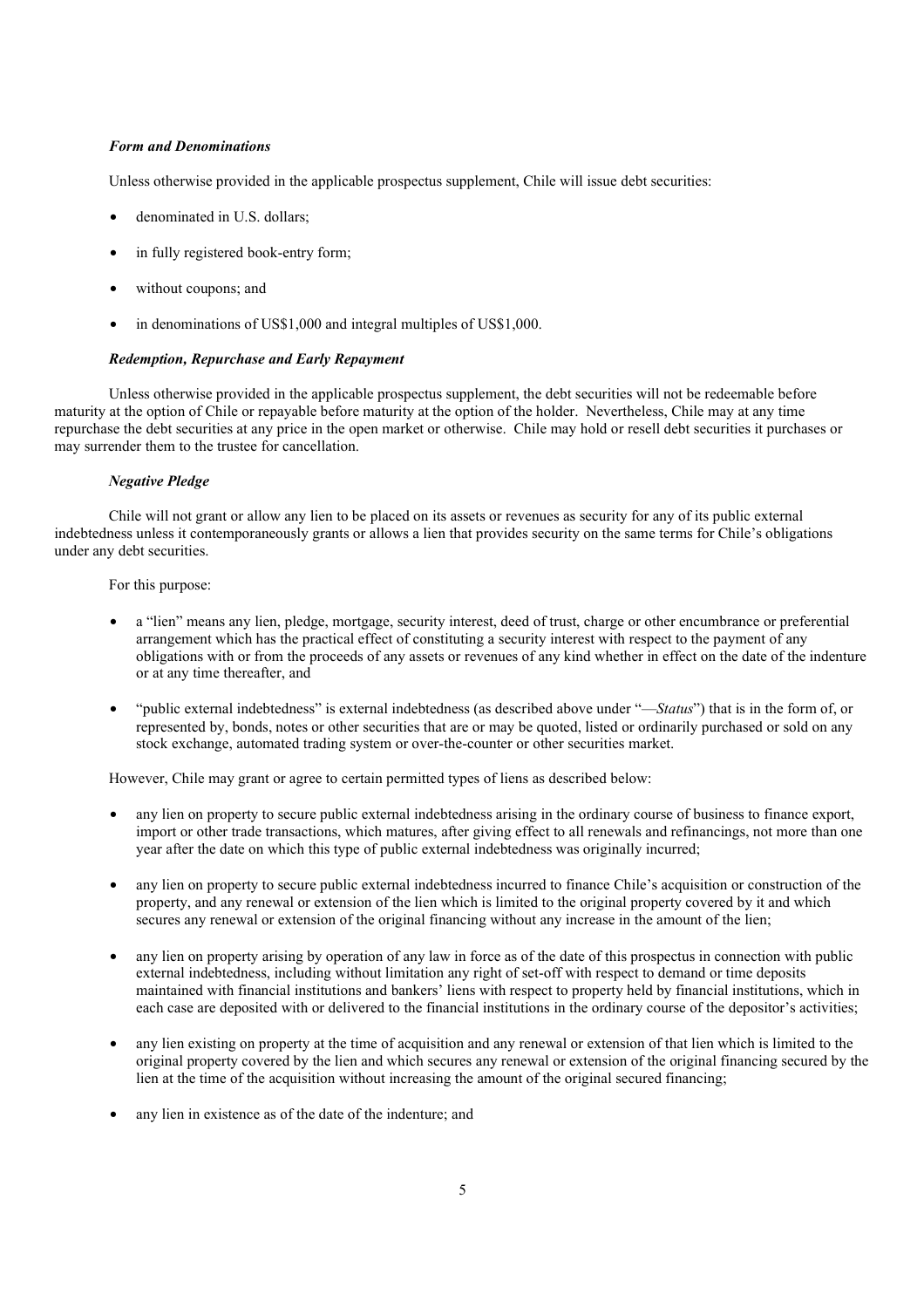### *Form and Denominations*

Unless otherwise provided in the applicable prospectus supplement, Chile will issue debt securities:

- denominated in U.S. dollars:
- in fully registered book-entry form;
- without coupons; and
- in denominations of US\$1,000 and integral multiples of US\$1,000.

### *Redemption, Repurchase and Early Repayment*

Unless otherwise provided in the applicable prospectus supplement, the debt securities will not be redeemable before maturity at the option of Chile or repayable before maturity at the option of the holder. Nevertheless, Chile may at any time repurchase the debt securities at any price in the open market or otherwise. Chile may hold or resell debt securities it purchases or may surrender them to the trustee for cancellation.

#### *Negative Pledge*

Chile will not grant or allow any lien to be placed on its assets or revenues as security for any of its public external indebtedness unless it contemporaneously grants or allows a lien that provides security on the same terms for Chile's obligations under any debt securities.

For this purpose:

- a "lien" means any lien, pledge, mortgage, security interest, deed of trust, charge or other encumbrance or preferential arrangement which has the practical effect of constituting a security interest with respect to the payment of any obligations with or from the proceeds of any assets or revenues of any kind whether in effect on the date of the indenture or at any time thereafter, and
- "public external indebtedness" is external indebtedness (as described above under "—*Status*") that is in the form of, or represented by, bonds, notes or other securities that are or may be quoted, listed or ordinarily purchased or sold on any stock exchange, automated trading system or over-the-counter or other securities market.

However, Chile may grant or agree to certain permitted types of liens as described below:

- any lien on property to secure public external indebtedness arising in the ordinary course of business to finance export, import or other trade transactions, which matures, after giving effect to all renewals and refinancings, not more than one year after the date on which this type of public external indebtedness was originally incurred;
- any lien on property to secure public external indebtedness incurred to finance Chile's acquisition or construction of the property, and any renewal or extension of the lien which is limited to the original property covered by it and which secures any renewal or extension of the original financing without any increase in the amount of the lien;
- any lien on property arising by operation of any law in force as of the date of this prospectus in connection with public external indebtedness, including without limitation any right of set-off with respect to demand or time deposits maintained with financial institutions and bankers' liens with respect to property held by financial institutions, which in each case are deposited with or delivered to the financial institutions in the ordinary course of the depositor's activities;
- any lien existing on property at the time of acquisition and any renewal or extension of that lien which is limited to the original property covered by the lien and which secures any renewal or extension of the original financing secured by the lien at the time of the acquisition without increasing the amount of the original secured financing;
- any lien in existence as of the date of the indenture; and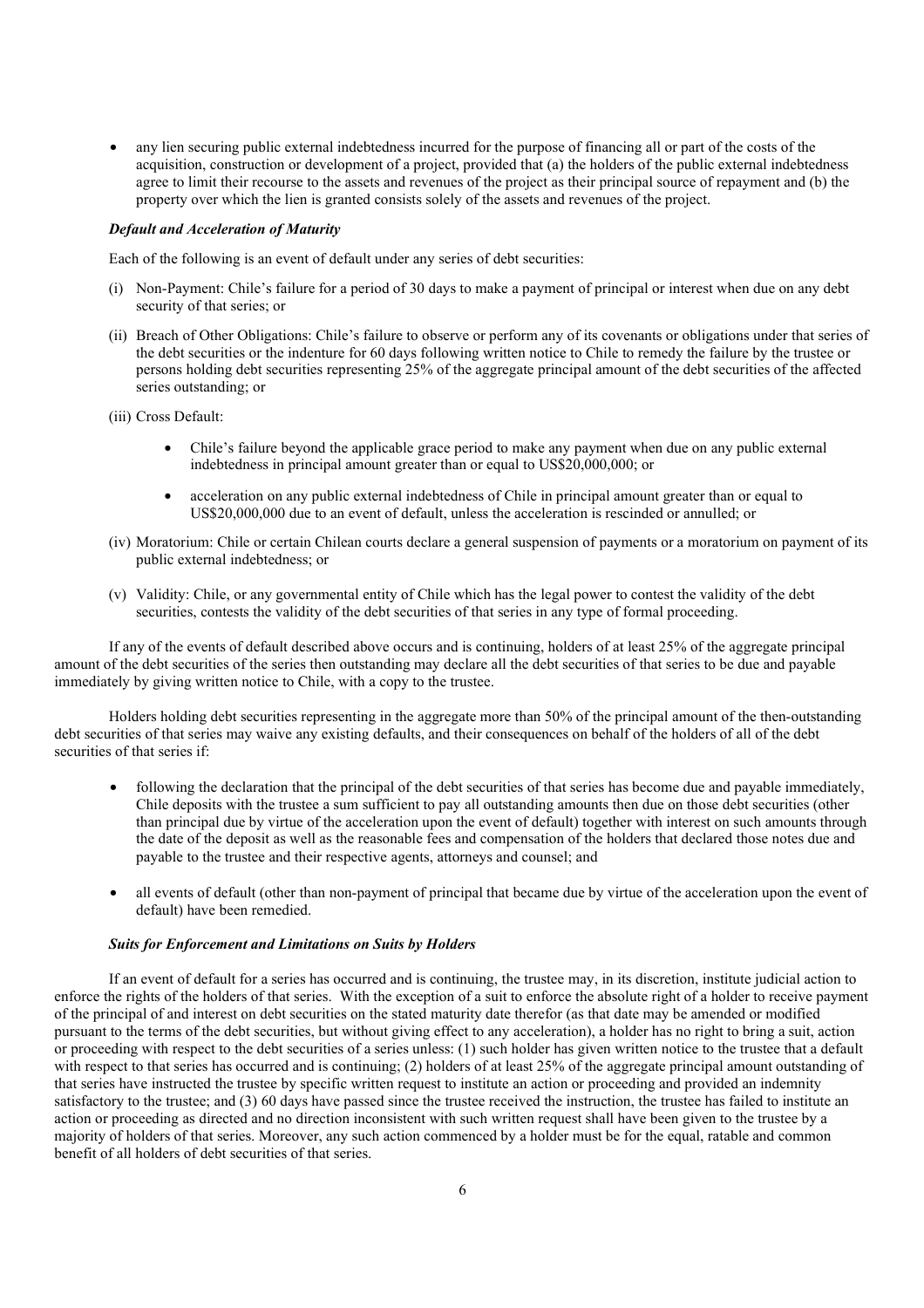• any lien securing public external indebtedness incurred for the purpose of financing all or part of the costs of the acquisition, construction or development of a project, provided that (a) the holders of the public external indebtedness agree to limit their recourse to the assets and revenues of the project as their principal source of repayment and (b) the property over which the lien is granted consists solely of the assets and revenues of the project.

#### *Default and Acceleration of Maturity*

Each of the following is an event of default under any series of debt securities:

- (i) Non-Payment: Chile's failure for a period of 30 days to make a payment of principal or interest when due on any debt security of that series; or
- (ii) Breach of Other Obligations: Chile's failure to observe or perform any of its covenants or obligations under that series of the debt securities or the indenture for 60 days following written notice to Chile to remedy the failure by the trustee or persons holding debt securities representing 25% of the aggregate principal amount of the debt securities of the affected series outstanding; or
- (iii) Cross Default:
	- Chile's failure beyond the applicable grace period to make any payment when due on any public external indebtedness in principal amount greater than or equal to US\$20,000,000; or
	- acceleration on any public external indebtedness of Chile in principal amount greater than or equal to US\$20,000,000 due to an event of default, unless the acceleration is rescinded or annulled; or
- (iv) Moratorium: Chile or certain Chilean courts declare a general suspension of payments or a moratorium on payment of its public external indebtedness; or
- (v) Validity: Chile, or any governmental entity of Chile which has the legal power to contest the validity of the debt securities, contests the validity of the debt securities of that series in any type of formal proceeding.

If any of the events of default described above occurs and is continuing, holders of at least 25% of the aggregate principal amount of the debt securities of the series then outstanding may declare all the debt securities of that series to be due and payable immediately by giving written notice to Chile, with a copy to the trustee.

Holders holding debt securities representing in the aggregate more than 50% of the principal amount of the then-outstanding debt securities of that series may waive any existing defaults, and their consequences on behalf of the holders of all of the debt securities of that series if:

- following the declaration that the principal of the debt securities of that series has become due and payable immediately, Chile deposits with the trustee a sum sufficient to pay all outstanding amounts then due on those debt securities (other than principal due by virtue of the acceleration upon the event of default) together with interest on such amounts through the date of the deposit as well as the reasonable fees and compensation of the holders that declared those notes due and payable to the trustee and their respective agents, attorneys and counsel; and
- all events of default (other than non-payment of principal that became due by virtue of the acceleration upon the event of default) have been remedied.

#### *Suits for Enforcement and Limitations on Suits by Holders*

If an event of default for a series has occurred and is continuing, the trustee may, in its discretion, institute judicial action to enforce the rights of the holders of that series. With the exception of a suit to enforce the absolute right of a holder to receive payment of the principal of and interest on debt securities on the stated maturity date therefor (as that date may be amended or modified pursuant to the terms of the debt securities, but without giving effect to any acceleration), a holder has no right to bring a suit, action or proceeding with respect to the debt securities of a series unless: (1) such holder has given written notice to the trustee that a default with respect to that series has occurred and is continuing; (2) holders of at least 25% of the aggregate principal amount outstanding of that series have instructed the trustee by specific written request to institute an action or proceeding and provided an indemnity satisfactory to the trustee; and (3) 60 days have passed since the trustee received the instruction, the trustee has failed to institute an action or proceeding as directed and no direction inconsistent with such written request shall have been given to the trustee by a majority of holders of that series. Moreover, any such action commenced by a holder must be for the equal, ratable and common benefit of all holders of debt securities of that series.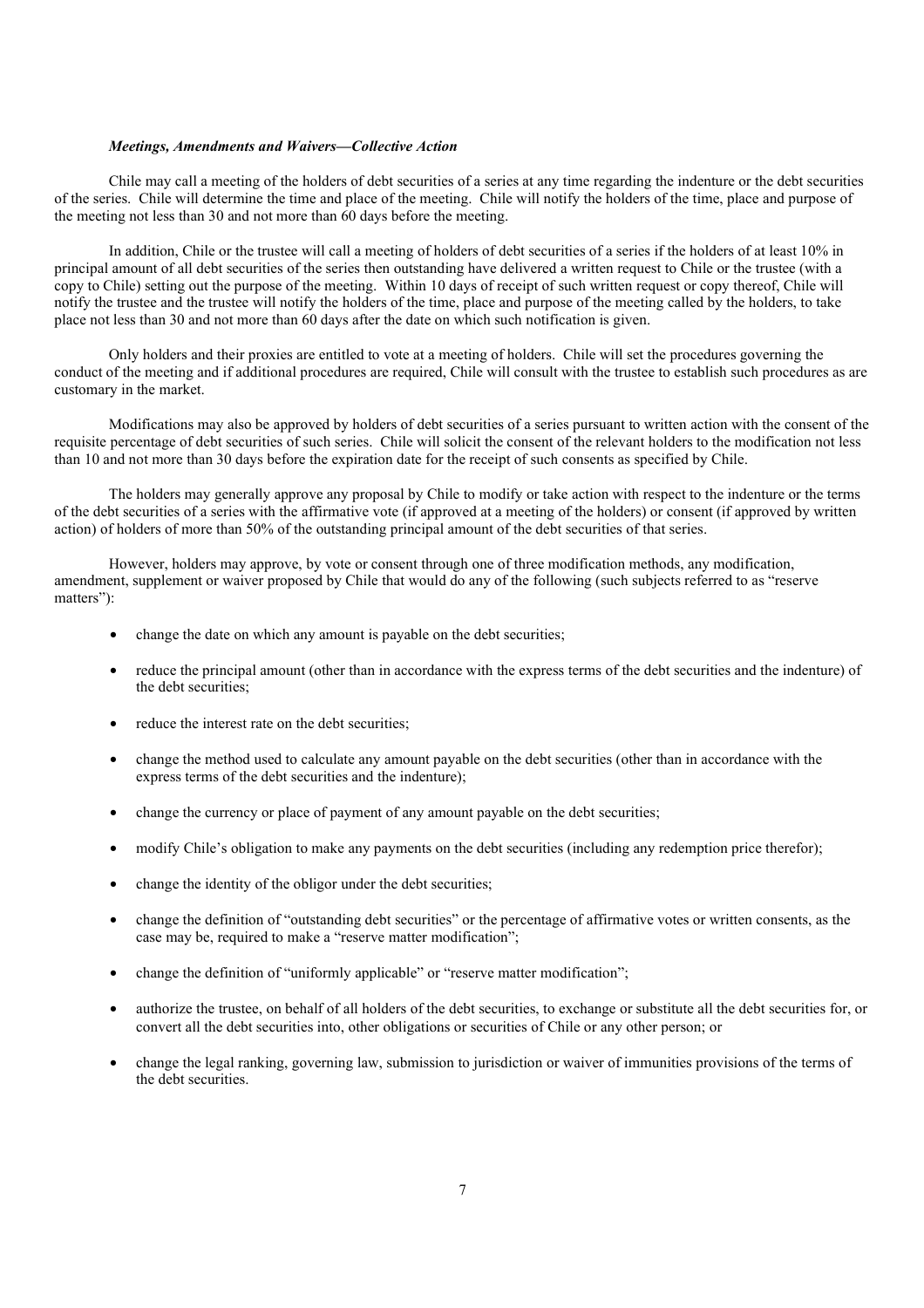#### *Meetings, Amendments and Waivers—Collective Action*

Chile may call a meeting of the holders of debt securities of a series at any time regarding the indenture or the debt securities of the series. Chile will determine the time and place of the meeting. Chile will notify the holders of the time, place and purpose of the meeting not less than 30 and not more than 60 days before the meeting.

In addition, Chile or the trustee will call a meeting of holders of debt securities of a series if the holders of at least 10% in principal amount of all debt securities of the series then outstanding have delivered a written request to Chile or the trustee (with a copy to Chile) setting out the purpose of the meeting. Within 10 days of receipt of such written request or copy thereof, Chile will notify the trustee and the trustee will notify the holders of the time, place and purpose of the meeting called by the holders, to take place not less than 30 and not more than 60 days after the date on which such notification is given.

Only holders and their proxies are entitled to vote at a meeting of holders. Chile will set the procedures governing the conduct of the meeting and if additional procedures are required, Chile will consult with the trustee to establish such procedures as are customary in the market.

Modifications may also be approved by holders of debt securities of a series pursuant to written action with the consent of the requisite percentage of debt securities of such series. Chile will solicit the consent of the relevant holders to the modification not less than 10 and not more than 30 days before the expiration date for the receipt of such consents as specified by Chile.

The holders may generally approve any proposal by Chile to modify or take action with respect to the indenture or the terms of the debt securities of a series with the affirmative vote (if approved at a meeting of the holders) or consent (if approved by written action) of holders of more than 50% of the outstanding principal amount of the debt securities of that series.

However, holders may approve, by vote or consent through one of three modification methods, any modification, amendment, supplement or waiver proposed by Chile that would do any of the following (such subjects referred to as "reserve matters"):

- change the date on which any amount is payable on the debt securities;
- reduce the principal amount (other than in accordance with the express terms of the debt securities and the indenture) of the debt securities;
- reduce the interest rate on the debt securities;
- change the method used to calculate any amount payable on the debt securities (other than in accordance with the express terms of the debt securities and the indenture);
- change the currency or place of payment of any amount payable on the debt securities;
- modify Chile's obligation to make any payments on the debt securities (including any redemption price therefor);
- change the identity of the obligor under the debt securities;
- change the definition of "outstanding debt securities" or the percentage of affirmative votes or written consents, as the case may be, required to make a "reserve matter modification";
- change the definition of "uniformly applicable" or "reserve matter modification";
- authorize the trustee, on behalf of all holders of the debt securities, to exchange or substitute all the debt securities for, or convert all the debt securities into, other obligations or securities of Chile or any other person; or
- change the legal ranking, governing law, submission to jurisdiction or waiver of immunities provisions of the terms of the debt securities.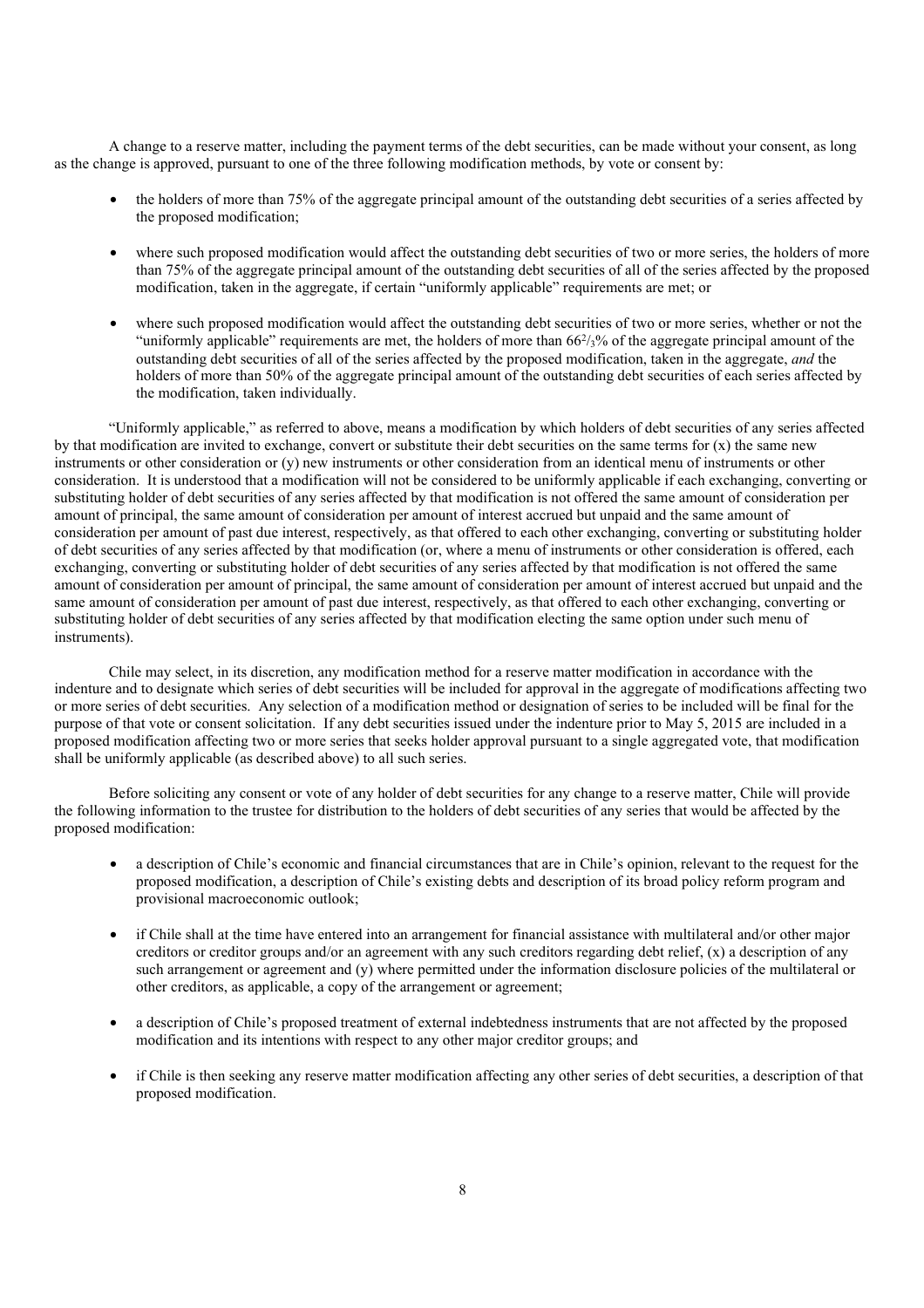A change to a reserve matter, including the payment terms of the debt securities, can be made without your consent, as long as the change is approved, pursuant to one of the three following modification methods, by vote or consent by:

- the holders of more than 75% of the aggregate principal amount of the outstanding debt securities of a series affected by the proposed modification;
- where such proposed modification would affect the outstanding debt securities of two or more series, the holders of more than 75% of the aggregate principal amount of the outstanding debt securities of all of the series affected by the proposed modification, taken in the aggregate, if certain "uniformly applicable" requirements are met; or
- where such proposed modification would affect the outstanding debt securities of two or more series, whether or not the "uniformly applicable" requirements are met, the holders of more than  $66\frac{2}{3}\%$  of the aggregate principal amount of the outstanding debt securities of all of the series affected by the proposed modification, taken in the aggregate, *and* the holders of more than 50% of the aggregate principal amount of the outstanding debt securities of each series affected by the modification, taken individually.

"Uniformly applicable," as referred to above, means a modification by which holders of debt securities of any series affected by that modification are invited to exchange, convert or substitute their debt securities on the same terms for (x) the same new instruments or other consideration or (y) new instruments or other consideration from an identical menu of instruments or other consideration. It is understood that a modification will not be considered to be uniformly applicable if each exchanging, converting or substituting holder of debt securities of any series affected by that modification is not offered the same amount of consideration per amount of principal, the same amount of consideration per amount of interest accrued but unpaid and the same amount of consideration per amount of past due interest, respectively, as that offered to each other exchanging, converting or substituting holder of debt securities of any series affected by that modification (or, where a menu of instruments or other consideration is offered, each exchanging, converting or substituting holder of debt securities of any series affected by that modification is not offered the same amount of consideration per amount of principal, the same amount of consideration per amount of interest accrued but unpaid and the same amount of consideration per amount of past due interest, respectively, as that offered to each other exchanging, converting or substituting holder of debt securities of any series affected by that modification electing the same option under such menu of instruments).

Chile may select, in its discretion, any modification method for a reserve matter modification in accordance with the indenture and to designate which series of debt securities will be included for approval in the aggregate of modifications affecting two or more series of debt securities. Any selection of a modification method or designation of series to be included will be final for the purpose of that vote or consent solicitation. If any debt securities issued under the indenture prior to May 5, 2015 are included in a proposed modification affecting two or more series that seeks holder approval pursuant to a single aggregated vote, that modification shall be uniformly applicable (as described above) to all such series.

Before soliciting any consent or vote of any holder of debt securities for any change to a reserve matter, Chile will provide the following information to the trustee for distribution to the holders of debt securities of any series that would be affected by the proposed modification:

- a description of Chile's economic and financial circumstances that are in Chile's opinion, relevant to the request for the proposed modification, a description of Chile's existing debts and description of its broad policy reform program and provisional macroeconomic outlook;
- if Chile shall at the time have entered into an arrangement for financial assistance with multilateral and/or other major creditors or creditor groups and/or an agreement with any such creditors regarding debt relief, (x) a description of any such arrangement or agreement and (y) where permitted under the information disclosure policies of the multilateral or other creditors, as applicable, a copy of the arrangement or agreement;
- a description of Chile's proposed treatment of external indebtedness instruments that are not affected by the proposed modification and its intentions with respect to any other major creditor groups; and
- if Chile is then seeking any reserve matter modification affecting any other series of debt securities, a description of that proposed modification.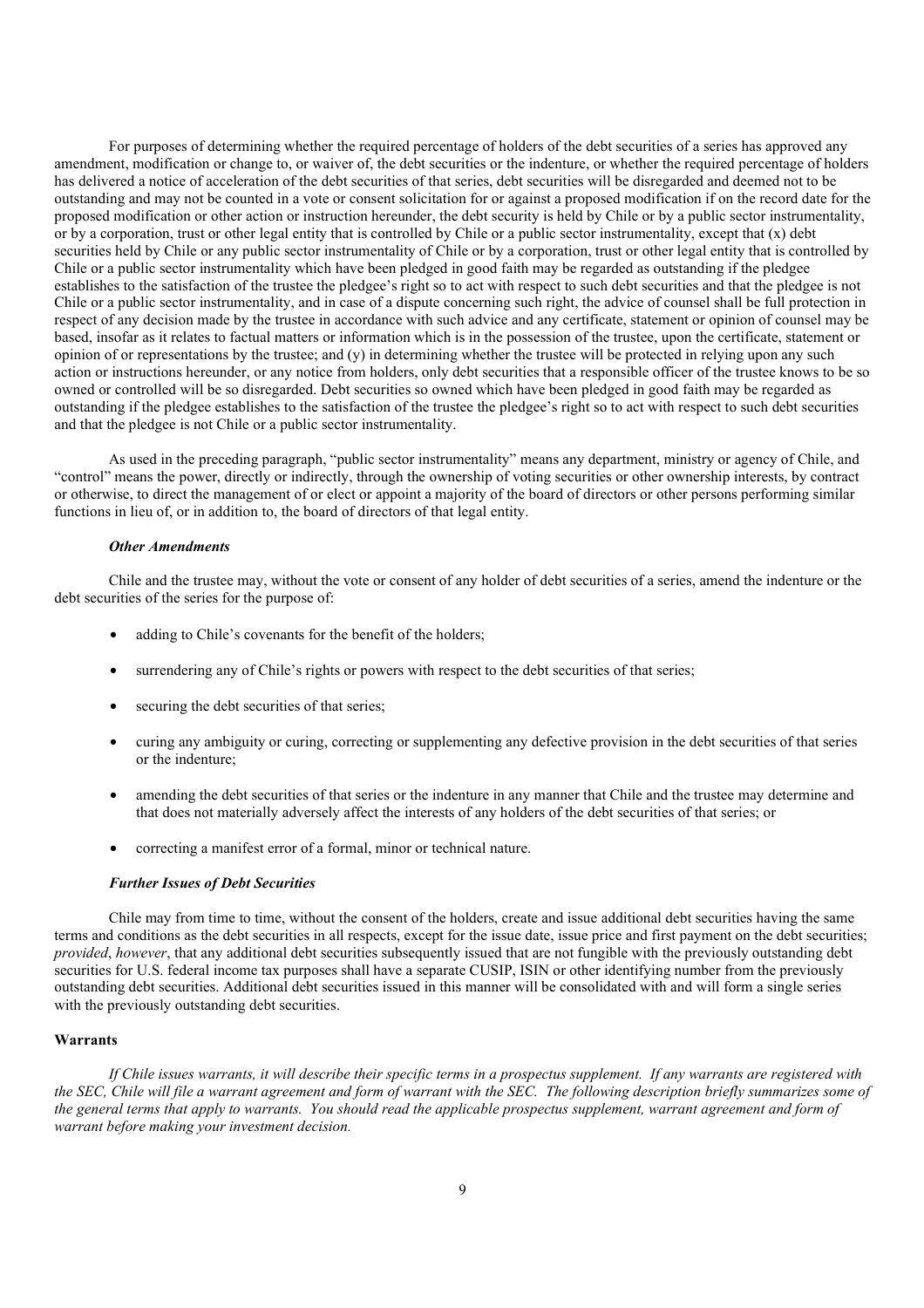For purposes of determining whether the required percentage of holders of the debt securities of a series has approved any amendment, modification or change to, or waiver of, the debt securities or the indenture, or whether the required percentage of holders has delivered a notice of acceleration of the debt securities of that series, debt securities will be disregarded and deemed not to be outstanding and may not be counted in a vote or consent solicitation for or against a proposed modification if on the record date for the proposed modification or other action or instruction hereunder, the debt security is held by Chile or by a public sector instrumentality, or by a corporation, trust or other legal entity that is controlled by Chile or a public sector instrumentality, except that  $(x)$  debt securities held by Chile or any public sector instrumentality of Chile or by a corporation, trust or other legal entity that is controlled by Chile or a public sector instrumentality which have been pledged in good faith may be regarded as outstanding if the pledgee establishes to the satisfaction of the trustee the pledgee's right so to act with respect to such debt securities and that the pledgee is not Chile or a public sector instrumentality, and in case of a dispute concerning such right, the advice of counsel shall be full protection in respect of any decision made by the trustee in accordance with such advice and any certificate, statement or opinion of counsel may be based, insofar as it relates to factual matters or information which is in the possession of the trustee, upon the certificate, statement or opinion of or representations by the trustee; and (y) in determining whether the trustee will be protected in relying upon any such action or instructions hereunder, or any notice from holders, only debt securities that a responsible officer of the trustee knows to be so owned or controlled will be so disregarded. Debt securities so owned which have been pledged in good faith may be regarded as outstanding if the pledgee establishes to the satisfaction of the trustee the pledgee's right so to act with respect to such debt securities and that the pledgee is not Chile or a public sector instrumentality.

As used in the preceding paragraph, "public sector instrumentality" means any department, ministry or agency of Chile, and "control" means the power, directly or indirectly, through the ownership of voting securities or other ownership interests, by contract or otherwise, to direct the management of or elect or appoint a majority of the board of directors or other persons performing similar functions in lieu of, or in addition to, the board of directors of that legal entity.

#### *Other Amendments*

Chile and the trustee may, without the vote or consent of any holder of debt securities of a series, amend the indenture or the debt securities of the series for the purpose of:

- adding to Chile's covenants for the benefit of the holders;
- surrendering any of Chile's rights or powers with respect to the debt securities of that series;
- securing the debt securities of that series;
- curing any ambiguity or curing, correcting or supplementing any defective provision in the debt securities of that series or the indenture;
- amending the debt securities of that series or the indenture in any manner that Chile and the trustee may determine and that does not materially adversely affect the interests of any holders of the debt securities of that series; or
- correcting a manifest error of a formal, minor or technical nature.

#### *Further Issues of Debt Securities*

Chile may from time to time, without the consent of the holders, create and issue additional debt securities having the same terms and conditions as the debt securities in all respects, except for the issue date, issue price and first payment on the debt securities; *provided*, *however*, that any additional debt securities subsequently issued that are not fungible with the previously outstanding debt securities for U.S. federal income tax purposes shall have a separate CUSIP, ISIN or other identifying number from the previously outstanding debt securities. Additional debt securities issued in this manner will be consolidated with and will form a single series with the previously outstanding debt securities.

#### **Warrants**

*If Chile issues warrants, it will describe their specific terms in a prospectus supplement. If any warrants are registered with the SEC, Chile will file a warrant agreement and form of warrant with the SEC. The following description briefly summarizes some of the general terms that apply to warrants. You should read the applicable prospectus supplement, warrant agreement and form of warrant before making your investment decision.*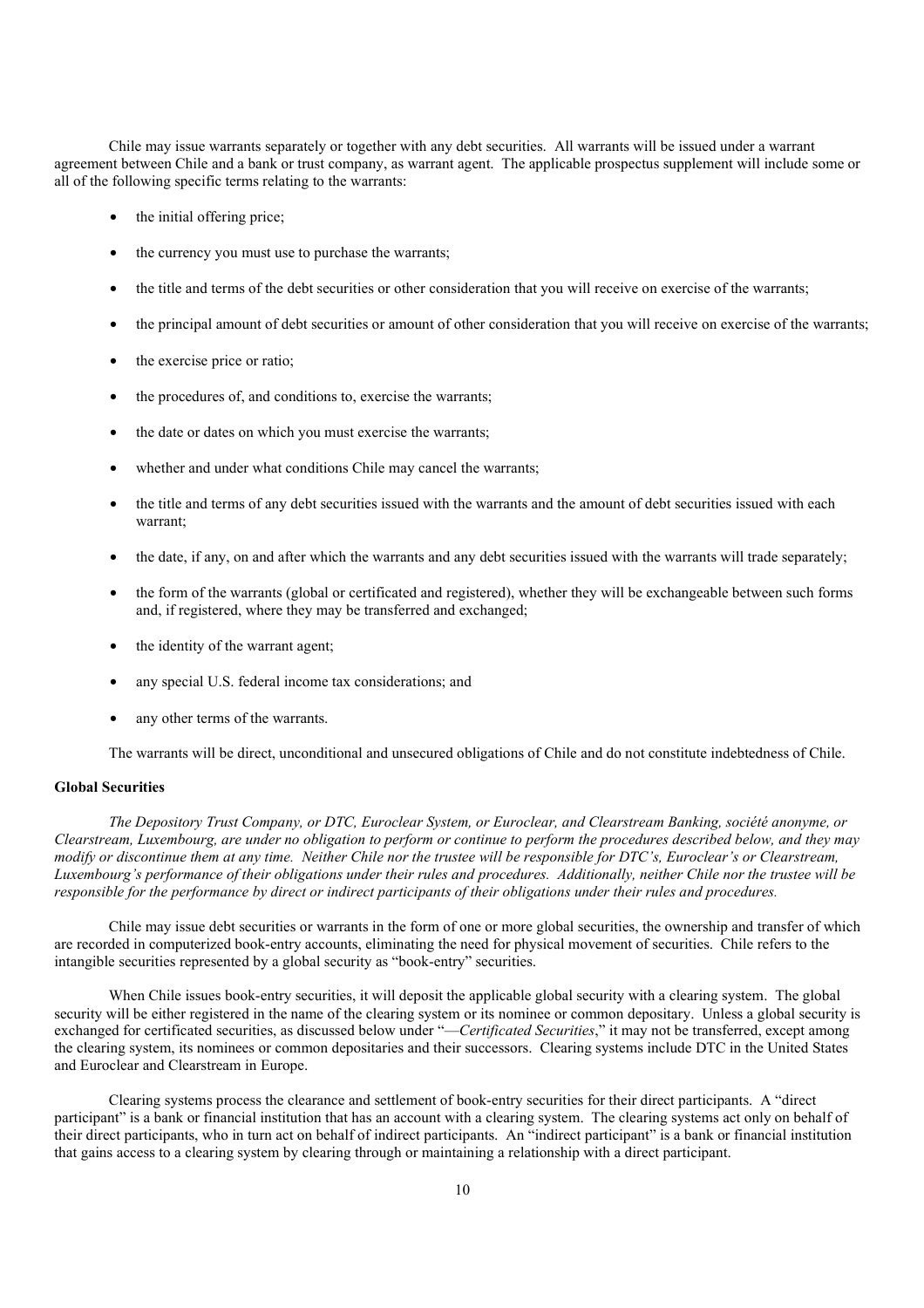Chile may issue warrants separately or together with any debt securities. All warrants will be issued under a warrant agreement between Chile and a bank or trust company, as warrant agent. The applicable prospectus supplement will include some or all of the following specific terms relating to the warrants:

- the initial offering price;
- the currency you must use to purchase the warrants:
- the title and terms of the debt securities or other consideration that you will receive on exercise of the warrants;
- the principal amount of debt securities or amount of other consideration that you will receive on exercise of the warrants;
- the exercise price or ratio;
- the procedures of, and conditions to, exercise the warrants;
- the date or dates on which you must exercise the warrants;
- whether and under what conditions Chile may cancel the warrants;
- the title and terms of any debt securities issued with the warrants and the amount of debt securities issued with each warrant;
- the date, if any, on and after which the warrants and any debt securities issued with the warrants will trade separately;
- the form of the warrants (global or certificated and registered), whether they will be exchangeable between such forms and, if registered, where they may be transferred and exchanged;
- the identity of the warrant agent;
- any special U.S. federal income tax considerations; and
- any other terms of the warrants.

The warrants will be direct, unconditional and unsecured obligations of Chile and do not constitute indebtedness of Chile.

#### **Global Securities**

*The Depository Trust Company, or DTC, Euroclear System, or Euroclear, and Clearstream Banking, société anonyme, or Clearstream, Luxembourg, are under no obligation to perform or continue to perform the procedures described below, and they may modify or discontinue them at any time. Neither Chile nor the trustee will be responsible for DTC's, Euroclear's or Clearstream, Luxembourg's performance of their obligations under their rules and procedures. Additionally, neither Chile nor the trustee will be responsible for the performance by direct or indirect participants of their obligations under their rules and procedures.*

Chile may issue debt securities or warrants in the form of one or more global securities, the ownership and transfer of which are recorded in computerized book-entry accounts, eliminating the need for physical movement of securities. Chile refers to the intangible securities represented by a global security as "book-entry" securities.

When Chile issues book-entry securities, it will deposit the applicable global security with a clearing system. The global security will be either registered in the name of the clearing system or its nominee or common depositary. Unless a global security is exchanged for certificated securities, as discussed below under "—*Certificated Securities*," it may not be transferred, except among the clearing system, its nominees or common depositaries and their successors. Clearing systems include DTC in the United States and Euroclear and Clearstream in Europe.

Clearing systems process the clearance and settlement of book-entry securities for their direct participants. A "direct participant" is a bank or financial institution that has an account with a clearing system. The clearing systems act only on behalf of their direct participants, who in turn act on behalf of indirect participants. An "indirect participant" is a bank or financial institution that gains access to a clearing system by clearing through or maintaining a relationship with a direct participant.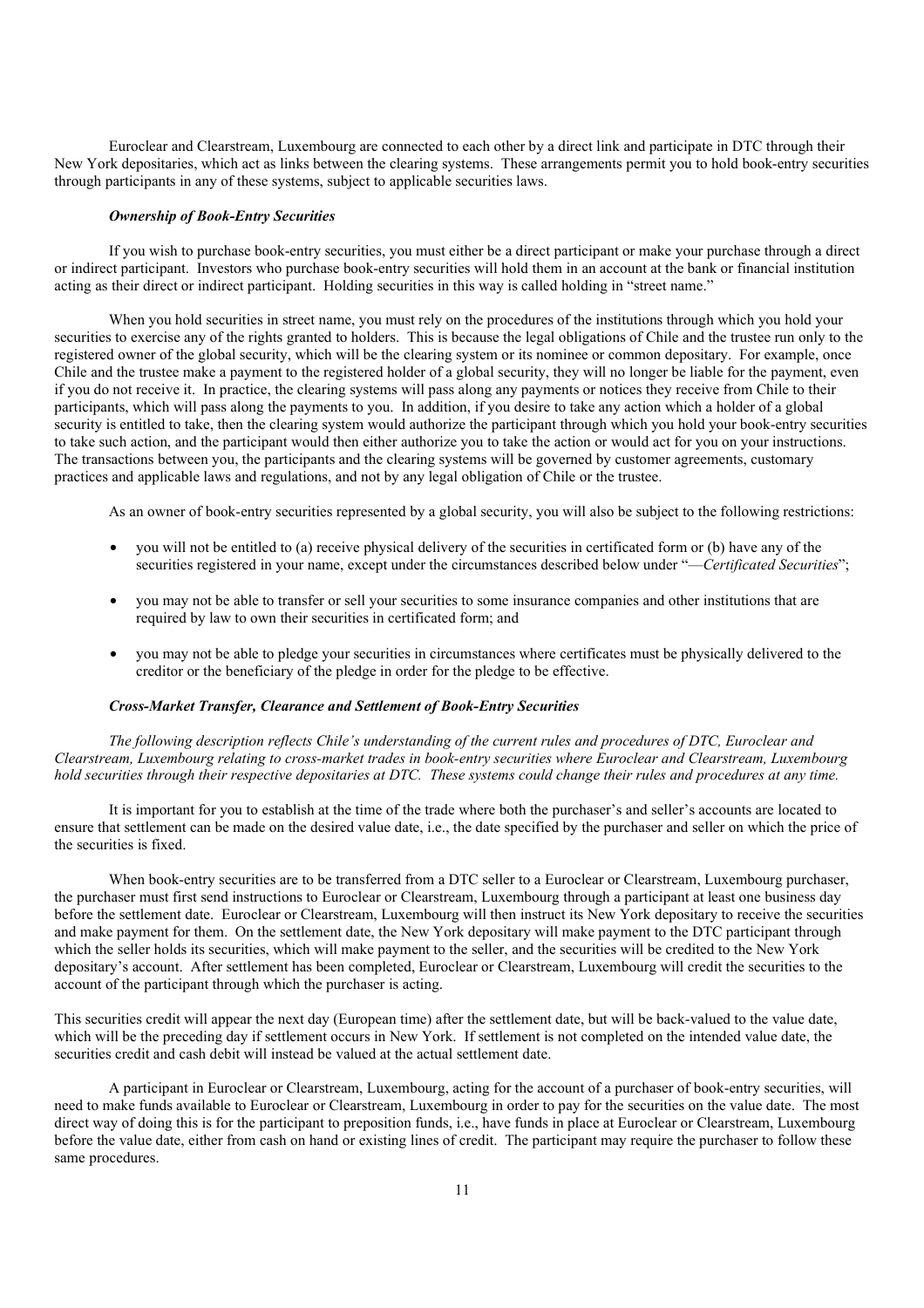Euroclear and Clearstream, Luxembourg are connected to each other by a direct link and participate in DTC through their New York depositaries, which act as links between the clearing systems. These arrangements permit you to hold book-entry securities through participants in any of these systems, subject to applicable securities laws.

#### *Ownership of Book-Entry Securities*

If you wish to purchase book-entry securities, you must either be a direct participant or make your purchase through a direct or indirect participant. Investors who purchase book-entry securities will hold them in an account at the bank or financial institution acting as their direct or indirect participant. Holding securities in this way is called holding in "street name."

When you hold securities in street name, you must rely on the procedures of the institutions through which you hold your securities to exercise any of the rights granted to holders. This is because the legal obligations of Chile and the trustee run only to the registered owner of the global security, which will be the clearing system or its nominee or common depositary. For example, once Chile and the trustee make a payment to the registered holder of a global security, they will no longer be liable for the payment, even if you do not receive it. In practice, the clearing systems will pass along any payments or notices they receive from Chile to their participants, which will pass along the payments to you. In addition, if you desire to take any action which a holder of a global security is entitled to take, then the clearing system would authorize the participant through which you hold your book-entry securities to take such action, and the participant would then either authorize you to take the action or would act for you on your instructions. The transactions between you, the participants and the clearing systems will be governed by customer agreements, customary practices and applicable laws and regulations, and not by any legal obligation of Chile or the trustee.

As an owner of book-entry securities represented by a global security, you will also be subject to the following restrictions:

- you will not be entitled to (a) receive physical delivery of the securities in certificated form or (b) have any of the securities registered in your name, except under the circumstances described below under "—*Certificated Securities*";
- you may not be able to transfer or sell your securities to some insurance companies and other institutions that are required by law to own their securities in certificated form; and
- you may not be able to pledge your securities in circumstances where certificates must be physically delivered to the creditor or the beneficiary of the pledge in order for the pledge to be effective.

#### *Cross-Market Transfer, Clearance and Settlement of Book-Entry Securities*

*The following description reflects Chile's understanding of the current rules and procedures of DTC, Euroclear and Clearstream, Luxembourg relating to cross-market trades in book-entry securities where Euroclear and Clearstream, Luxembourg hold securities through their respective depositaries at DTC. These systems could change their rules and procedures at any time.*

It is important for you to establish at the time of the trade where both the purchaser's and seller's accounts are located to ensure that settlement can be made on the desired value date, i.e., the date specified by the purchaser and seller on which the price of the securities is fixed.

When book-entry securities are to be transferred from a DTC seller to a Euroclear or Clearstream, Luxembourg purchaser, the purchaser must first send instructions to Euroclear or Clearstream, Luxembourg through a participant at least one business day before the settlement date. Euroclear or Clearstream, Luxembourg will then instruct its New York depositary to receive the securities and make payment for them. On the settlement date, the New York depositary will make payment to the DTC participant through which the seller holds its securities, which will make payment to the seller, and the securities will be credited to the New York depositary's account. After settlement has been completed, Euroclear or Clearstream, Luxembourg will credit the securities to the account of the participant through which the purchaser is acting.

This securities credit will appear the next day (European time) after the settlement date, but will be back-valued to the value date, which will be the preceding day if settlement occurs in New York. If settlement is not completed on the intended value date, the securities credit and cash debit will instead be valued at the actual settlement date.

A participant in Euroclear or Clearstream, Luxembourg, acting for the account of a purchaser of book-entry securities, will need to make funds available to Euroclear or Clearstream, Luxembourg in order to pay for the securities on the value date. The most direct way of doing this is for the participant to preposition funds, i.e., have funds in place at Euroclear or Clearstream, Luxembourg before the value date, either from cash on hand or existing lines of credit. The participant may require the purchaser to follow these same procedures.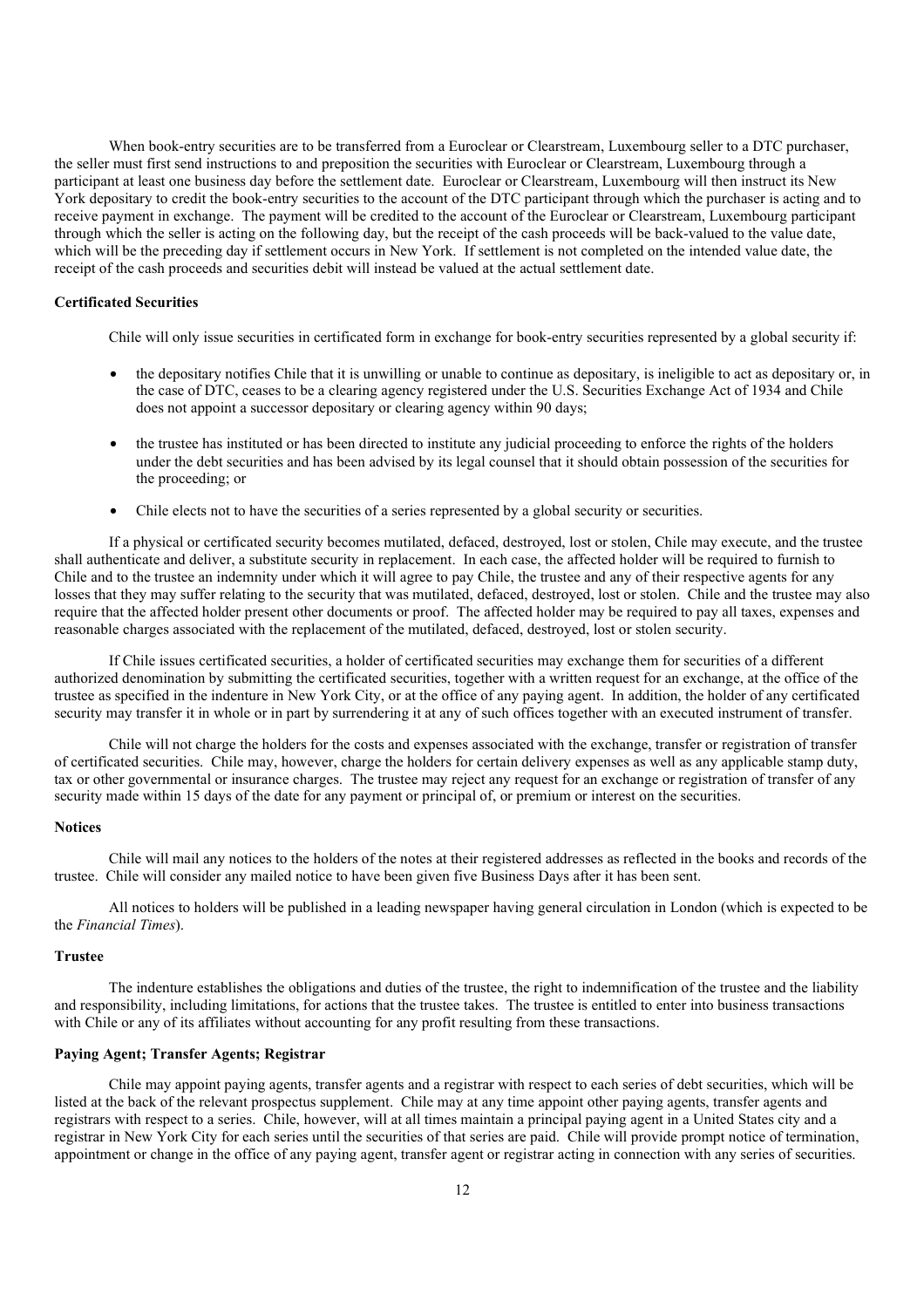When book-entry securities are to be transferred from a Euroclear or Clearstream, Luxembourg seller to a DTC purchaser, the seller must first send instructions to and preposition the securities with Euroclear or Clearstream, Luxembourg through a participant at least one business day before the settlement date. Euroclear or Clearstream, Luxembourg will then instruct its New York depositary to credit the book-entry securities to the account of the DTC participant through which the purchaser is acting and to receive payment in exchange. The payment will be credited to the account of the Euroclear or Clearstream, Luxembourg participant through which the seller is acting on the following day, but the receipt of the cash proceeds will be back-valued to the value date, which will be the preceding day if settlement occurs in New York. If settlement is not completed on the intended value date, the receipt of the cash proceeds and securities debit will instead be valued at the actual settlement date.

# **Certificated Securities**

Chile will only issue securities in certificated form in exchange for book-entry securities represented by a global security if:

- the depositary notifies Chile that it is unwilling or unable to continue as depositary, is ineligible to act as depositary or, in the case of DTC, ceases to be a clearing agency registered under the U.S. Securities Exchange Act of 1934 and Chile does not appoint a successor depositary or clearing agency within 90 days;
- the trustee has instituted or has been directed to institute any judicial proceeding to enforce the rights of the holders under the debt securities and has been advised by its legal counsel that it should obtain possession of the securities for the proceeding; or
- Chile elects not to have the securities of a series represented by a global security or securities.

If a physical or certificated security becomes mutilated, defaced, destroyed, lost or stolen, Chile may execute, and the trustee shall authenticate and deliver, a substitute security in replacement. In each case, the affected holder will be required to furnish to Chile and to the trustee an indemnity under which it will agree to pay Chile, the trustee and any of their respective agents for any losses that they may suffer relating to the security that was mutilated, defaced, destroyed, lost or stolen. Chile and the trustee may also require that the affected holder present other documents or proof. The affected holder may be required to pay all taxes, expenses and reasonable charges associated with the replacement of the mutilated, defaced, destroyed, lost or stolen security.

If Chile issues certificated securities, a holder of certificated securities may exchange them for securities of a different authorized denomination by submitting the certificated securities, together with a written request for an exchange, at the office of the trustee as specified in the indenture in New York City, or at the office of any paying agent. In addition, the holder of any certificated security may transfer it in whole or in part by surrendering it at any of such offices together with an executed instrument of transfer.

Chile will not charge the holders for the costs and expenses associated with the exchange, transfer or registration of transfer of certificated securities. Chile may, however, charge the holders for certain delivery expenses as well as any applicable stamp duty, tax or other governmental or insurance charges. The trustee may reject any request for an exchange or registration of transfer of any security made within 15 days of the date for any payment or principal of, or premium or interest on the securities.

### **Notices**

Chile will mail any notices to the holders of the notes at their registered addresses as reflected in the books and records of the trustee. Chile will consider any mailed notice to have been given five Business Days after it has been sent.

All notices to holders will be published in a leading newspaper having general circulation in London (which is expected to be the *Financial Times*).

### **Trustee**

The indenture establishes the obligations and duties of the trustee, the right to indemnification of the trustee and the liability and responsibility, including limitations, for actions that the trustee takes. The trustee is entitled to enter into business transactions with Chile or any of its affiliates without accounting for any profit resulting from these transactions.

#### **Paying Agent; Transfer Agents; Registrar**

Chile may appoint paying agents, transfer agents and a registrar with respect to each series of debt securities, which will be listed at the back of the relevant prospectus supplement. Chile may at any time appoint other paying agents, transfer agents and registrars with respect to a series. Chile, however, will at all times maintain a principal paying agent in a United States city and a registrar in New York City for each series until the securities of that series are paid. Chile will provide prompt notice of termination, appointment or change in the office of any paying agent, transfer agent or registrar acting in connection with any series of securities.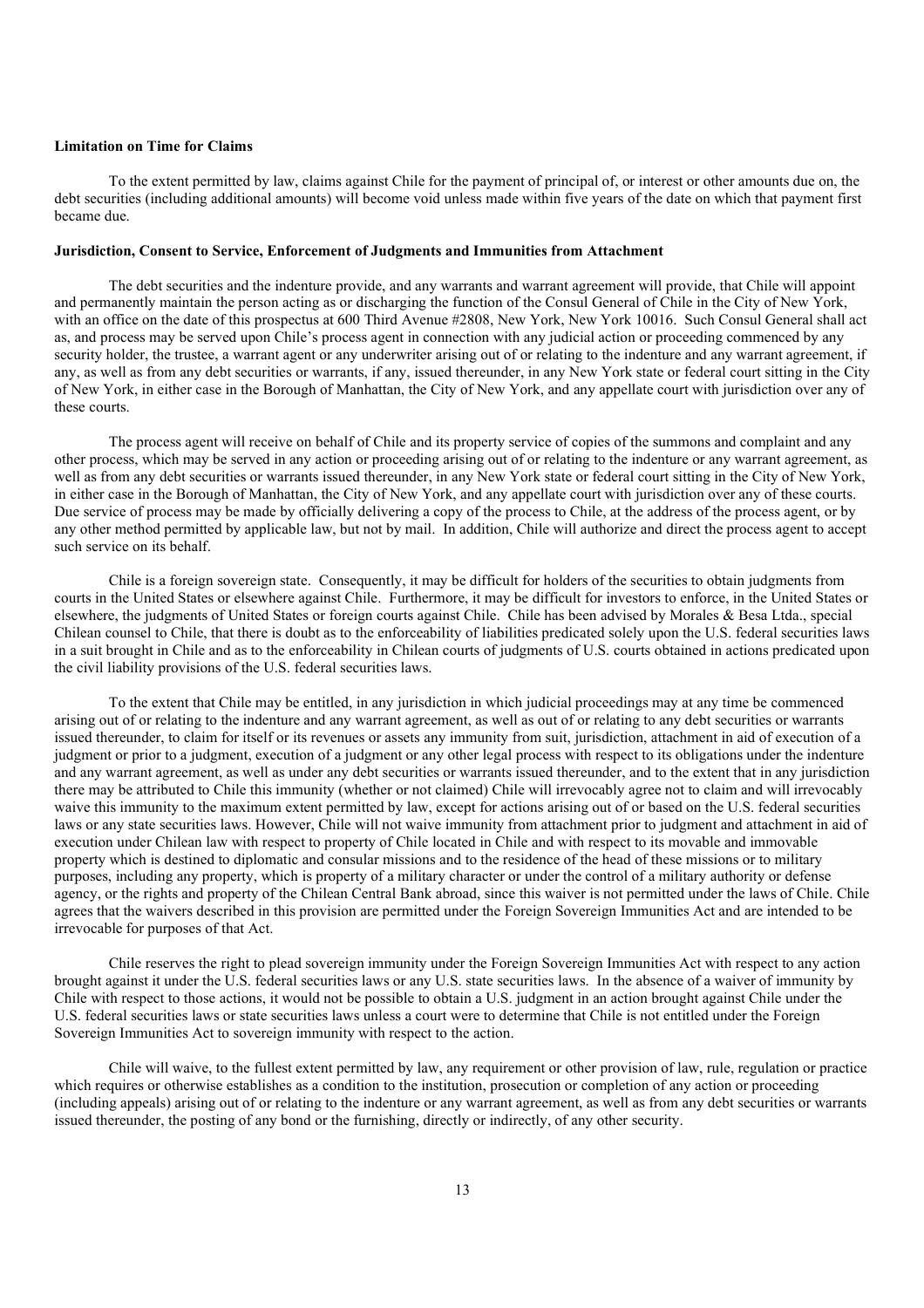## **Limitation on Time for Claims**

To the extent permitted by law, claims against Chile for the payment of principal of, or interest or other amounts due on, the debt securities (including additional amounts) will become void unless made within five years of the date on which that payment first became due.

# **Jurisdiction, Consent to Service, Enforcement of Judgments and Immunities from Attachment**

The debt securities and the indenture provide, and any warrants and warrant agreement will provide, that Chile will appoint and permanently maintain the person acting as or discharging the function of the Consul General of Chile in the City of New York, with an office on the date of this prospectus at 600 Third Avenue #2808, New York, New York 10016. Such Consul General shall act as, and process may be served upon Chile's process agent in connection with any judicial action or proceeding commenced by any security holder, the trustee, a warrant agent or any underwriter arising out of or relating to the indenture and any warrant agreement, if any, as well as from any debt securities or warrants, if any, issued thereunder, in any New York state or federal court sitting in the City of New York, in either case in the Borough of Manhattan, the City of New York, and any appellate court with jurisdiction over any of these courts.

The process agent will receive on behalf of Chile and its property service of copies of the summons and complaint and any other process, which may be served in any action or proceeding arising out of or relating to the indenture or any warrant agreement, as well as from any debt securities or warrants issued thereunder, in any New York state or federal court sitting in the City of New York, in either case in the Borough of Manhattan, the City of New York, and any appellate court with jurisdiction over any of these courts. Due service of process may be made by officially delivering a copy of the process to Chile, at the address of the process agent, or by any other method permitted by applicable law, but not by mail. In addition, Chile will authorize and direct the process agent to accept such service on its behalf.

Chile is a foreign sovereign state. Consequently, it may be difficult for holders of the securities to obtain judgments from courts in the United States or elsewhere against Chile. Furthermore, it may be difficult for investors to enforce, in the United States or elsewhere, the judgments of United States or foreign courts against Chile. Chile has been advised by Morales & Besa Ltda., special Chilean counsel to Chile, that there is doubt as to the enforceability of liabilities predicated solely upon the U.S. federal securities laws in a suit brought in Chile and as to the enforceability in Chilean courts of judgments of U.S. courts obtained in actions predicated upon the civil liability provisions of the U.S. federal securities laws.

To the extent that Chile may be entitled, in any jurisdiction in which judicial proceedings may at any time be commenced arising out of or relating to the indenture and any warrant agreement, as well as out of or relating to any debt securities or warrants issued thereunder, to claim for itself or its revenues or assets any immunity from suit, jurisdiction, attachment in aid of execution of a judgment or prior to a judgment, execution of a judgment or any other legal process with respect to its obligations under the indenture and any warrant agreement, as well as under any debt securities or warrants issued thereunder, and to the extent that in any jurisdiction there may be attributed to Chile this immunity (whether or not claimed) Chile will irrevocably agree not to claim and will irrevocably waive this immunity to the maximum extent permitted by law, except for actions arising out of or based on the U.S. federal securities laws or any state securities laws. However, Chile will not waive immunity from attachment prior to judgment and attachment in aid of execution under Chilean law with respect to property of Chile located in Chile and with respect to its movable and immovable property which is destined to diplomatic and consular missions and to the residence of the head of these missions or to military purposes, including any property, which is property of a military character or under the control of a military authority or defense agency, or the rights and property of the Chilean Central Bank abroad, since this waiver is not permitted under the laws of Chile. Chile agrees that the waivers described in this provision are permitted under the Foreign Sovereign Immunities Act and are intended to be irrevocable for purposes of that Act.

Chile reserves the right to plead sovereign immunity under the Foreign Sovereign Immunities Act with respect to any action brought against it under the U.S. federal securities laws or any U.S. state securities laws. In the absence of a waiver of immunity by Chile with respect to those actions, it would not be possible to obtain a U.S. judgment in an action brought against Chile under the U.S. federal securities laws or state securities laws unless a court were to determine that Chile is not entitled under the Foreign Sovereign Immunities Act to sovereign immunity with respect to the action.

Chile will waive, to the fullest extent permitted by law, any requirement or other provision of law, rule, regulation or practice which requires or otherwise establishes as a condition to the institution, prosecution or completion of any action or proceeding (including appeals) arising out of or relating to the indenture or any warrant agreement, as well as from any debt securities or warrants issued thereunder, the posting of any bond or the furnishing, directly or indirectly, of any other security.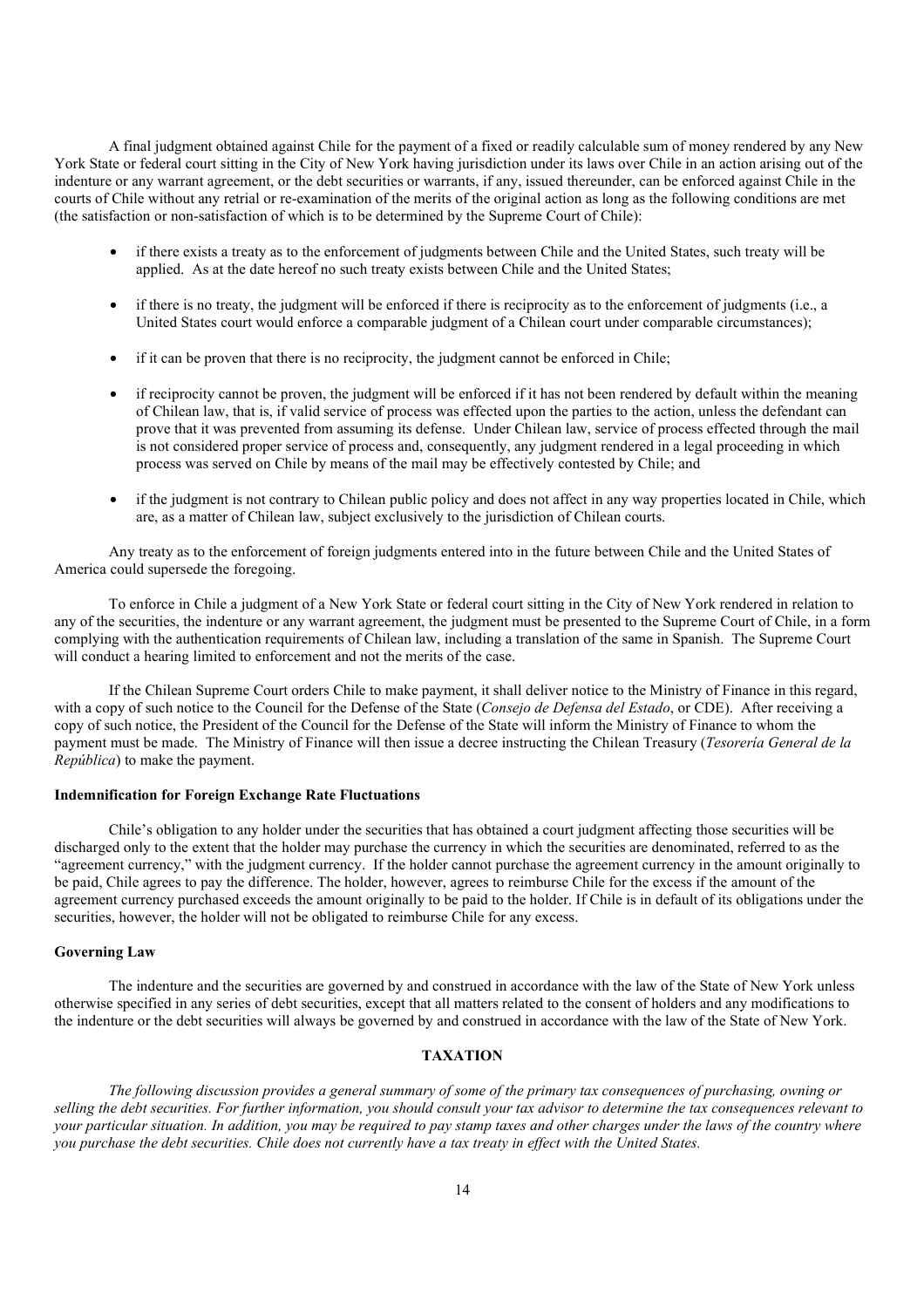A final judgment obtained against Chile for the payment of a fixed or readily calculable sum of money rendered by any New York State or federal court sitting in the City of New York having jurisdiction under its laws over Chile in an action arising out of the indenture or any warrant agreement, or the debt securities or warrants, if any, issued thereunder, can be enforced against Chile in the courts of Chile without any retrial or re-examination of the merits of the original action as long as the following conditions are met (the satisfaction or non-satisfaction of which is to be determined by the Supreme Court of Chile):

- if there exists a treaty as to the enforcement of judgments between Chile and the United States, such treaty will be applied. As at the date hereof no such treaty exists between Chile and the United States;
- if there is no treaty, the judgment will be enforced if there is reciprocity as to the enforcement of judgments (i.e., a United States court would enforce a comparable judgment of a Chilean court under comparable circumstances);
- if it can be proven that there is no reciprocity, the judgment cannot be enforced in Chile;
- if reciprocity cannot be proven, the judgment will be enforced if it has not been rendered by default within the meaning of Chilean law, that is, if valid service of process was effected upon the parties to the action, unless the defendant can prove that it was prevented from assuming its defense. Under Chilean law, service of process effected through the mail is not considered proper service of process and, consequently, any judgment rendered in a legal proceeding in which process was served on Chile by means of the mail may be effectively contested by Chile; and
- if the judgment is not contrary to Chilean public policy and does not affect in any way properties located in Chile, which are, as a matter of Chilean law, subject exclusively to the jurisdiction of Chilean courts.

Any treaty as to the enforcement of foreign judgments entered into in the future between Chile and the United States of America could supersede the foregoing.

To enforce in Chile a judgment of a New York State or federal court sitting in the City of New York rendered in relation to any of the securities, the indenture or any warrant agreement, the judgment must be presented to the Supreme Court of Chile, in a form complying with the authentication requirements of Chilean law, including a translation of the same in Spanish. The Supreme Court will conduct a hearing limited to enforcement and not the merits of the case.

If the Chilean Supreme Court orders Chile to make payment, it shall deliver notice to the Ministry of Finance in this regard, with a copy of such notice to the Council for the Defense of the State (*Consejo de Defensa del Estado*, or CDE). After receiving a copy of such notice, the President of the Council for the Defense of the State will inform the Ministry of Finance to whom the payment must be made. The Ministry of Finance will then issue a decree instructing the Chilean Treasury (*Tesorería General de la República*) to make the payment.

# **Indemnification for Foreign Exchange Rate Fluctuations**

Chile's obligation to any holder under the securities that has obtained a court judgment affecting those securities will be discharged only to the extent that the holder may purchase the currency in which the securities are denominated, referred to as the "agreement currency," with the judgment currency. If the holder cannot purchase the agreement currency in the amount originally to be paid, Chile agrees to pay the difference. The holder, however, agrees to reimburse Chile for the excess if the amount of the agreement currency purchased exceeds the amount originally to be paid to the holder. If Chile is in default of its obligations under the securities, however, the holder will not be obligated to reimburse Chile for any excess.

# **Governing Law**

The indenture and the securities are governed by and construed in accordance with the law of the State of New York unless otherwise specified in any series of debt securities, except that all matters related to the consent of holders and any modifications to the indenture or the debt securities will always be governed by and construed in accordance with the law of the State of New York.

### **TAXATION**

*The following discussion provides a general summary of some of the primary tax consequences of purchasing, owning or selling the debt securities. For further information, you should consult your tax advisor to determine the tax consequences relevant to your particular situation. In addition, you may be required to pay stamp taxes and other charges under the laws of the country where you purchase the debt securities. Chile does not currently have a tax treaty in effect with the United States.*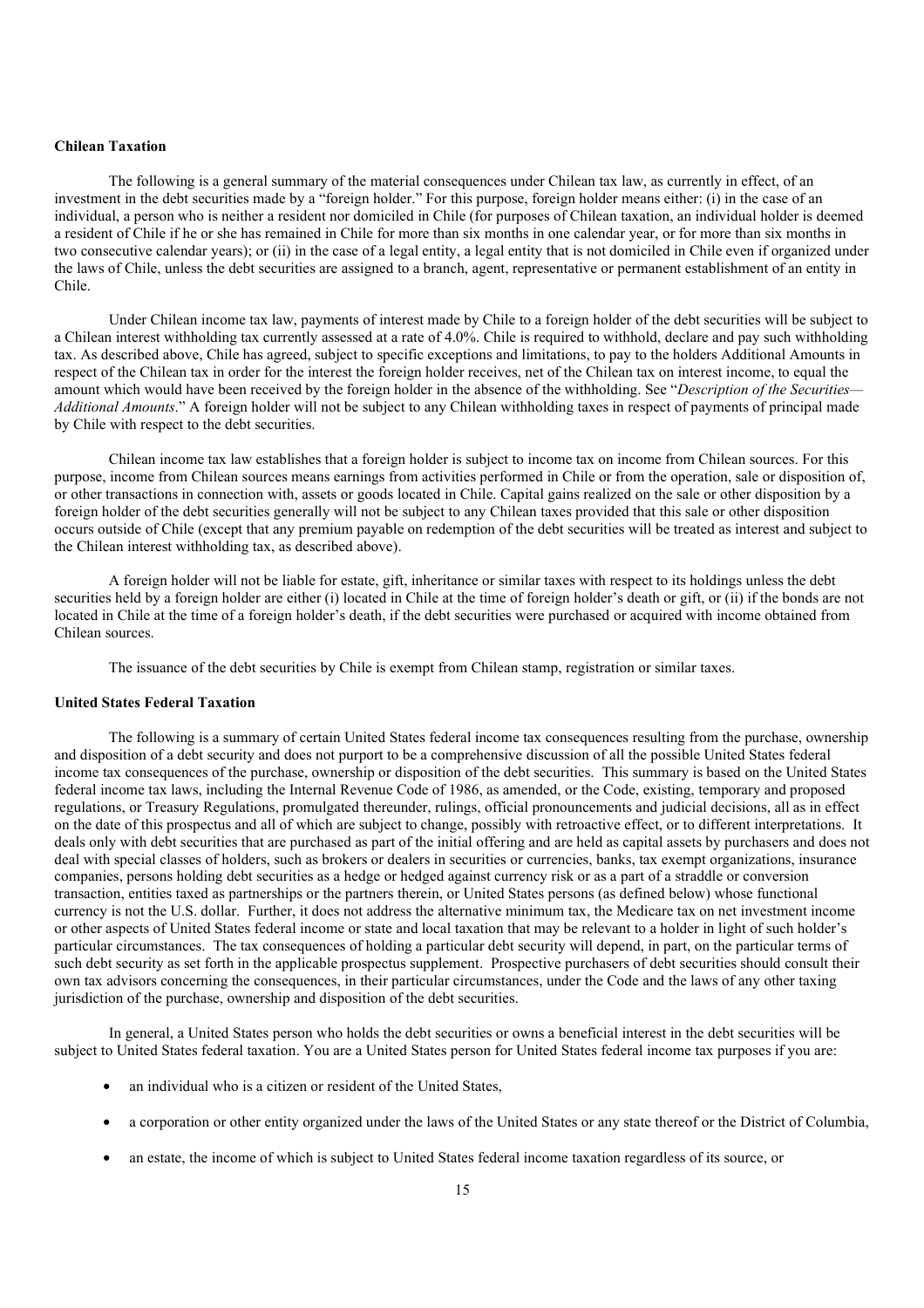# **Chilean Taxation**

The following is a general summary of the material consequences under Chilean tax law, as currently in effect, of an investment in the debt securities made by a "foreign holder." For this purpose, foreign holder means either: (i) in the case of an individual, a person who is neither a resident nor domiciled in Chile (for purposes of Chilean taxation, an individual holder is deemed a resident of Chile if he or she has remained in Chile for more than six months in one calendar year, or for more than six months in two consecutive calendar years); or (ii) in the case of a legal entity, a legal entity that is not domiciled in Chile even if organized under the laws of Chile, unless the debt securities are assigned to a branch, agent, representative or permanent establishment of an entity in Chile.

Under Chilean income tax law, payments of interest made by Chile to a foreign holder of the debt securities will be subject to a Chilean interest withholding tax currently assessed at a rate of 4.0%. Chile is required to withhold, declare and pay such withholding tax. As described above, Chile has agreed, subject to specific exceptions and limitations, to pay to the holders Additional Amounts in respect of the Chilean tax in order for the interest the foreign holder receives, net of the Chilean tax on interest income, to equal the amount which would have been received by the foreign holder in the absence of the withholding. See "*Description of the Securities— Additional Amounts*." A foreign holder will not be subject to any Chilean withholding taxes in respect of payments of principal made by Chile with respect to the debt securities.

Chilean income tax law establishes that a foreign holder is subject to income tax on income from Chilean sources. For this purpose, income from Chilean sources means earnings from activities performed in Chile or from the operation, sale or disposition of, or other transactions in connection with, assets or goods located in Chile. Capital gains realized on the sale or other disposition by a foreign holder of the debt securities generally will not be subject to any Chilean taxes provided that this sale or other disposition occurs outside of Chile (except that any premium payable on redemption of the debt securities will be treated as interest and subject to the Chilean interest withholding tax, as described above).

A foreign holder will not be liable for estate, gift, inheritance or similar taxes with respect to its holdings unless the debt securities held by a foreign holder are either (i) located in Chile at the time of foreign holder's death or gift, or (ii) if the bonds are not located in Chile at the time of a foreign holder's death, if the debt securities were purchased or acquired with income obtained from Chilean sources.

The issuance of the debt securities by Chile is exempt from Chilean stamp, registration or similar taxes.

### **United States Federal Taxation**

The following is a summary of certain United States federal income tax consequences resulting from the purchase, ownership and disposition of a debt security and does not purport to be a comprehensive discussion of all the possible United States federal income tax consequences of the purchase, ownership or disposition of the debt securities. This summary is based on the United States federal income tax laws, including the Internal Revenue Code of 1986, as amended, or the Code, existing, temporary and proposed regulations, or Treasury Regulations, promulgated thereunder, rulings, official pronouncements and judicial decisions, all as in effect on the date of this prospectus and all of which are subject to change, possibly with retroactive effect, or to different interpretations. It deals only with debt securities that are purchased as part of the initial offering and are held as capital assets by purchasers and does not deal with special classes of holders, such as brokers or dealers in securities or currencies, banks, tax exempt organizations, insurance companies, persons holding debt securities as a hedge or hedged against currency risk or as a part of a straddle or conversion transaction, entities taxed as partnerships or the partners therein, or United States persons (as defined below) whose functional currency is not the U.S. dollar. Further, it does not address the alternative minimum tax, the Medicare tax on net investment income or other aspects of United States federal income or state and local taxation that may be relevant to a holder in light of such holder's particular circumstances. The tax consequences of holding a particular debt security will depend, in part, on the particular terms of such debt security as set forth in the applicable prospectus supplement. Prospective purchasers of debt securities should consult their own tax advisors concerning the consequences, in their particular circumstances, under the Code and the laws of any other taxing jurisdiction of the purchase, ownership and disposition of the debt securities.

In general, a United States person who holds the debt securities or owns a beneficial interest in the debt securities will be subject to United States federal taxation. You are a United States person for United States federal income tax purposes if you are:

- an individual who is a citizen or resident of the United States,
- a corporation or other entity organized under the laws of the United States or any state thereof or the District of Columbia,
- an estate, the income of which is subject to United States federal income taxation regardless of its source, or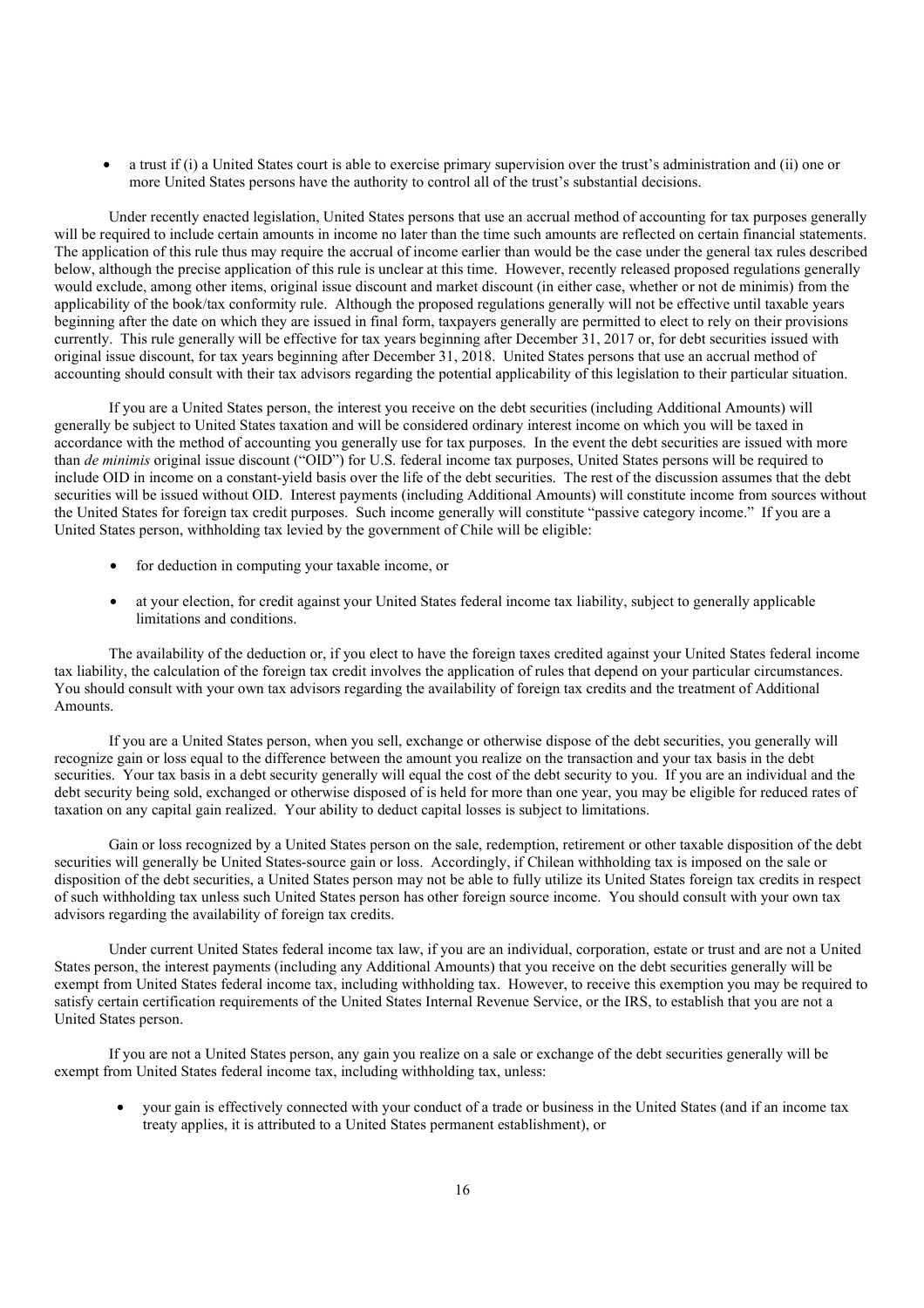• a trust if (i) a United States court is able to exercise primary supervision over the trust's administration and (ii) one or more United States persons have the authority to control all of the trust's substantial decisions.

Under recently enacted legislation, United States persons that use an accrual method of accounting for tax purposes generally will be required to include certain amounts in income no later than the time such amounts are reflected on certain financial statements. The application of this rule thus may require the accrual of income earlier than would be the case under the general tax rules described below, although the precise application of this rule is unclear at this time. However, recently released proposed regulations generally would exclude, among other items, original issue discount and market discount (in either case, whether or not de minimis) from the applicability of the book/tax conformity rule. Although the proposed regulations generally will not be effective until taxable years beginning after the date on which they are issued in final form, taxpayers generally are permitted to elect to rely on their provisions currently. This rule generally will be effective for tax years beginning after December 31, 2017 or, for debt securities issued with original issue discount, for tax years beginning after December 31, 2018. United States persons that use an accrual method of accounting should consult with their tax advisors regarding the potential applicability of this legislation to their particular situation.

If you are a United States person, the interest you receive on the debt securities (including Additional Amounts) will generally be subject to United States taxation and will be considered ordinary interest income on which you will be taxed in accordance with the method of accounting you generally use for tax purposes. In the event the debt securities are issued with more than *de minimis* original issue discount ("OID") for U.S. federal income tax purposes, United States persons will be required to include OID in income on a constant-yield basis over the life of the debt securities. The rest of the discussion assumes that the debt securities will be issued without OID. Interest payments (including Additional Amounts) will constitute income from sources without the United States for foreign tax credit purposes. Such income generally will constitute "passive category income." If you are a United States person, withholding tax levied by the government of Chile will be eligible:

- for deduction in computing your taxable income, or
- at your election, for credit against your United States federal income tax liability, subject to generally applicable limitations and conditions.

The availability of the deduction or, if you elect to have the foreign taxes credited against your United States federal income tax liability, the calculation of the foreign tax credit involves the application of rules that depend on your particular circumstances. You should consult with your own tax advisors regarding the availability of foreign tax credits and the treatment of Additional Amounts.

If you are a United States person, when you sell, exchange or otherwise dispose of the debt securities, you generally will recognize gain or loss equal to the difference between the amount you realize on the transaction and your tax basis in the debt securities. Your tax basis in a debt security generally will equal the cost of the debt security to you. If you are an individual and the debt security being sold, exchanged or otherwise disposed of is held for more than one year, you may be eligible for reduced rates of taxation on any capital gain realized. Your ability to deduct capital losses is subject to limitations.

Gain or loss recognized by a United States person on the sale, redemption, retirement or other taxable disposition of the debt securities will generally be United States-source gain or loss. Accordingly, if Chilean withholding tax is imposed on the sale or disposition of the debt securities, a United States person may not be able to fully utilize its United States foreign tax credits in respect of such withholding tax unless such United States person has other foreign source income. You should consult with your own tax advisors regarding the availability of foreign tax credits.

Under current United States federal income tax law, if you are an individual, corporation, estate or trust and are not a United States person, the interest payments (including any Additional Amounts) that you receive on the debt securities generally will be exempt from United States federal income tax, including withholding tax. However, to receive this exemption you may be required to satisfy certain certification requirements of the United States Internal Revenue Service, or the IRS, to establish that you are not a United States person.

If you are not a United States person, any gain you realize on a sale or exchange of the debt securities generally will be exempt from United States federal income tax, including withholding tax, unless:

• your gain is effectively connected with your conduct of a trade or business in the United States (and if an income tax treaty applies, it is attributed to a United States permanent establishment), or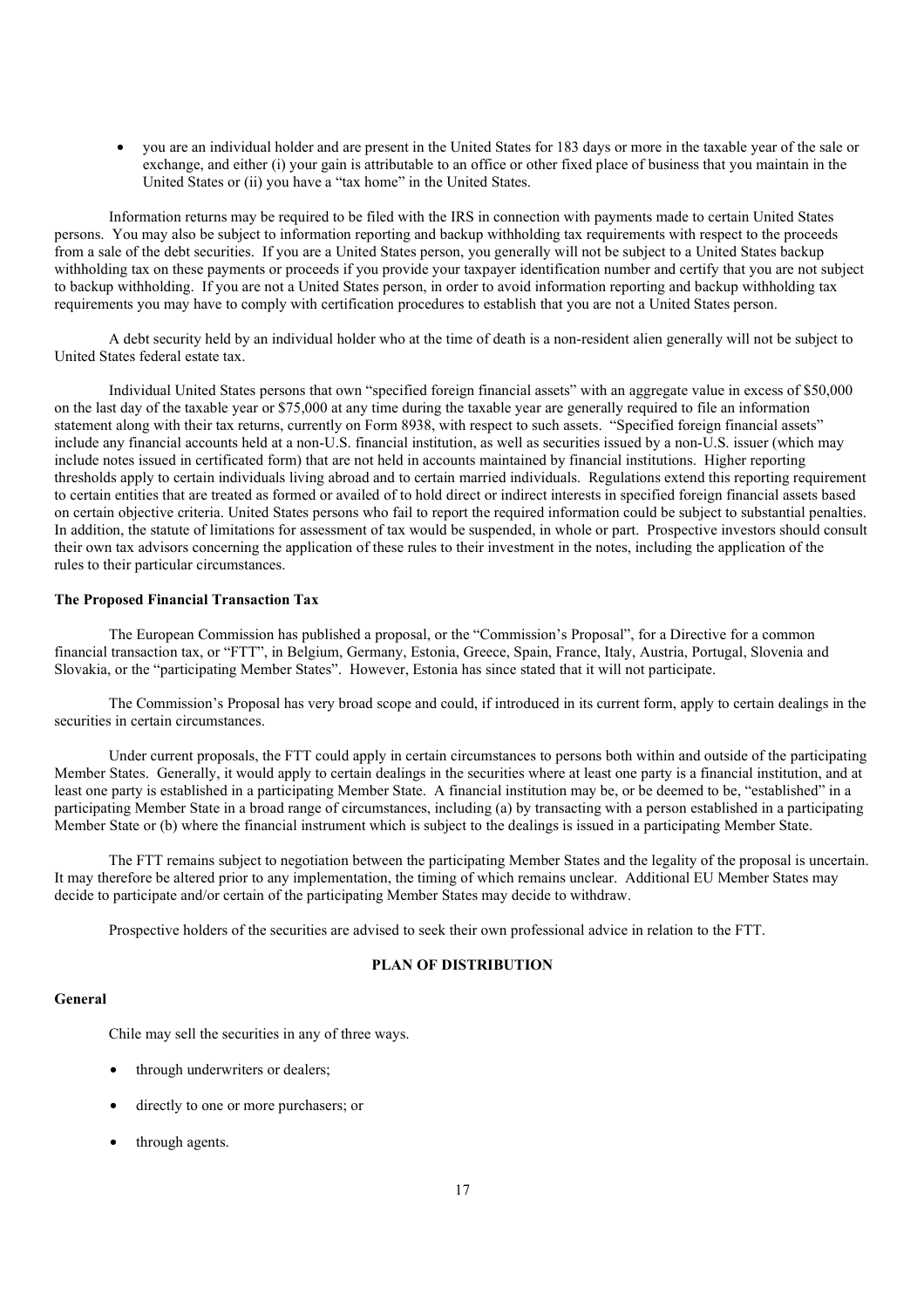• you are an individual holder and are present in the United States for 183 days or more in the taxable year of the sale or exchange, and either (i) your gain is attributable to an office or other fixed place of business that you maintain in the United States or (ii) you have a "tax home" in the United States.

Information returns may be required to be filed with the IRS in connection with payments made to certain United States persons. You may also be subject to information reporting and backup withholding tax requirements with respect to the proceeds from a sale of the debt securities. If you are a United States person, you generally will not be subject to a United States backup withholding tax on these payments or proceeds if you provide your taxpayer identification number and certify that you are not subject to backup withholding. If you are not a United States person, in order to avoid information reporting and backup withholding tax requirements you may have to comply with certification procedures to establish that you are not a United States person.

A debt security held by an individual holder who at the time of death is a non-resident alien generally will not be subject to United States federal estate tax.

Individual United States persons that own "specified foreign financial assets" with an aggregate value in excess of \$50,000 on the last day of the taxable year or \$75,000 at any time during the taxable year are generally required to file an information statement along with their tax returns, currently on Form 8938, with respect to such assets. "Specified foreign financial assets" include any financial accounts held at a non-U.S. financial institution, as well as securities issued by a non-U.S. issuer (which may include notes issued in certificated form) that are not held in accounts maintained by financial institutions. Higher reporting thresholds apply to certain individuals living abroad and to certain married individuals. Regulations extend this reporting requirement to certain entities that are treated as formed or availed of to hold direct or indirect interests in specified foreign financial assets based on certain objective criteria. United States persons who fail to report the required information could be subject to substantial penalties. In addition, the statute of limitations for assessment of tax would be suspended, in whole or part. Prospective investors should consult their own tax advisors concerning the application of these rules to their investment in the notes, including the application of the rules to their particular circumstances.

#### **The Proposed Financial Transaction Tax**

The European Commission has published a proposal, or the "Commission's Proposal", for a Directive for a common financial transaction tax, or "FTT", in Belgium, Germany, Estonia, Greece, Spain, France, Italy, Austria, Portugal, Slovenia and Slovakia, or the "participating Member States". However, Estonia has since stated that it will not participate.

The Commission's Proposal has very broad scope and could, if introduced in its current form, apply to certain dealings in the securities in certain circumstances.

Under current proposals, the FTT could apply in certain circumstances to persons both within and outside of the participating Member States. Generally, it would apply to certain dealings in the securities where at least one party is a financial institution, and at least one party is established in a participating Member State. A financial institution may be, or be deemed to be, "established" in a participating Member State in a broad range of circumstances, including (a) by transacting with a person established in a participating Member State or (b) where the financial instrument which is subject to the dealings is issued in a participating Member State.

The FTT remains subject to negotiation between the participating Member States and the legality of the proposal is uncertain. It may therefore be altered prior to any implementation, the timing of which remains unclear. Additional EU Member States may decide to participate and/or certain of the participating Member States may decide to withdraw.

Prospective holders of the securities are advised to seek their own professional advice in relation to the FTT.

# **PLAN OF DISTRIBUTION**

# **General**

Chile may sell the securities in any of three ways.

- through underwriters or dealers;
- directly to one or more purchasers; or
- through agents.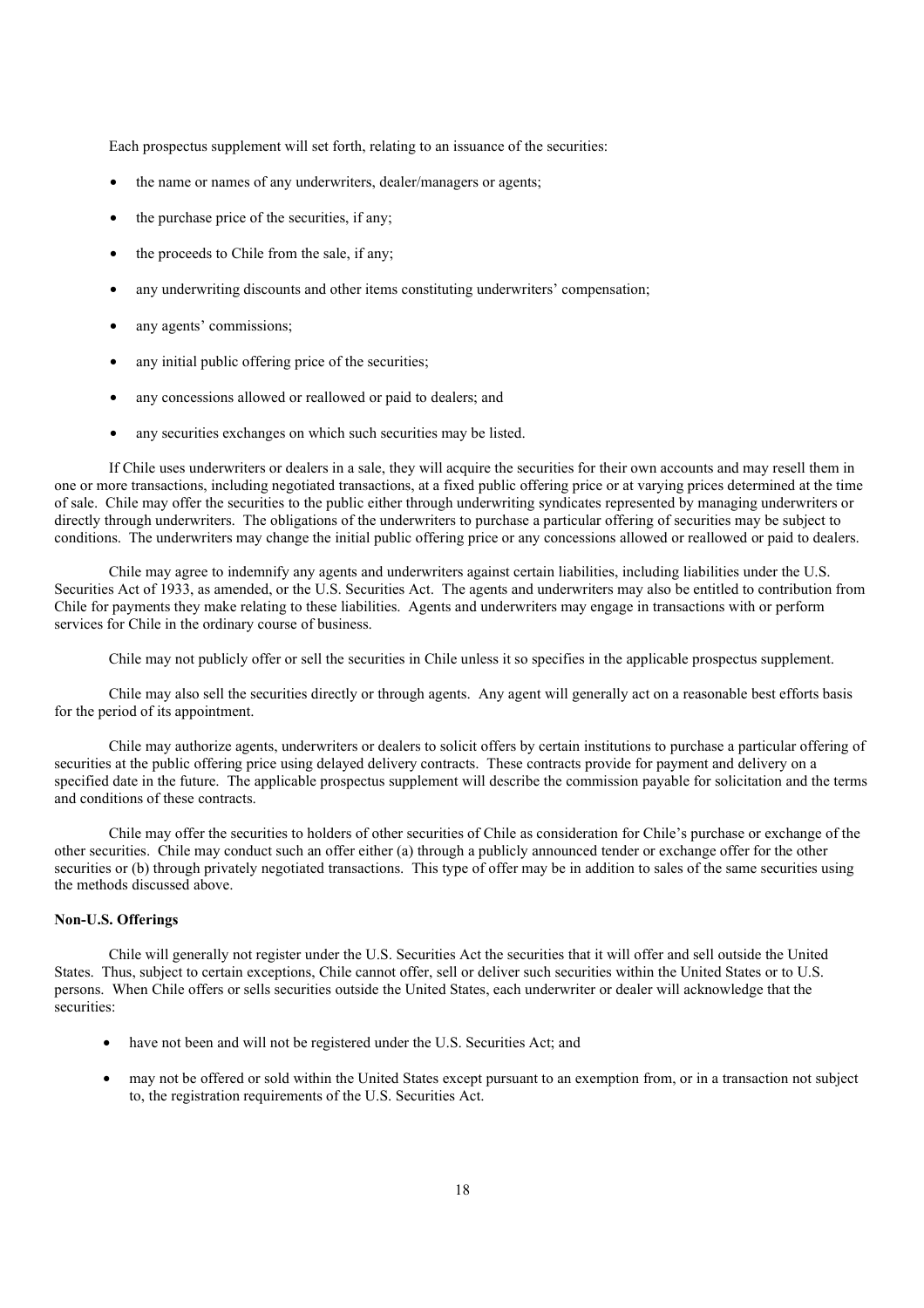Each prospectus supplement will set forth, relating to an issuance of the securities:

- the name or names of any underwriters, dealer/managers or agents;
- the purchase price of the securities, if any:
- the proceeds to Chile from the sale, if any:
- any underwriting discounts and other items constituting underwriters' compensation;
- any agents' commissions;
- any initial public offering price of the securities;
- any concessions allowed or reallowed or paid to dealers; and
- any securities exchanges on which such securities may be listed.

If Chile uses underwriters or dealers in a sale, they will acquire the securities for their own accounts and may resell them in one or more transactions, including negotiated transactions, at a fixed public offering price or at varying prices determined at the time of sale. Chile may offer the securities to the public either through underwriting syndicates represented by managing underwriters or directly through underwriters. The obligations of the underwriters to purchase a particular offering of securities may be subject to conditions. The underwriters may change the initial public offering price or any concessions allowed or reallowed or paid to dealers.

Chile may agree to indemnify any agents and underwriters against certain liabilities, including liabilities under the U.S. Securities Act of 1933, as amended, or the U.S. Securities Act. The agents and underwriters may also be entitled to contribution from Chile for payments they make relating to these liabilities. Agents and underwriters may engage in transactions with or perform services for Chile in the ordinary course of business.

Chile may not publicly offer or sell the securities in Chile unless it so specifies in the applicable prospectus supplement.

Chile may also sell the securities directly or through agents. Any agent will generally act on a reasonable best efforts basis for the period of its appointment.

Chile may authorize agents, underwriters or dealers to solicit offers by certain institutions to purchase a particular offering of securities at the public offering price using delayed delivery contracts. These contracts provide for payment and delivery on a specified date in the future. The applicable prospectus supplement will describe the commission payable for solicitation and the terms and conditions of these contracts.

Chile may offer the securities to holders of other securities of Chile as consideration for Chile's purchase or exchange of the other securities. Chile may conduct such an offer either (a) through a publicly announced tender or exchange offer for the other securities or (b) through privately negotiated transactions. This type of offer may be in addition to sales of the same securities using the methods discussed above.

#### **Non-U.S. Offerings**

Chile will generally not register under the U.S. Securities Act the securities that it will offer and sell outside the United States. Thus, subject to certain exceptions, Chile cannot offer, sell or deliver such securities within the United States or to U.S. persons. When Chile offers or sells securities outside the United States, each underwriter or dealer will acknowledge that the securities:

- have not been and will not be registered under the U.S. Securities Act; and
- may not be offered or sold within the United States except pursuant to an exemption from, or in a transaction not subject to, the registration requirements of the U.S. Securities Act.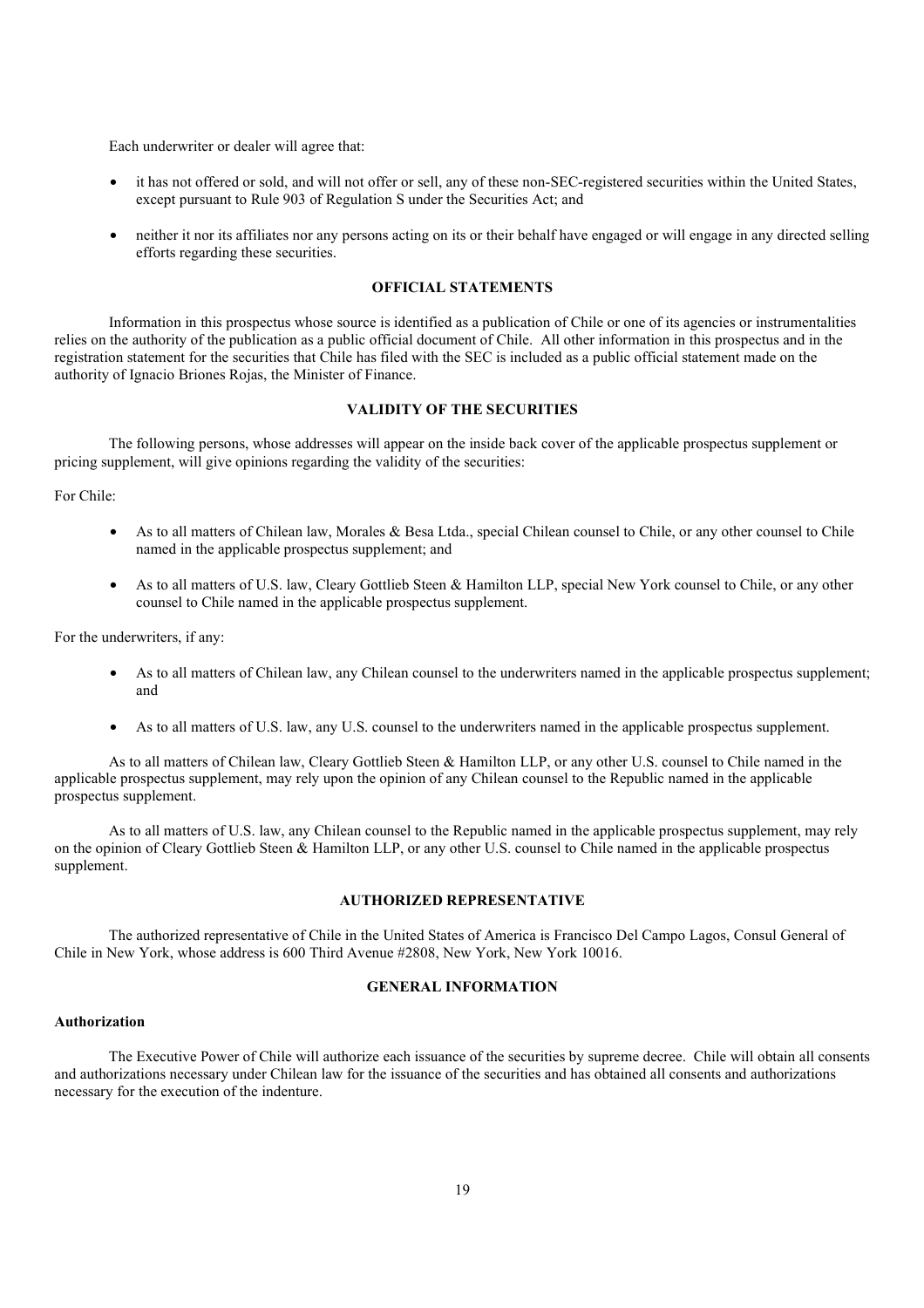Each underwriter or dealer will agree that:

- it has not offered or sold, and will not offer or sell, any of these non-SEC-registered securities within the United States, except pursuant to Rule 903 of Regulation S under the Securities Act; and
- neither it nor its affiliates nor any persons acting on its or their behalf have engaged or will engage in any directed selling efforts regarding these securities.

#### **OFFICIAL STATEMENTS**

Information in this prospectus whose source is identified as a publication of Chile or one of its agencies or instrumentalities relies on the authority of the publication as a public official document of Chile. All other information in this prospectus and in the registration statement for the securities that Chile has filed with the SEC is included as a public official statement made on the authority of Ignacio Briones Rojas, the Minister of Finance.

#### **VALIDITY OF THE SECURITIES**

The following persons, whose addresses will appear on the inside back cover of the applicable prospectus supplement or pricing supplement, will give opinions regarding the validity of the securities:

For Chile:

- As to all matters of Chilean law, Morales & Besa Ltda., special Chilean counsel to Chile, or any other counsel to Chile named in the applicable prospectus supplement; and
- As to all matters of U.S. law, Cleary Gottlieb Steen & Hamilton LLP, special New York counsel to Chile, or any other counsel to Chile named in the applicable prospectus supplement.

For the underwriters, if any:

- As to all matters of Chilean law, any Chilean counsel to the underwriters named in the applicable prospectus supplement; and
- As to all matters of U.S. law, any U.S. counsel to the underwriters named in the applicable prospectus supplement.

As to all matters of Chilean law, Cleary Gottlieb Steen & Hamilton LLP, or any other U.S. counsel to Chile named in the applicable prospectus supplement, may rely upon the opinion of any Chilean counsel to the Republic named in the applicable prospectus supplement.

As to all matters of U.S. law, any Chilean counsel to the Republic named in the applicable prospectus supplement, may rely on the opinion of Cleary Gottlieb Steen & Hamilton LLP, or any other U.S. counsel to Chile named in the applicable prospectus supplement.

### **AUTHORIZED REPRESENTATIVE**

The authorized representative of Chile in the United States of America is Francisco Del Campo Lagos, Consul General of Chile in New York, whose address is 600 Third Avenue #2808, New York, New York 10016.

## **GENERAL INFORMATION**

#### **Authorization**

The Executive Power of Chile will authorize each issuance of the securities by supreme decree. Chile will obtain all consents and authorizations necessary under Chilean law for the issuance of the securities and has obtained all consents and authorizations necessary for the execution of the indenture.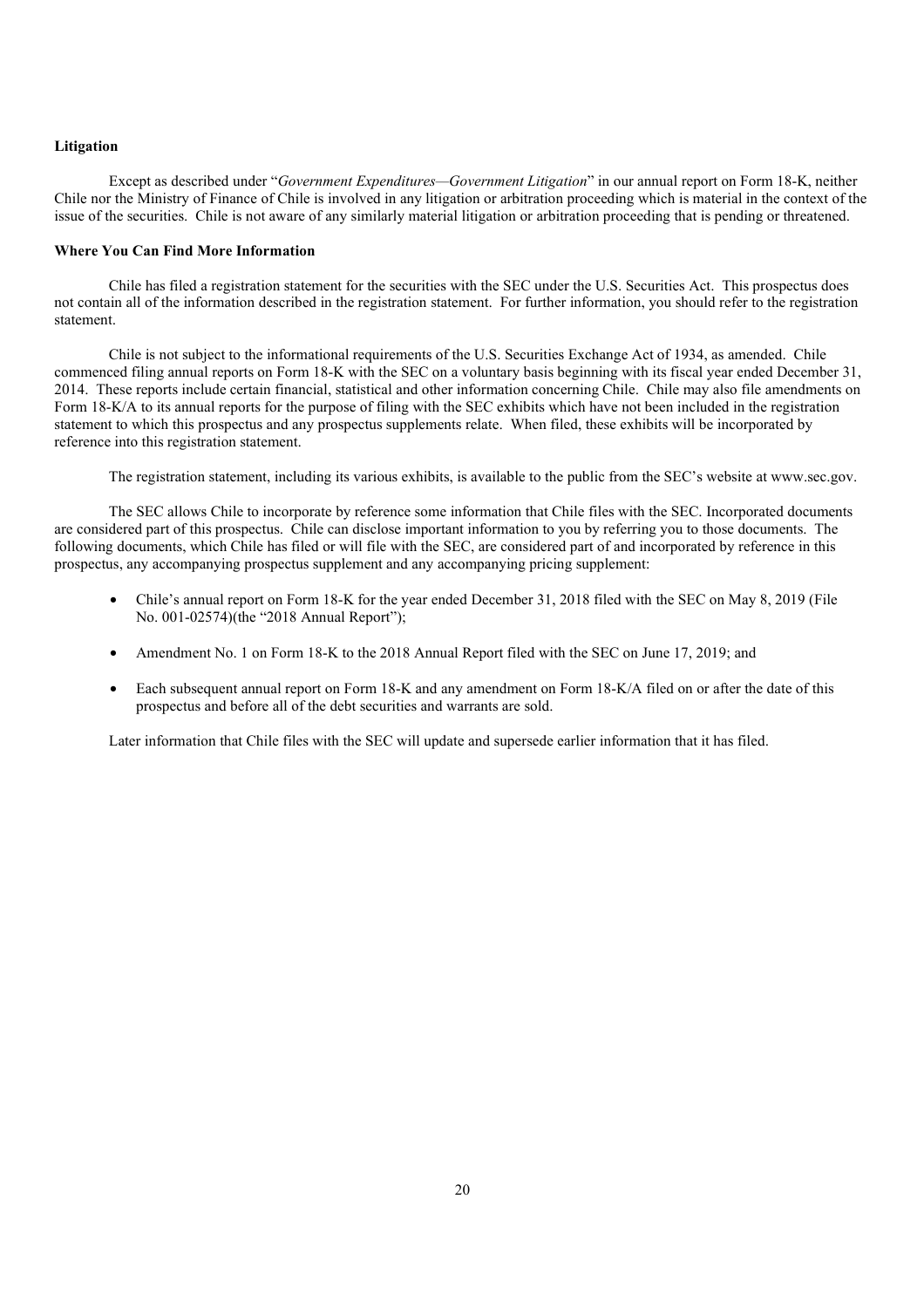#### **Litigation**

Except as described under "*Government Expenditures—Government Litigation*" in our annual report on Form 18-K, neither Chile nor the Ministry of Finance of Chile is involved in any litigation or arbitration proceeding which is material in the context of the issue of the securities. Chile is not aware of any similarly material litigation or arbitration proceeding that is pending or threatened.

## **Where You Can Find More Information**

Chile has filed a registration statement for the securities with the SEC under the U.S. Securities Act. This prospectus does not contain all of the information described in the registration statement. For further information, you should refer to the registration statement.

Chile is not subject to the informational requirements of the U.S. Securities Exchange Act of 1934, as amended. Chile commenced filing annual reports on Form 18-K with the SEC on a voluntary basis beginning with its fiscal year ended December 31, 2014. These reports include certain financial, statistical and other information concerning Chile. Chile may also file amendments on Form 18-K/A to its annual reports for the purpose of filing with the SEC exhibits which have not been included in the registration statement to which this prospectus and any prospectus supplements relate. When filed, these exhibits will be incorporated by reference into this registration statement.

The registration statement, including its various exhibits, is available to the public from the SEC's website at www.sec.gov.

The SEC allows Chile to incorporate by reference some information that Chile files with the SEC. Incorporated documents are considered part of this prospectus. Chile can disclose important information to you by referring you to those documents. The following documents, which Chile has filed or will file with the SEC, are considered part of and incorporated by reference in this prospectus, any accompanying prospectus supplement and any accompanying pricing supplement:

- Chile's annual report on Form 18-K for the year ended December 31, 2018 filed with the SEC on May 8, 2019 (File No. 001-02574)(the "2018 Annual Report");
- Amendment No. 1 on Form 18-K to the 2018 Annual Report filed with the SEC on June 17, 2019; and
- Each subsequent annual report on Form 18-K and any amendment on Form 18-K/A filed on or after the date of this prospectus and before all of the debt securities and warrants are sold.

Later information that Chile files with the SEC will update and supersede earlier information that it has filed.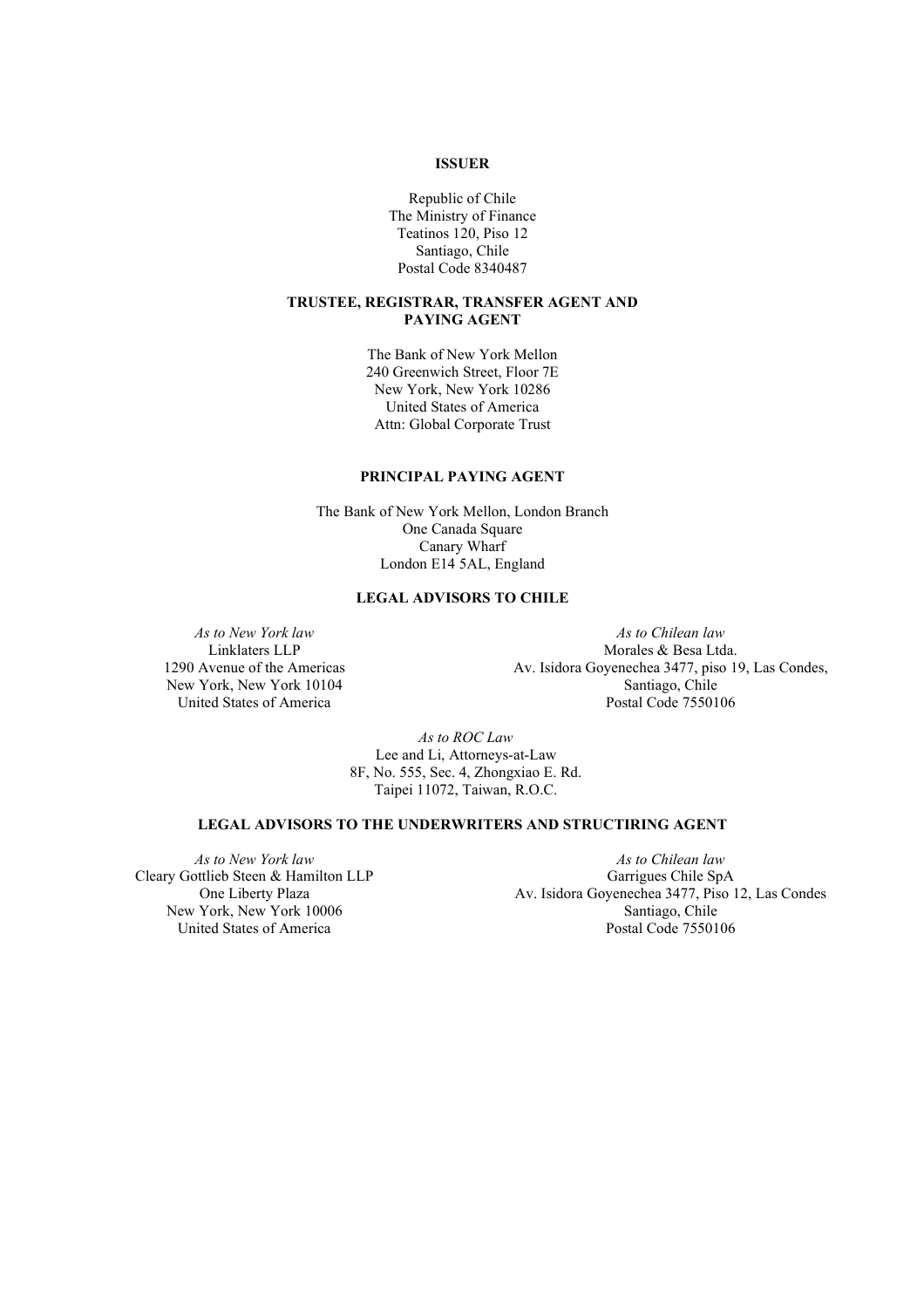## **ISSUER**

Republic of Chile The Ministry of Finance Teatinos 120, Piso 12 Santiago, Chile Postal Code 8340487

## **TRUSTEE, REGISTRAR, TRANSFER AGENT AND PAYING AGENT**

The Bank of New York Mellon 240 Greenwich Street, Floor 7E New York, New York 10286 United States of America Attn: Global Corporate Trust

## **PRINCIPAL PAYING AGENT**

The Bank of New York Mellon, London Branch One Canada Square Canary Wharf London E14 5AL, England

## **LEGAL ADVISORS TO CHILE**

*As to New York law* Linklaters LLP 1290 Avenue of the Americas New York, New York 10104 United States of America

*As to Chilean law* Morales & Besa Ltda. Av. Isidora Goyenechea 3477, piso 19, Las Condes, Santiago, Chile Postal Code 7550106

 *As to ROC Law* Lee and Li, Attorneys-at-Law 8F, No. 555, Sec. 4, Zhongxiao E. Rd. Taipei 11072, Taiwan, R.O.C.

# **LEGAL ADVISORS TO THE UNDERWRITERS AND STRUCTIRING AGENT**

*As to New York law* Cleary Gottlieb Steen & Hamilton LLP One Liberty Plaza New York, New York 10006 United States of America

*As to Chilean law* Garrigues Chile SpA Av. Isidora Goyenechea 3477, Piso 12, Las Condes Santiago, Chile Postal Code 7550106